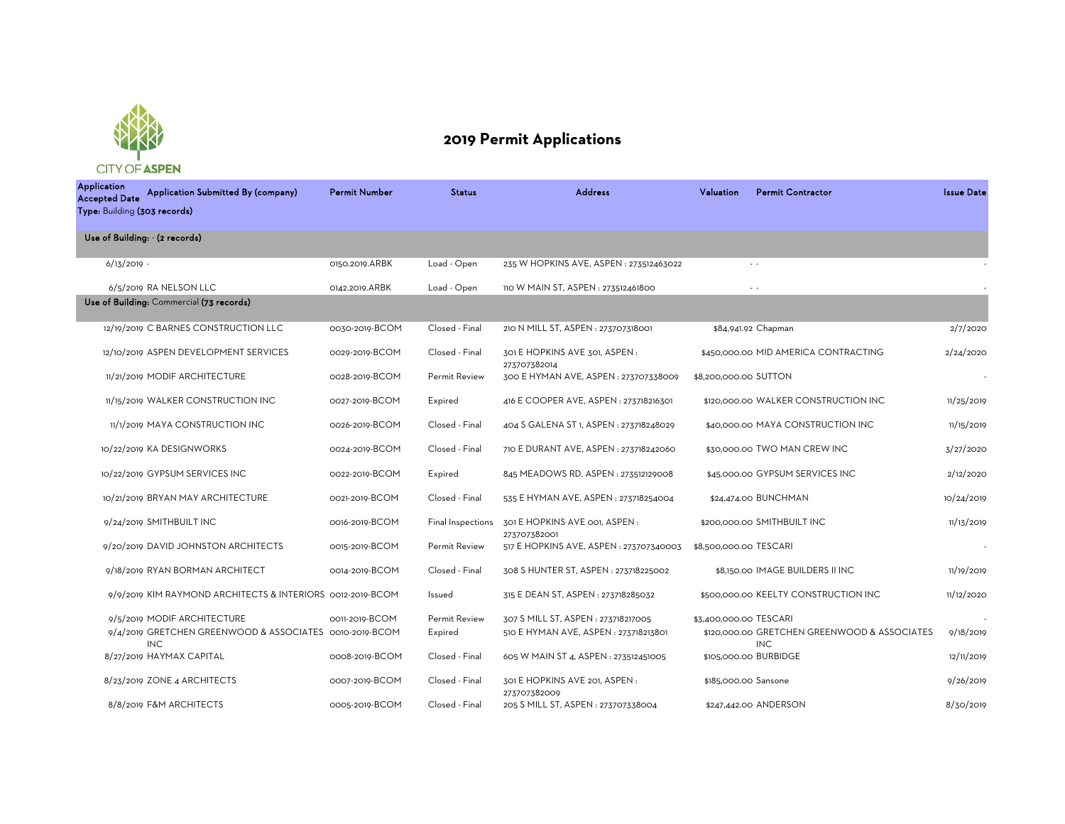

## **2019 Permit Applications**

Application<br>Accepted Date Application Application Submitted By (company) Permit Number Status Address Paluation Permit Contractor Issue Date 6/13/2019 - 0150.2019.ARBK Load - Open 235 W HOPKINS AVE, ASPEN : 273512463022 - - - 6/5/2019 RA NELSON LLC 0142.2019.ARBK Load - Open 110 W MAIN ST, ASPEN : 273512461800 - - - 12/19/2019 C BARNES CONSTRUCTION LLC 0030-2019-BCOM Closed - Final 210 N MILL ST, ASPEN : 273707318001 \$84,941.92 Chapman 2/7/2020 12/10/2019 ASPEN DEVELOPMENT SERVICES 0029-2019-BCOM Closed - Final 301 E HOPKINS AVE 301, ASPEN : 273707382014 \$450,000.00 MID AMERICA CONTRACTING 2/24/2020 11/21/2019 MODIF ARCHITECTURE 0028-2019-BCOM Permit Review 300 E HYMAN AVE, ASPEN: 273707338009 \$8,200,000.00 SUTTON 11/15/2019 WALKER CONSTRUCTION INC 0027-2019-BCOM Expired 416 E COOPER AVE, ASPEN : 273718216301 \$120,000.00 WALKER CONSTRUCTION INC 11/25/2019 11/1/2019 MAYA CONSTRUCTION INC 0026-2019-BCOM Closed - Final 404 S GALENA ST 1, ASPEN : 273718248029 \$40,000.00 MAYA CONSTRUCTION INC 11/15/2019 10/22/2019 KA DESIGNWORKS 0024-2019-BCOM Closed - Final 710 E DURANT AVE, ASPEN : 273718242060 \$30,000.00 TWO MAN CREW INC 3/27/2020 10/22/2019 GYPSUM SERVICES INC 0022-2019-BCOM Expired 845 MEADOWS RD, ASPEN : 273512129008 \$45,000.00 GYPSUM SERVICES INC 2/12/2020 10/21/2019 BRYAN MAY ARCHITECTURE 0021-2019-BCOM Closed - Final 535 E HYMAN AVE, ASPEN : 273718254004 \$24,474.00 BUNCHMAN 10/24/2019 9/24/2019 SMITHBUILT INC **0016-2019-BCOM** Final Inspections 301 E HOPKINS AVE 001, ASPEN : 273707382001 \$200,000.00 SMITHBUILT INC 11/13/2019 9/20/2019 DAVID JOHNSTON ARCHITECTS 0015-2019-BCOM Permit Review 517 E HOPKINS AVE, ASPEN : 273707340003 \$8,500,000.00 TESCARI 9/18/2019 RYAN BORMAN ARCHITECT 0014-2019-BCOM Closed - Final 308 S HUNTER ST, ASPEN : 273718225002 \$8,150.00 IMAGE BUILDERS II INC 11/19/2019 9/9/2019 KIM RAYMOND ARCHITECTS & INTERIORS 0012-2019-BCOM Issued 315 E DEAN ST, ASPEN : 273718285032 \$500,000.00 KEELTY CONSTRUCTION INC 11/12/2020 9/5/2019 MODIF ARCHITECTURE 0011-2019-BCOM Permit Review 307 S MILL ST, ASPEN : 273718217005 \$3,400,000.00 TESCARI 9/4/2019 GRETCHEN GREENWOOD & ASSOCIATES 0010-2019-BCOM INC Expired 510 E HYMAN AVE, ASPEN : 273718213801 \$120,000.00 GRETCHEN GREENWOOD & ASSOCIATES INC 9/18/2019 8/27/2019 HAYMAX CAPITAL **21/11/2019** 0008-2019-BCOM Closed - Final 605 W MAIN ST 4, ASPEN : 273512451005 \$105,000.00 BURBIDGE 8/23/2019 ZONE 4 ARCHITECTS 0007-2019-BCOM Closed - Final 301 E HOPKINS AVE 201, ASPEN : 273707382009 \$185,000.00 Sansone 9/26/2019 8/8/2019 F&M ARCHITECTS 0005-2019-BCOM Closed - Final 205 S MILL ST, ASPEN : 273707338004 \$247,442.00 ANDERSON 8/30/2019 Type: Building (303 records) Use of Building: - (2 records) Use of Building: Commercial (73 records)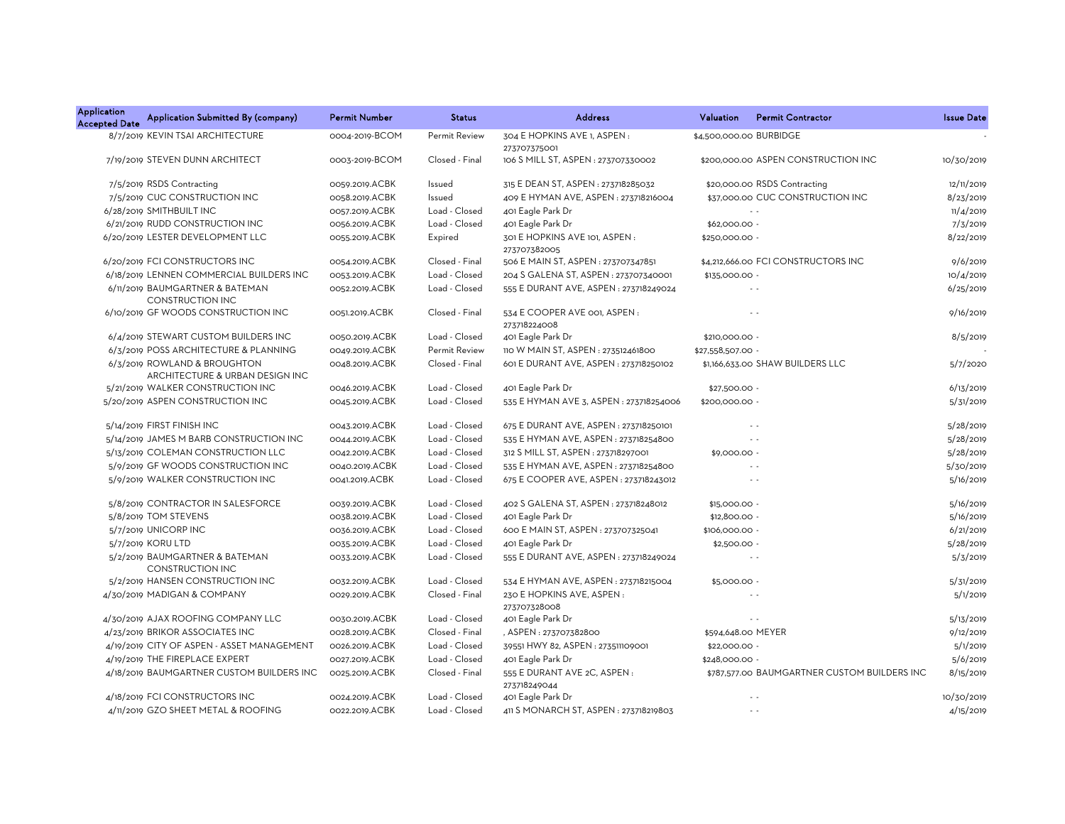| <b>Application</b><br><b>Accepted Date</b> | Application Submitted By (company)                              | <b>Permit Number</b> | <b>Status</b>  | <b>Address</b>                                 | Valuation               | <b>Permit Contractor</b>                     | <b>Issue Date</b> |
|--------------------------------------------|-----------------------------------------------------------------|----------------------|----------------|------------------------------------------------|-------------------------|----------------------------------------------|-------------------|
|                                            | 8/7/2019 KEVIN TSAI ARCHITECTURE                                | 0004-2019-BCOM       | Permit Review  | 304 E HOPKINS AVE 1, ASPEN:<br>273707375001    | \$4,500,000.00 BURBIDGE |                                              |                   |
|                                            | 7/19/2019 STEVEN DUNN ARCHITECT                                 | 0003-2019-BCOM       | Closed - Final | 106 S MILL ST, ASPEN : 273707330002            |                         | \$200,000,00 ASPEN CONSTRUCTION INC          | 10/30/2019        |
|                                            | 7/5/2019 RSDS Contracting                                       | 0059.2019.ACBK       | Issued         | 315 E DEAN ST, ASPEN : 273718285032            |                         | \$20,000.00 RSDS Contracting                 | 12/11/2019        |
|                                            | 7/5/2019 CUC CONSTRUCTION INC                                   | 0058.2019.ACBK       | Issued         | 409 E HYMAN AVE, ASPEN: 273718216004           |                         | \$37,000.00 CUC CONSTRUCTION INC             | 8/23/2019         |
|                                            | 6/28/2019 SMITHBUILT INC                                        | 0057.2019.ACBK       | Load - Closed  | 401 Eagle Park Dr                              |                         |                                              | 11/4/2019         |
|                                            | 6/21/2019 RUDD CONSTRUCTION INC                                 | 0056.2019.ACBK       | Load - Closed  | 401 Eagle Park Dr                              | \$62,000.00 -           |                                              | 7/3/2019          |
|                                            | 6/20/2019 LESTER DEVELOPMENT LLC                                | 0055.2019.ACBK       | Expired        | 301 E HOPKINS AVE 101, ASPEN :<br>273707382005 | \$250,000.00 -          |                                              | 8/22/2019         |
|                                            | 6/20/2019 FCI CONSTRUCTORS INC                                  | 0054.2019.ACBK       | Closed - Final | 506 E MAIN ST, ASPEN : 273707347851            |                         | \$4,212,666.00 FCI CONSTRUCTORS INC          | 9/6/2019          |
|                                            | 6/18/2019 LENNEN COMMERCIAL BUILDERS INC                        | 0053.2019.ACBK       | Load - Closed  | 204 S GALENA ST, ASPEN: 273707340001           | \$135,000.00 -          |                                              | 10/4/2019         |
|                                            | 6/11/2019 BAUMGARTNER & BATEMAN<br>CONSTRUCTION INC             | 0052.2019.ACBK       | Load - Closed  | 555 E DURANT AVE, ASPEN : 273718249024         |                         | $\sim$ $\sim$                                | 6/25/2019         |
|                                            | 6/10/2019 GF WOODS CONSTRUCTION INC                             | 0051.2019.ACBK       | Closed - Final | 534 E COOPER AVE 001, ASPEN:<br>273718224008   |                         | $\sim$ $\sim$                                | 9/16/2019         |
|                                            | 6/4/2019 STEWART CUSTOM BUILDERS INC                            | 0050.2019.ACBK       | Load - Closed  | 401 Eagle Park Dr                              | \$210,000.00 -          |                                              | 8/5/2019          |
|                                            | 6/3/2019 POSS ARCHITECTURE & PLANNING                           | 0049.2019.ACBK       | Permit Review  | 110 W MAIN ST, ASPEN : 273512461800            | \$27,558,507.00 -       |                                              |                   |
|                                            | 6/3/2019 ROWLAND & BROUGHTON<br>ARCHITECTURE & URBAN DESIGN INC | 0048.2019.ACBK       | Closed - Final | 601 E DURANT AVE, ASPEN : 273718250102         |                         | \$1,166,633.00 SHAW BUILDERS LLC             | 5/7/2020          |
|                                            | 5/21/2019 WALKER CONSTRUCTION INC                               | 0046.2019.ACBK       | Load - Closed  | 401 Eagle Park Dr                              | \$27,500.00 -           |                                              | 6/13/2019         |
|                                            | 5/20/2019 ASPEN CONSTRUCTION INC                                | 0045.2019.ACBK       | Load - Closed  | 535 E HYMAN AVE 3, ASPEN : 273718254006        | \$200,000.00 -          |                                              | 5/31/2019         |
|                                            | 5/14/2019 FIRST FINISH INC                                      | 0043.2019.ACBK       | Load - Closed  | 675 E DURANT AVE, ASPEN : 273718250101         |                         | $\sim$ $\sim$                                | 5/28/2019         |
|                                            | 5/14/2019 JAMES M BARB CONSTRUCTION INC                         | 0044.2019.ACBK       | Load - Closed  | 535 E HYMAN AVE, ASPEN : 273718254800          |                         | $\sim$ $\sim$                                | 5/28/2019         |
|                                            | 5/13/2019 COLEMAN CONSTRUCTION LLC                              | 0042.2019.ACBK       | Load - Closed  | 312 S MILL ST, ASPEN: 273718297001             | \$9,000.00 -            |                                              | 5/28/2019         |
|                                            | 5/9/2019 GF WOODS CONSTRUCTION INC                              | 0040.2019.ACBK       | Load - Closed  | 535 E HYMAN AVE, ASPEN : 273718254800          |                         |                                              | 5/30/2019         |
|                                            | 5/9/2019 WALKER CONSTRUCTION INC                                | 0041.2019.ACBK       | Load - Closed  | 675 E COOPER AVE, ASPEN : 273718243012         |                         | $\sim$ $\sim$                                | 5/16/2019         |
|                                            | 5/8/2019 CONTRACTOR IN SALESFORCE                               | 0039.2019.ACBK       | Load - Closed  | 402 S GALENA ST, ASPEN : 273718248012          | \$15,000.00 -           |                                              | 5/16/2019         |
|                                            | 5/8/2019 TOM STEVENS                                            | 0038.2019.ACBK       | Load - Closed  | 401 Eagle Park Dr                              | \$12,800.00 -           |                                              | 5/16/2019         |
|                                            | 5/7/2019 UNICORP INC                                            | 0036.2019.ACBK       | Load - Closed  | 600 E MAIN ST, ASPEN : 273707325041            | \$106,000.00 -          |                                              | 6/21/2019         |
|                                            | 5/7/2019 KORU LTD                                               | 0035.2019.ACBK       | Load - Closed  | 401 Eagle Park Dr                              | $$2,500.00 -$           |                                              | 5/28/2019         |
|                                            | 5/2/2019 BAUMGARTNER & BATEMAN<br><b>CONSTRUCTION INC</b>       | 0033.2019.ACBK       | Load - Closed  | 555 E DURANT AVE, ASPEN : 273718249024         |                         | $\sim$ $\sim$                                | 5/3/2019          |
|                                            | 5/2/2019 HANSEN CONSTRUCTION INC                                | 0032.2019.ACBK       | Load - Closed  | 534 E HYMAN AVE, ASPEN : 273718215004          | \$5,000.00 -            |                                              | 5/31/2019         |
|                                            | 4/30/2019 MADIGAN & COMPANY                                     | 0029.2019.ACBK       | Closed - Final | 230 E HOPKINS AVE, ASPEN:<br>273707328008      |                         |                                              | 5/1/2019          |
|                                            | 4/30/2019 AJAX ROOFING COMPANY LLC                              | 0030.2019.ACBK       | Load - Closed  | 401 Eagle Park Dr                              |                         | $\sim$ $\sim$                                | 5/13/2019         |
|                                            | 4/23/2019 BRIKOR ASSOCIATES INC                                 | 0028.2019.ACBK       | Closed - Final | , ASPEN: 273707382800                          | \$594,648.00 MEYER      |                                              | 9/12/2019         |
|                                            | 4/19/2019 CITY OF ASPEN - ASSET MANAGEMENT                      | 0026.2019.ACBK       | Load - Closed  | 39551 HWY 82, ASPEN : 273511109001             | \$22,000.00 -           |                                              | 5/1/2019          |
|                                            | 4/19/2019 THE FIREPLACE EXPERT                                  | 0027.2019.ACBK       | Load - Closed  | 401 Eagle Park Dr                              | \$248,000.00 -          |                                              | 5/6/2019          |
|                                            | 4/18/2019 BAUMGARTNER CUSTOM BUILDERS INC                       | 0025.2019.ACBK       | Closed - Final | 555 E DURANT AVE 2C, ASPEN:<br>273718249044    |                         | \$787,577.00 BAUMGARTNER CUSTOM BUILDERS INC | 8/15/2019         |
|                                            | 4/18/2019 FCI CONSTRUCTORS INC                                  | 0024.2019.ACBK       | Load - Closed  | 401 Eagle Park Dr                              |                         | $\sim$                                       | 10/30/2019        |
|                                            | 4/11/2019 GZO SHEET METAL & ROOFING                             | 0022.2019.ACBK       | Load - Closed  | 411 S MONARCH ST, ASPEN : 273718219803         |                         | $\sim$                                       | 4/15/2019         |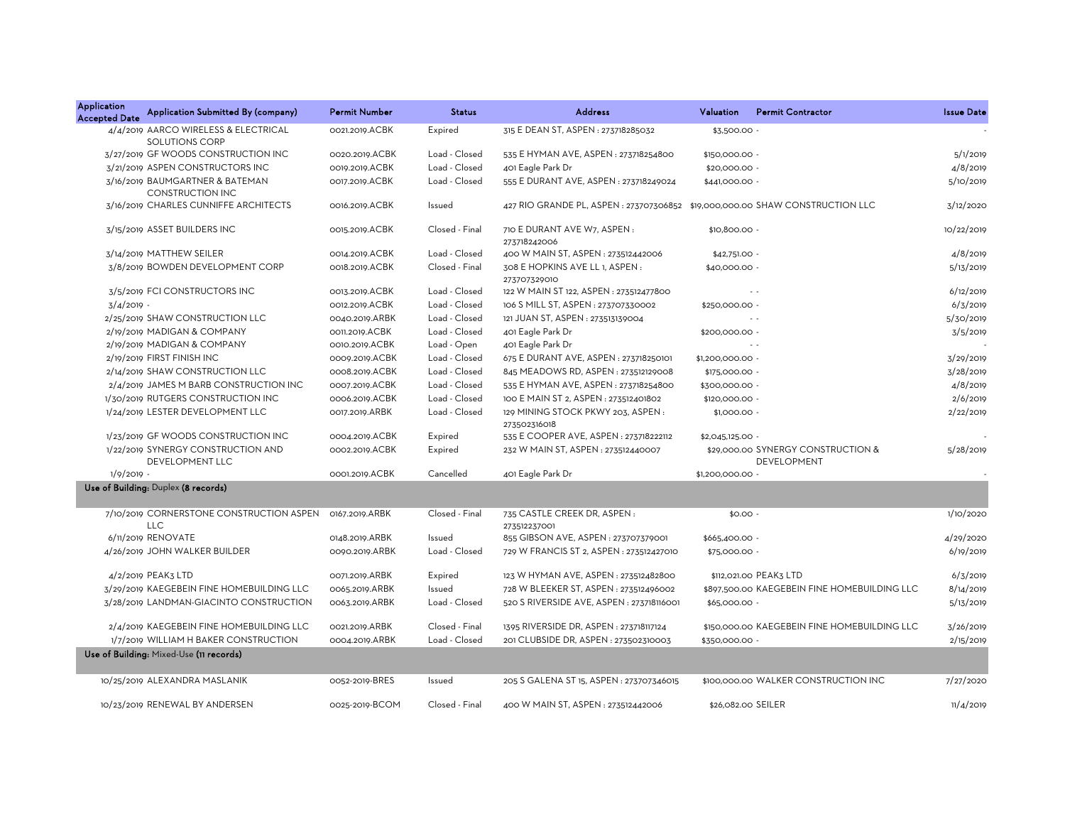| <b>Application</b><br><b>Accepted Date</b> | Application Submitted By (company)                            | <b>Permit Number</b> | <b>Status</b>  | <b>Address</b>                                                                | Valuation          | <b>Permit Contractor</b>                          | <b>Issue Date</b> |
|--------------------------------------------|---------------------------------------------------------------|----------------------|----------------|-------------------------------------------------------------------------------|--------------------|---------------------------------------------------|-------------------|
|                                            | 4/4/2019 AARCO WIRELESS & ELECTRICAL<br><b>SOLUTIONS CORP</b> | 0021.2019.ACBK       | Expired        | 315 E DEAN ST, ASPEN : 273718285032                                           | \$3,500.00 -       |                                                   |                   |
|                                            | 3/27/2019 GF WOODS CONSTRUCTION INC                           | 0020.2019.ACBK       | Load - Closed  | 535 E HYMAN AVE, ASPEN : 273718254800                                         | \$150,000.00 -     |                                                   | 5/1/2019          |
|                                            | 3/21/2019 ASPEN CONSTRUCTORS INC                              | 0019.2019.ACBK       | Load - Closed  | 401 Eagle Park Dr                                                             | \$20,000.00 -      |                                                   | 4/8/2019          |
|                                            | 3/16/2019 BAUMGARTNER & BATEMAN<br><b>CONSTRUCTION INC</b>    | 0017.2019.ACBK       | Load - Closed  | 555 E DURANT AVE, ASPEN : 273718249024                                        | \$441,000.00 -     |                                                   | 5/10/2019         |
|                                            | 3/16/2019 CHARLES CUNNIFFE ARCHITECTS                         | 0016.2019.ACBK       | Issued         | 427 RIO GRANDE PL, ASPEN : 273707306852 \$19,000,000.00 SHAW CONSTRUCTION LLC |                    |                                                   | 3/12/2020         |
|                                            | 3/15/2019 ASSET BUILDERS INC                                  | 0015.2019.ACBK       | Closed - Final | 710 E DURANT AVE W7, ASPEN:<br>273718242006                                   | \$10,800.00 -      |                                                   | 10/22/2019        |
|                                            | 3/14/2019 MATTHEW SEILER                                      | 0014.2019.ACBK       | Load - Closed  | 400 W MAIN ST, ASPEN: 273512442006                                            | \$42,751.00 -      |                                                   | 4/8/2019          |
|                                            | 3/8/2019 BOWDEN DEVELOPMENT CORP                              | 0018.2019.ACBK       | Closed - Final | 308 E HOPKINS AVE LL 1, ASPEN :<br>273707329010                               | \$40,000.00 -      |                                                   | 5/13/2019         |
|                                            | 3/5/2019 FCI CONSTRUCTORS INC                                 | 0013.2019.ACBK       | Load - Closed  | 122 W MAIN ST 122, ASPEN : 273512477800                                       |                    | $\sim$ $\sim$                                     | 6/12/2019         |
| $3/4/2019$ -                               |                                                               | 0012.2019.ACBK       | Load - Closed  | 106 S MILL ST, ASPEN : 273707330002                                           | \$250,000.00 -     |                                                   | 6/3/2019          |
|                                            | 2/25/2019 SHAW CONSTRUCTION LLC                               | 0040.2019.ARBK       | Load - Closed  | 121 JUAN ST, ASPEN : 273513139004                                             |                    | $\sim$ $\sim$                                     | 5/30/2019         |
|                                            | 2/19/2019 MADIGAN & COMPANY                                   | 0011.2019.ACBK       | Load - Closed  | 401 Eagle Park Dr                                                             | \$200,000.00 -     |                                                   | 3/5/2019          |
|                                            | 2/19/2019 MADIGAN & COMPANY                                   | 0010.2019.ACBK       | Load - Open    | 401 Eagle Park Dr                                                             |                    | $\sim$ $\sim$                                     |                   |
|                                            | 2/19/2019 FIRST FINISH INC                                    | 0009.2019.ACBK       | Load - Closed  | 675 E DURANT AVE, ASPEN : 273718250101                                        | \$1,200,000.00 -   |                                                   | 3/29/2019         |
|                                            | 2/14/2019 SHAW CONSTRUCTION LLC                               | 0008.2019.ACBK       | Load - Closed  | 845 MEADOWS RD, ASPEN: 273512129008                                           | \$175,000.00 -     |                                                   | 3/28/2019         |
|                                            | 2/4/2019 JAMES M BARB CONSTRUCTION INC                        | 0007.2019.ACBK       | Load - Closed  | 535 E HYMAN AVE, ASPEN : 273718254800                                         | \$300,000.00 -     |                                                   | 4/8/2019          |
|                                            | 1/30/2019 RUTGERS CONSTRUCTION INC                            | 0006.2019.ACBK       | Load - Closed  | 100 E MAIN ST 2, ASPEN: 273512401802                                          | \$120,000.00 -     |                                                   | 2/6/2019          |
|                                            | 1/24/2019 LESTER DEVELOPMENT LLC                              | 0017.2019.ARBK       | Load - Closed  | 129 MINING STOCK PKWY 203, ASPEN:<br>273502316018                             | \$1,000.00 -       |                                                   | 2/22/2019         |
|                                            | 1/23/2019 GF WOODS CONSTRUCTION INC                           | 0004.2019.ACBK       | Expired        | 535 E COOPER AVE, ASPEN : 273718222112                                        | \$2,045,125.00 -   |                                                   |                   |
|                                            | 1/22/2019 SYNERGY CONSTRUCTION AND<br><b>DEVELOPMENT LLC</b>  | 0002.2019.ACBK       | Expired        | 232 W MAIN ST, ASPEN: 273512440007                                            |                    | \$29,000.00 SYNERGY CONSTRUCTION &<br>DEVELOPMENT | 5/28/2019         |
| $1/9/2019$ -                               |                                                               | 0001.2019.ACBK       | Cancelled      | 401 Eagle Park Dr                                                             | \$1,200,000.00 -   |                                                   |                   |
|                                            | Use of Building: Duplex (8 records)                           |                      |                |                                                                               |                    |                                                   |                   |
|                                            | 7/10/2019 CORNERSTONE CONSTRUCTION ASPEN<br><b>LLC</b>        | 0167.2019.ARBK       | Closed - Final | 735 CASTLE CREEK DR, ASPEN:<br>273512237001                                   | $$0.00 -$          |                                                   | 1/10/2020         |
|                                            | 6/11/2019 RENOVATE                                            | 0148.2019.ARBK       | Issued         | 855 GIBSON AVE, ASPEN: 273707379001                                           | \$665,400.00 -     |                                                   | 4/29/2020         |
|                                            | 4/26/2019 JOHN WALKER BUILDER                                 | 0090.2019.ARBK       | Load - Closed  | 729 W FRANCIS ST 2, ASPEN : 273512427010                                      | \$75,000.00 -      |                                                   | 6/19/2019         |
|                                            | 4/2/2019 PEAK3 LTD                                            | 0071.2019.ARBK       | Expired        | 123 W HYMAN AVE, ASPEN : 273512482800                                         |                    | \$112,021.00 PEAK3 LTD                            | 6/3/2019          |
|                                            | 3/29/2019 KAEGEBEIN FINE HOMEBUILDING LLC                     | 0065.2019.ARBK       | Issued         | 728 W BLEEKER ST, ASPEN: 273512496002                                         |                    | \$897,500.00 KAEGEBEIN FINE HOMEBUILDING LLC      | 8/14/2019         |
|                                            | 3/28/2019 LANDMAN-GIACINTO CONSTRUCTION                       | 0063.2019.ARBK       | Load - Closed  | 520 S RIVERSIDE AVE, ASPEN : 273718116001                                     | \$65,000.00 -      |                                                   | 5/13/2019         |
|                                            | 2/4/2019 KAEGEBEIN FINE HOMEBUILDING LLC                      | 0021.2019.ARBK       | Closed - Final | 1395 RIVERSIDE DR, ASPEN : 273718117124                                       |                    | \$150,000.00 KAEGEBEIN FINE HOMEBUILDING LLC      | 3/26/2019         |
|                                            | 1/7/2019 WILLIAM H BAKER CONSTRUCTION                         | 0004.2019.ARBK       | Load - Closed  | 201 CLUBSIDE DR, ASPEN : 273502310003                                         | \$350,000.00 -     |                                                   | 2/15/2019         |
|                                            | Use of Building: Mixed-Use (11 records)                       |                      |                |                                                                               |                    |                                                   |                   |
|                                            | 10/25/2019 ALEXANDRA MASLANIK                                 | 0052-2019-BRES       | Issued         | 205 S GALENA ST 15, ASPEN: 273707346015                                       |                    | \$100,000.00 WALKER CONSTRUCTION INC              | 7/27/2020         |
|                                            | 10/23/2019 RENEWAL BY ANDERSEN                                | 0025-2019-BCOM       | Closed - Final | 400 W MAIN ST. ASPEN: 273512442006                                            | \$26,082,00 SEILER |                                                   | 11/4/2019         |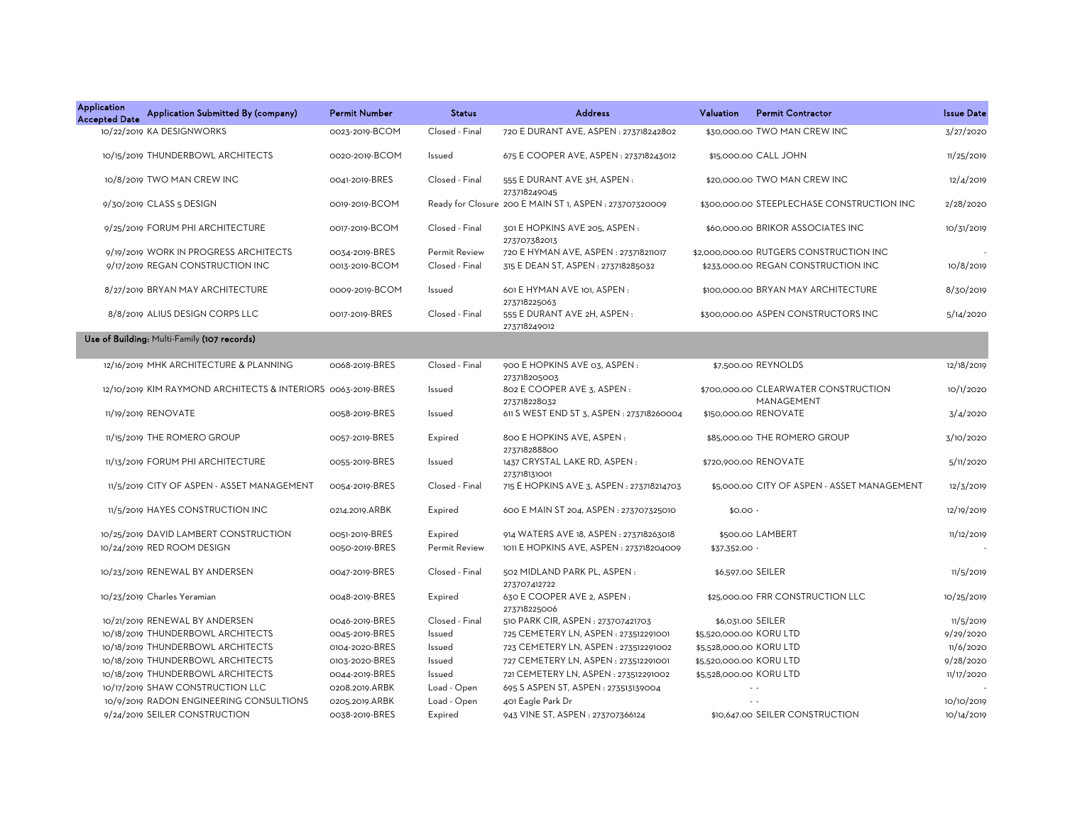| Application<br><b>Accepted Date</b> | Application Submitted By (company)                           | <b>Permit Number</b> | <b>Status</b>  | <b>Address</b>                                          | Valuation               | <b>Permit Contractor</b>                           | <b>Issue Date</b> |
|-------------------------------------|--------------------------------------------------------------|----------------------|----------------|---------------------------------------------------------|-------------------------|----------------------------------------------------|-------------------|
|                                     | 10/22/2019 KA DESIGNWORKS                                    | 0023-2019-BCOM       | Closed - Final | 720 E DURANT AVE, ASPEN : 273718242802                  |                         | \$30,000.00 TWO MAN CREW INC                       | 3/27/2020         |
|                                     | 10/15/2019 THUNDERBOWL ARCHITECTS                            | 0020-2019-BCOM       | Issued         | 675 E COOPER AVE, ASPEN : 273718243012                  |                         | \$15,000.00 CALL JOHN                              | 11/25/2019        |
|                                     | 10/8/2019 TWO MAN CREW INC                                   | 0041-2019-BRES       | Closed - Final | 555 E DURANT AVE 3H, ASPEN:<br>273718249045             |                         | \$20,000.00 TWO MAN CREW INC                       | 12/4/2019         |
|                                     | 9/30/2019 CLASS 5 DESIGN                                     | 0019-2019-BCOM       |                | Ready for Closure 200 E MAIN ST 1, ASPEN : 273707320009 |                         | \$300,000.00 STEEPLECHASE CONSTRUCTION INC         | 2/28/2020         |
|                                     | 9/25/2019 FORUM PHI ARCHITECTURE                             | 0017-2019-BCOM       | Closed - Final | 301 E HOPKINS AVE 205, ASPEN:<br>273707382013           |                         | \$60,000.00 BRIKOR ASSOCIATES INC                  | 10/31/2019        |
|                                     | 9/19/2019 WORK IN PROGRESS ARCHITECTS                        | 0034-2019-BRES       | Permit Review  | 720 E HYMAN AVE, ASPEN : 273718211017                   |                         | \$2,000,000.00 RUTGERS CONSTRUCTION INC            |                   |
|                                     | 9/17/2019 REGAN CONSTRUCTION INC                             | 0013-2019-BCOM       | Closed - Final | 315 E DEAN ST, ASPEN : 273718285032                     |                         | \$233,000.00 REGAN CONSTRUCTION INC                | 10/8/2019         |
|                                     | 8/27/2019 BRYAN MAY ARCHITECTURE                             | 0009-2019-BCOM       | Issued         | 601 E HYMAN AVE 101, ASPEN:<br>273718225063             |                         | \$100,000.00 BRYAN MAY ARCHITECTURE                | 8/30/2019         |
|                                     | 8/8/2019 ALIUS DESIGN CORPS LLC                              | 0017-2019-BRES       | Closed - Final | 555 E DURANT AVE 2H, ASPEN:<br>273718249012             |                         | \$300,000.00 ASPEN CONSTRUCTORS INC                | 5/14/2020         |
|                                     | Use of Building: Multi-Family (107 records)                  |                      |                |                                                         |                         |                                                    |                   |
|                                     | 12/16/2019 MHK ARCHITECTURE & PLANNING                       | 0068-2019-BRES       | Closed - Final | 900 E HOPKINS AVE 03, ASPEN:<br>273718205003            |                         | \$7,500.00 REYNOLDS                                | 12/18/2019        |
|                                     | 12/10/2019 KIM RAYMOND ARCHITECTS & INTERIORS 0063-2019-BRES |                      | Issued         | 802 E COOPER AVE 3, ASPEN:<br>273718228032              |                         | \$700,000.00 CLEARWATER CONSTRUCTION<br>MANAGEMENT | 10/1/2020         |
|                                     | 11/19/2019 RENOVATE                                          | 0058-2019-BRES       | Issued         | 611 S WEST END ST 3, ASPEN : 273718260004               |                         | \$150,000.00 RENOVATE                              | 3/4/2020          |
|                                     | 11/15/2019 THE ROMERO GROUP                                  | 0057-2019-BRES       | Expired        | 800 E HOPKINS AVE, ASPEN:<br>273718288800               |                         | \$85,000.00 THE ROMERO GROUP                       | 3/10/2020         |
|                                     | 11/13/2019 FORUM PHI ARCHITECTURE                            | 0055-2019-BRES       | Issued         | 1437 CRYSTAL LAKE RD, ASPEN:<br>273718131001            |                         | \$720,900.00 RENOVATE                              | 5/11/2020         |
|                                     | 11/5/2019 CITY OF ASPEN - ASSET MANAGEMENT                   | 0054-2019-BRES       | Closed - Final | 715 E HOPKINS AVE 3, ASPEN : 273718214703               |                         | \$5,000,00 CITY OF ASPEN - ASSET MANAGEMENT        | 12/3/2019         |
|                                     | 11/5/2019 HAYES CONSTRUCTION INC                             | 0214.2019.ARBK       | Expired        | 600 E MAIN ST 204, ASPEN: 273707325010                  | $$0.00 -$               |                                                    | 12/19/2019        |
|                                     | 10/25/2019 DAVID LAMBERT CONSTRUCTION                        | 0051-2019-BRES       | Expired        | 914 WATERS AVE 18, ASPEN : 273718263018                 |                         | \$500.00 LAMBERT                                   | 11/12/2019        |
|                                     | 10/24/2019 RED ROOM DESIGN                                   | 0050-2019-BRES       | Permit Review  | 1011 E HOPKINS AVE, ASPEN: 273718204009                 | \$37,352.00 -           |                                                    |                   |
|                                     | 10/23/2019 RENEWAL BY ANDERSEN                               | 0047-2019-BRES       | Closed - Final | 502 MIDLAND PARK PL, ASPEN:<br>273707412722             | \$6,597.00 SEILER       |                                                    | 11/5/2019         |
|                                     | 10/23/2019 Charles Yeramian                                  | 0048-2019-BRES       | Expired        | 630 E COOPER AVE 2, ASPEN:<br>273718225006              |                         | \$25,000.00 FRR CONSTRUCTION LLC                   | 10/25/2019        |
|                                     | 10/21/2019 RENEWAL BY ANDERSEN                               | 0046-2019-BRES       | Closed - Final | 510 PARK CIR, ASPEN : 273707421703                      | \$6,031.00 SEILER       |                                                    | 11/5/2019         |
|                                     | 10/18/2019 THUNDERBOWL ARCHITECTS                            | 0045-2019-BRES       | Issued         | 725 CEMETERY LN, ASPEN : 273512291001                   | \$5,520,000.00 KORU LTD |                                                    | 9/29/2020         |
|                                     | 10/18/2019 THUNDERBOWL ARCHITECTS                            | 0104-2020-BRES       | Issued         | 723 CEMETERY LN, ASPEN : 273512291002                   | \$5,528,000.00 KORU LTD |                                                    | 11/6/2020         |
|                                     | 10/18/2019 THUNDERBOWL ARCHITECTS                            | 0103-2020-BRES       | Issued         | 727 CEMETERY LN, ASPEN : 273512291001                   | \$5,520,000.00 KORU LTD |                                                    | 9/28/2020         |
|                                     | 10/18/2019 THUNDERBOWL ARCHITECTS                            | 0044-2019-BRES       | Issued         | 721 CEMETERY LN, ASPEN: 273512291002                    | \$5,528,000.00 KORU LTD |                                                    | 11/17/2020        |
|                                     | 10/17/2019 SHAW CONSTRUCTION LLC                             | 0208.2019.ARBK       | Load - Open    | 695 S ASPEN ST, ASPEN : 273513139004                    |                         | $\sim$ $\sim$                                      |                   |
|                                     | 10/9/2019 RADON ENGINEERING CONSULTIONS                      | 0205.2019.ARBK       | Load - Open    | 401 Eagle Park Dr                                       |                         |                                                    | 10/10/2019        |
|                                     | 9/24/2019 SEILER CONSTRUCTION                                | 0038-2019-BRES       | Expired        | 943 VINE ST, ASPEN : 273707366124                       |                         | \$10,647.00 SEILER CONSTRUCTION                    | 10/14/2019        |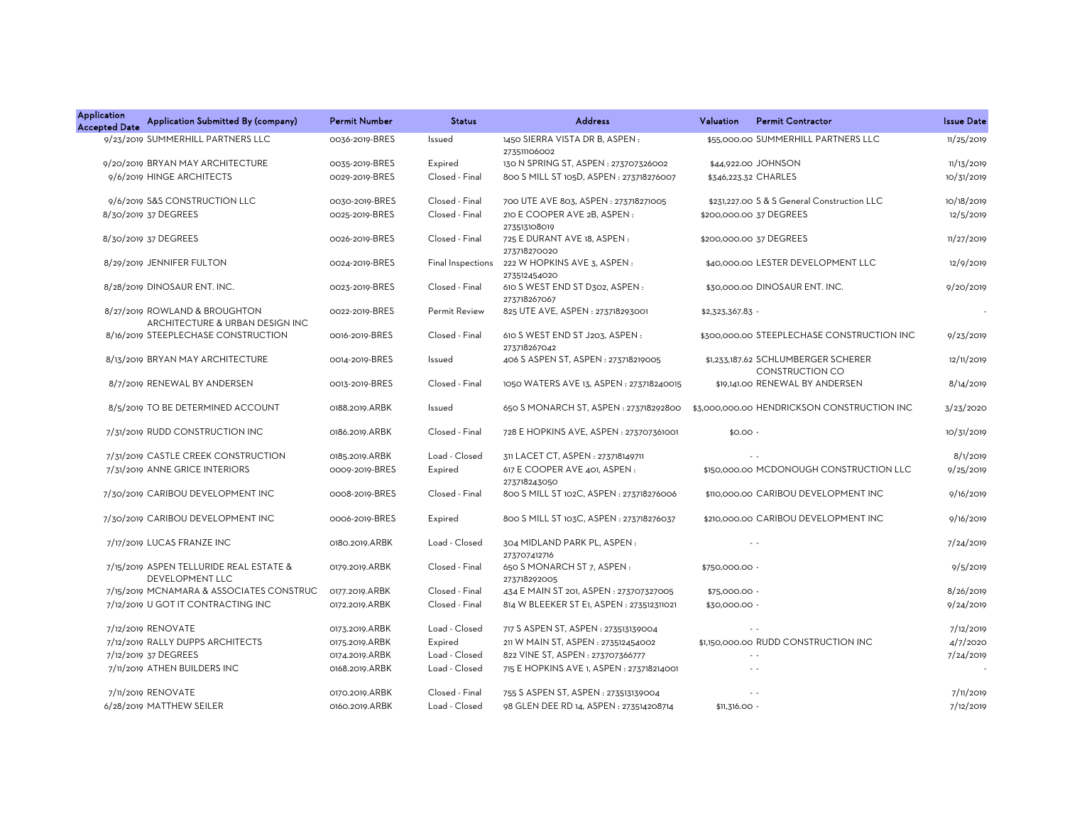| <b>Application</b><br><b>Accepted Date</b> | Application Submitted By (company)                                | <b>Permit Number</b> | <b>Status</b>     | <b>Address</b>                                  | Valuation        | <b>Permit Contractor</b>                                      | <b>Issue Date</b> |
|--------------------------------------------|-------------------------------------------------------------------|----------------------|-------------------|-------------------------------------------------|------------------|---------------------------------------------------------------|-------------------|
|                                            | 9/23/2019 SUMMERHILL PARTNERS LLC                                 | 0036-2019-BRES       | Issued            | 1450 SIERRA VISTA DR B, ASPEN:<br>273511106002  |                  | \$55,000.00 SUMMERHILL PARTNERS LLC                           | 11/25/2019        |
|                                            | 9/20/2019 BRYAN MAY ARCHITECTURE                                  | 0035-2019-BRES       | Expired           | 130 N SPRING ST, ASPEN : 273707326002           |                  | \$44,922.00 JOHNSON                                           | 11/13/2019        |
|                                            | 9/6/2019 HINGE ARCHITECTS                                         | 0029-2019-BRES       | Closed - Final    | 800 S MILL ST 105D, ASPEN : 273718276007        |                  | \$346,223.32 CHARLES                                          | 10/31/2019        |
|                                            | 9/6/2019 S&S CONSTRUCTION LLC                                     | 0030-2019-BRES       | Closed - Final    | 700 UTE AVE 803, ASPEN : 273718271005           |                  | \$231,227.00 S & S General Construction LLC                   | 10/18/2019        |
|                                            | 8/30/2019 37 DEGREES                                              | 0025-2019-BRES       | Closed - Final    | 210 E COOPER AVE 2B, ASPEN:<br>273513108019     |                  | \$200,000.00 37 DEGREES                                       | 12/5/2019         |
|                                            | 8/30/2019 37 DEGREES                                              | 0026-2019-BRES       | Closed - Final    | 725 E DURANT AVE 18, ASPEN :<br>273718270020    |                  | \$200,000.00 37 DEGREES                                       | 11/27/2019        |
|                                            | 8/29/2019 JENNIFER FULTON                                         | 0024-2019-BRES       | Final Inspections | 222 W HOPKINS AVE 3, ASPEN:<br>273512454020     |                  | \$40,000,00 LESTER DEVELOPMENT LLC                            | 12/9/2019         |
|                                            | 8/28/2019 DINOSAUR ENT. INC.                                      | 0023-2019-BRES       | Closed - Final    | 610 S WEST END ST D302, ASPEN:<br>273718267067  |                  | \$30,000.00 DINOSAUR ENT. INC.                                | 9/20/2019         |
|                                            | 8/27/2019 ROWLAND & BROUGHTON<br>ARCHITECTURE & URBAN DESIGN INC  | 0022-2019-BRES       | Permit Review     | 825 UTE AVE, ASPEN : 273718293001               | \$2,323,367.83 - |                                                               |                   |
|                                            | 8/16/2019 STEEPLECHASE CONSTRUCTION                               | 0016-2019-BRES       | Closed - Final    | 610 S WEST END ST J203, ASPEN :<br>273718267042 |                  | \$300,000.00 STEEPLECHASE CONSTRUCTION INC                    | 9/23/2019         |
|                                            | 8/13/2019 BRYAN MAY ARCHITECTURE                                  | 0014-2019-BRES       | Issued            | 406 S ASPEN ST, ASPEN : 273718219005            |                  | \$1,233,187.62 SCHLUMBERGER SCHERER<br><b>CONSTRUCTION CO</b> | 12/11/2019        |
|                                            | 8/7/2019 RENEWAL BY ANDERSEN                                      | 0013-2019-BRES       | Closed - Final    | 1050 WATERS AVE 13, ASPEN: 273718240015         |                  | \$19,141.00 RENEWAL BY ANDERSEN                               | 8/14/2019         |
|                                            | 8/5/2019 TO BE DETERMINED ACCOUNT                                 | 0188.2019.ARBK       | Issued            | 650 S MONARCH ST, ASPEN : 273718292800          |                  | \$3,000,000.00 HENDRICKSON CONSTRUCTION INC                   | 3/23/2020         |
|                                            | 7/31/2019 RUDD CONSTRUCTION INC                                   | 0186.2019.ARBK       | Closed - Final    | 728 E HOPKINS AVE, ASPEN: 273707361001          | $$0.00 -$        |                                                               | 10/31/2019        |
|                                            | 7/31/2019 CASTLE CREEK CONSTRUCTION                               | 0185.2019.ARBK       | Load - Closed     | 311 LACET CT, ASPEN : 273718149711              |                  |                                                               | 8/1/2019          |
|                                            | 7/31/2019 ANNE GRICE INTERIORS                                    | 0009-2019-BRES       | Expired           | 617 E COOPER AVE 401, ASPEN:<br>273718243050    |                  | \$150,000.00 MCDONOUGH CONSTRUCTION LLC                       | 9/25/2019         |
|                                            | 7/30/2019 CARIBOU DEVELOPMENT INC                                 | 0008-2019-BRES       | Closed - Final    | 800 S MILL ST 102C, ASPEN : 273718276006        |                  | \$110,000.00 CARIBOU DEVELOPMENT INC                          | 9/16/2019         |
|                                            | 7/30/2019 CARIBOU DEVELOPMENT INC                                 | 0006-2019-BRES       | Expired           | 800 S MILL ST 103C, ASPEN: 273718276037         |                  | \$210,000.00 CARIBOU DEVELOPMENT INC                          | 9/16/2019         |
|                                            | 7/17/2019 LUCAS FRANZE INC                                        | 0180.2019.ARBK       | Load - Closed     | 304 MIDLAND PARK PL, ASPEN:<br>273707412716     |                  |                                                               | 7/24/2019         |
|                                            | 7/15/2019 ASPEN TELLURIDE REAL ESTATE &<br><b>DEVELOPMENT LLC</b> | 0179.2019.ARBK       | Closed - Final    | 650 S MONARCH ST 7, ASPEN:<br>273718292005      | \$750,000.00 -   |                                                               | 9/5/2019          |
|                                            | 7/15/2019 MCNAMARA & ASSOCIATES CONSTRUC                          | 0177.2019.ARBK       | Closed - Final    | 434 E MAIN ST 201, ASPEN : 273707327005         | \$75,000.00 -    |                                                               | 8/26/2019         |
|                                            | 7/12/2019 U GOT IT CONTRACTING INC                                | 0172.2019.ARBK       | Closed - Final    | 814 W BLEEKER ST E1, ASPEN : 273512311021       | \$30,000.00 -    |                                                               | 9/24/2019         |
|                                            | 7/12/2019 RENOVATE                                                | 0173.2019.ARBK       | Load - Closed     | 717 S ASPEN ST, ASPEN : 273513139004            |                  |                                                               | 7/12/2019         |
|                                            | 7/12/2019 RALLY DUPPS ARCHITECTS                                  | 0175.2019.ARBK       | Expired           | 211 W MAIN ST, ASPEN : 273512454002             |                  | \$1,150,000.00 RUDD CONSTRUCTION INC                          | 4/7/2020          |
|                                            | 7/12/2019 37 DEGREES                                              | 0174.2019.ARBK       | Load - Closed     | 822 VINE ST, ASPEN : 273707366777               |                  | $\sim$ $\sim$                                                 | 7/24/2019         |
|                                            | 7/11/2019 ATHEN BUILDERS INC                                      | 0168.2019.ARBK       | Load - Closed     | 715 E HOPKINS AVE 1, ASPEN : 273718214001       |                  | $\sim$ $\sim$                                                 |                   |
|                                            | 7/11/2019 RENOVATE                                                | 0170.2019.ARBK       | Closed - Final    | 755 S ASPEN ST, ASPEN : 273513139004            |                  | $\sim$ $\sim$                                                 | 7/11/2019         |
|                                            | 6/28/2019 MATTHEW SEILER                                          | 0160.2019.ARBK       | Load - Closed     | 98 GLEN DEE RD 14, ASPEN : 273514208714         | $$11,316.00 -$   |                                                               | 7/12/2019         |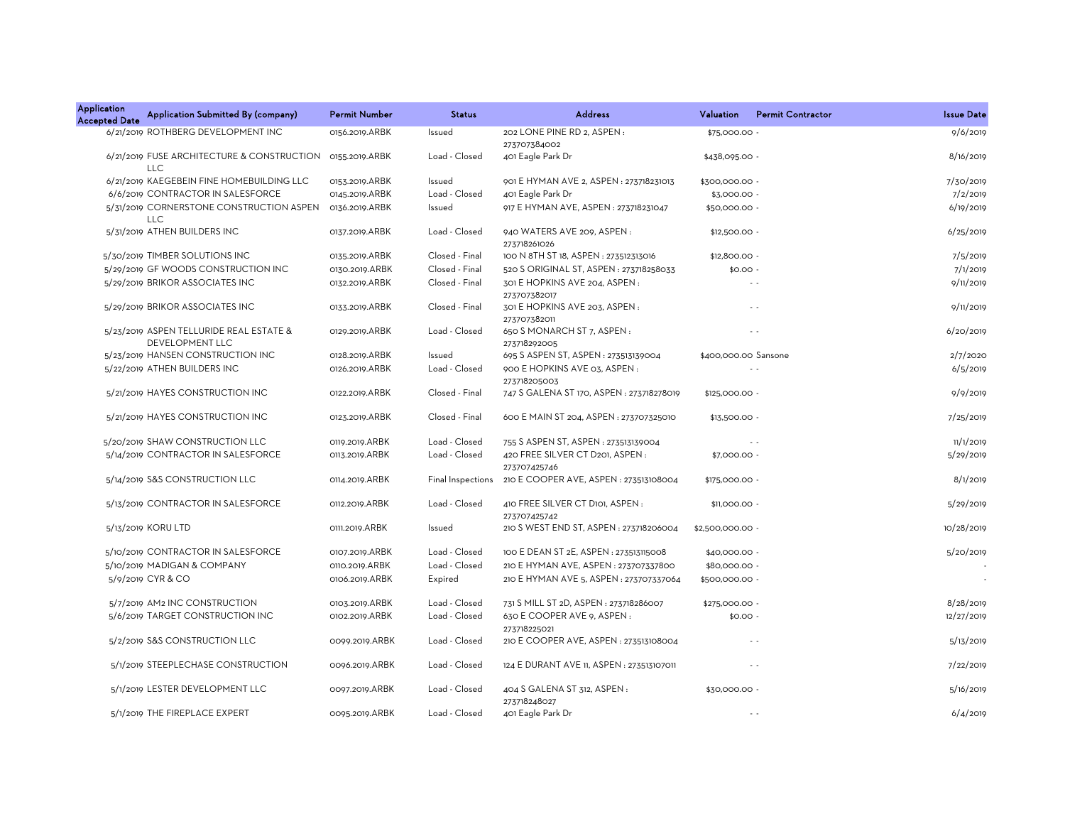| <b>Application</b><br><b>Accepted Date</b> | Application Submitted By (company)                                | <b>Permit Number</b> | <b>Status</b>     | <b>Address</b>                                         | Valuation            | <b>Permit Contractor</b> | <b>Issue Date</b> |
|--------------------------------------------|-------------------------------------------------------------------|----------------------|-------------------|--------------------------------------------------------|----------------------|--------------------------|-------------------|
|                                            | 6/21/2019 ROTHBERG DEVELOPMENT INC                                | 0156.2019.ARBK       | Issued            | 202 LONE PINE RD 2, ASPEN :<br>273707384002            | \$75,000.00          |                          | 9/6/2019          |
|                                            | 6/21/2019 FUSE ARCHITECTURE & CONSTRUCTION<br><b>LLC</b>          | 0155.2019.ARBK       | Load - Closed     | 401 Eagle Park Dr                                      | \$438,095.00 -       |                          | 8/16/2019         |
|                                            | 6/21/2019 KAEGEBEIN FINE HOMEBUILDING LLC                         | 0153.2019.ARBK       | Issued            | 901 E HYMAN AVE 2, ASPEN: 273718231013                 | \$300,000.00 -       |                          | 7/30/2019         |
|                                            | 6/6/2019 CONTRACTOR IN SALESFORCE                                 | 0145.2019.ARBK       | Load - Closed     | 401 Eagle Park Dr                                      | \$3,000.00 -         |                          | 7/2/2019          |
|                                            | 5/31/2019 CORNERSTONE CONSTRUCTION ASPEN<br><b>LLC</b>            | 0136.2019.ARBK       | Issued            | 917 E HYMAN AVE, ASPEN: 273718231047                   | \$50,000.00          |                          | 6/19/2019         |
|                                            | 5/31/2019 ATHEN BUILDERS INC                                      | 0137.2019.ARBK       | Load - Closed     | 940 WATERS AVE 209, ASPEN:<br>273718261026             | $$12,500.00 -$       |                          | 6/25/2019         |
|                                            | 5/30/2019 TIMBER SOLUTIONS INC                                    | 0135.2019.ARBK       | Closed - Final    | 100 N 8TH ST 18, ASPEN : 273512313016                  | \$12,800.00 -        |                          | 7/5/2019          |
|                                            | 5/29/2019 GF WOODS CONSTRUCTION INC                               | 0130.2019.ARBK       | Closed - Final    | 520 S ORIGINAL ST, ASPEN : 273718258033                | $$0.00 -$            |                          | 7/1/2019          |
|                                            | 5/29/2019 BRIKOR ASSOCIATES INC                                   | 0132.2019.ARBK       | Closed - Final    | 301 E HOPKINS AVE 204, ASPEN:<br>273707382017          |                      | $\sim$ $\sim$            | 9/11/2019         |
|                                            | 5/29/2019 BRIKOR ASSOCIATES INC                                   | 0133.2019.ARBK       | Closed - Final    | 301 E HOPKINS AVE 203, ASPEN:<br>273707382011          |                      | $\sim$ $\sim$            | 9/11/2019         |
|                                            | 5/23/2019 ASPEN TELLURIDE REAL ESTATE &<br><b>DEVELOPMENT LLC</b> | 0129.2019.ARBK       | Load - Closed     | 650 S MONARCH ST 7, ASPEN:<br>273718292005             |                      | $\sim$ $\sim$            | 6/20/2019         |
|                                            | 5/23/2019 HANSEN CONSTRUCTION INC                                 | 0128.2019.ARBK       | Issued            | 695 S ASPEN ST, ASPEN : 273513139004                   | \$400,000.00 Sansone |                          | 2/7/2020          |
|                                            | 5/22/2019 ATHEN BUILDERS INC                                      | 0126.2019.ARBK       | Load - Closed     | 900 E HOPKINS AVE 03, ASPEN:<br>273718205003           |                      | $\sim$ $\sim$            | 6/5/2019          |
|                                            | 5/21/2019 HAYES CONSTRUCTION INC                                  | 0122.2019.ARBK       | Closed - Final    | 747 S GALENA ST 170, ASPEN : 273718278019              | \$125,000.00 -       |                          | 9/9/2019          |
|                                            | 5/21/2019 HAYES CONSTRUCTION INC                                  | 0123.2019.ARBK       | Closed - Final    | 600 E MAIN ST 204, ASPEN: 273707325010                 | \$13,500.00 -        |                          | 7/25/2019         |
|                                            | 5/20/2019 SHAW CONSTRUCTION LLC                                   | 0119.2019.ARBK       | Load - Closed     | 755 S ASPEN ST, ASPEN : 273513139004                   |                      | $\sim$ $\sim$            | 11/1/2019         |
|                                            | 5/14/2019 CONTRACTOR IN SALESFORCE                                | 0113.2019.ARBK       | Load - Closed     | 420 FREE SILVER CT D201, ASPEN:<br>273707425746        | \$7,000.00 -         |                          | 5/29/2019         |
|                                            | 5/14/2019 S&S CONSTRUCTION LLC                                    | 0114.2019.ARBK       | Final Inspections | 210 E COOPER AVE, ASPEN : 273513108004                 | \$175,000.00 -       |                          | 8/1/2019          |
|                                            | 5/13/2019 CONTRACTOR IN SALESFORCE                                | 0112.2019.ARBK       | Load - Closed     | 410 FREE SILVER CT D101, ASPEN:<br>273707425742        | \$11,000.00 -        |                          | 5/29/2019         |
|                                            | 5/13/2019 KORU LTD                                                | 0111.2019.ARBK       | Issued            | 210 S WEST END ST, ASPEN: 273718206004                 | \$2,500,000.00 -     |                          | 10/28/2019        |
|                                            | 5/10/2019 CONTRACTOR IN SALESFORCE                                | 0107.2019.ARBK       | Load - Closed     | 100 E DEAN ST 2E, ASPEN : 273513115008                 | \$40,000.00 -        |                          | 5/20/2019         |
|                                            | 5/10/2019 MADIGAN & COMPANY                                       | 0110.2019.ARBK       | Load - Closed     | 210 E HYMAN AVE, ASPEN : 273707337800                  | \$80,000.00          |                          |                   |
|                                            | 5/9/2019 CYR & CO                                                 | 0106.2019.ARBK       | Expired           | 210 E HYMAN AVE 5, ASPEN : 273707337064                | \$500,000.00         |                          |                   |
|                                            | 5/7/2019 AM2 INC CONSTRUCTION                                     | 0103.2019.ARBK       | Load - Closed     | 731 S MILL ST 2D, ASPEN : 273718286007                 | \$275,000.00 -       |                          | 8/28/2019         |
|                                            | 5/6/2019 TARGET CONSTRUCTION INC                                  | 0102.2019.ARBK       | Load - Closed     | 630 E COOPER AVE 9, ASPEN:                             | $$0.00 -$            |                          | 12/27/2019        |
|                                            | 5/2/2019 S&S CONSTRUCTION LLC                                     | 0099.2019.ARBK       | Load - Closed     | 273718225021<br>210 E COOPER AVE, ASPEN : 273513108004 |                      | $\sim$ $\sim$            | 5/13/2019         |
|                                            | 5/1/2019 STEEPLECHASE CONSTRUCTION                                | 0096.2019.ARBK       | Load - Closed     | 124 E DURANT AVE 11, ASPEN : 273513107011              |                      | $\sim$ $\sim$            | 7/22/2019         |
|                                            |                                                                   |                      |                   |                                                        |                      |                          |                   |
|                                            | 5/1/2019 LESTER DEVELOPMENT LLC                                   | 0097.2019.ARBK       | Load - Closed     | 404 S GALENA ST 312, ASPEN :<br>273718248027           | \$30,000.00 -        |                          | 5/16/2019         |
|                                            | 5/1/2019 THE FIREPLACE EXPERT                                     | 0095.2019.ARBK       | Load - Closed     | 401 Eagle Park Dr                                      |                      | $\sim$ $\sim$            | 6/4/2019          |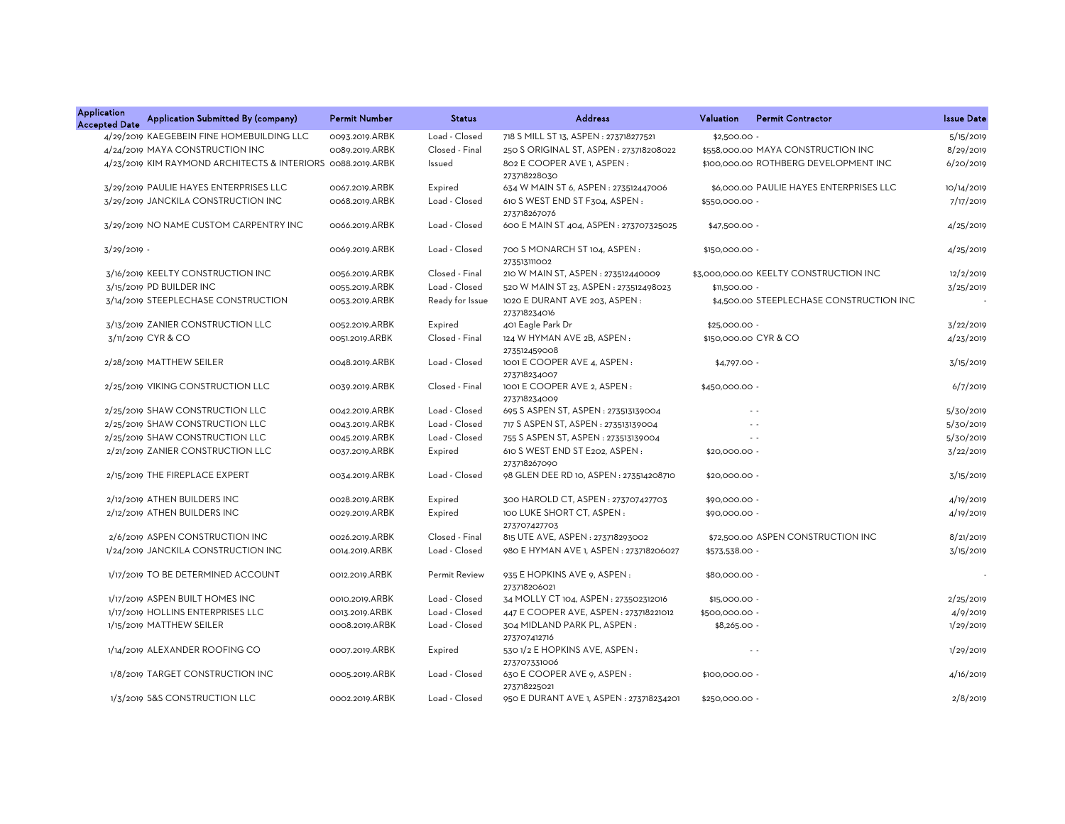| Application<br><b>Accepted Date</b> | Application Submitted By (company)                          | <b>Permit Number</b> | <b>Status</b>   | <b>Address</b>                                 | Valuation      | <b>Permit Contractor</b>                 | <b>Issue Date</b> |
|-------------------------------------|-------------------------------------------------------------|----------------------|-----------------|------------------------------------------------|----------------|------------------------------------------|-------------------|
|                                     | 4/29/2019 KAEGEBEIN FINE HOMEBUILDING LLC                   | 0093.2019.ARBK       | Load - Closed   | 718 S MILL ST 13, ASPEN : 273718277521         | \$2,500.00     |                                          | 5/15/2019         |
|                                     | 4/24/2019 MAYA CONSTRUCTION INC                             | 0089.2019.ARBK       | Closed - Final  | 250 S ORIGINAL ST, ASPEN: 273718208022         |                | \$558,000.00 MAYA CONSTRUCTION INC       | 8/29/2019         |
|                                     | 4/23/2019 KIM RAYMOND ARCHITECTS & INTERIORS 0088.2019.ARBK |                      | Issued          | 802 E COOPER AVE 1, ASPEN:<br>273718228030     |                | \$100,000.00 ROTHBERG DEVELOPMENT INC    | 6/20/2019         |
|                                     | 3/29/2019 PAULIE HAYES ENTERPRISES LLC                      | 0067.2019.ARBK       | Expired         | 634 W MAIN ST 6, ASPEN : 273512447006          |                | \$6,000.00 PAULIE HAYES ENTERPRISES LLC  | 10/14/2019        |
|                                     | 3/29/2019 JANCKILA CONSTRUCTION INC                         | 0068.2019.ARBK       | Load - Closed   | 610 S WEST END ST F304, ASPEN:<br>273718267076 | \$550,000.00 - |                                          | 7/17/2019         |
|                                     | 3/29/2019 NO NAME CUSTOM CARPENTRY INC                      | 0066.2019.ARBK       | Load - Closed   | 600 E MAIN ST 404, ASPEN : 273707325025        | \$47,500.00 -  |                                          | 4/25/2019         |
| $3/29/2019$ -                       |                                                             | 0069.2019.ARBK       | Load - Closed   | 700 S MONARCH ST 104, ASPEN:<br>273513111002   | \$150,000.00 - |                                          | 4/25/2019         |
|                                     | 3/16/2019 KEELTY CONSTRUCTION INC                           | 0056.2019.ARBK       | Closed - Final  | 210 W MAIN ST, ASPEN : 273512440009            |                | \$3,000,000.00 KEELTY CONSTRUCTION INC   | 12/2/2019         |
|                                     | 3/15/2019 PD BUILDER INC                                    | 0055.2019.ARBK       | Load - Closed   | 520 W MAIN ST 23, ASPEN: 273512498023          | \$11,500.00 -  |                                          | 3/25/2019         |
|                                     | 3/14/2019 STEEPLECHASE CONSTRUCTION                         | 0053.2019.ARBK       | Ready for Issue | 1020 E DURANT AVE 203, ASPEN:<br>273718234016  |                | \$4,500.00 STEEPLECHASE CONSTRUCTION INC |                   |
|                                     | 3/13/2019 ZANIER CONSTRUCTION LLC                           | 0052.2019.ARBK       | Expired         | 401 Eagle Park Dr                              | \$25,000.00 -  |                                          | 3/22/2019         |
|                                     | 3/11/2019 CYR & CO                                          | 0051.2019.ARBK       | Closed - Final  | 124 W HYMAN AVE 2B, ASPEN:<br>273512459008     |                | \$150,000.00 CYR & CO                    | 4/23/2019         |
|                                     | 2/28/2019 MATTHEW SEILER                                    | 0048.2019.ARBK       | Load - Closed   | 1001 E COOPER AVE 4, ASPEN:<br>273718234007    | $$4,797.00 -$  |                                          | 3/15/2019         |
|                                     | 2/25/2019 VIKING CONSTRUCTION LLC                           | 0039.2019.ARBK       | Closed - Final  | 1001 E COOPER AVE 2, ASPEN:<br>273718234009    | \$450,000.00 - |                                          | 6/7/2019          |
|                                     | 2/25/2019 SHAW CONSTRUCTION LLC                             | 0042.2019.ARBK       | Load - Closed   | 695 S ASPEN ST, ASPEN : 273513139004           |                | $\sim$ $\sim$                            | 5/30/2019         |
|                                     | 2/25/2019 SHAW CONSTRUCTION LLC                             | 0043.2019.ARBK       | Load - Closed   | 717 S ASPEN ST, ASPEN : 273513139004           |                | $\sim$                                   | 5/30/2019         |
|                                     | 2/25/2019 SHAW CONSTRUCTION LLC                             | 0045.2019.ARBK       | Load - Closed   | 755 S ASPEN ST, ASPEN : 273513139004           |                | $\sim$ $\sim$                            | 5/30/2019         |
|                                     | 2/21/2019 ZANIER CONSTRUCTION LLC                           | 0037.2019.ARBK       | Expired         | 610 S WEST END ST E202, ASPEN:<br>273718267090 | \$20,000.00 -  |                                          | 3/22/2019         |
|                                     | 2/15/2019 THE FIREPLACE EXPERT                              | 0034.2019.ARBK       | Load - Closed   | 98 GLEN DEE RD 10, ASPEN : 273514208710        | \$20,000.00    |                                          | 3/15/2019         |
|                                     | 2/12/2019 ATHEN BUILDERS INC                                | 0028.2019.ARBK       | Expired         | 300 HAROLD CT, ASPEN: 273707427703             | \$90,000.00 -  |                                          | 4/19/2019         |
|                                     | 2/12/2019 ATHEN BUILDERS INC                                | 0029.2019.ARBK       | Expired         | 100 LUKE SHORT CT, ASPEN:<br>273707427703      | \$90,000.00 -  |                                          | 4/19/2019         |
|                                     | 2/6/2019 ASPEN CONSTRUCTION INC                             | 0026.2019.ARBK       | Closed - Final  | 815 UTE AVE, ASPEN : 273718293002              |                | \$72,500.00 ASPEN CONSTRUCTION INC       | 8/21/2019         |
|                                     | 1/24/2019 JANCKILA CONSTRUCTION INC                         | 0014.2019.ARBK       | Load - Closed   | 980 E HYMAN AVE 1, ASPEN: 273718206027         | \$573,538.00 - |                                          | 3/15/2019         |
|                                     | 1/17/2019 TO BE DETERMINED ACCOUNT                          | 0012.2019.ARBK       | Permit Review   | 935 E HOPKINS AVE 9, ASPEN:<br>273718206021    | \$80,000.00 -  |                                          |                   |
|                                     | 1/17/2019 ASPEN BUILT HOMES INC                             | 0010.2019.ARBK       | Load - Closed   | 34 MOLLY CT 104, ASPEN : 273502312016          | \$15,000.00    |                                          | 2/25/2019         |
|                                     | 1/17/2019 HOLLINS ENTERPRISES LLC                           | 0013.2019.ARBK       | Load - Closed   | 447 E COOPER AVE, ASPEN: 273718221012          | \$500,000.00 - |                                          | 4/9/2019          |
|                                     | 1/15/2019 MATTHEW SEILER                                    | 0008.2019.ARBK       | Load - Closed   | 304 MIDLAND PARK PL, ASPEN:<br>273707412716    | $$8,265.00 -$  |                                          | 1/29/2019         |
|                                     | 1/14/2019 ALEXANDER ROOFING CO                              | 0007.2019.ARBK       | Expired         | 530 1/2 E HOPKINS AVE, ASPEN:<br>273707331006  |                | $\sim$                                   | 1/29/2019         |
|                                     | 1/8/2019 TARGET CONSTRUCTION INC                            | 0005.2019.ARBK       | Load - Closed   | 630 E COOPER AVE 9, ASPEN:<br>273718225021     | \$100,000.00 - |                                          | 4/16/2019         |
|                                     | 1/3/2019 S&S CONSTRUCTION LLC                               | 0002.2019.ARBK       | Load - Closed   | 950 E DURANT AVE 1, ASPEN : 273718234201       | \$250,000.00 - |                                          | 2/8/2019          |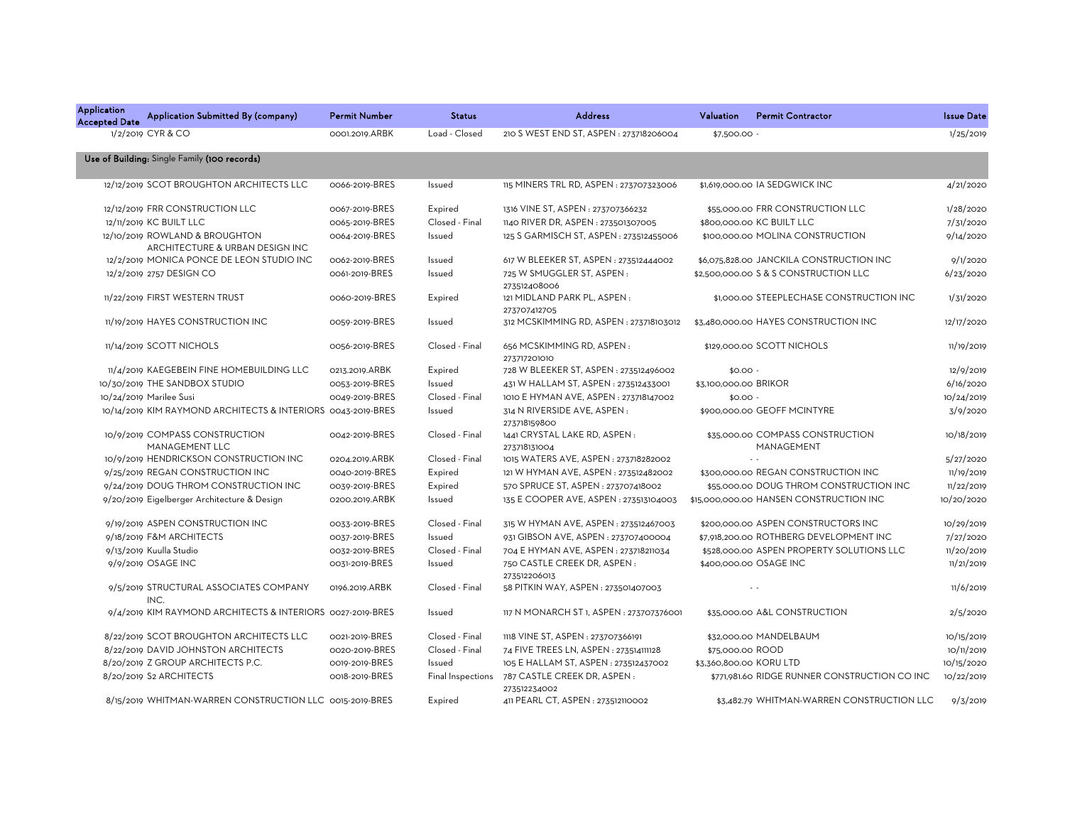| Application<br><b>Accepted Date</b> | Application Submitted By (company)                                | <b>Permit Number</b> | <b>Status</b>  | <b>Address</b>                                                | Valuation               | <b>Permit Contractor</b>                       | <b>Issue Date</b> |
|-------------------------------------|-------------------------------------------------------------------|----------------------|----------------|---------------------------------------------------------------|-------------------------|------------------------------------------------|-------------------|
|                                     | 1/2/2019 CYR & CO                                                 | 0001.2019.ARBK       | Load - Closed  | 210 S WEST END ST, ASPEN : 273718206004                       | \$7,500.00 -            |                                                | 1/25/2019         |
|                                     | Use of Building: Single Family (100 records)                      |                      |                |                                                               |                         |                                                |                   |
|                                     | 12/12/2019 SCOT BROUGHTON ARCHITECTS LLC                          | 0066-2019-BRES       | Issued         | 115 MINERS TRL RD, ASPEN : 273707323006                       |                         | \$1,619,000.00 IA SEDGWICK INC                 | 4/21/2020         |
|                                     | 12/12/2019 FRR CONSTRUCTION LLC                                   | 0067-2019-BRES       | Expired        | 1316 VINE ST, ASPEN : 273707366232                            |                         | \$55,000.00 FRR CONSTRUCTION LLC               | 1/28/2020         |
|                                     | 12/11/2019 KC BUILT LLC                                           | 0065-2019-BRES       | Closed - Final | 1140 RIVER DR, ASPEN : 273501307005                           |                         | \$800,000.00 KC BUILT LLC                      | 7/31/2020         |
|                                     | 12/10/2019 ROWLAND & BROUGHTON<br>ARCHITECTURE & URBAN DESIGN INC | 0064-2019-BRES       | Issued         | 125 S GARMISCH ST, ASPEN: 273512455006                        |                         | \$100,000.00 MOLINA CONSTRUCTION               | 9/14/2020         |
|                                     | 12/2/2019 MONICA PONCE DE LEON STUDIO INC                         | 0062-2019-BRES       | Issued         | 617 W BLEEKER ST, ASPEN : 273512444002                        |                         | \$6,075,828.00 JANCKILA CONSTRUCTION INC       | 9/1/2020          |
|                                     | 12/2/2019 2757 DESIGN CO                                          | 0061-2019-BRES       | Issued         | 725 W SMUGGLER ST, ASPEN:<br>273512408006                     |                         | \$2,500,000.00 S & S CONSTRUCTION LLC          | 6/23/2020         |
|                                     | 11/22/2019 FIRST WESTERN TRUST                                    | 0060-2019-BRES       | Expired        | 121 MIDLAND PARK PL, ASPEN:<br>273707412705                   |                         | \$1,000.00 STEEPLECHASE CONSTRUCTION INC       | 1/31/2020         |
|                                     | 11/19/2019 HAYES CONSTRUCTION INC                                 | 0059-2019-BRES       | Issued         | 312 MCSKIMMING RD, ASPEN : 273718103012                       |                         | \$3,480,000.00 HAYES CONSTRUCTION INC          | 12/17/2020        |
|                                     | 11/14/2019 SCOTT NICHOLS                                          | 0056-2019-BRES       | Closed - Final | 656 MCSKIMMING RD, ASPEN:<br>273717201010                     |                         | \$129,000.00 SCOTT NICHOLS                     | 11/19/2019        |
|                                     | 11/4/2019 KAEGEBEIN FINE HOMEBUILDING LLC                         | 0213.2019.ARBK       | Expired        | 728 W BLEEKER ST, ASPEN : 273512496002                        | $$0.00 -$               |                                                | 12/9/2019         |
|                                     | 10/30/2019 THE SANDBOX STUDIO                                     | 0053-2019-BRES       | Issued         | 431 W HALLAM ST, ASPEN : 273512433001                         | \$3,100,000.00 BRIKOR   |                                                | 6/16/2020         |
|                                     | 10/24/2019 Marilee Susi                                           | 0049-2019-BRES       | Closed - Final | 1010 E HYMAN AVE, ASPEN: 273718147002                         | $$0.00 -$               |                                                | 10/24/2019        |
|                                     | 10/14/2019 KIM RAYMOND ARCHITECTS & INTERIORS 0043-2019-BRES      |                      | Issued         | 314 N RIVERSIDE AVE, ASPEN:<br>273718159800                   |                         | \$900,000.00 GEOFF MCINTYRE                    | 3/9/2020          |
|                                     | 10/9/2019 COMPASS CONSTRUCTION<br>MANAGEMENT LLC                  | 0042-2019-BRES       | Closed - Final | 1441 CRYSTAL LAKE RD, ASPEN:<br>273718131004                  |                         | \$35,000.00 COMPASS CONSTRUCTION<br>MANAGEMENT | 10/18/2019        |
|                                     | 10/9/2019 HENDRICKSON CONSTRUCTION INC                            | 0204.2019.ARBK       | Closed - Final | 1015 WATERS AVE, ASPEN : 273718282002                         |                         |                                                | 5/27/2020         |
|                                     | 9/25/2019 REGAN CONSTRUCTION INC                                  | 0040-2019-BRES       | Expired        | 121 W HYMAN AVE, ASPEN: 273512482002                          |                         | \$300,000,00 REGAN CONSTRUCTION INC            | 11/19/2019        |
|                                     | 9/24/2019 DOUG THROM CONSTRUCTION INC                             | 0039-2019-BRES       | Expired        | 570 SPRUCE ST, ASPEN : 273707418002                           |                         | \$55,000,00 DOUG THROM CONSTRUCTION INC        | 11/22/2019        |
|                                     | 9/20/2019 Eigelberger Architecture & Design                       | 0200.2019.ARBK       | Issued         | 135 E COOPER AVE, ASPEN : 273513104003                        |                         | \$15,000,000.00 HANSEN CONSTRUCTION INC        | 10/20/2020        |
|                                     | 9/19/2019 ASPEN CONSTRUCTION INC                                  | 0033-2019-BRES       | Closed - Final | 315 W HYMAN AVE, ASPEN : 273512467003                         |                         | \$200,000.00 ASPEN CONSTRUCTORS INC            | 10/29/2019        |
|                                     | 9/18/2019 F&M ARCHITECTS                                          | 0037-2019-BRES       | Issued         | 931 GIBSON AVE, ASPEN : 273707400004                          |                         | \$7,918,200.00 ROTHBERG DEVELOPMENT INC        | 7/27/2020         |
|                                     | 9/13/2019 Kuulla Studio                                           | 0032-2019-BRES       | Closed - Final | 704 E HYMAN AVE, ASPEN: 273718211034                          |                         | \$528,000.00 ASPEN PROPERTY SOLUTIONS LLC      | 11/20/2019        |
|                                     | 9/9/2019 OSAGE INC                                                | 0031-2019-BRES       | Issued         | 750 CASTLE CREEK DR, ASPEN:<br>273512206013                   |                         | \$400,000.00 OSAGE INC                         | 11/21/2019        |
|                                     | 9/5/2019 STRUCTURAL ASSOCIATES COMPANY<br>INC.                    | 0196.2019.ARBK       | Closed - Final | 58 PITKIN WAY, ASPEN: 273501407003                            |                         |                                                | 11/6/2019         |
|                                     | 9/4/2019 KIM RAYMOND ARCHITECTS & INTERIORS 0027-2019-BRES        |                      | Issued         | 117 N MONARCH ST 1, ASPEN : 273707376001                      |                         | \$35,000.00 A&L CONSTRUCTION                   | 2/5/2020          |
|                                     | 8/22/2019 SCOT BROUGHTON ARCHITECTS LLC                           | 0021-2019-BRES       | Closed - Final | 1118 VINE ST, ASPEN : 273707366191                            |                         | \$32,000.00 MANDELBAUM                         | 10/15/2019        |
|                                     | 8/22/2019 DAVID JOHNSTON ARCHITECTS                               | 0020-2019-BRES       | Closed - Final | 74 FIVE TREES LN, ASPEN : 273514111128                        | \$75,000.00 ROOD        |                                                | 10/11/2019        |
|                                     | 8/20/2019 Z GROUP ARCHITECTS P.C.                                 | 0019-2019-BRES       | Issued         | 105 E HALLAM ST, ASPEN: 273512437002                          | \$3,360,800.00 KORU LTD |                                                | 10/15/2020        |
|                                     | 8/20/2019 S2 ARCHITECTS                                           | 0018-2019-BRES       |                | Final Inspections 787 CASTLE CREEK DR, ASPEN:<br>273512234002 |                         | \$771,981.60 RIDGE RUNNER CONSTRUCTION CO INC  | 10/22/2019        |
|                                     | 8/15/2019 WHITMAN-WARREN CONSTRUCTION LLC 0015-2019-BRES          |                      | Expired        | 411 PEARL CT, ASPEN : 273512110002                            |                         | \$3,482.79 WHITMAN-WARREN CONSTRUCTION LLC     | 9/3/2019          |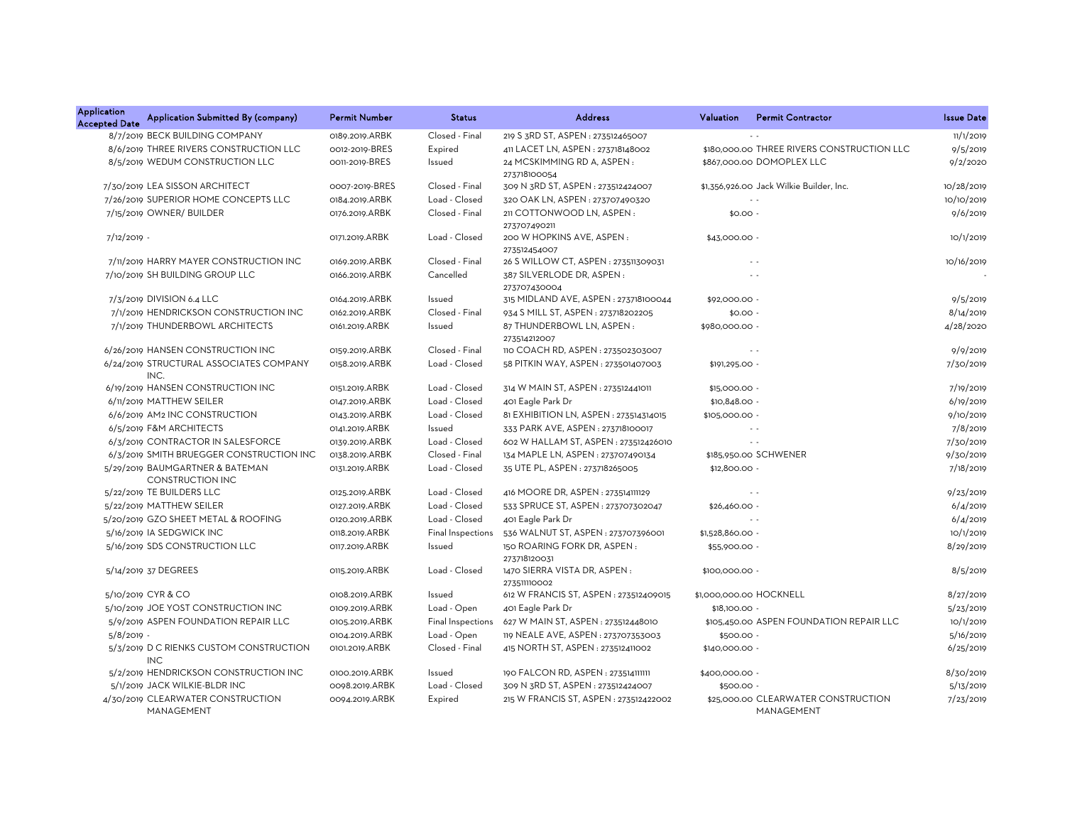| <b>Application</b><br><b>Accepted Date</b> | Application Submitted By (company)                         | <b>Permit Number</b> | <b>Status</b>     | <b>Address</b>                               | Valuation        | <b>Permit Contractor</b>                          | <b>Issue Date</b> |
|--------------------------------------------|------------------------------------------------------------|----------------------|-------------------|----------------------------------------------|------------------|---------------------------------------------------|-------------------|
|                                            | 8/7/2019 BECK BUILDING COMPANY                             | 0189.2019.ARBK       | Closed - Final    | 219 S 3RD ST, ASPEN: 273512465007            |                  |                                                   | 11/1/2019         |
|                                            | 8/6/2019 THREE RIVERS CONSTRUCTION LLC                     | 0012-2019-BRES       | Expired           | 411 LACET LN, ASPEN: 273718148002            |                  | \$180,000.00 THREE RIVERS CONSTRUCTION LLC        | 9/5/2019          |
|                                            | 8/5/2019 WEDUM CONSTRUCTION LLC                            | 0011-2019-BRES       | Issued            | 24 MCSKIMMING RD A, ASPEN:<br>273718100054   |                  | \$867,000.00 DOMOPLEX LLC                         | 9/2/2020          |
|                                            | 7/30/2019 LEA SISSON ARCHITECT                             | 0007-2019-BRES       | Closed - Final    | 309 N 3RD ST, ASPEN : 273512424007           |                  | \$1,356,926.00 Jack Wilkie Builder, Inc.          | 10/28/2019        |
|                                            | 7/26/2019 SUPERIOR HOME CONCEPTS LLC                       | 0184.2019.ARBK       | Load - Closed     | 320 OAK LN, ASPEN: 273707490320              |                  | $\sim$ $\sim$                                     | 10/10/2019        |
|                                            | 7/15/2019 OWNER/ BUILDER                                   | 0176.2019.ARBK       | Closed - Final    | 211 COTTONWOOD LN, ASPEN:<br>273707490211    | $$0.00 -$        |                                                   | 9/6/2019          |
| 7/12/2019 -                                |                                                            | 0171.2019.ARBK       | Load - Closed     | 200 W HOPKINS AVE, ASPEN:<br>273512454007    | \$43,000.00 -    |                                                   | 10/1/2019         |
|                                            | 7/11/2019 HARRY MAYER CONSTRUCTION INC                     | 0169.2019.ARBK       | Closed - Final    | 26 S WILLOW CT, ASPEN : 273511309031         |                  | $\sim$ $\sim$                                     | 10/16/2019        |
|                                            | 7/10/2019 SH BUILDING GROUP LLC                            | 0166.2019.ARBK       | Cancelled         | 387 SILVERLODE DR, ASPEN:<br>273707430004    |                  |                                                   |                   |
|                                            | 7/3/2019 DIVISION 6.4 LLC                                  | 0164.2019.ARBK       | Issued            | 315 MIDLAND AVE, ASPEN: 273718100044         | \$92,000.00 -    |                                                   | 9/5/2019          |
|                                            | 7/1/2019 HENDRICKSON CONSTRUCTION INC                      | 0162.2019.ARBK       | Closed - Final    | 934 S MILL ST, ASPEN : 273718202205          | $$0.00 -$        |                                                   | 8/14/2019         |
|                                            | 7/1/2019 THUNDERBOWL ARCHITECTS                            | 0161.2019.ARBK       | Issued            | 87 THUNDERBOWL LN, ASPEN:<br>273514212007    | \$980,000.00 -   |                                                   | 4/28/2020         |
|                                            | 6/26/2019 HANSEN CONSTRUCTION INC                          | 0159.2019.ARBK       | Closed - Final    | 110 COACH RD, ASPEN: 273502303007            |                  | $\sim$ $\sim$                                     | 9/9/2019          |
|                                            | 6/24/2019 STRUCTURAL ASSOCIATES COMPANY<br>INC.            | 0158.2019.ARBK       | Load - Closed     | 58 PITKIN WAY, ASPEN: 273501407003           | \$191,295.00 -   |                                                   | 7/30/2019         |
|                                            | 6/19/2019 HANSEN CONSTRUCTION INC                          | 0151.2019.ARBK       | Load - Closed     | 314 W MAIN ST, ASPEN : 273512441011          | \$15,000.00 -    |                                                   | 7/19/2019         |
|                                            | 6/11/2019 MATTHEW SEILER                                   | 0147.2019.ARBK       | Load - Closed     | 401 Eagle Park Dr                            | \$10,848.00 -    |                                                   | 6/19/2019         |
|                                            | 6/6/2019 AM2 INC CONSTRUCTION                              | 0143.2019.ARBK       | Load - Closed     | 81 EXHIBITION LN, ASPEN : 273514314015       | \$105,000.00 -   |                                                   | 9/10/2019         |
|                                            | 6/5/2019 F&M ARCHITECTS                                    | 0141.2019.ARBK       | Issued            | 333 PARK AVE, ASPEN : 273718100017           |                  | $\sim$ $\sim$                                     | 7/8/2019          |
|                                            | 6/3/2019 CONTRACTOR IN SALESFORCE                          | 0139.2019.ARBK       | Load - Closed     | 602 W HALLAM ST, ASPEN: 273512426010         |                  |                                                   | 7/30/2019         |
|                                            | 6/3/2019 SMITH BRUEGGER CONSTRUCTION INC                   | 0138.2019.ARBK       | Closed - Final    | 134 MAPLE LN, ASPEN: 273707490134            |                  | \$185,950.00 SCHWENER                             | 9/30/2019         |
|                                            | 5/29/2019 BAUMGARTNER & BATEMAN<br><b>CONSTRUCTION INC</b> | 0131.2019.ARBK       | Load - Closed     | 35 UTE PL, ASPEN : 273718265005              | \$12,800.00 -    |                                                   | 7/18/2019         |
|                                            | 5/22/2019 TE BUILDERS LLC                                  | 0125.2019.ARBK       | Load - Closed     | 416 MOORE DR, ASPEN : 273514111129           |                  | $\sim$ $\sim$                                     | 9/23/2019         |
|                                            | 5/22/2019 MATTHEW SEILER                                   | 0127.2019.ARBK       | Load - Closed     | 533 SPRUCE ST, ASPEN : 273707302047          | \$26,460.00 -    |                                                   | 6/4/2019          |
|                                            | 5/20/2019 GZO SHEET METAL & ROOFING                        | 0120.2019.ARBK       | Load - Closed     | 401 Eagle Park Dr                            |                  |                                                   | 6/4/2019          |
|                                            | 5/16/2019 IA SEDGWICK INC                                  | 0118.2019.ARBK       | Final Inspections | 536 WALNUT ST, ASPEN: 273707396001           | \$1,528,860.00 - |                                                   | 10/1/2019         |
|                                            | 5/16/2019 SDS CONSTRUCTION LLC                             | 0117.2019.ARBK       | Issued            | 150 ROARING FORK DR, ASPEN:<br>273718120031  | \$55,900.00 -    |                                                   | 8/29/2019         |
|                                            | 5/14/2019 37 DEGREES                                       | 0115.2019.ARBK       | Load - Closed     | 1470 SIERRA VISTA DR, ASPEN:<br>273511110002 | \$100,000.00 -   |                                                   | 8/5/2019          |
|                                            | 5/10/2019 CYR & CO                                         | 0108.2019.ARBK       | Issued            | 612 W FRANCIS ST, ASPEN : 273512409015       |                  | \$1,000,000.00 HOCKNELL                           | 8/27/2019         |
|                                            | 5/10/2019 JOE YOST CONSTRUCTION INC                        | 0109.2019.ARBK       | Load - Open       | 401 Eagle Park Dr                            | \$18,100,00 -    |                                                   | 5/23/2019         |
|                                            | 5/9/2019 ASPEN FOUNDATION REPAIR LLC                       | 0105.2019.ARBK       | Final Inspections | 627 W MAIN ST, ASPEN : 273512448010          |                  | \$105,450.00 ASPEN FOUNDATION REPAIR LLC          | 10/1/2019         |
| $5/8/2019$ -                               |                                                            | 0104.2019.ARBK       | Load - Open       | 119 NEALE AVE, ASPEN : 273707353003          | \$500.00 -       |                                                   | 5/16/2019         |
|                                            | 5/3/2019 D C RIENKS CUSTOM CONSTRUCTION<br><b>INC</b>      | 0101.2019.ARBK       | Closed - Final    | 415 NORTH ST, ASPEN: 273512411002            | \$140,000.00 -   |                                                   | 6/25/2019         |
|                                            | 5/2/2019 HENDRICKSON CONSTRUCTION INC                      | 0100.2019.ARBK       | Issued            | 190 FALCON RD, ASPEN : 273514111111          | \$400,000.00 -   |                                                   | 8/30/2019         |
|                                            | 5/1/2019 JACK WILKIE-BLDR INC                              | 0098.2019.ARBK       | Load - Closed     | 309 N 3RD ST, ASPEN : 273512424007           | \$500.00         |                                                   | 5/13/2019         |
|                                            | 4/30/2019 CLEARWATER CONSTRUCTION<br>MANAGEMENT            | 0094.2019.ARBK       | Expired           | 215 W FRANCIS ST, ASPEN : 273512422002       |                  | \$25,000.00 CLEARWATER CONSTRUCTION<br>MANAGEMENT | 7/23/2019         |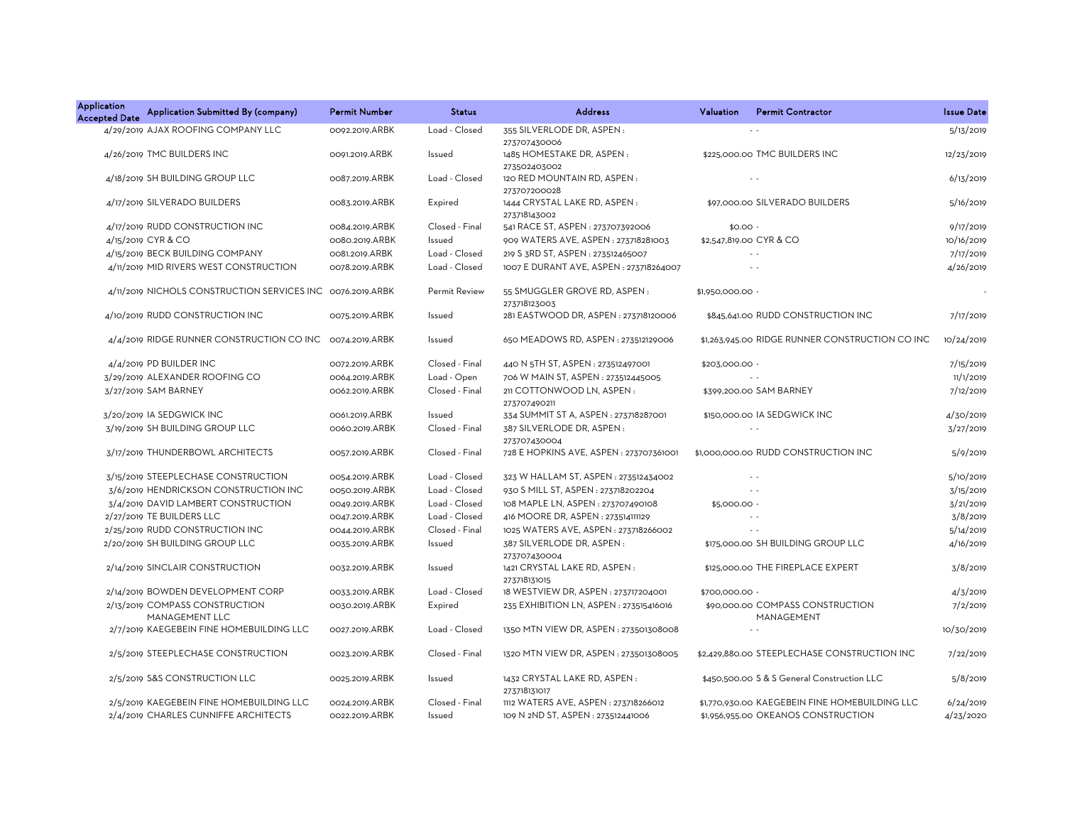| <b>Application</b><br><b>Accepted Date</b> | Application Submitted By (company)                         | <b>Permit Number</b> | <b>Status</b>  | <b>Address</b>                               | Valuation        | <b>Permit Contractor</b>                        | <b>Issue Date</b> |
|--------------------------------------------|------------------------------------------------------------|----------------------|----------------|----------------------------------------------|------------------|-------------------------------------------------|-------------------|
|                                            | 4/29/2019 AJAX ROOFING COMPANY LLC                         | 0092.2019.ARBK       | Load - Closed  | 355 SILVERLODE DR, ASPEN:<br>273707430006    |                  |                                                 | 5/13/2019         |
|                                            | 4/26/2019 TMC BUILDERS INC                                 | 0091.2019.ARBK       | Issued         | 1485 HOMESTAKE DR, ASPEN:<br>273502403002    |                  | \$225,000.00 TMC BUILDERS INC                   | 12/23/2019        |
|                                            | 4/18/2019 SH BUILDING GROUP LLC                            | 0087.2019.ARBK       | Load - Closed  | 120 RED MOUNTAIN RD, ASPEN:<br>273707200028  |                  | $\sim$ $\sim$                                   | 6/13/2019         |
|                                            | 4/17/2019 SILVERADO BUILDERS                               | 0083.2019.ARBK       | Expired        | 1444 CRYSTAL LAKE RD, ASPEN:<br>273718143002 |                  | \$97,000.00 SILVERADO BUILDERS                  | 5/16/2019         |
|                                            | 4/17/2019 RUDD CONSTRUCTION INC                            | 0084.2019.ARBK       | Closed - Final | 541 RACE ST, ASPEN: 273707392006             | $$0.00 -$        |                                                 | 9/17/2019         |
|                                            | 4/15/2019 CYR & CO                                         | 0080.2019.ARBK       | Issued         | 909 WATERS AVE, ASPEN : 273718281003         |                  | \$2,547,819.00 CYR & CO                         | 10/16/2019        |
|                                            | 4/15/2019 BECK BUILDING COMPANY                            | 0081.2019.ARBK       | Load - Closed  | 219 S 3RD ST, ASPEN: 273512465007            |                  | $\sim$ $\sim$                                   | 7/17/2019         |
|                                            | 4/11/2019 MID RIVERS WEST CONSTRUCTION                     | 0078.2019.ARBK       | Load - Closed  | 1007 E DURANT AVE, ASPEN : 273718264007      |                  | $\sim$ $\sim$                                   | 4/26/2019         |
|                                            | 4/11/2019 NICHOLS CONSTRUCTION SERVICES INC 0076.2019.ARBK |                      | Permit Review  | 55 SMUGGLER GROVE RD, ASPEN:<br>273718123003 | \$1,950,000.00 - |                                                 |                   |
|                                            | 4/10/2019 RUDD CONSTRUCTION INC                            | 0075.2019.ARBK       | Issued         | 281 EASTWOOD DR, ASPEN: 273718120006         |                  | \$845,641.00 RUDD CONSTRUCTION INC              | 7/17/2019         |
|                                            | 4/4/2019 RIDGE RUNNER CONSTRUCTION CO INC                  | 0074.2019.ARBK       | Issued         | 650 MEADOWS RD, ASPEN: 273512129006          |                  | \$1,263,945.00 RIDGE RUNNER CONSTRUCTION CO INC | 10/24/2019        |
|                                            | 4/4/2019 PD BUILDER INC                                    | 0072.2019.ARBK       | Closed - Final | 440 N 5TH ST, ASPEN : 273512497001           | \$203,000.00 -   |                                                 | 7/15/2019         |
|                                            | 3/29/2019 ALEXANDER ROOFING CO                             | 0064.2019.ARBK       | Load - Open    | 706 W MAIN ST, ASPEN: 273512445005           |                  |                                                 | 11/1/2019         |
|                                            | 3/27/2019 SAM BARNEY                                       | 0062.2019.ARBK       | Closed - Final | 211 COTTONWOOD LN, ASPEN:<br>273707490211    |                  | \$399,200.00 SAM BARNEY                         | 7/12/2019         |
|                                            | 3/20/2019 IA SEDGWICK INC                                  | 0061.2019.ARBK       | Issued         | 334 SUMMIT ST A, ASPEN : 273718287001        |                  | \$150,000.00 IA SEDGWICK INC                    | 4/30/2019         |
|                                            | 3/19/2019 SH BUILDING GROUP LLC                            | 0060.2019.ARBK       | Closed - Final | 387 SILVERLODE DR, ASPEN:<br>273707430004    |                  | $\sim$ $\sim$                                   | 3/27/2019         |
|                                            | 3/17/2019 THUNDERBOWL ARCHITECTS                           | 0057.2019.ARBK       | Closed - Final | 728 E HOPKINS AVE, ASPEN: 273707361001       |                  | \$1,000,000.00 RUDD CONSTRUCTION INC            | 5/9/2019          |
|                                            | 3/15/2019 STEEPLECHASE CONSTRUCTION                        | 0054.2019.ARBK       | Load - Closed  | 323 W HALLAM ST, ASPEN : 273512434002        |                  | $\sim$ $\sim$                                   | 5/10/2019         |
|                                            | 3/6/2019 HENDRICKSON CONSTRUCTION INC                      | 0050.2019.ARBK       | Load - Closed  | 930 S MILL ST, ASPEN: 273718202204           |                  | $\sim$ $\sim$                                   | 3/15/2019         |
|                                            | 3/4/2019 DAVID LAMBERT CONSTRUCTION                        | 0049.2019.ARBK       | Load - Closed  | 108 MAPLE LN, ASPEN: 273707490108            | \$5,000.00 -     |                                                 | 3/21/2019         |
|                                            | 2/27/2019 TE BUILDERS LLC                                  | 0047.2019.ARBK       | Load - Closed  | 416 MOORE DR, ASPEN: 273514111129            |                  | $\sim$ $\sim$                                   | 3/8/2019          |
|                                            | 2/25/2019 RUDD CONSTRUCTION INC                            | 0044.2019.ARBK       | Closed - Final | 1025 WATERS AVE, ASPEN : 273718266002        |                  |                                                 | 5/14/2019         |
|                                            | 2/20/2019 SH BUILDING GROUP LLC                            | 0035.2019.ARBK       | Issued         | 387 SILVERLODE DR, ASPEN:<br>273707430004    |                  | \$175,000.00 SH BUILDING GROUP LLC              | 4/16/2019         |
|                                            | 2/14/2019 SINCLAIR CONSTRUCTION                            | 0032.2019.ARBK       | Issued         | 1421 CRYSTAL LAKE RD, ASPEN:<br>273718131015 |                  | \$125,000.00 THE FIREPLACE EXPERT               | 3/8/2019          |
|                                            | 2/14/2019 BOWDEN DEVELOPMENT CORP                          | 0033.2019.ARBK       | Load - Closed  | 18 WESTVIEW DR, ASPEN: 273717204001          | \$700,000.00 -   |                                                 | 4/3/2019          |
|                                            | 2/13/2019 COMPASS CONSTRUCTION<br>MANAGEMENT LLC           | 0030.2019.ARBK       | Expired        | 235 EXHIBITION LN, ASPEN : 273515416016      |                  | \$90,000.00 COMPASS CONSTRUCTION<br>MANAGEMENT  | 7/2/2019          |
|                                            | 2/7/2019 KAEGEBEIN FINE HOMEBUILDING LLC                   | 0027.2019.ARBK       | Load - Closed  | 1350 MTN VIEW DR, ASPEN: 273501308008        |                  |                                                 | 10/30/2019        |
|                                            | 2/5/2019 STEEPLECHASE CONSTRUCTION                         | 0023.2019.ARBK       | Closed - Final | 1320 MTN VIEW DR, ASPEN: 273501308005        |                  | \$2,429,880.00 STEEPLECHASE CONSTRUCTION INC    | 7/22/2019         |
|                                            | 2/5/2019 S&S CONSTRUCTION LLC                              | 0025.2019.ARBK       | Issued         | 1432 CRYSTAL LAKE RD, ASPEN:<br>273718131017 |                  | \$450,500.00 S & S General Construction LLC     | 5/8/2019          |
|                                            | 2/5/2019 KAEGEBEIN FINE HOMEBUILDING LLC                   | 0024.2019.ARBK       | Closed - Final | 1112 WATERS AVE, ASPEN: 273718266012         |                  | \$1,770,930.00 KAEGEBEIN FINE HOMEBUILDING LLC  | 6/24/2019         |
|                                            | 2/4/2019 CHARLES CUNNIFFE ARCHITECTS                       | 0022.2019.ARBK       | Issued         | 109 N 2ND ST, ASPEN : 273512441006           |                  | \$1,956,955.00 OKEANOS CONSTRUCTION             | 4/23/2020         |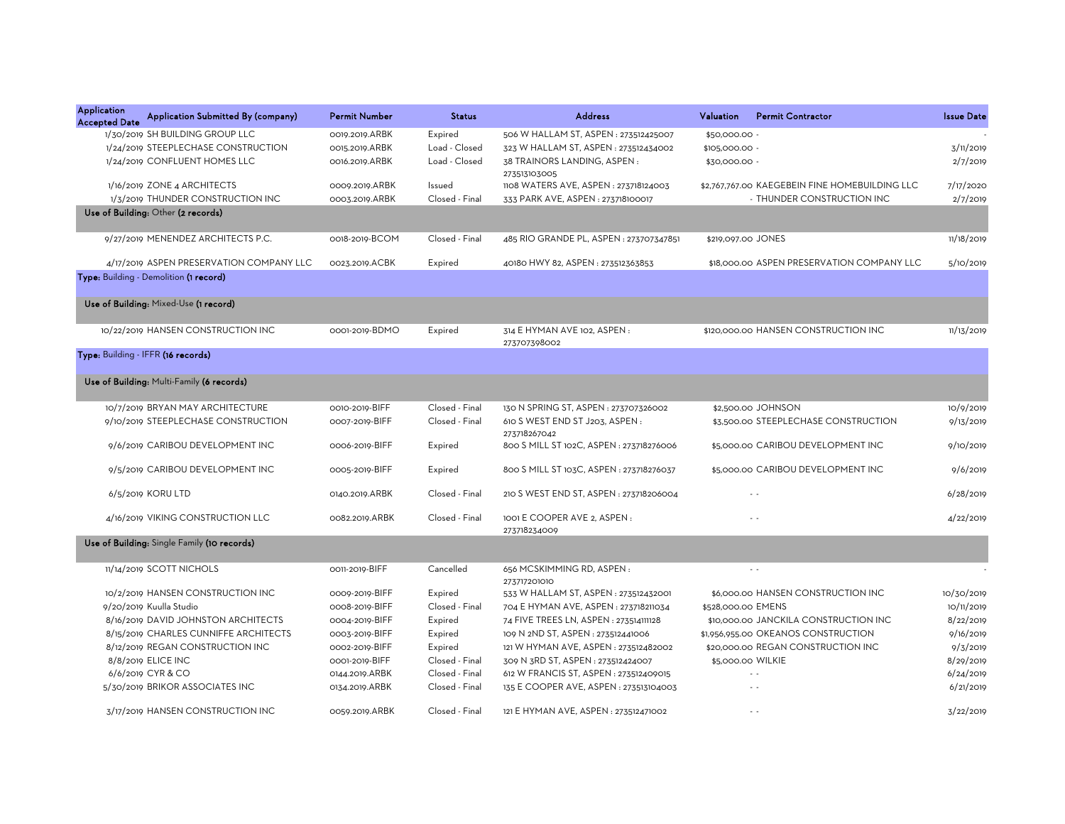| Application<br><b>Accepted Date</b> | Application Submitted By (company)          | <b>Permit Number</b> | <b>Status</b>  | <b>Address</b>                              | Valuation<br><b>Permit Contractor</b>          | <b>Issue Date</b> |
|-------------------------------------|---------------------------------------------|----------------------|----------------|---------------------------------------------|------------------------------------------------|-------------------|
|                                     | 1/30/2019 SH BUILDING GROUP LLC             | 0019.2019.ARBK       | Expired        | 506 W HALLAM ST, ASPEN : 273512425007       | \$50,000.00 -                                  |                   |
|                                     | 1/24/2019 STEEPLECHASE CONSTRUCTION         | 0015.2019.ARBK       | Load - Closed  | 323 W HALLAM ST, ASPEN: 273512434002        | \$105,000.00 -                                 | 3/11/2019         |
|                                     | 1/24/2019 CONFLUENT HOMES LLC               | 0016.2019.ARBK       | Load - Closed  | 38 TRAINORS LANDING, ASPEN:                 | \$30,000.00 -                                  | 2/7/2019          |
|                                     |                                             |                      |                | 273513103005                                |                                                |                   |
|                                     | 1/16/2019 ZONE 4 ARCHITECTS                 | 0009.2019.ARBK       | Issued         | 1108 WATERS AVE, ASPEN: 273718124003        | \$2,767,767.00 KAEGEBEIN FINE HOMEBUILDING LLC | 7/17/2020         |
|                                     | 1/3/2019 THUNDER CONSTRUCTION INC           | 0003.2019.ARBK       | Closed - Final | 333 PARK AVE, ASPEN : 273718100017          | - THUNDER CONSTRUCTION INC                     | 2/7/2019          |
|                                     | Use of Building: Other (2 records)          |                      |                |                                             |                                                |                   |
|                                     | 9/27/2019 MENENDEZ ARCHITECTS P.C.          | 0018-2019-BCOM       | Closed - Final | 485 RIO GRANDE PL, ASPEN : 273707347851     | \$219,097.00 JONES                             | 11/18/2019        |
|                                     | 4/17/2019 ASPEN PRESERVATION COMPANY LLC    | 0023.2019.ACBK       | Expired        | 40180 HWY 82, ASPEN: 273512363853           | \$18,000.00 ASPEN PRESERVATION COMPANY LLC     | 5/10/2019         |
|                                     | Type: Building - Demolition (1 record)      |                      |                |                                             |                                                |                   |
|                                     | Use of Building: Mixed-Use (1 record)       |                      |                |                                             |                                                |                   |
|                                     | 10/22/2019 HANSEN CONSTRUCTION INC          | 0001-2019-BDMO       | Expired        | 314 E HYMAN AVE 102, ASPEN:<br>273707398002 | \$120,000.00 HANSEN CONSTRUCTION INC           | 11/13/2019        |
|                                     | Type: Building - IFFR (16 records)          |                      |                |                                             |                                                |                   |
|                                     | Use of Building: Multi-Family (6 records)   |                      |                |                                             |                                                |                   |
|                                     | 10/7/2019 BRYAN MAY ARCHITECTURE            | 0010-2019-BIFF       | Closed - Final | 130 N SPRING ST, ASPEN : 273707326002       | \$2,500.00 JOHNSON                             | 10/9/2019         |
|                                     | 9/10/2019 STEEPLECHASE CONSTRUCTION         | 0007-2019-BIFF       | Closed - Final | 610 S WEST END ST J203, ASPEN:              | \$3,500.00 STEEPLECHASE CONSTRUCTION           | 9/13/2019         |
|                                     |                                             |                      |                | 273718267042                                |                                                |                   |
|                                     | 9/6/2019 CARIBOU DEVELOPMENT INC            | 0006-2019-BIFF       | Expired        | 800 S MILL ST 102C, ASPEN : 273718276006    | \$5,000.00 CARIBOU DEVELOPMENT INC             | 9/10/2019         |
|                                     | 9/5/2019 CARIBOU DEVELOPMENT INC            | 0005-2019-BIFF       | Expired        | 800 S MILL ST 103C, ASPEN : 273718276037    | \$5,000.00 CARIBOU DEVELOPMENT INC             | 9/6/2019          |
|                                     | 6/5/2019 KORU LTD                           | 0140.2019.ARBK       | Closed - Final | 210 S WEST END ST, ASPEN : 273718206004     | $\sim$ $\sim$                                  | 6/28/2019         |
|                                     | 4/16/2019 VIKING CONSTRUCTION LLC           | 0082.2019.ARBK       | Closed - Final | 1001 E COOPER AVE 2, ASPEN:                 | $\sim$                                         | 4/22/2019         |
|                                     | Use of Building: Single Family (10 records) |                      |                | 273718234009                                |                                                |                   |
|                                     |                                             |                      |                |                                             |                                                |                   |
|                                     | 11/14/2019 SCOTT NICHOLS                    | OO11-2019-BIFF       | Cancelled      | 656 MCSKIMMING RD, ASPEN:<br>273717201010   | $\sim$ $\sim$                                  |                   |
|                                     | 10/2/2019 HANSEN CONSTRUCTION INC           | 0009-2019-BIFF       | Expired        | 533 W HALLAM ST, ASPEN : 273512432001       | \$6,000.00 HANSEN CONSTRUCTION INC             | 10/30/2019        |
|                                     | 9/20/2019 Kuulla Studio                     | 0008-2019-BIFF       | Closed - Final | 704 E HYMAN AVE, ASPEN : 273718211034       | \$528,000.00 EMENS                             | 10/11/2019        |
|                                     | 8/16/2019 DAVID JOHNSTON ARCHITECTS         | 0004-2019-BIFF       | Expired        | 74 FIVE TREES LN, ASPEN : 273514111128      | \$10,000.00 JANCKILA CONSTRUCTION INC          | 8/22/2019         |
|                                     | 8/15/2019 CHARLES CUNNIFFE ARCHITECTS       | 0003-2019-BIFF       | Expired        | 109 N 2ND ST, ASPEN : 273512441006          | \$1,956,955.00 OKEANOS CONSTRUCTION            | 9/16/2019         |
|                                     | 8/12/2019 REGAN CONSTRUCTION INC            | 0002-2019-BIFF       | Expired        | 121 W HYMAN AVE, ASPEN: 273512482002        | \$20,000.00 REGAN CONSTRUCTION INC             | 9/3/2019          |
|                                     | 8/8/2019 ELICE INC                          | 0001-2019-BIFF       | Closed - Final | 309 N 3RD ST, ASPEN : 273512424007          | \$5,000.00 WILKIE                              | 8/29/2019         |
|                                     | 6/6/2019 CYR & CO                           | 0144.2019.ARBK       | Closed - Final | 612 W FRANCIS ST, ASPEN : 273512409015      |                                                | 6/24/2019         |
|                                     | 5/30/2019 BRIKOR ASSOCIATES INC             | 0134.2019.ARBK       | Closed - Final | 135 E COOPER AVE, ASPEN : 273513104003      | $\sim$ $\sim$                                  | 6/21/2019         |
|                                     | 3/17/2019 HANSEN CONSTRUCTION INC           | 0059.2019.ARBK       | Closed - Final | 121 E HYMAN AVE, ASPEN : 273512471002       | $\sim$                                         | 3/22/2019         |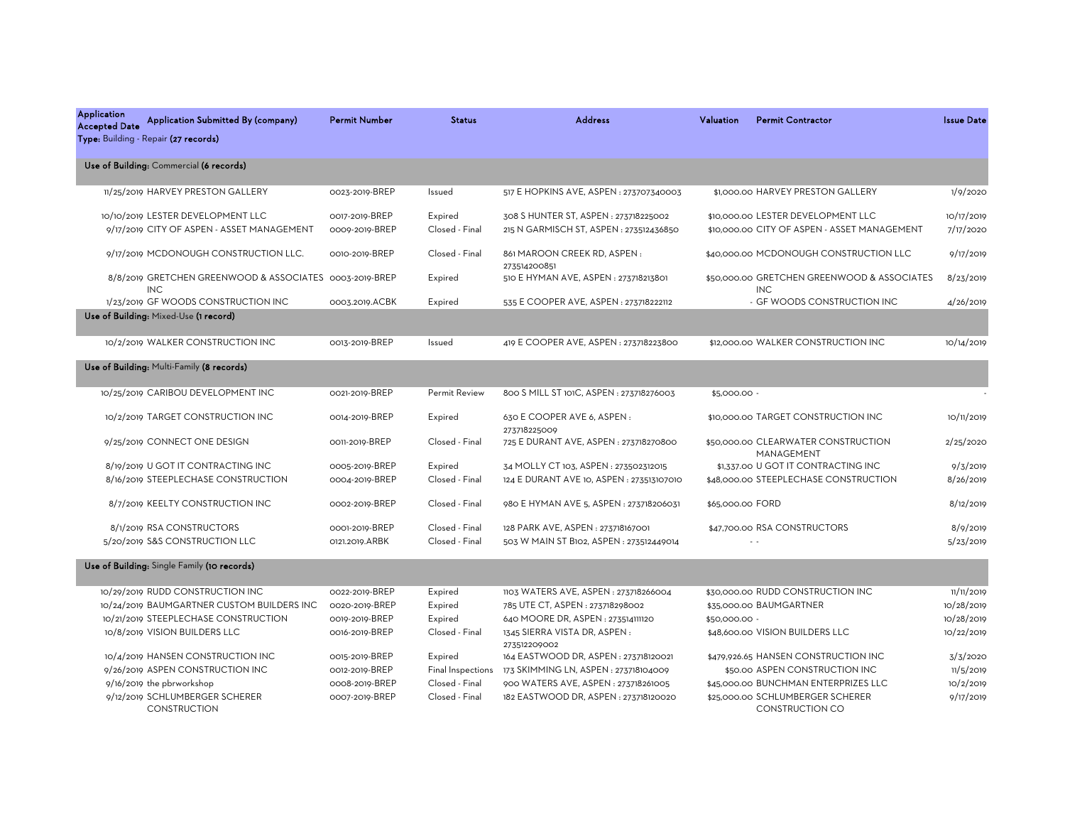| <b>Application</b><br><b>Accepted Date</b> | Application Submitted By (company)<br>Type: Building - Repair (27 records)      | <b>Permit Number</b>             | <b>Status</b>             | <b>Address</b>                                                                  | Valuation        | <b>Permit Contractor</b>                                                           | <b>Issue Date</b>       |
|--------------------------------------------|---------------------------------------------------------------------------------|----------------------------------|---------------------------|---------------------------------------------------------------------------------|------------------|------------------------------------------------------------------------------------|-------------------------|
|                                            | Use of Building: Commercial (6 records)                                         |                                  |                           |                                                                                 |                  |                                                                                    |                         |
|                                            | 11/25/2019 HARVEY PRESTON GALLERY                                               | 0023-2019-BREP                   | Issued                    | 517 E HOPKINS AVE, ASPEN : 273707340003                                         |                  | \$1,000.00 HARVEY PRESTON GALLERY                                                  | 1/9/2020                |
|                                            | 10/10/2019 LESTER DEVELOPMENT LLC<br>9/17/2019 CITY OF ASPEN - ASSET MANAGEMENT | 0017-2019-BREP<br>0009-2019-BREP | Expired<br>Closed - Final | 308 S HUNTER ST, ASPEN : 273718225002<br>215 N GARMISCH ST, ASPEN: 273512436850 |                  | \$10,000.00 LESTER DEVELOPMENT LLC<br>\$10,000.00 CITY OF ASPEN - ASSET MANAGEMENT | 10/17/2019<br>7/17/2020 |
|                                            | 9/17/2019 MCDONOUGH CONSTRUCTION LLC.                                           | 0010-2019-BREP                   | Closed - Final            | 861 MAROON CREEK RD, ASPEN:<br>273514200851                                     |                  | \$40,000.00 MCDONOUGH CONSTRUCTION LLC                                             | 9/17/2019               |
|                                            | 8/8/2019 GRETCHEN GREENWOOD & ASSOCIATES 0003-2019-BREP<br><b>INC</b>           |                                  | Expired                   | 510 E HYMAN AVE, ASPEN : 273718213801                                           |                  | \$50,000.00 GRETCHEN GREENWOOD & ASSOCIATES<br><b>INC</b>                          | 8/23/2019               |
|                                            | 1/23/2019 GF WOODS CONSTRUCTION INC                                             | 0003.2019.ACBK                   | Expired                   | 535 E COOPER AVE, ASPEN : 273718222112                                          |                  | - GF WOODS CONSTRUCTION INC                                                        | 4/26/2019               |
|                                            | Use of Building: Mixed-Use (1 record)                                           |                                  |                           |                                                                                 |                  |                                                                                    |                         |
|                                            | 10/2/2019 WALKER CONSTRUCTION INC                                               | 0013-2019-BREP                   | Issued                    | 419 E COOPER AVE, ASPEN: 273718223800                                           |                  | \$12,000.00 WALKER CONSTRUCTION INC                                                | 10/14/2019              |
|                                            | Use of Building: Multi-Family (8 records)                                       |                                  |                           |                                                                                 |                  |                                                                                    |                         |
|                                            | 10/25/2019 CARIBOU DEVELOPMENT INC                                              | 0021-2019-BREP                   | <b>Permit Review</b>      | 800 S MILL ST 101C, ASPEN: 273718276003                                         | \$5,000.00 -     |                                                                                    |                         |
|                                            | 10/2/2019 TARGET CONSTRUCTION INC                                               | 0014-2019-BREP                   | Expired                   | 630 E COOPER AVE 6, ASPEN:<br>273718225009                                      |                  | \$10,000.00 TARGET CONSTRUCTION INC                                                | 10/11/2019              |
|                                            | 9/25/2019 CONNECT ONE DESIGN                                                    | OO11-2019-BREP                   | Closed - Final            | 725 E DURANT AVE, ASPEN : 273718270800                                          |                  | \$50,000.00 CLEARWATER CONSTRUCTION<br>MANAGEMENT                                  | 2/25/2020               |
|                                            | 8/19/2019 U GOT IT CONTRACTING INC                                              | 0005-2019-BREP                   | Expired                   | 34 MOLLY CT 103, ASPEN : 273502312015                                           |                  | \$1,337.00 U GOT IT CONTRACTING INC                                                | 9/3/2019                |
|                                            | 8/16/2019 STEEPLECHASE CONSTRUCTION                                             | 0004-2019-BREP                   | Closed - Final            | 124 E DURANT AVE 10, ASPEN : 273513107010                                       |                  | \$48,000.00 STEEPLECHASE CONSTRUCTION                                              | 8/26/2019               |
|                                            | 8/7/2019 KEELTY CONSTRUCTION INC                                                | 0002-2019-BREP                   | Closed - Final            | 980 E HYMAN AVE 5, ASPEN : 273718206031                                         | \$65,000.00 FORD |                                                                                    | 8/12/2019               |
|                                            | 8/1/2019 RSA CONSTRUCTORS                                                       | 0001-2019-BREP                   | Closed - Final            | 128 PARK AVE, ASPEN : 273718167001                                              |                  | \$47,700.00 RSA CONSTRUCTORS                                                       | 8/9/2019                |
|                                            | 5/20/2019 S&S CONSTRUCTION LLC                                                  | 0121.2019.ARBK                   | Closed - Final            | 503 W MAIN ST B102, ASPEN : 273512449014                                        |                  | $\sim$ $\sim$                                                                      | 5/23/2019               |
|                                            | Use of Building: Single Family (10 records)                                     |                                  |                           |                                                                                 |                  |                                                                                    |                         |
|                                            | 10/29/2019 RUDD CONSTRUCTION INC                                                | 0022-2019-BREP                   | Expired                   | 1103 WATERS AVE, ASPEN: 273718266004                                            |                  | \$30,000,00 RUDD CONSTRUCTION INC                                                  | 11/11/2019              |
|                                            | 10/24/2019 BAUMGARTNER CUSTOM BUILDERS INC                                      | 0020-2019-BREP                   | Expired                   | 785 UTE CT, ASPEN: 273718298002                                                 |                  | \$35,000.00 BAUMGARTNER                                                            | 10/28/2019              |
|                                            | 10/21/2019 STEEPLECHASE CONSTRUCTION                                            | 0019-2019-BREP                   | Expired                   | 640 MOORE DR, ASPEN : 273514111120                                              | \$50,000.00 -    |                                                                                    | 10/28/2019              |
|                                            | 10/8/2019 VISION BUILDERS LLC                                                   | 0016-2019-BREP                   | Closed - Final            | 1345 SIERRA VISTA DR, ASPEN:<br>273512209002                                    |                  | \$48,600.00 VISION BUILDERS LLC                                                    | 10/22/2019              |
|                                            | 10/4/2019 HANSEN CONSTRUCTION INC                                               | 0015-2019-BREP                   | Expired                   | 164 EASTWOOD DR, ASPEN: 273718120021                                            |                  | \$479,926.65 HANSEN CONSTRUCTION INC                                               | 3/3/2020                |
|                                            | 9/26/2019 ASPEN CONSTRUCTION INC                                                | 0012-2019-BREP                   | Final Inspections         | 173 SKIMMING LN, ASPEN : 273718104009                                           |                  | \$50.00 ASPEN CONSTRUCTION INC                                                     | 11/5/2019               |
|                                            | 9/16/2019 the pbrworkshop                                                       | 0008-2019-BREP                   | Closed - Final            | 900 WATERS AVE, ASPEN: 273718261005                                             |                  | \$45,000.00 BUNCHMAN ENTERPRIZES LLC                                               | 10/2/2019               |
|                                            | 9/12/2019 SCHLUMBERGER SCHERER<br><b>CONSTRUCTION</b>                           | 0007-2019-BREP                   | Closed - Final            | 182 EASTWOOD DR, ASPEN: 273718120020                                            |                  | \$25,000.00 SCHLUMBERGER SCHERER<br><b>CONSTRUCTION CO</b>                         | 9/17/2019               |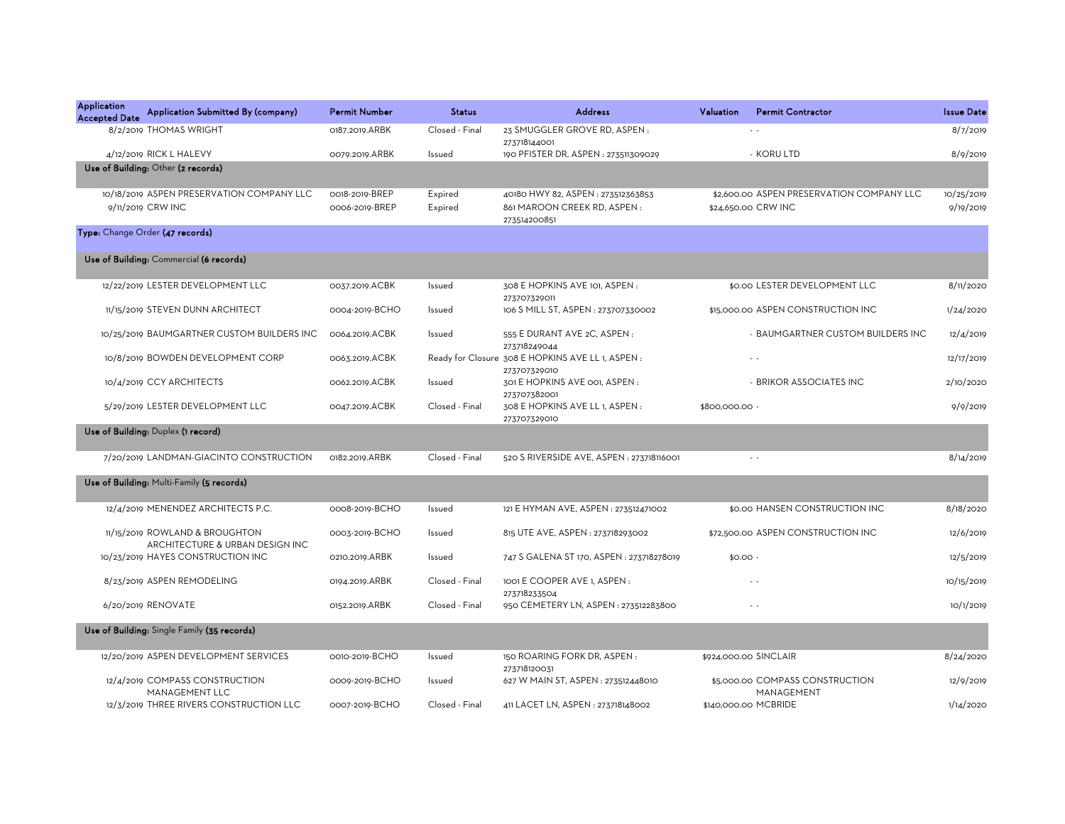| Application<br>Application Submitted By (company)<br><b>Accepted Date</b> | <b>Permit Number</b> | <b>Status</b>  | <b>Address</b>                                                    | <b>Valuation</b> | <b>Permit Contractor</b>                      | <b>Issue Date</b> |
|---------------------------------------------------------------------------|----------------------|----------------|-------------------------------------------------------------------|------------------|-----------------------------------------------|-------------------|
| 8/2/2019 THOMAS WRIGHT                                                    | 0187.2019.ARBK       | Closed - Final | 23 SMUGGLER GROVE RD, ASPEN:<br>273718144001                      |                  | $\sim$                                        | 8/7/2019          |
| 4/12/2019 RICK L HALEVY                                                   | 0079.2019.ARBK       | Issued         | 190 PFISTER DR, ASPEN : 273511309029                              |                  | - KORU LTD                                    | 8/9/2019          |
| Use of Building: Other (2 records)                                        |                      |                |                                                                   |                  |                                               |                   |
| 10/18/2019 ASPEN PRESERVATION COMPANY LLC                                 | 0018-2019-BREP       | Expired        | 40180 HWY 82, ASPEN: 273512363853                                 |                  | \$2,600.00 ASPEN PRESERVATION COMPANY LLC     | 10/25/2019        |
| 9/11/2019 CRW INC                                                         | 0006-2019-BREP       | Expired        | 861 MAROON CREEK RD, ASPEN:<br>273514200851                       |                  | \$24,650.00 CRW INC                           | 9/19/2019         |
| Type: Change Order (47 records)                                           |                      |                |                                                                   |                  |                                               |                   |
| Use of Building: Commercial (6 records)                                   |                      |                |                                                                   |                  |                                               |                   |
| 12/22/2019 LESTER DEVELOPMENT LLC                                         | 0037.2019.ACBK       | Issued         | 308 E HOPKINS AVE 101, ASPEN:<br>273707329011                     |                  | \$0.00 LESTER DEVELOPMENT LLC                 | 8/11/2020         |
| 11/15/2019 STEVEN DUNN ARCHITECT                                          | 0004-2019-BCHO       | Issued         | 106 S MILL ST, ASPEN : 273707330002                               |                  | \$15,000.00 ASPEN CONSTRUCTION INC            | 1/24/2020         |
| 10/25/2019 BAUMGARTNER CUSTOM BUILDERS INC                                | 0064.2019.ACBK       | Issued         | 555 E DURANT AVE 2C, ASPEN :<br>273718249044                      |                  | - BAUMGARTNER CUSTOM BUILDERS INC             | 12/4/2019         |
| 10/8/2019 BOWDEN DEVELOPMENT CORP                                         | 0063.2019.ACBK       |                | Ready for Closure 308 E HOPKINS AVE LL 1, ASPEN :<br>273707329010 |                  |                                               | 12/17/2019        |
| 10/4/2019 CCY ARCHITECTS                                                  | 0062.2019.ACBK       | Issued         | 301 E HOPKINS AVE 001, ASPEN:<br>273707382001                     |                  | - BRIKOR ASSOCIATES INC                       | 2/10/2020         |
| 5/29/2019 LESTER DEVELOPMENT LLC                                          | 0047.2019.ACBK       | Closed - Final | 308 E HOPKINS AVE LL 1, ASPEN:<br>273707329010                    | \$800,000.00 -   |                                               | 9/9/2019          |
| Use of Building: Duplex (1 record)                                        |                      |                |                                                                   |                  |                                               |                   |
| 7/20/2019 LANDMAN-GIACINTO CONSTRUCTION                                   | 0182.2019.ARBK       | Closed - Final | 520 S RIVERSIDE AVE, ASPEN : 273718116001                         |                  | $\sim$ $\sim$                                 | 8/14/2019         |
| Use of Building: Multi-Family (5 records)                                 |                      |                |                                                                   |                  |                                               |                   |
| 12/4/2019 MENENDEZ ARCHITECTS P.C.                                        | 0008-2019-BCHO       | Issued         | 121 E HYMAN AVE, ASPEN : 273512471002                             |                  | \$0.00 HANSEN CONSTRUCTION INC                | 8/18/2020         |
| 11/15/2019 ROWLAND & BROUGHTON<br>ARCHITECTURE & URBAN DESIGN INC         | 0003-2019-BCHO       | Issued         | 815 UTE AVE, ASPEN : 273718293002                                 |                  | \$72,500.00 ASPEN CONSTRUCTION INC            | 12/6/2019         |
| 10/23/2019 HAYES CONSTRUCTION INC                                         | 0210.2019.ARBK       | Issued         | 747 S GALENA ST 170, ASPEN : 273718278019                         | $$0.00 -$        |                                               | 12/5/2019         |
| 8/23/2019 ASPEN REMODELING                                                | 0194.2019.ARBK       | Closed - Final | 1001 E COOPER AVE 1, ASPEN:<br>273718233504                       |                  | $\sim$ $\sim$                                 | 10/15/2019        |
| 6/20/2019 RENOVATE                                                        | 0152.2019.ARBK       | Closed - Final | 950 CEMETERY LN, ASPEN: 273512283800                              |                  | $\sim$ $\sim$                                 | 10/1/2019         |
| Use of Building: Single Family (35 records)                               |                      |                |                                                                   |                  |                                               |                   |
| 12/20/2019 ASPEN DEVELOPMENT SERVICES                                     | 0010-2019-BCHO       | Issued         | 150 ROARING FORK DR, ASPEN:<br>273718120031                       |                  | \$924,000.00 SINCLAIR                         | 8/24/2020         |
| 12/4/2019 COMPASS CONSTRUCTION<br>MANAGEMENT LLC                          | 0009-2019-BCHO       | Issued         | 627 W MAIN ST, ASPEN: 273512448010                                |                  | \$5,000.00 COMPASS CONSTRUCTION<br>MANAGEMENT | 12/9/2019         |
| 12/3/2019 THREE RIVERS CONSTRUCTION LLC                                   | 0007-2019-BCHO       | Closed - Final | 411 LACET LN, ASPEN: 273718148002                                 |                  | \$140,000,00 MCBRIDE                          | 1/14/2020         |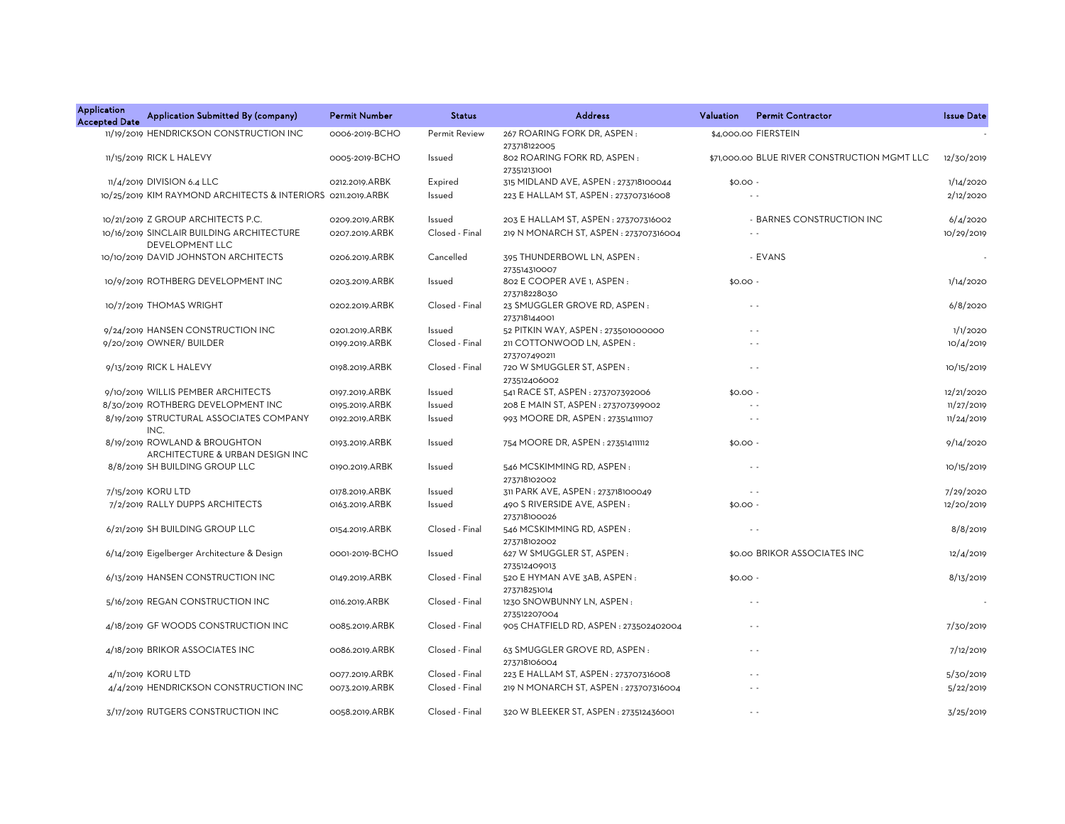| <b>Application</b><br><b>Accepted Date</b> | Application Submitted By (company)                               | <b>Permit Number</b> | <b>Status</b>  | <b>Address</b>                                              | Valuation | <b>Permit Contractor</b>                     | <b>Issue Date</b> |
|--------------------------------------------|------------------------------------------------------------------|----------------------|----------------|-------------------------------------------------------------|-----------|----------------------------------------------|-------------------|
|                                            | 11/19/2019 HENDRICKSON CONSTRUCTION INC                          | 0006-2019-BCHO       | Permit Review  | 267 ROARING FORK DR, ASPEN:                                 |           | \$4,000.00 FIERSTEIN                         |                   |
|                                            | 11/15/2019 RICK L HALEVY                                         | 0005-2019-BCHO       | Issued         | 273718122005<br>802 ROARING FORK RD, ASPEN:<br>273512131001 |           | \$71,000.00 BLUE RIVER CONSTRUCTION MGMT LLC | 12/30/2019        |
|                                            | 11/4/2019 DIVISION 6.4 LLC                                       | 0212.2019.ARBK       | Expired        | 315 MIDLAND AVE, ASPEN: 273718100044                        | $$0.00 -$ |                                              | 1/14/2020         |
|                                            | 10/25/2019 KIM RAYMOND ARCHITECTS & INTERIORS 0211.2019.ARBK     |                      | Issued         | 223 E HALLAM ST, ASPEN: 273707316008                        |           |                                              | 2/12/2020         |
|                                            | 10/21/2019 Z GROUP ARCHITECTS P.C.                               | 0209.2019.ARBK       | Issued         | 203 E HALLAM ST, ASPEN : 273707316002                       |           | - BARNES CONSTRUCTION INC                    | 6/4/2020          |
|                                            | 10/16/2019 SINCLAIR BUILDING ARCHITECTURE<br>DEVELOPMENT LLC     | 0207.2019.ARBK       | Closed - Final | 219 N MONARCH ST, ASPEN : 273707316004                      |           | $\sim$ $\sim$                                | 10/29/2019        |
|                                            | 10/10/2019 DAVID JOHNSTON ARCHITECTS                             | 0206.2019.ARBK       | Cancelled      | 395 THUNDERBOWL LN, ASPEN:<br>273514310007                  |           | - EVANS                                      |                   |
|                                            | 10/9/2019 ROTHBERG DEVELOPMENT INC                               | 0203.2019.ARBK       | Issued         | 802 E COOPER AVE 1, ASPEN :<br>273718228030                 | $$0.00 -$ |                                              | 1/14/2020         |
|                                            | 10/7/2019 THOMAS WRIGHT                                          | 0202.2019.ARBK       | Closed - Final | 23 SMUGGLER GROVE RD, ASPEN:<br>273718144001                |           | $\sim$ $\sim$                                | 6/8/2020          |
|                                            | 9/24/2019 HANSEN CONSTRUCTION INC                                | 0201.2019.ARBK       | Issued         | 52 PITKIN WAY, ASPEN: 273501000000                          |           | $\sim$ $\sim$                                | 1/1/2020          |
|                                            | 9/20/2019 OWNER/ BUILDER                                         | 0199.2019.ARBK       | Closed - Final | 211 COTTONWOOD LN, ASPEN:<br>273707490211                   |           |                                              | 10/4/2019         |
|                                            | 9/13/2019 RICK L HALEVY                                          | 0198.2019.ARBK       | Closed - Final | 720 W SMUGGLER ST, ASPEN:<br>273512406002                   |           | $\sim$ $\sim$                                | 10/15/2019        |
|                                            | 9/10/2019 WILLIS PEMBER ARCHITECTS                               | 0197.2019.ARBK       | Issued         | 541 RACE ST, ASPEN: 273707392006                            | $$0.00 -$ |                                              | 12/21/2020        |
|                                            | 8/30/2019 ROTHBERG DEVELOPMENT INC                               | 0195.2019.ARBK       | Issued         | 208 E MAIN ST, ASPEN : 273707399002                         |           |                                              | 11/27/2019        |
|                                            | 8/19/2019 STRUCTURAL ASSOCIATES COMPANY<br>INC.                  | 0192.2019.ARBK       | Issued         | 993 MOORE DR, ASPEN: 273514111107                           |           | $\sim$ $\sim$                                | 11/24/2019        |
|                                            | 8/19/2019 ROWLAND & BROUGHTON<br>ARCHITECTURE & URBAN DESIGN INC | 0193.2019.ARBK       | Issued         | 754 MOORE DR, ASPEN : 273514111112                          | $$0.00 -$ |                                              | 9/14/2020         |
|                                            | 8/8/2019 SH BUILDING GROUP LLC                                   | 0190.2019.ARBK       | Issued         | 546 MCSKIMMING RD, ASPEN:<br>273718102002                   |           | $\sim$ $\sim$                                | 10/15/2019        |
|                                            | 7/15/2019 KORU LTD                                               | 0178.2019.ARBK       | Issued         | 311 PARK AVE, ASPEN : 273718100049                          |           | $\sim$ $\sim$                                | 7/29/2020         |
|                                            | 7/2/2019 RALLY DUPPS ARCHITECTS                                  | 0163.2019.ARBK       | Issued         | 490 S RIVERSIDE AVE, ASPEN:<br>273718100026                 | \$0.00.   |                                              | 12/20/2019        |
|                                            | 6/21/2019 SH BUILDING GROUP LLC                                  | 0154.2019.ARBK       | Closed - Final | 546 MCSKIMMING RD, ASPEN:<br>273718102002                   |           |                                              | 8/8/2019          |
|                                            | 6/14/2019 Eigelberger Architecture & Design                      | 0001-2019-BCHO       | Issued         | 627 W SMUGGLER ST, ASPEN:<br>273512409013                   |           | \$0.00 BRIKOR ASSOCIATES INC                 | 12/4/2019         |
|                                            | 6/13/2019 HANSEN CONSTRUCTION INC                                | 0149.2019.ARBK       | Closed - Final | 520 E HYMAN AVE 3AB, ASPEN:<br>273718251014                 | $$0.00 -$ |                                              | 8/13/2019         |
|                                            | 5/16/2019 REGAN CONSTRUCTION INC                                 | 0116.2019.ARBK       | Closed - Final | 1230 SNOWBUNNY LN, ASPEN:<br>273512207004                   |           | $\sim$ $\sim$                                |                   |
|                                            | 4/18/2019 GF WOODS CONSTRUCTION INC                              | 0085.2019.ARBK       | Closed - Final | 905 CHATFIELD RD, ASPEN : 273502402004                      |           | $\sim$ $\sim$                                | 7/30/2019         |
|                                            | 4/18/2019 BRIKOR ASSOCIATES INC                                  | 0086.2019.ARBK       | Closed - Final | 63 SMUGGLER GROVE RD, ASPEN:<br>273718106004                |           | $\sim$ $\sim$                                | 7/12/2019         |
|                                            | 4/11/2019 KORU LTD                                               | 0077.2019.ARBK       | Closed - Final | 223 E HALLAM ST, ASPEN: 273707316008                        |           | $\sim$ $\sim$                                | 5/30/2019         |
|                                            | 4/4/2019 HENDRICKSON CONSTRUCTION INC                            | 0073.2019.ARBK       | Closed - Final | 219 N MONARCH ST, ASPEN : 273707316004                      |           | $\sim$ $\sim$                                | 5/22/2019         |
|                                            | 3/17/2019 RUTGERS CONSTRUCTION INC                               | 0058.2019.ARBK       | Closed - Final | 320 W BLEEKER ST, ASPEN : 273512436001                      |           | $\sim$ $\sim$                                | 3/25/2019         |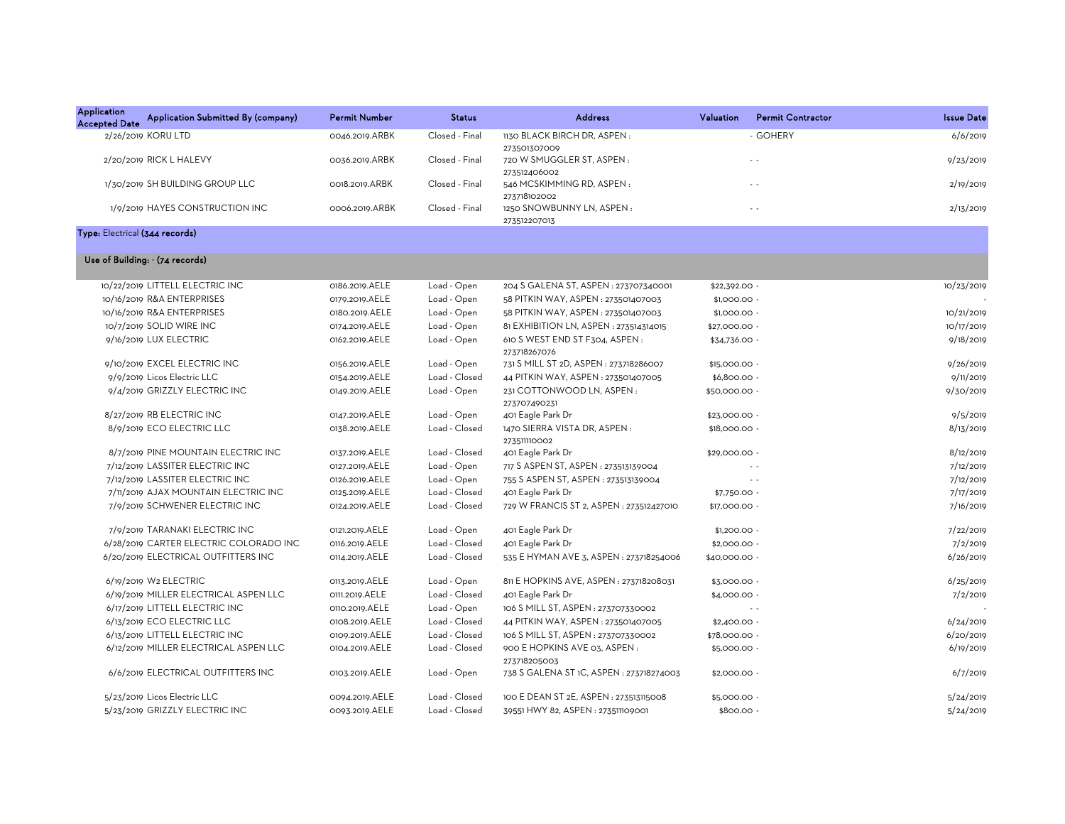| <b>Application</b><br><b>Accepted Date</b> | Application Submitted By (company)     | <b>Permit Number</b> | <b>Status</b>  | <b>Address</b>                                 | Valuation     | <b>Permit Contractor</b> | <b>Issue Date</b> |
|--------------------------------------------|----------------------------------------|----------------------|----------------|------------------------------------------------|---------------|--------------------------|-------------------|
|                                            | 2/26/2019 KORU LTD                     | 0046.2019.ARBK       | Closed - Final | 1130 BLACK BIRCH DR, ASPEN:<br>273501307009    |               | - GOHERY                 | 6/6/2019          |
|                                            | 2/20/2019 RICK L HALEVY                | 0036.2019.ARBK       | Closed - Final | 720 W SMUGGLER ST, ASPEN:<br>273512406002      |               | $\sim$ $\sim$            | 9/23/2019         |
|                                            | 1/30/2019 SH BUILDING GROUP LLC        | OO18.2019.ARBK       | Closed - Final | 546 MCSKIMMING RD, ASPEN:<br>273718102002      |               | $\sim$ $\sim$            | 2/19/2019         |
|                                            | 1/9/2019 HAYES CONSTRUCTION INC        | 0006.2019.ARBK       | Closed - Final | 1250 SNOWBUNNY LN, ASPEN:<br>273512207013      |               | $\sim$ $\sim$            | 2/13/2019         |
| Type: Electrical (344 records)             |                                        |                      |                |                                                |               |                          |                   |
|                                            | Use of Building: - (74 records)        |                      |                |                                                |               |                          |                   |
|                                            | 10/22/2019 LITTELL ELECTRIC INC        | 0186.2019.AELE       | Load - Open    | 204 S GALENA ST, ASPEN : 273707340001          | \$22,392.00 - |                          | 10/23/2019        |
|                                            | 10/16/2019 R&A ENTERPRISES             | 0179.2019.AELE       | Load - Open    | 58 PITKIN WAY, ASPEN: 273501407003             | \$1,000.00 -  |                          |                   |
|                                            | 10/16/2019 R&A ENTERPRISES             | 0180.2019.AELE       | Load - Open    | 58 PITKIN WAY, ASPEN: 273501407003             | \$1,000.00 -  |                          | 10/21/2019        |
|                                            | 10/7/2019 SOLID WIRE INC               | 0174.2019.AELE       | Load - Open    | 81 EXHIBITION LN, ASPEN : 273514314015         | \$27,000.00 - |                          | 10/17/2019        |
|                                            | 9/16/2019 LUX ELECTRIC                 | 0162.2019.AELE       | Load - Open    | 610 S WEST END ST F304, ASPEN:<br>273718267076 | \$34,736.00 - |                          | 9/18/2019         |
|                                            | 9/10/2019 EXCEL ELECTRIC INC           | 0156.2019.AELE       | Load - Open    | 731 S MILL ST 2D, ASPEN : 273718286007         | \$15,000.00 - |                          | 9/26/2019         |
|                                            | 9/9/2019 Licos Electric LLC            | 0154.2019.AELE       | Load - Closed  | 44 PITKIN WAY, ASPEN: 273501407005             | \$6,800.00 -  |                          | 9/11/2019         |
|                                            | 9/4/2019 GRIZZLY ELECTRIC INC          | 0149.2019.AELE       | Load - Open    | 231 COTTONWOOD LN, ASPEN:<br>273707490231      | \$50,000.00 - |                          | 9/30/2019         |
|                                            | 8/27/2019 RB ELECTRIC INC              | 0147.2019.AELE       | Load - Open    | 401 Eagle Park Dr                              | \$23,000.00 - |                          | 9/5/2019          |
|                                            | 8/9/2019 ECO ELECTRIC LLC              | 0138.2019.AELE       | Load - Closed  | 1470 SIERRA VISTA DR, ASPEN:<br>273511110002   | \$18,000.00 - |                          | 8/13/2019         |
|                                            | 8/7/2019 PINE MOUNTAIN ELECTRIC INC    | 0137.2019.AELE       | Load - Closed  | 401 Eagle Park Dr                              | \$29,000.00 - |                          | 8/12/2019         |
|                                            | 7/12/2019 LASSITER ELECTRIC INC        | 0127.2019.AELE       | Load - Open    | 717 S ASPEN ST, ASPEN : 273513139004           |               | $\sim$ $\sim$            | 7/12/2019         |
|                                            | 7/12/2019 LASSITER ELECTRIC INC        | 0126.2019.AELE       | Load - Open    | 755 S ASPEN ST, ASPEN : 273513139004           |               | $\sim$ $\sim$            | 7/12/2019         |
|                                            | 7/11/2019 AJAX MOUNTAIN ELECTRIC INC   | 0125.2019.AELE       | Load - Closed  | 401 Eagle Park Dr                              | \$7,750.00 -  |                          | 7/17/2019         |
|                                            | 7/9/2019 SCHWENER ELECTRIC INC         | 0124.2019.AELE       | Load - Closed  | 729 W FRANCIS ST 2, ASPEN : 273512427010       | \$17,000.00 - |                          | 7/16/2019         |
|                                            | 7/9/2019 TARANAKI ELECTRIC INC         | 0121.2019.AELE       | Load - Open    | 401 Eagle Park Dr                              | $$1,200.00$ - |                          | 7/22/2019         |
|                                            | 6/28/2019 CARTER ELECTRIC COLORADO INC | 0116.2019.AELE       | Load - Closed  | 401 Eagle Park Dr                              | \$2,000.00 -  |                          | 7/2/2019          |
|                                            | 6/20/2019 ELECTRICAL OUTFITTERS INC    | 0114.2019.AELE       | Load - Closed  | 535 E HYMAN AVE 3, ASPEN : 273718254006        | \$40,000.00 - |                          | 6/26/2019         |
|                                            | 6/19/2019 W2 ELECTRIC                  | 0113.2019.AELE       | Load - Open    | 811 E HOPKINS AVE, ASPEN : 273718208031        | \$3,000.00 -  |                          | 6/25/2019         |
|                                            | 6/19/2019 MILLER ELECTRICAL ASPEN LLC  | 0111.2019.AELE       | Load - Closed  | 401 Eagle Park Dr                              | \$4,000.00 -  |                          | 7/2/2019          |
|                                            | 6/17/2019 LITTELL ELECTRIC INC         | 0110.2019.AELE       | Load - Open    | 106 S MILL ST, ASPEN : 273707330002            |               |                          |                   |
|                                            | 6/13/2019 ECO ELECTRIC LLC             | 0108.2019.AELE       | Load - Closed  | 44 PITKIN WAY, ASPEN: 273501407005             | \$2,400.00 -  |                          | 6/24/2019         |
|                                            | 6/13/2019 LITTELL ELECTRIC INC         | 0109.2019.AELE       | Load - Closed  | 106 S MILL ST, ASPEN : 273707330002            | \$78,000.00 - |                          | 6/20/2019         |
|                                            | 6/12/2019 MILLER ELECTRICAL ASPEN LLC  | 0104.2019.AELE       | Load - Closed  | 900 E HOPKINS AVE 03, ASPEN:<br>273718205003   | \$5,000.00 -  |                          | 6/19/2019         |
|                                            | 6/6/2019 ELECTRICAL OUTFITTERS INC     | 0103.2019.AELE       | Load - Open    | 738 S GALENA ST 1C, ASPEN : 273718274003       | \$2,000.00 -  |                          | 6/7/2019          |
|                                            | 5/23/2019 Licos Electric LLC           | 0094.2019.AELE       | Load - Closed  | 100 E DEAN ST 2E, ASPEN : 273513115008         | \$5,000.00.   |                          | 5/24/2019         |
|                                            | 5/23/2019 GRIZZLY ELECTRIC INC         | 0093.2019.AELE       | Load - Closed  | 39551 HWY 82, ASPEN : 273511109001             | \$800.00 -    |                          | 5/24/2019         |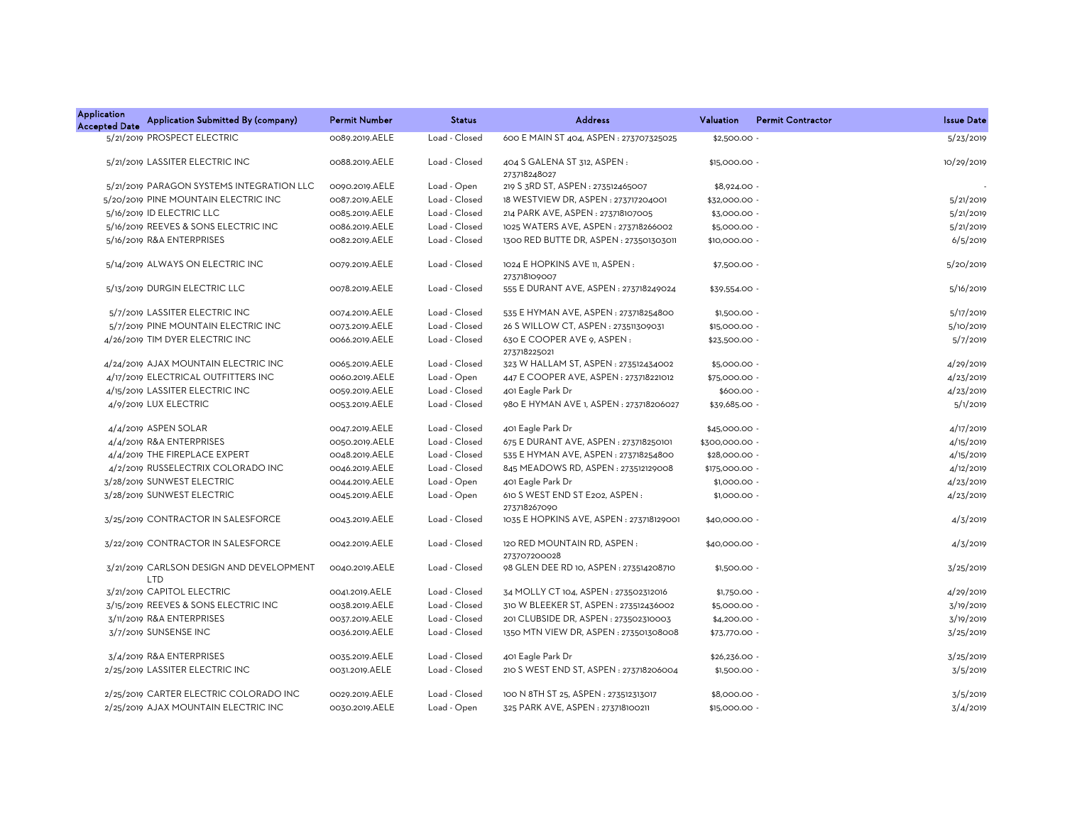| <b>Application</b><br><b>Accepted Date</b> | Application Submitted By (company)              | <b>Permit Number</b> | <b>Status</b> | <b>Address</b>                                 | Valuation      | <b>Permit Contractor</b> | <b>Issue Date</b> |
|--------------------------------------------|-------------------------------------------------|----------------------|---------------|------------------------------------------------|----------------|--------------------------|-------------------|
|                                            | 5/21/2019 PROSPECT ELECTRIC                     | 0089.2019.AELE       | Load - Closed | 600 E MAIN ST 404, ASPEN : 273707325025        | \$2,500.00     |                          | 5/23/2019         |
|                                            | 5/21/2019 LASSITER ELECTRIC INC                 | 0088.2019.AELE       | Load - Closed | 404 S GALENA ST 312, ASPEN :<br>273718248027   | \$15,000.00 -  |                          | 10/29/2019        |
|                                            | 5/21/2019 PARAGON SYSTEMS INTEGRATION LLC       | 0090.2019.AELE       | Load - Open   | 219 S 3RD ST, ASPEN: 273512465007              | \$8,924.00 -   |                          |                   |
|                                            | 5/20/2019 PINE MOUNTAIN ELECTRIC INC            | 0087.2019.AELE       | Load - Closed | 18 WESTVIEW DR, ASPEN : 273717204001           | \$32,000.00 -  |                          | 5/21/2019         |
|                                            | 5/16/2019 ID ELECTRIC LLC                       | 0085.2019.AELE       | Load - Closed | 214 PARK AVE, ASPEN : 273718107005             | \$3,000.00 -   |                          | 5/21/2019         |
|                                            | 5/16/2019 REEVES & SONS ELECTRIC INC            | 0086.2019.AELE       | Load - Closed | 1025 WATERS AVE, ASPEN: 273718266002           | \$5,000.00 -   |                          | 5/21/2019         |
|                                            | 5/16/2019 R&A ENTERPRISES                       | 0082.2019.AELE       | Load - Closed | 1300 RED BUTTE DR, ASPEN: 273501303011         | \$10,000.00 -  |                          | 6/5/2019          |
|                                            | 5/14/2019 ALWAYS ON ELECTRIC INC                | 0079.2019.AELE       | Load - Closed | 1024 E HOPKINS AVE 11, ASPEN:<br>273718109007  | \$7,500.00 -   |                          | 5/20/2019         |
|                                            | 5/13/2019 DURGIN ELECTRIC LLC                   | 0078.2019.AELE       | Load - Closed | 555 E DURANT AVE, ASPEN : 273718249024         | \$39,554.00 -  |                          | 5/16/2019         |
|                                            | 5/7/2019 LASSITER ELECTRIC INC                  | 0074.2019.AELE       | Load - Closed | 535 E HYMAN AVE, ASPEN : 273718254800          | \$1,500.00 -   |                          | 5/17/2019         |
|                                            | 5/7/2019 PINE MOUNTAIN ELECTRIC INC             | 0073.2019.AELE       | Load - Closed | 26 S WILLOW CT, ASPEN : 273511309031           | \$15,000.00 -  |                          | 5/10/2019         |
|                                            | 4/26/2019 TIM DYER ELECTRIC INC                 | 0066.2019.AELE       | Load - Closed | 630 E COOPER AVE 9, ASPEN:<br>273718225021     | \$23,500.00 -  |                          | 5/7/2019          |
|                                            | 4/24/2019 AJAX MOUNTAIN ELECTRIC INC            | 0065.2019.AELE       | Load - Closed | 323 W HALLAM ST, ASPEN: 273512434002           | \$5,000.00 -   |                          | 4/29/2019         |
|                                            | 4/17/2019 ELECTRICAL OUTFITTERS INC             | 0060.2019.AELE       | Load - Open   | 447 E COOPER AVE, ASPEN : 273718221012         | \$75,000.00 -  |                          | 4/23/2019         |
|                                            | 4/15/2019 LASSITER ELECTRIC INC                 | 0059.2019.AELE       | Load - Closed | 401 Eagle Park Dr                              | \$600.00 -     |                          | 4/23/2019         |
|                                            | 4/9/2019 LUX ELECTRIC                           | 0053.2019.AELE       | Load - Closed | 980 E HYMAN AVE 1, ASPEN : 273718206027        | \$39,685.00 -  |                          | 5/1/2019          |
|                                            | 4/4/2019 ASPEN SOLAR                            | 0047.2019.AELE       | Load - Closed | 401 Eagle Park Dr                              | \$45,000.00 -  |                          | 4/17/2019         |
|                                            | 4/4/2019 R&A ENTERPRISES                        | 0050.2019.AELE       | Load - Closed | 675 E DURANT AVE, ASPEN : 273718250101         | \$300,000.00 - |                          | 4/15/2019         |
|                                            | 4/4/2019 THE FIREPLACE EXPERT                   | 0048.2019.AELE       | Load - Closed | 535 E HYMAN AVE, ASPEN : 273718254800          | \$28,000.00 -  |                          | 4/15/2019         |
|                                            | 4/2/2019 RUSSELECTRIX COLORADO INC              | 0046.2019.AELE       | Load - Closed | 845 MEADOWS RD, ASPEN: 273512129008            | \$175,000.00 - |                          | 4/12/2019         |
|                                            | 3/28/2019 SUNWEST ELECTRIC                      | 0044.2019.AELE       | Load - Open   | 401 Eagle Park Dr                              | \$1,000.00 -   |                          | 4/23/2019         |
|                                            | 3/28/2019 SUNWEST ELECTRIC                      | 0045.2019.AELE       | Load - Open   | 610 S WEST END ST E202, ASPEN:<br>273718267090 | \$1,000.00 -   |                          | 4/23/2019         |
|                                            | 3/25/2019 CONTRACTOR IN SALESFORCE              | 0043.2019.AELE       | Load - Closed | 1035 E HOPKINS AVE, ASPEN: 273718129001        | \$40,000.00 -  |                          | 4/3/2019          |
|                                            | 3/22/2019 CONTRACTOR IN SALESFORCE              | 0042.2019.AELE       | Load - Closed | 120 RED MOUNTAIN RD, ASPEN:<br>273707200028    | \$40,000.00 -  |                          | 4/3/2019          |
|                                            | 3/21/2019 CARLSON DESIGN AND DEVELOPMENT<br>LTD | 0040.2019.AELE       | Load - Closed | 98 GLEN DEE RD 10, ASPEN : 273514208710        | $$1,500.00 -$  |                          | 3/25/2019         |
|                                            | 3/21/2019 CAPITOL ELECTRIC                      | 0041.2019.AELE       | Load - Closed | 34 MOLLY CT 104, ASPEN : 273502312016          | $$1,750.00 -$  |                          | 4/29/2019         |
|                                            | 3/15/2019 REEVES & SONS ELECTRIC INC            | 0038.2019.AELE       | Load - Closed | 310 W BLEEKER ST, ASPEN: 273512436002          | \$5,000.00 -   |                          | 3/19/2019         |
|                                            | 3/11/2019 R&A ENTERPRISES                       | 0037.2019.AELE       | Load - Closed | 201 CLUBSIDE DR, ASPEN: 273502310003           | \$4,200.00 -   |                          | 3/19/2019         |
|                                            | 3/7/2019 SUNSENSE INC                           | 0036.2019.AELE       | Load - Closed | 1350 MTN VIEW DR, ASPEN: 273501308008          | \$73,770.00 -  |                          | 3/25/2019         |
|                                            | 3/4/2019 R&A ENTERPRISES                        | 0035.2019.AELE       | Load - Closed | 401 Eagle Park Dr                              | \$26,236.00 -  |                          | 3/25/2019         |
|                                            | 2/25/2019 LASSITER ELECTRIC INC                 | 0031.2019.AELE       | Load - Closed | 210 S WEST END ST, ASPEN : 273718206004        | $$1,500.00 -$  |                          | 3/5/2019          |
|                                            | 2/25/2019 CARTER ELECTRIC COLORADO INC          | 0029.2019.AELE       | Load - Closed | 100 N 8TH ST 25, ASPEN: 273512313017           | \$8,000.00     |                          | 3/5/2019          |
|                                            | 2/25/2019 AJAX MOUNTAIN ELECTRIC INC            | 0030.2019.AELE       | Load - Open   | 325 PARK AVE, ASPEN: 273718100211              | \$15,000.00 -  |                          | 3/4/2019          |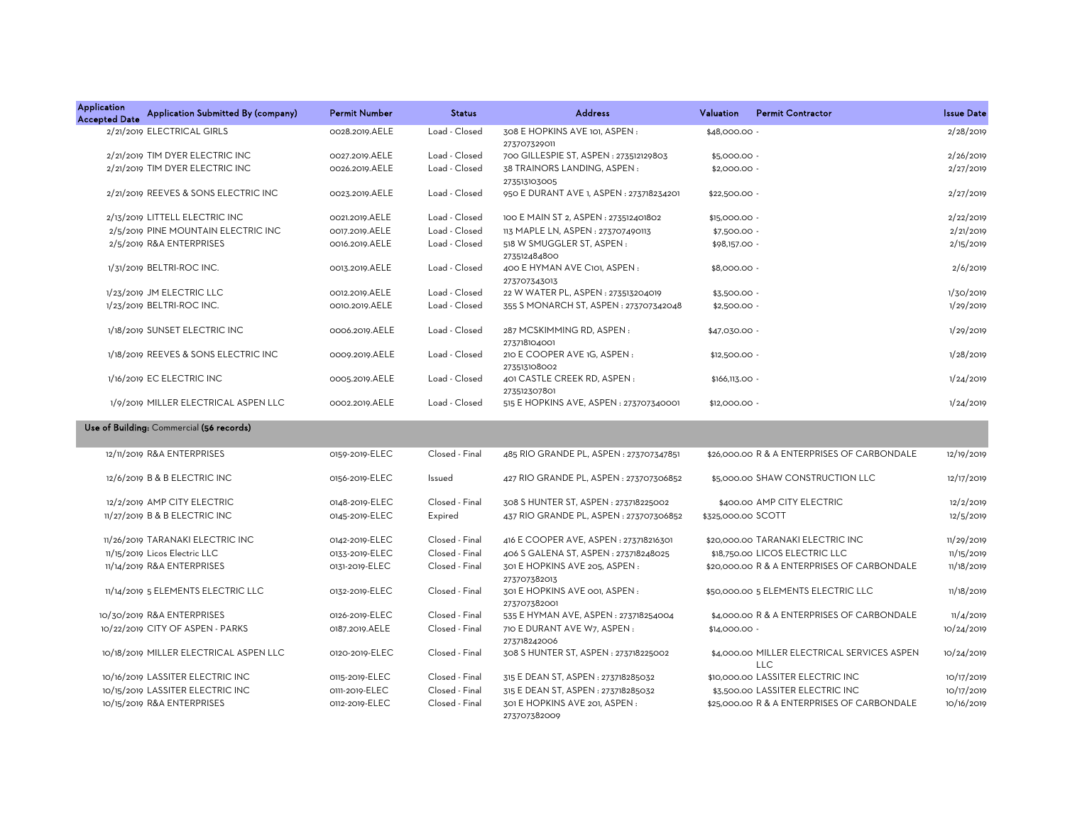| <b>Application</b><br><b>Accepted Date</b> | Application Submitted By (company)       | <b>Permit Number</b> | <b>Status</b> | <b>Address</b>                                | Valuation      | <b>Permit Contractor</b> | <b>Issue Date</b> |
|--------------------------------------------|------------------------------------------|----------------------|---------------|-----------------------------------------------|----------------|--------------------------|-------------------|
|                                            | 2/21/2019 ELECTRICAL GIRLS               | 0028.2019.AELE       | Load - Closed | 308 E HOPKINS AVE 101, ASPEN:<br>273707329011 | \$48,000.00 -  |                          | 2/28/2019         |
|                                            | 2/21/2019 TIM DYER ELECTRIC INC          | 0027.2019.AELE       | Load - Closed | 700 GILLESPIE ST, ASPEN: 273512129803         | $$5,000.00 -$  |                          | 2/26/2019         |
|                                            | 2/21/2019 TIM DYER ELECTRIC INC          | 0026.2019.AELE       | Load - Closed | 38 TRAINORS LANDING, ASPEN:<br>273513103005   | $$2,000.00 -$  |                          | 2/27/2019         |
|                                            | 2/21/2019 REEVES & SONS ELECTRIC INC     | 0023.2019.AELE       | Load - Closed | 950 E DURANT AVE 1, ASPEN : 273718234201      | $$22,500.00 -$ |                          | 2/27/2019         |
|                                            | 2/13/2019 LITTELL ELECTRIC INC           | 0021.2019.AELE       | Load - Closed | 100 E MAIN ST 2, ASPEN : 273512401802         | \$15,000.00 -  |                          | 2/22/2019         |
|                                            | 2/5/2019 PINE MOUNTAIN ELECTRIC INC      | 0017.2019.AELE       | Load - Closed | 113 MAPLE LN, ASPEN : 273707490113            | \$7,500.00 -   |                          | 2/21/2019         |
|                                            | 2/5/2019 R&A ENTERPRISES                 | 0016.2019.AELE       | Load - Closed | 518 W SMUGGLER ST. ASPEN:<br>273512484800     | \$98,157.00 -  |                          | 2/15/2019         |
|                                            | 1/31/2019 BELTRI-ROC INC.                | 0013.2019.AELE       | Load - Closed | 400 E HYMAN AVE C101, ASPEN:<br>273707343013  | $$8,000.00 -$  |                          | 2/6/2019          |
|                                            | 1/23/2019 JM ELECTRIC LLC                | 0012.2019.AELE       | Load - Closed | 22 W WATER PL, ASPEN: 273513204019            | $$3,500.00 -$  |                          | 1/30/2019         |
|                                            | 1/23/2019 BELTRI-ROC INC.                | 0010.2019.AELE       | Load - Closed | 355 S MONARCH ST, ASPEN: 273707342048         | $$2,500.00 -$  |                          | 1/29/2019         |
|                                            | 1/18/2019 SUNSET ELECTRIC INC            | 0006.2019.AELE       | Load - Closed | 287 MCSKIMMING RD, ASPEN:<br>273718104001     | \$47,030.00 -  |                          | 1/29/2019         |
|                                            | 1/18/2019 REEVES & SONS ELECTRIC INC     | 0009.2019.AELE       | Load - Closed | 210 E COOPER AVE 1G. ASPEN:<br>273513108002   | $$12,500.00 -$ |                          | 1/28/2019         |
|                                            | 1/16/2019 EC ELECTRIC INC                | 0005.2019.AELE       | Load - Closed | 401 CASTLE CREEK RD, ASPEN:<br>273512307801   | \$166,113.00 - |                          | 1/24/2019         |
|                                            | 1/9/2019 MILLER ELECTRICAL ASPEN LLC     | 0002.2019.AELE       | Load - Closed | 515 E HOPKINS AVE, ASPEN : 273707340001       | \$12,000.00 -  |                          | 1/24/2019         |
|                                            | Use of Building: Commercial (56 records) |                      |               |                                               |                |                          |                   |

| 12/11/2019 R&A ENTERPRISES             | 0159-2019-ELEC | Closed - Final | 485 RIO GRANDE PL, ASPEN : 273707347851       | \$26,000.00 R & A ENTERPRISES OF CARBONDALE         | 12/19/2019 |
|----------------------------------------|----------------|----------------|-----------------------------------------------|-----------------------------------------------------|------------|
| 12/6/2019 B & B ELECTRIC INC           | 0156-2019-ELEC | Issued         | 427 RIO GRANDE PL, ASPEN : 273707306852       | \$5,000.00 SHAW CONSTRUCTION LLC                    | 12/17/2019 |
| 12/2/2019 AMP CITY ELECTRIC            | 0148-2019-ELEC | Closed - Final | 308 S HUNTER ST, ASPEN: 273718225002          | \$400.00 AMP CITY ELECTRIC                          | 12/2/2019  |
| 11/27/2019 B & B ELECTRIC INC          | 0145-2019-ELEC | Expired        | 437 RIO GRANDE PL, ASPEN: 273707306852        | \$325,000.00 SCOTT                                  | 12/5/2019  |
| 11/26/2019 TARANAKI ELECTRIC INC       | 0142-2019-ELEC | Closed - Final | 416 E COOPER AVE, ASPEN: 273718216301         | \$20,000.00 TARANAKI ELECTRIC INC                   | 11/29/2019 |
| 11/15/2019 Licos Electric LLC          | 0133-2019-ELEC | Closed - Final | 406 S GALENA ST, ASPEN : 273718248025         | \$18,750.00 LICOS ELECTRIC LLC                      | 11/15/2019 |
| 11/14/2019 R&A ENTERPRISES             | 0131-2019-ELEC | Closed - Final | 301 E HOPKINS AVE 205, ASPEN:<br>273707382013 | \$20,000.00 R & A ENTERPRISES OF CARBONDALE         | 11/18/2019 |
| 11/14/2019 5 ELEMENTS ELECTRIC LLC     | 0132-2019-ELEC | Closed - Final | 301 E HOPKINS AVE 001, ASPEN:<br>273707382001 | \$50,000.00 5 ELEMENTS ELECTRIC LLC                 | 11/18/2019 |
| 10/30/2019 R&A ENTERPRISES             | 0126-2019-ELEC | Closed - Final | 535 E HYMAN AVE, ASPEN : 273718254004         | \$4,000.00 R & A ENTERPRISES OF CARBONDALE          | 11/4/2019  |
| 10/22/2019 CITY OF ASPEN - PARKS       | 0187.2019.AELE | Closed - Final | 710 E DURANT AVE W7, ASPEN:<br>273718242006   | \$14,000.00 -                                       | 10/24/2019 |
| 10/18/2019 MILLER ELECTRICAL ASPEN LLC | 0120-2019-ELEC | Closed - Final | 308 S HUNTER ST, ASPEN: 273718225002          | \$4,000.00 MILLER ELECTRICAL SERVICES ASPEN<br>LLC. | 10/24/2019 |
| 10/16/2019 LASSITER ELECTRIC INC       | 0115-2019-ELEC | Closed - Final | 315 E DEAN ST, ASPEN: 273718285032            | \$10,000.00 LASSITER ELECTRIC INC                   | 10/17/2019 |
| 10/15/2019 LASSITER ELECTRIC INC       | 0111-2019-ELEC | Closed - Final | 315 E DEAN ST, ASPEN: 273718285032            | \$3,500.00 LASSITER ELECTRIC INC                    | 10/17/2019 |
| 10/15/2019 R&A ENTERPRISES             | 0112-2019-ELEC | Closed - Final | 301 E HOPKINS AVE 201, ASPEN:<br>273707382009 | \$25,000.00 R & A ENTERPRISES OF CARBONDALE         | 10/16/2019 |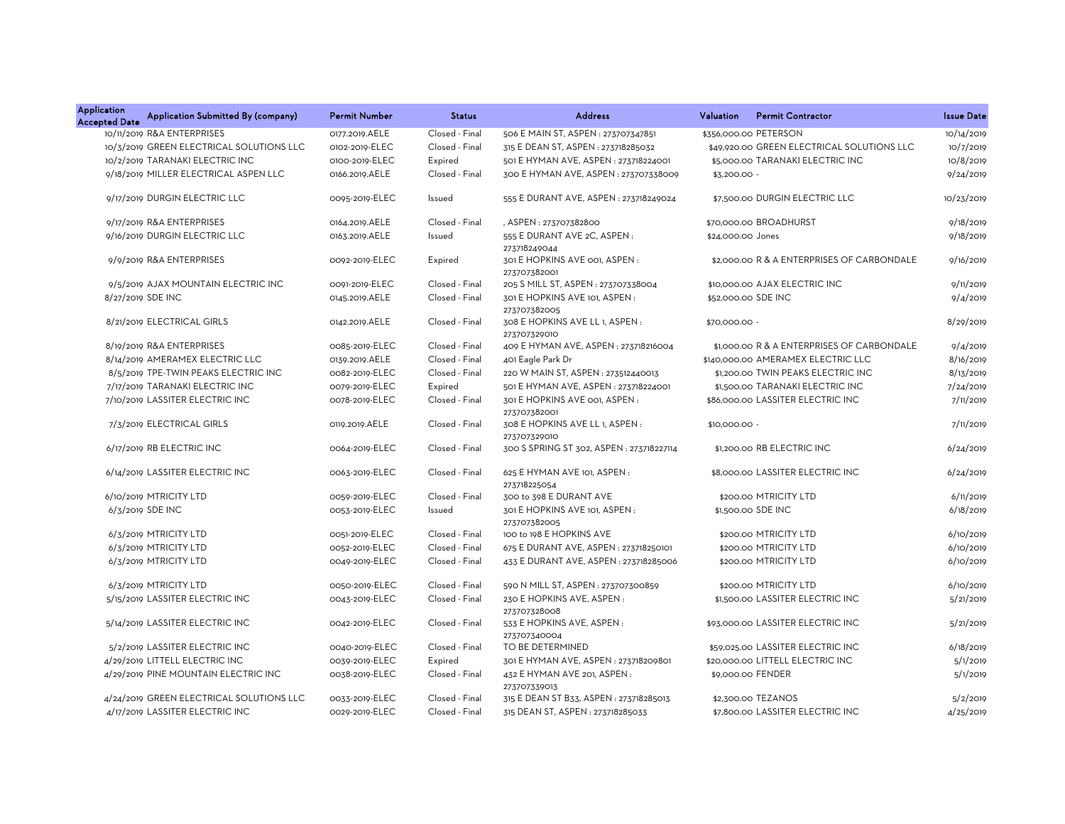| Application<br><b>Accepted Date</b> | Application Submitted By (company)       | <b>Permit Number</b> | <b>Status</b>  | <b>Address</b>                                            | Valuation<br><b>Permit Contractor</b>      | <b>Issue Date</b> |
|-------------------------------------|------------------------------------------|----------------------|----------------|-----------------------------------------------------------|--------------------------------------------|-------------------|
|                                     | 10/11/2019 R&A ENTERPRISES               | 0177.2019.AELE       | Closed - Final | 506 E MAIN ST, ASPEN : 273707347851                       | \$356,000.00 PETERSON                      | 10/14/2019        |
|                                     | 10/3/2019 GREEN ELECTRICAL SOLUTIONS LLC | 0102-2019-ELEC       | Closed - Final | 315 E DEAN ST, ASPEN: 273718285032                        | \$49,920.00 GREEN ELECTRICAL SOLUTIONS LLC | 10/7/2019         |
|                                     | 10/2/2019 TARANAKI ELECTRIC INC          | 0100-2019-ELEC       | Expired        | 501 E HYMAN AVE, ASPEN : 273718224001                     | \$5,000.00 TARANAKI ELECTRIC INC           | 10/8/2019         |
|                                     | 9/18/2019 MILLER ELECTRICAL ASPEN LLC    | 0166.2019.AELE       | Closed - Final | 300 E HYMAN AVE, ASPEN: 273707338009                      | \$3,200.00 -                               | 9/24/2019         |
|                                     | 9/17/2019 DURGIN ELECTRIC LLC            | 0095-2019-ELEC       | Issued         | 555 E DURANT AVE, ASPEN : 273718249024                    | \$7,500.00 DURGIN ELECTRIC LLC             | 10/23/2019        |
|                                     | 9/17/2019 R&A ENTERPRISES                | 0164.2019.AELE       | Closed - Final | , ASPEN: 273707382800                                     | \$70,000.00 BROADHURST                     | 9/18/2019         |
|                                     | 9/16/2019 DURGIN ELECTRIC LLC            | 0163.2019.AELE       | Issued         | 555 E DURANT AVE 2C, ASPEN:                               | \$24,000.00 Jones                          | 9/18/2019         |
|                                     | 9/9/2019 R&A ENTERPRISES                 | 0092-2019-ELEC       | Expired        | 273718249044<br>301 E HOPKINS AVE 001, ASPEN:             | \$2,000.00 R & A ENTERPRISES OF CARBONDALE | 9/16/2019         |
|                                     |                                          |                      |                | 273707382001                                              |                                            |                   |
|                                     | 9/5/2019 AJAX MOUNTAIN ELECTRIC INC      | 0091-2019-ELEC       | Closed - Final | 205 S MILL ST, ASPEN : 273707338004                       | \$10,000,00 AJAX ELECTRIC INC              | 9/11/2019         |
|                                     | 8/27/2019 SDE INC                        | 0145.2019.AELE       | Closed - Final | 301 E HOPKINS AVE 101. ASPEN:<br>273707382005             | \$52,000.00 SDE INC                        | 9/4/2019          |
|                                     | 8/21/2019 ELECTRICAL GIRLS               | 0142.2019.AELE       | Closed - Final | 308 E HOPKINS AVE LL 1, ASPEN:<br>273707329010            | \$70,000.00 -                              | 8/29/2019         |
|                                     | 8/19/2019 R&A ENTERPRISES                | 0085-2019-ELEC       | Closed - Final | 409 E HYMAN AVE, ASPEN: 273718216004                      | \$1,000.00 R & A ENTERPRISES OF CARBONDALE | 9/4/2019          |
|                                     | 8/14/2019 AMERAMEX ELECTRIC LLC          | 0139.2019.AELE       | Closed - Final | 401 Eagle Park Dr                                         | \$140,000.00 AMERAMEX ELECTRIC LLC         | 8/16/2019         |
|                                     | 8/5/2019 TPE-TWIN PEAKS ELECTRIC INC     | 0082-2019-ELEC       | Closed - Final | 220 W MAIN ST, ASPEN : 273512440013                       | \$1,200.00 TWIN PEAKS ELECTRIC INC         | 8/13/2019         |
|                                     | 7/17/2019 TARANAKI ELECTRIC INC          | 0079-2019-ELEC       | Expired        | 501 E HYMAN AVE, ASPEN: 273718224001                      | \$1,500.00 TARANAKI ELECTRIC INC           | 7/24/2019         |
|                                     | 7/10/2019 LASSITER ELECTRIC INC          | 0078-2019-ELEC       | Closed - Final | 301 E HOPKINS AVE 001. ASPEN:                             | \$86,000,00 LASSITER ELECTRIC INC          | 7/11/2019         |
|                                     | 7/3/2019 ELECTRICAL GIRLS                | 0119.2019.AELE       | Closed - Final | 273707382001<br>308 E HOPKINS AVE LL 1, ASPEN :           | \$10,000.00 -                              | 7/11/2019         |
|                                     | 6/17/2019 RB ELECTRIC INC                | 0064-2019-ELEC       | Closed - Final | 273707329010<br>300 S SPRING ST 302, ASPEN : 273718227114 | \$1,200.00 RB ELECTRIC INC                 | 6/24/2019         |
|                                     | 6/14/2019 LASSITER ELECTRIC INC          | 0063-2019-ELEC       | Closed - Final | 625 E HYMAN AVE 101, ASPEN:<br>273718225054               | \$8,000.00 LASSITER ELECTRIC INC           | 6/24/2019         |
|                                     | 6/10/2019 MTRICITY LTD                   | 0059-2019-ELEC       | Closed - Final | 300 to 398 E DURANT AVE                                   | \$200.00 MTRICITY LTD                      | 6/11/2019         |
|                                     | 6/3/2019 SDE INC                         | 0053-2019-ELEC       | Issued         | 301 E HOPKINS AVE 101, ASPEN:<br>273707382005             | \$1,500.00 SDE INC                         | 6/18/2019         |
|                                     | 6/3/2019 MTRICITY LTD                    | 0051-2019-ELEC       | Closed - Final | 100 to 198 E HOPKINS AVE                                  | \$200.00 MTRICITY LTD                      | 6/10/2019         |
|                                     | 6/3/2019 MTRICITY LTD                    | 0052-2019-ELEC       | Closed - Final | 675 E DURANT AVE, ASPEN : 273718250101                    | \$200.00 MTRICITY LTD                      | 6/10/2019         |
|                                     | 6/3/2019 MTRICITY LTD                    | 0049-2019-ELEC       | Closed - Final | 433 E DURANT AVE, ASPEN : 273718285006                    | \$200.00 MTRICITY LTD                      | 6/10/2019         |
|                                     | 6/3/2019 MTRICITY LTD                    | 0050-2019-ELEC       | Closed - Final | 590 N MILL ST, ASPEN : 273707300859                       | \$200.00 MTRICITY LTD                      | 6/10/2019         |
|                                     | 5/15/2019 LASSITER ELECTRIC INC          | 0043-2019-ELEC       | Closed - Final | 230 E HOPKINS AVE, ASPEN:                                 | \$1,500.00 LASSITER ELECTRIC INC           | 5/21/2019         |
|                                     | 5/14/2019 LASSITER ELECTRIC INC          | 0042-2019-ELEC       | Closed - Final | 273707328008<br>533 E HOPKINS AVE, ASPEN:<br>273707340004 | \$93,000.00 LASSITER ELECTRIC INC          | 5/21/2019         |
|                                     | 5/2/2019 LASSITER ELECTRIC INC           | 0040-2019-ELEC       | Closed - Final | TO BE DETERMINED                                          | \$59,025.00 LASSITER ELECTRIC INC          | 6/18/2019         |
|                                     | 4/29/2019 LITTELL ELECTRIC INC           | 0039-2019-ELEC       | Expired        | 301 E HYMAN AVE, ASPEN: 273718209801                      | \$20,000.00 LITTELL ELECTRIC INC           | 5/1/2019          |
|                                     | 4/29/2019 PINE MOUNTAIN ELECTRIC INC     | 0038-2019-ELEC       | Closed - Final | 432 E HYMAN AVE 201, ASPEN:<br>273707339013               | \$9,000.00 FENDER                          | 5/1/2019          |
|                                     | 4/24/2019 GREEN ELECTRICAL SOLUTIONS LLC | 0033-2019-ELEC       | Closed - Final | 315 E DEAN ST B33, ASPEN : 273718285013                   | \$2,300.00 TEZANOS                         | 5/2/2019          |
|                                     | 4/17/2019 LASSITER ELECTRIC INC          | 0029-2019-ELEC       | Closed - Final | 315 DEAN ST, ASPEN: 273718285033                          | \$7,800.00 LASSITER ELECTRIC INC           | 4/25/2019         |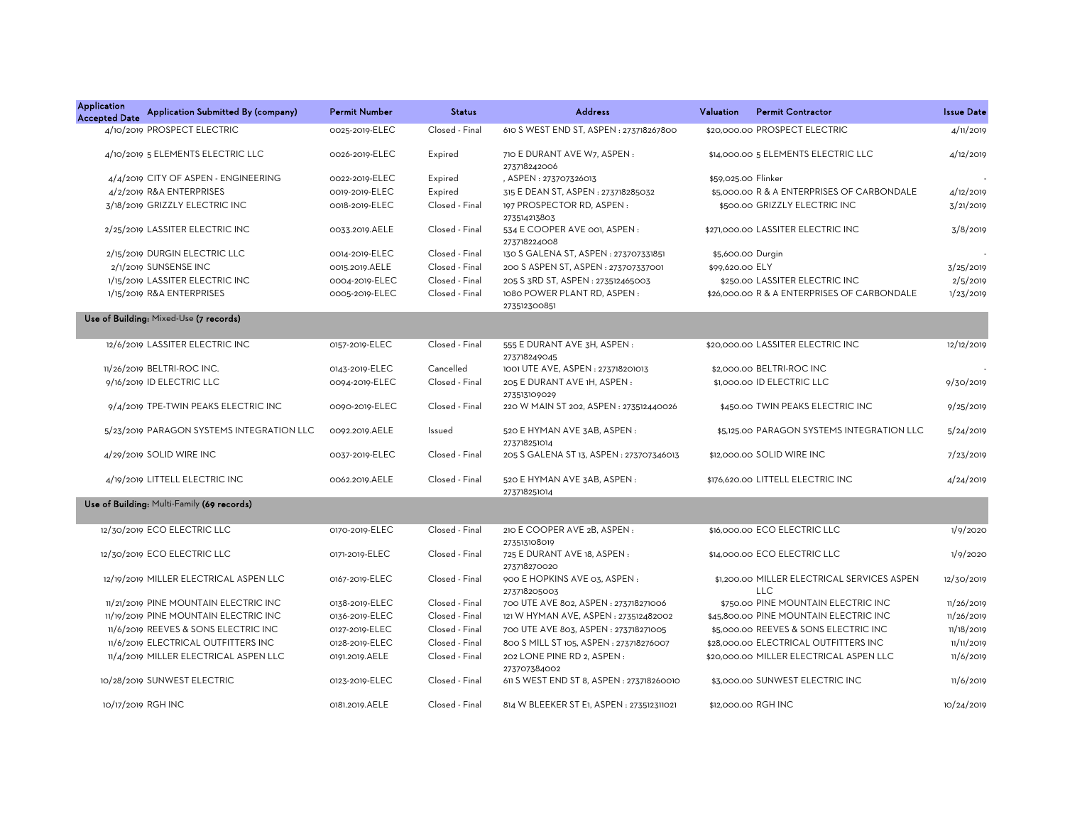| <b>Application</b><br><b>Accepted Date</b> | Application Submitted By (company)         | <b>Permit Number</b> | <b>Status</b>  | <b>Address</b>                               | Valuation           | <b>Permit Contractor</b>                                  | <b>Issue Date</b> |
|--------------------------------------------|--------------------------------------------|----------------------|----------------|----------------------------------------------|---------------------|-----------------------------------------------------------|-------------------|
|                                            | 4/10/2019 PROSPECT ELECTRIC                | 0025-2019-ELEC       | Closed - Final | 610 S WEST END ST, ASPEN : 273718267800      |                     | \$20,000,00 PROSPECT ELECTRIC                             | 4/11/2019         |
|                                            | 4/10/2019 5 ELEMENTS ELECTRIC LLC          | 0026-2019-ELEC       | Expired        | 710 E DURANT AVE W7, ASPEN:<br>273718242006  |                     | \$14,000.00 5 ELEMENTS ELECTRIC LLC                       | 4/12/2019         |
|                                            | 4/4/2019 CITY OF ASPEN - ENGINEERING       | 0022-2019-ELEC       | Expired        | , ASPEN: 273707326013                        | \$59.025.00 Flinker |                                                           |                   |
|                                            | 4/2/2019 R&A ENTERPRISES                   | 0019-2019-ELEC       | Expired        | 315 E DEAN ST, ASPEN : 273718285032          |                     | \$5,000.00 R & A ENTERPRISES OF CARBONDALE                | 4/12/2019         |
|                                            | 3/18/2019 GRIZZLY ELECTRIC INC             | 0018-2019-ELEC       | Closed - Final | 197 PROSPECTOR RD. ASPEN:<br>273514213803    |                     | \$500.00 GRIZZLY ELECTRIC INC                             | 3/21/2019         |
|                                            | 2/25/2019 LASSITER ELECTRIC INC            | 0033.2019.AELE       | Closed - Final | 534 E COOPER AVE 001, ASPEN:<br>273718224008 |                     | \$271,000.00 LASSITER ELECTRIC INC                        | 3/8/2019          |
|                                            | 2/15/2019 DURGIN ELECTRIC LLC              | 0014-2019-ELEC       | Closed - Final | 130 S GALENA ST, ASPEN : 273707331851        |                     | \$5,600.00 Durgin                                         |                   |
|                                            | 2/1/2019 SUNSENSE INC                      | 0015.2019.AELE       | Closed - Final | 200 S ASPEN ST, ASPEN: 273707337001          | \$99,620.00 ELY     |                                                           | 3/25/2019         |
|                                            | 1/15/2019 LASSITER ELECTRIC INC            | 0004-2019-ELEC       | Closed - Final | 205 S 3RD ST, ASPEN : 273512465003           |                     | \$250.00 LASSITER ELECTRIC INC                            | 2/5/2019          |
|                                            | 1/15/2019 R&A ENTERPRISES                  | 0005-2019-ELEC       | Closed - Final | 1080 POWER PLANT RD, ASPEN:<br>273512300851  |                     | \$26,000.00 R & A ENTERPRISES OF CARBONDALE               | 1/23/2019         |
|                                            | Use of Building: Mixed-Use (7 records)     |                      |                |                                              |                     |                                                           |                   |
|                                            | 12/6/2019 LASSITER ELECTRIC INC            | 0157-2019-ELEC       | Closed - Final | 555 E DURANT AVE 3H, ASPEN:<br>273718249045  |                     | \$20,000.00 LASSITER ELECTRIC INC                         | 12/12/2019        |
|                                            | 11/26/2019 BELTRI-ROC INC.                 | 0143-2019-ELEC       | Cancelled      | 1001 UTE AVE, ASPEN : 273718201013           |                     | \$2,000.00 BELTRI-ROC INC                                 |                   |
|                                            | 9/16/2019 ID ELECTRIC LLC                  | 0094-2019-ELEC       | Closed - Final | 205 E DURANT AVE 1H, ASPEN:<br>273513109029  |                     | \$1,000.00 ID ELECTRIC LLC                                | 9/30/2019         |
|                                            | 9/4/2019 TPE-TWIN PEAKS ELECTRIC INC       | 0090-2019-ELEC       | Closed - Final | 220 W MAIN ST 202, ASPEN : 273512440026      |                     | \$450.00 TWIN PEAKS ELECTRIC INC                          | 9/25/2019         |
|                                            | 5/23/2019 PARAGON SYSTEMS INTEGRATION LLC  | 0092.2019.AELE       | Issued         | 520 E HYMAN AVE 3AB, ASPEN:<br>273718251014  |                     | \$5,125.00 PARAGON SYSTEMS INTEGRATION LLC                | 5/24/2019         |
|                                            | 4/29/2019 SOLID WIRE INC                   | 0037-2019-ELEC       | Closed - Final | 205 S GALENA ST 13, ASPEN : 273707346013     |                     | \$12,000.00 SOLID WIRE INC                                | 7/23/2019         |
|                                            | 4/19/2019 LITTELL ELECTRIC INC             | 0062.2019.AELE       | Closed - Final | 520 E HYMAN AVE 3AB, ASPEN:<br>273718251014  |                     | \$176,620.00 LITTELL ELECTRIC INC                         | 4/24/2019         |
|                                            | Use of Building: Multi-Family (69 records) |                      |                |                                              |                     |                                                           |                   |
|                                            | 12/30/2019 ECO ELECTRIC LLC                | 0170-2019-ELEC       | Closed - Final | 210 E COOPER AVE 2B, ASPEN :<br>273513108019 |                     | \$16,000.00 ECO ELECTRIC LLC                              | 1/9/2020          |
|                                            | 12/30/2019 ECO ELECTRIC LLC                | 0171-2019-ELEC       | Closed - Final | 725 E DURANT AVE 18, ASPEN :<br>273718270020 |                     | \$14,000.00 ECO ELECTRIC LLC                              | 1/9/2020          |
|                                            | 12/19/2019 MILLER ELECTRICAL ASPEN LLC     | 0167-2019-ELEC       | Closed - Final | 900 E HOPKINS AVE 03, ASPEN:<br>273718205003 |                     | \$1,200.00 MILLER ELECTRICAL SERVICES ASPEN<br><b>LLC</b> | 12/30/2019        |
|                                            | 11/21/2019 PINE MOUNTAIN ELECTRIC INC      | 0138-2019-ELEC       | Closed - Final | 700 UTE AVE 802, ASPEN: 273718271006         |                     | \$750.00 PINE MOUNTAIN ELECTRIC INC                       | 11/26/2019        |
|                                            | 11/19/2019 PINE MOUNTAIN ELECTRIC INC      | 0136-2019-ELEC       | Closed - Final | 121 W HYMAN AVE, ASPEN: 273512482002         |                     | \$45,800.00 PINE MOUNTAIN ELECTRIC INC                    | 11/26/2019        |
|                                            | 11/6/2019 REEVES & SONS ELECTRIC INC       | 0127-2019-ELEC       | Closed - Final | 700 UTE AVE 803, ASPEN : 273718271005        |                     | \$5,000.00 REEVES & SONS ELECTRIC INC                     | 11/18/2019        |
|                                            | 11/6/2019 ELECTRICAL OUTFITTERS INC        | 0128-2019-ELEC       | Closed - Final | 800 S MILL ST 105, ASPEN : 273718276007      |                     | \$28,000.00 ELECTRICAL OUTFITTERS INC                     | 11/11/2019        |
|                                            | 11/4/2019 MILLER ELECTRICAL ASPEN LLC      | 0191.2019.AELE       | Closed - Final | 202 LONE PINE RD 2, ASPEN :<br>273707384002  |                     | \$20,000.00 MILLER ELECTRICAL ASPEN LLC                   | 11/6/2019         |
|                                            | 10/28/2019 SUNWEST ELECTRIC                | 0123-2019-ELEC       | Closed - Final | 611 S WEST END ST 8, ASPEN : 273718260010    |                     | \$3,000.00 SUNWEST ELECTRIC INC                           | 11/6/2019         |
|                                            | 10/17/2019 RGH INC                         | 0181.2019.AELE       | Closed - Final | 814 W BLEEKER ST E1. ASPEN: 273512311021     |                     | \$12,000,00 RGH INC                                       | 10/24/2019        |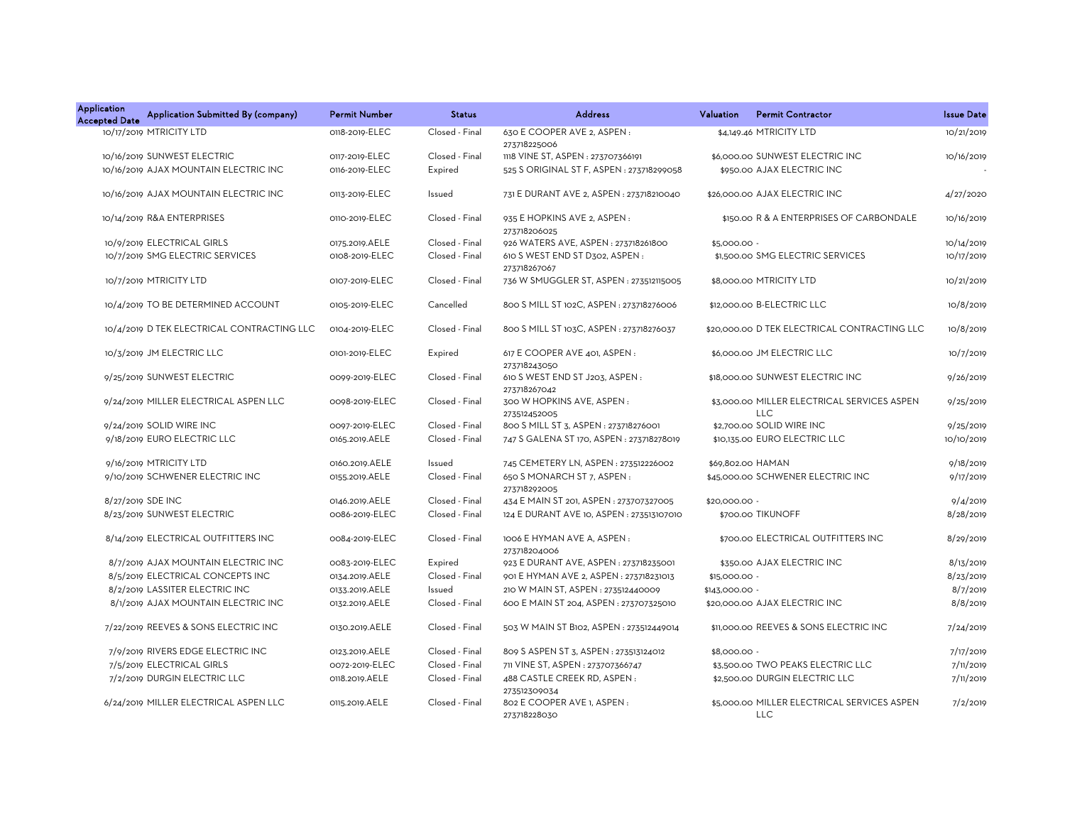| <b>Application</b><br>Application Submitted By (company)<br><b>Accepted Date</b> | <b>Permit Number</b> | <b>Status</b>  | <b>Address</b>                                 | <b>Permit Contractor</b><br>Valuation                     | <b>Issue Date</b> |
|----------------------------------------------------------------------------------|----------------------|----------------|------------------------------------------------|-----------------------------------------------------------|-------------------|
| 10/17/2019 MTRICITY LTD                                                          | 0118-2019-ELEC       | Closed - Final | 630 E COOPER AVE 2, ASPEN :<br>273718225006    | \$4,149.46 MTRICITY LTD                                   | 10/21/2019        |
| 10/16/2019 SUNWEST ELECTRIC                                                      | 0117-2019-ELEC       | Closed - Final | 1118 VINE ST, ASPEN : 273707366191             | \$6,000.00 SUNWEST ELECTRIC INC                           | 10/16/2019        |
| 10/16/2019 AJAX MOUNTAIN ELECTRIC INC                                            | 0116-2019-ELEC       | Expired        | 525 S ORIGINAL ST F, ASPEN : 273718299058      | \$950.00 AJAX ELECTRIC INC                                |                   |
| 10/16/2019 AJAX MOUNTAIN ELECTRIC INC                                            | 0113-2019-ELEC       | Issued         | 731 E DURANT AVE 2, ASPEN : 273718210040       | \$26,000.00 AJAX ELECTRIC INC                             | 4/27/2020         |
| 10/14/2019 R&A ENTERPRISES                                                       | 0110-2019-ELEC       | Closed - Final | 935 E HOPKINS AVE 2, ASPEN :<br>273718206025   | \$150.00 R & A ENTERPRISES OF CARBONDALE                  | 10/16/2019        |
| 10/9/2019 ELECTRICAL GIRLS                                                       | 0175.2019.AELE       | Closed - Final | 926 WATERS AVE, ASPEN : 273718261800           | \$5,000.00 -                                              | 10/14/2019        |
| 10/7/2019 SMG ELECTRIC SERVICES                                                  | 0108-2019-ELEC       | Closed - Final | 610 S WEST END ST D302, ASPEN:                 | \$1,500.00 SMG ELECTRIC SERVICES                          | 10/17/2019        |
|                                                                                  |                      |                | 273718267067                                   |                                                           |                   |
| 10/7/2019 MTRICITY LTD                                                           | 0107-2019-ELEC       | Closed - Final | 736 W SMUGGLER ST, ASPEN : 273512115005        | \$8,000,00 MTRICITY LTD                                   | 10/21/2019        |
| 10/4/2019 TO BE DETERMINED ACCOUNT                                               | 0105-2019-ELEC       | Cancelled      | 800 S MILL ST 102C, ASPEN: 273718276006        | \$12,000.00 B-ELECTRIC LLC                                | 10/8/2019         |
| 10/4/2019 D TEK ELECTRICAL CONTRACTING LLC                                       | 0104-2019-ELEC       | Closed - Final | 800 S MILL ST 103C, ASPEN: 273718276037        | \$20,000.00 D TEK ELECTRICAL CONTRACTING LLC              | 10/8/2019         |
| 10/3/2019 JM ELECTRIC LLC                                                        | 0101-2019-ELEC       | Expired        | 617 E COOPER AVE 401, ASPEN:<br>273718243050   | \$6,000.00 JM ELECTRIC LLC                                | 10/7/2019         |
| 9/25/2019 SUNWEST ELECTRIC                                                       | 0099-2019-ELEC       | Closed - Final | 610 S WEST END ST J203, ASPEN:<br>273718267042 | \$18,000,00 SUNWEST ELECTRIC INC                          | 9/26/2019         |
| 9/24/2019 MILLER ELECTRICAL ASPEN LLC                                            | 0098-2019-ELEC       | Closed - Final | 300 W HOPKINS AVE, ASPEN:<br>273512452005      | \$3,000.00 MILLER ELECTRICAL SERVICES ASPEN<br><b>LLC</b> | 9/25/2019         |
| 9/24/2019 SOLID WIRE INC                                                         | 0097-2019-ELEC       | Closed - Final | 800 S MILL ST 3, ASPEN : 273718276001          | \$2,700.00 SOLID WIRE INC                                 | 9/25/2019         |
| 9/18/2019 EURO ELECTRIC LLC                                                      | 0165.2019.AELE       | Closed - Final | 747 S GALENA ST 170, ASPEN : 273718278019      | \$10,135.00 EURO ELECTRIC LLC                             | 10/10/2019        |
| 9/16/2019 MTRICITY LTD                                                           | 0160.2019.AELE       | Issued         | 745 CEMETERY LN, ASPEN : 273512226002          | \$69,802.00 HAMAN                                         | 9/18/2019         |
| 9/10/2019 SCHWENER ELECTRIC INC                                                  | 0155.2019.AELE       | Closed - Final | 650 S MONARCH ST 7, ASPEN:<br>273718292005     | \$45,000.00 SCHWENER ELECTRIC INC                         | 9/17/2019         |
| 8/27/2019 SDE INC                                                                | 0146.2019.AELE       | Closed - Final | 434 E MAIN ST 201, ASPEN: 273707327005         | \$20,000.00 -                                             | 9/4/2019          |
| 8/23/2019 SUNWEST ELECTRIC                                                       | 0086-2019-ELEC       | Closed - Final | 124 E DURANT AVE 10, ASPEN : 273513107010      | \$700.00 TIKUNOFF                                         | 8/28/2019         |
| 8/14/2019 ELECTRICAL OUTFITTERS INC                                              | 0084-2019-ELEC       | Closed - Final | 1006 E HYMAN AVE A, ASPEN:<br>273718204006     | \$700.00 ELECTRICAL OUTFITTERS INC                        | 8/29/2019         |
| 8/7/2019 AJAX MOUNTAIN ELECTRIC INC                                              | 0083-2019-ELEC       | Expired        | 923 E DURANT AVE, ASPEN : 273718235001         | \$350.00 AJAX ELECTRIC INC                                | 8/13/2019         |
| 8/5/2019 ELECTRICAL CONCEPTS INC                                                 | 0134.2019.AELE       | Closed - Final | 901 E HYMAN AVE 2, ASPEN : 273718231013        | \$15,000.00 -                                             | 8/23/2019         |
| 8/2/2019 LASSITER ELECTRIC INC                                                   | 0133.2019.AELE       | Issued         | 210 W MAIN ST, ASPEN : 273512440009            | \$143,000.00 -                                            | 8/7/2019          |
| 8/1/2019 AJAX MOUNTAIN ELECTRIC INC                                              | 0132.2019.AELE       | Closed - Final | 600 E MAIN ST 204, ASPEN : 273707325010        | \$20,000.00 AJAX ELECTRIC INC                             | 8/8/2019          |
| 7/22/2019 REEVES & SONS ELECTRIC INC                                             | 0130.2019.AELE       | Closed - Final | 503 W MAIN ST B102, ASPEN : 273512449014       | \$11,000.00 REEVES & SONS ELECTRIC INC                    | 7/24/2019         |
| 7/9/2019 RIVERS EDGE ELECTRIC INC                                                | 0123.2019.AELE       | Closed - Final | 809 S ASPEN ST 3, ASPEN : 273513124012         | \$8,000.00 -                                              | 7/17/2019         |
| 7/5/2019 ELECTRICAL GIRLS                                                        | 0072-2019-ELEC       | Closed - Final | 711 VINE ST, ASPEN : 273707366747              | \$3,500.00 TWO PEAKS ELECTRIC LLC                         | 7/11/2019         |
| 7/2/2019 DURGIN ELECTRIC LLC                                                     | 0118.2019.AELE       | Closed - Final | 488 CASTLE CREEK RD, ASPEN:<br>273512309034    | \$2,500.00 DURGIN ELECTRIC LLC                            | 7/11/2019         |
| 6/24/2019 MILLER ELECTRICAL ASPEN LLC                                            | 0115.2019.AELE       | Closed - Final | 802 E COOPER AVE 1, ASPEN :<br>273718228030    | \$5,000.00 MILLER ELECTRICAL SERVICES ASPEN<br><b>LLC</b> | 7/2/2019          |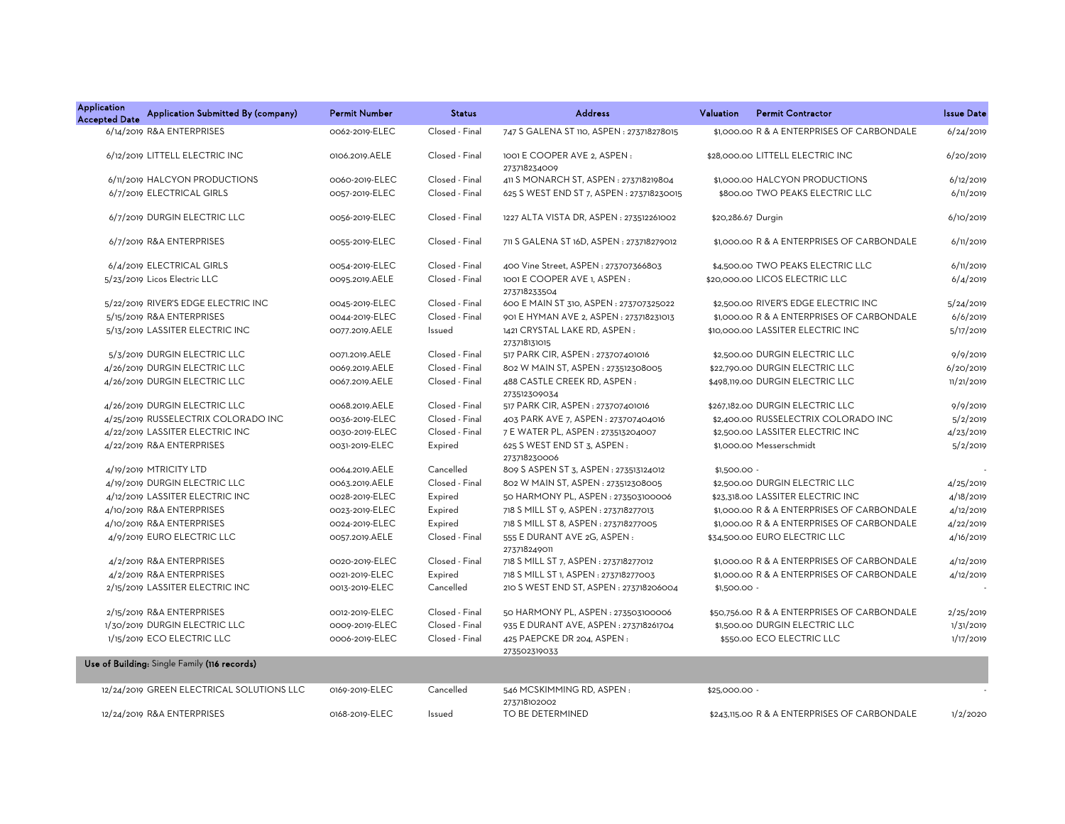| <b>Application</b><br><b>Accepted Date</b> | Application Submitted By (company)           | <b>Permit Number</b> | <b>Status</b>  | <b>Address</b>                               | Valuation          | <b>Permit Contractor</b>                     | <b>Issue Date</b> |
|--------------------------------------------|----------------------------------------------|----------------------|----------------|----------------------------------------------|--------------------|----------------------------------------------|-------------------|
|                                            | 6/14/2019 R&A ENTERPRISES                    | 0062-2019-ELEC       | Closed - Final | 747 S GALENA ST 110, ASPEN : 273718278015    |                    | \$1,000,00 R & A ENTERPRISES OF CARBONDALE   | 6/24/2019         |
|                                            | 6/12/2019 LITTELL ELECTRIC INC               | 0106.2019.AELE       | Closed - Final | 1001 E COOPER AVE 2, ASPEN:<br>273718234009  |                    | \$28,000.00 LITTELL ELECTRIC INC             | 6/20/2019         |
|                                            | 6/11/2019 HALCYON PRODUCTIONS                | 0060-2019-ELEC       | Closed - Final | 411 S MONARCH ST, ASPEN : 273718219804       |                    | \$1,000.00 HALCYON PRODUCTIONS               | 6/12/2019         |
|                                            | 6/7/2019 ELECTRICAL GIRLS                    | 0057-2019-ELEC       | Closed - Final | 625 S WEST END ST 7, ASPEN : 273718230015    |                    | \$800.00 TWO PEAKS ELECTRIC LLC              | 6/11/2019         |
|                                            | 6/7/2019 DURGIN ELECTRIC LLC                 | 0056-2019-ELEC       | Closed - Final | 1227 ALTA VISTA DR, ASPEN: 273512261002      | \$20,286.67 Durgin |                                              | 6/10/2019         |
|                                            | 6/7/2019 R&A ENTERPRISES                     | 0055-2019-ELEC       | Closed - Final | 711 S GALENA ST 16D, ASPEN : 273718279012    |                    | \$1,000.00 R & A ENTERPRISES OF CARBONDALE   | 6/11/2019         |
|                                            | 6/4/2019 ELECTRICAL GIRLS                    | 0054-2019-ELEC       | Closed - Final | 400 Vine Street, ASPEN: 273707366803         |                    | \$4,500.00 TWO PEAKS ELECTRIC LLC            | 6/11/2019         |
|                                            | 5/23/2019 Licos Electric LLC                 | 0095.2019.AELE       | Closed - Final | 1001 E COOPER AVE 1, ASPEN:<br>273718233504  |                    | \$20,000.00 LICOS ELECTRIC LLC               | 6/4/2019          |
|                                            | 5/22/2019 RIVER'S EDGE ELECTRIC INC          | 0045-2019-ELEC       | Closed - Final | 600 E MAIN ST 310, ASPEN : 273707325022      |                    | \$2,500.00 RIVER'S EDGE ELECTRIC INC         | 5/24/2019         |
|                                            | 5/15/2019 R&A ENTERPRISES                    | 0044-2019-ELEC       | Closed - Final | 901 E HYMAN AVE 2, ASPEN : 273718231013      |                    | \$1,000.00 R & A ENTERPRISES OF CARBONDALE   | 6/6/2019          |
|                                            | 5/13/2019 LASSITER ELECTRIC INC              | 0077.2019.AELE       | Issued         | 1421 CRYSTAL LAKE RD, ASPEN:<br>273718131015 |                    | \$10,000.00 LASSITER ELECTRIC INC            | 5/17/2019         |
|                                            | 5/3/2019 DURGIN ELECTRIC LLC                 | 0071.2019.AELE       | Closed - Final | 517 PARK CIR, ASPEN : 273707401016           |                    | \$2,500.00 DURGIN ELECTRIC LLC               | 9/9/2019          |
|                                            | 4/26/2019 DURGIN ELECTRIC LLC                | 0069.2019.AELE       | Closed - Final | 802 W MAIN ST, ASPEN : 273512308005          |                    | \$22,790.00 DURGIN ELECTRIC LLC              | 6/20/2019         |
|                                            | 4/26/2019 DURGIN ELECTRIC LLC                | 0067.2019.AELE       | Closed - Final | 488 CASTLE CREEK RD, ASPEN:<br>273512309034  |                    | \$498,119.00 DURGIN ELECTRIC LLC             | 11/21/2019        |
|                                            | 4/26/2019 DURGIN ELECTRIC LLC                | 0068.2019.AELE       | Closed - Final | 517 PARK CIR, ASPEN : 273707401016           |                    | \$267.182.00 DURGIN ELECTRIC LLC             | 9/9/2019          |
|                                            | 4/25/2019 RUSSELECTRIX COLORADO INC          | 0036-2019-ELEC       | Closed - Final | 403 PARK AVE 7, ASPEN : 273707404016         |                    | \$2,400.00 RUSSELECTRIX COLORADO INC         | 5/2/2019          |
|                                            | 4/22/2019 LASSITER ELECTRIC INC              | 0030-2019-ELEC       | Closed - Final | 7 E WATER PL, ASPEN : 273513204007           |                    | \$2,500.00 LASSITER ELECTRIC INC             | 4/23/2019         |
|                                            | 4/22/2019 R&A ENTERPRISES                    | 0031-2019-ELEC       | Expired        | 625 S WEST END ST 3, ASPEN :<br>273718230006 |                    | \$1,000.00 Messerschmidt                     | 5/2/2019          |
|                                            | 4/19/2019 MTRICITY LTD                       | 0064.2019.AELE       | Cancelled      | 809 S ASPEN ST 3, ASPEN : 273513124012       | $$1,500.00 -$      |                                              |                   |
|                                            | 4/19/2019 DURGIN ELECTRIC LLC                | 0063.2019.AELE       | Closed - Final | 802 W MAIN ST, ASPEN : 273512308005          |                    | \$2,500.00 DURGIN ELECTRIC LLC               | 4/25/2019         |
|                                            | 4/12/2019 LASSITER ELECTRIC INC              | 0028-2019-ELEC       | Expired        | 50 HARMONY PL, ASPEN: 273503100006           |                    | \$23,318.00 LASSITER ELECTRIC INC            | 4/18/2019         |
|                                            | 4/10/2019 R&A ENTERPRISES                    | 0023-2019-ELEC       | Expired        | 718 S MILL ST 9, ASPEN : 273718277013        |                    | \$1,000.00 R & A ENTERPRISES OF CARBONDALE   | 4/12/2019         |
|                                            | 4/10/2019 R&A ENTERPRISES                    | 0024-2019-ELEC       | Expired        | 718 S MILL ST 8, ASPEN : 273718277005        |                    | \$1,000.00 R & A ENTERPRISES OF CARBONDALE   | 4/22/2019         |
|                                            | 4/9/2019 EURO ELECTRIC LLC                   | 0057.2019.AELE       | Closed - Final | 555 E DURANT AVE 2G, ASPEN:<br>273718249011  |                    | \$34,500.00 EURO ELECTRIC LLC                | 4/16/2019         |
|                                            | 4/2/2019 R&A ENTERPRISES                     | 0020-2019-ELEC       | Closed - Final | 718 S MILL ST 7, ASPEN : 273718277012        |                    | \$1,000,00 R & A ENTERPRISES OF CARBONDALE   | 4/12/2019         |
|                                            | 4/2/2019 R&A ENTERPRISES                     | 0021-2019-ELEC       | Expired        | 718 S MILL ST 1, ASPEN : 273718277003        |                    | \$1,000,00 R & A ENTERPRISES OF CARBONDALE   | 4/12/2019         |
|                                            | 2/15/2019 LASSITER ELECTRIC INC              | 0013-2019-ELEC       | Cancelled      | 210 S WEST END ST, ASPEN : 273718206004      | \$1,500.00 -       |                                              |                   |
|                                            | 2/15/2019 R&A ENTERPRISES                    | 0012-2019-ELEC       | Closed - Final | 50 HARMONY PL, ASPEN : 273503100006          |                    | \$50,756.00 R & A ENTERPRISES OF CARBONDALE  | 2/25/2019         |
|                                            | 1/30/2019 DURGIN ELECTRIC LLC                | 0009-2019-ELEC       | Closed - Final | 935 E DURANT AVE, ASPEN : 273718261704       |                    | \$1,500.00 DURGIN ELECTRIC LLC               | 1/31/2019         |
|                                            | 1/15/2019 ECO ELECTRIC LLC                   | 0006-2019-ELEC       | Closed - Final | 425 PAEPCKE DR 204, ASPEN:<br>273502319033   |                    | \$550.00 ECO ELECTRIC LLC                    | 1/17/2019         |
|                                            | Use of Building: Single Family (116 records) |                      |                |                                              |                    |                                              |                   |
|                                            | 12/24/2019 GREEN ELECTRICAL SOLUTIONS LLC    | 0169-2019-ELEC       | Cancelled      | 546 MCSKIMMING RD, ASPEN:<br>273718102002    | \$25,000.00 -      |                                              |                   |
|                                            | 12/24/2019 R&A ENTERPRISES                   | 0168-2019-ELEC       | Issued         | TO BE DETERMINED                             |                    | \$243,115.00 R & A ENTERPRISES OF CARBONDALE | 1/2/2020          |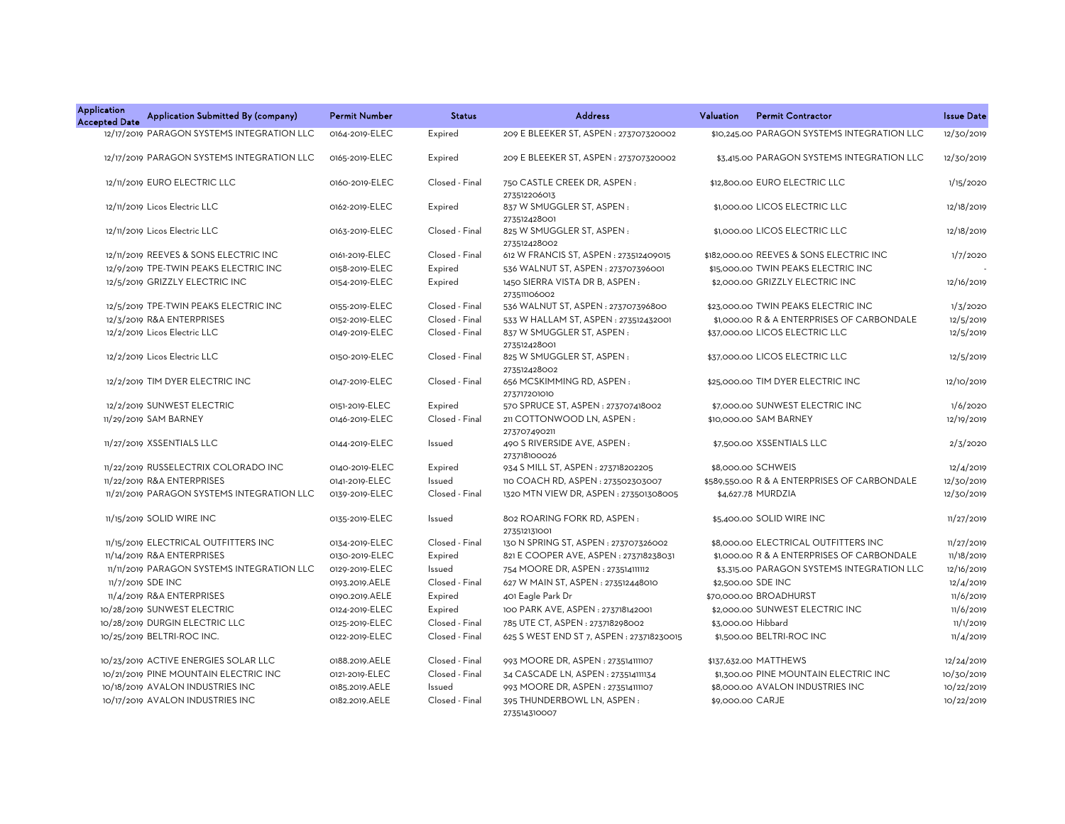| <b>Application</b><br><b>Accepted Date</b> | Application Submitted By (company)         | <b>Permit Number</b> | <b>Status</b>  | <b>Address</b>                                 | <b>Permit Contractor</b><br>Valuation        | <b>Issue Date</b> |
|--------------------------------------------|--------------------------------------------|----------------------|----------------|------------------------------------------------|----------------------------------------------|-------------------|
|                                            | 12/17/2019 PARAGON SYSTEMS INTEGRATION LLC | 0164-2019-ELEC       | Expired        | 209 E BLEEKER ST, ASPEN : 273707320002         | \$10,245.00 PARAGON SYSTEMS INTEGRATION LLC  | 12/30/2019        |
|                                            | 12/17/2019 PARAGON SYSTEMS INTEGRATION LLC | 0165-2019-ELEC       | Expired        | 209 E BLEEKER ST, ASPEN: 273707320002          | \$3,415.00 PARAGON SYSTEMS INTEGRATION LLC   | 12/30/2019        |
|                                            | 12/11/2019 EURO ELECTRIC LLC               | 0160-2019-ELEC       | Closed - Final | 750 CASTLE CREEK DR, ASPEN:<br>273512206013    | \$12,800,00 EURO ELECTRIC LLC                | 1/15/2020         |
|                                            | 12/11/2019 Licos Electric LLC              | 0162-2019-ELEC       | Expired        | 837 W SMUGGLER ST, ASPEN:<br>273512428001      | \$1,000.00 LICOS ELECTRIC LLC                | 12/18/2019        |
|                                            | 12/11/2019 Licos Electric LLC              | 0163-2019-ELEC       | Closed - Final | 825 W SMUGGLER ST, ASPEN:<br>273512428002      | \$1,000.00 LICOS ELECTRIC LLC                | 12/18/2019        |
|                                            | 12/11/2019 REEVES & SONS ELECTRIC INC      | 0161-2019-ELEC       | Closed - Final | 612 W FRANCIS ST, ASPEN : 273512409015         | \$182,000.00 REEVES & SONS ELECTRIC INC      | 1/7/2020          |
|                                            | 12/9/2019 TPE-TWIN PEAKS ELECTRIC INC      | 0158-2019-ELEC       | Expired        | 536 WALNUT ST, ASPEN: 273707396001             | \$15,000.00 TWIN PEAKS ELECTRIC INC          |                   |
|                                            | 12/5/2019 GRIZZLY ELECTRIC INC             | 0154-2019-ELEC       | Expired        | 1450 SIERRA VISTA DR B, ASPEN:<br>273511106002 | \$2,000.00 GRIZZLY ELECTRIC INC              | 12/16/2019        |
|                                            | 12/5/2019 TPE-TWIN PEAKS ELECTRIC INC      | 0155-2019-ELEC       | Closed - Final | 536 WALNUT ST, ASPEN: 273707396800             | \$23,000.00 TWIN PEAKS ELECTRIC INC          | 1/3/2020          |
|                                            | 12/3/2019 R&A ENTERPRISES                  | 0152-2019-ELEC       | Closed - Final | 533 W HALLAM ST, ASPEN : 273512432001          | \$1,000.00 R & A ENTERPRISES OF CARBONDALE   | 12/5/2019         |
|                                            | 12/2/2019 Licos Electric LLC               | 0149-2019-ELEC       | Closed - Final | 837 W SMUGGLER ST, ASPEN:<br>273512428001      | \$37,000.00 LICOS ELECTRIC LLC               | 12/5/2019         |
|                                            | 12/2/2019 Licos Electric LLC               | 0150-2019-ELEC       | Closed - Final | 825 W SMUGGLER ST, ASPEN:<br>273512428002      | \$37,000.00 LICOS ELECTRIC LLC               | 12/5/2019         |
|                                            | 12/2/2019 TIM DYER ELECTRIC INC            | 0147-2019-ELEC       | Closed - Final | 656 MCSKIMMING RD, ASPEN:<br>273717201010      | \$25,000.00 TIM DYER ELECTRIC INC            | 12/10/2019        |
|                                            | 12/2/2019 SUNWEST ELECTRIC                 | 0151-2019-ELEC       | Expired        | 570 SPRUCE ST, ASPEN : 273707418002            | \$7,000.00 SUNWEST ELECTRIC INC              | 1/6/2020          |
|                                            | 11/29/2019 SAM BARNEY                      | 0146-2019-ELEC       | Closed - Final | 211 COTTONWOOD LN, ASPEN:<br>273707490211      | \$10,000.00 SAM BARNEY                       | 12/19/2019        |
|                                            | 11/27/2019 XSSENTIALS LLC                  | 0144-2019-ELEC       | Issued         | 490 S RIVERSIDE AVE, ASPEN :<br>273718100026   | \$7,500.00 XSSENTIALS LLC                    | 2/3/2020          |
|                                            | 11/22/2019 RUSSELECTRIX COLORADO INC       | 0140-2019-ELEC       | Expired        | 934 S MILL ST, ASPEN : 273718202205            | \$8,000,00 SCHWEIS                           | 12/4/2019         |
|                                            | 11/22/2019 R&A ENTERPRISES                 | 0141-2019-ELEC       | Issued         | 110 COACH RD, ASPEN : 273502303007             | \$589,550.00 R & A ENTERPRISES OF CARBONDALE | 12/30/2019        |
|                                            | 11/21/2019 PARAGON SYSTEMS INTEGRATION LLC | 0139-2019-ELEC       | Closed - Final | 1320 MTN VIEW DR, ASPEN: 273501308005          | \$4,627.78 MURDZIA                           | 12/30/2019        |
|                                            | 11/15/2019 SOLID WIRE INC                  | 0135-2019-ELEC       | Issued         | 802 ROARING FORK RD, ASPEN:<br>273512131001    | \$5,400.00 SOLID WIRE INC                    | 11/27/2019        |
|                                            | 11/15/2019 ELECTRICAL OUTFITTERS INC       | 0134-2019-ELEC       | Closed - Final | 130 N SPRING ST, ASPEN : 273707326002          | \$8,000.00 ELECTRICAL OUTFITTERS INC         | 11/27/2019        |
|                                            | 11/14/2019 R&A ENTERPRISES                 | 0130-2019-ELEC       | Expired        | 821 E COOPER AVE, ASPEN: 273718238031          | \$1,000,00 R & A ENTERPRISES OF CARBONDALE   | 11/18/2019        |
|                                            | 11/11/2019 PARAGON SYSTEMS INTEGRATION LLC | 0129-2019-ELEC       | Issued         | 754 MOORE DR, ASPEN : 273514111112             | \$3,315.00 PARAGON SYSTEMS INTEGRATION LLC   | 12/16/2019        |
|                                            | 11/7/2019 SDE INC                          | 0193.2019.AELE       | Closed - Final | 627 W MAIN ST, ASPEN: 273512448010             | \$2,500.00 SDE INC                           | 12/4/2019         |
|                                            | 11/4/2019 R&A ENTERPRISES                  | 0190.2019.AELE       | Expired        | 401 Eagle Park Dr                              | \$70,000.00 BROADHURST                       | 11/6/2019         |
|                                            | 10/28/2019 SUNWEST ELECTRIC                | 0124-2019-ELEC       | Expired        | 100 PARK AVE, ASPEN: 273718142001              | \$2,000.00 SUNWEST ELECTRIC INC              | 11/6/2019         |
|                                            | 10/28/2019 DURGIN ELECTRIC LLC             | 0125-2019-ELEC       | Closed - Final | 785 UTE CT, ASPEN: 273718298002                | \$3,000.00 Hibbard                           | 11/1/2019         |
|                                            | 10/25/2019 BELTRI-ROC INC.                 | 0122-2019-ELEC       | Closed - Final | 625 S WEST END ST 7, ASPEN : 273718230015      | \$1,500.00 BELTRI-ROC INC                    | 11/4/2019         |
|                                            | 10/23/2019 ACTIVE ENERGIES SOLAR LLC       | 0188.2019.AELE       | Closed - Final | 993 MOORE DR, ASPEN : 273514111107             | \$137,632.00 MATTHEWS                        | 12/24/2019        |
|                                            | 10/21/2019 PINE MOUNTAIN ELECTRIC INC      | 0121-2019-ELEC       | Closed - Final | 34 CASCADE LN, ASPEN : 273514111134            | \$1,300.00 PINE MOUNTAIN ELECTRIC INC        | 10/30/2019        |
|                                            | 10/18/2019 AVALON INDUSTRIES INC           | 0185.2019.AELE       | Issued         | 993 MOORE DR, ASPEN: 273514111107              | \$8,000.00 AVALON INDUSTRIES INC             | 10/22/2019        |
|                                            | 10/17/2019 AVALON INDUSTRIES INC           | 0182.2019.AELE       | Closed - Final | 395 THUNDERBOWL LN, ASPEN:<br>273514310007     | \$9,000.00 CARJE                             | 10/22/2019        |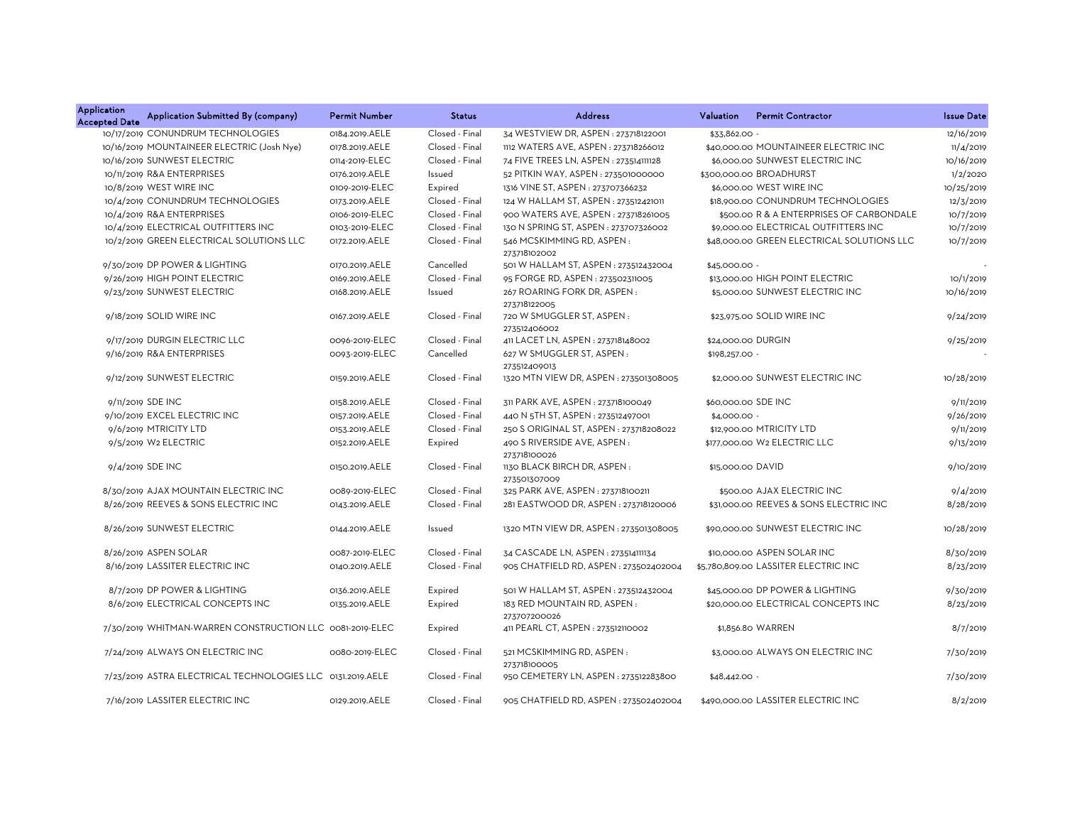| <b>Application</b><br><b>Accepted Date</b> | Application Submitted By (company)                         | <b>Permit Number</b> | <b>Status</b>  | <b>Address</b>                              | Valuation           | <b>Permit Contractor</b>                   | <b>Issue Date</b> |
|--------------------------------------------|------------------------------------------------------------|----------------------|----------------|---------------------------------------------|---------------------|--------------------------------------------|-------------------|
|                                            | 10/17/2019 CONUNDRUM TECHNOLOGIES                          | 0184.2019.AELE       | Closed - Final | 34 WESTVIEW DR, ASPEN: 273718122001         | \$33,862.00         |                                            | 12/16/2019        |
|                                            | 10/16/2019 MOUNTAINEER ELECTRIC (Josh Nye)                 | 0178.2019.AELE       | Closed - Final | 1112 WATERS AVE, ASPEN: 273718266012        |                     | \$40,000,00 MOUNTAINEER ELECTRIC INC       | 11/4/2019         |
|                                            | 10/16/2019 SUNWEST ELECTRIC                                | 0114-2019-ELEC       | Closed - Final | 74 FIVE TREES LN, ASPEN : 273514111128      |                     | \$6,000.00 SUNWEST ELECTRIC INC            | 10/16/2019        |
|                                            | 10/11/2019 R&A ENTERPRISES                                 | 0176.2019.AELE       | Issued         | 52 PITKIN WAY, ASPEN : 273501000000         |                     | \$300,000.00 BROADHURST                    | 1/2/2020          |
|                                            | 10/8/2019 WEST WIRE INC                                    | 0109-2019-ELEC       | Expired        | 1316 VINE ST, ASPEN : 273707366232          |                     | \$6,000,00 WEST WIRE INC                   | 10/25/2019        |
|                                            | 10/4/2019 CONUNDRUM TECHNOLOGIES                           | 0173.2019.AELE       | Closed - Final | 124 W HALLAM ST, ASPEN: 273512421011        |                     | \$18,900.00 CONUNDRUM TECHNOLOGIES         | 12/3/2019         |
|                                            | 10/4/2019 R&A ENTERPRISES                                  | 0106-2019-ELEC       | Closed - Final | 900 WATERS AVE, ASPEN: 273718261005         |                     | \$500.00 R & A ENTERPRISES OF CARBONDALE   | 10/7/2019         |
|                                            | 10/4/2019 ELECTRICAL OUTFITTERS INC                        | 0103-2019-ELEC       | Closed - Final | 130 N SPRING ST, ASPEN : 273707326002       |                     | \$9,000.00 ELECTRICAL OUTFITTERS INC       | 10/7/2019         |
|                                            | 10/2/2019 GREEN ELECTRICAL SOLUTIONS LLC                   | 0172.2019.AELE       | Closed - Final | 546 MCSKIMMING RD, ASPEN:<br>273718102002   |                     | \$48,000.00 GREEN ELECTRICAL SOLUTIONS LLC | 10/7/2019         |
|                                            | 9/30/2019 DP POWER & LIGHTING                              | 0170.2019.AELE       | Cancelled      | 501 W HALLAM ST, ASPEN : 273512432004       | \$45,000.00 -       |                                            |                   |
|                                            | 9/26/2019 HIGH POINT ELECTRIC                              | 0169.2019.AELE       | Closed - Final | 95 FORGE RD, ASPEN: 273502311005            |                     | \$13,000.00 HIGH POINT ELECTRIC            | 10/1/2019         |
|                                            | 9/23/2019 SUNWEST ELECTRIC                                 | 0168.2019.AELE       | Issued         | 267 ROARING FORK DR, ASPEN:<br>273718122005 |                     | \$5,000.00 SUNWEST ELECTRIC INC            | 10/16/2019        |
|                                            | 9/18/2019 SOLID WIRE INC                                   | 0167.2019.AELE       | Closed - Final | 720 W SMUGGLER ST, ASPEN:<br>273512406002   |                     | \$23,975.00 SOLID WIRE INC                 | 9/24/2019         |
|                                            | 9/17/2019 DURGIN ELECTRIC LLC                              | 0096-2019-ELEC       | Closed - Final | 411 LACET LN, ASPEN: 273718148002           | \$24,000.00 DURGIN  |                                            | 9/25/2019         |
|                                            | 9/16/2019 R&A ENTERPRISES                                  | 0093-2019-ELEC       | Cancelled      | 627 W SMUGGLER ST, ASPEN:<br>273512409013   | \$198,257.00 -      |                                            |                   |
|                                            | 9/12/2019 SUNWEST ELECTRIC                                 | 0159.2019.AELE       | Closed - Final | 1320 MTN VIEW DR, ASPEN: 273501308005       |                     | \$2,000.00 SUNWEST ELECTRIC INC            | 10/28/2019        |
|                                            | 9/11/2019 SDE INC                                          | 0158.2019.AELE       | Closed - Final | 311 PARK AVE, ASPEN : 273718100049          | \$60,000.00 SDE INC |                                            | 9/11/2019         |
|                                            | 9/10/2019 EXCEL ELECTRIC INC                               | 0157.2019.AELE       | Closed - Final | 440 N 5TH ST, ASPEN: 273512497001           | \$4,000.00 -        |                                            | 9/26/2019         |
|                                            | 9/6/2019 MTRICITY LTD                                      | 0153.2019.AELE       | Closed - Final | 250 S ORIGINAL ST, ASPEN: 273718208022      |                     | \$12,900.00 MTRICITY LTD                   | 9/11/2019         |
|                                            | 9/5/2019 W2 ELECTRIC                                       | 0152.2019.AELE       | Expired        | 490 S RIVERSIDE AVE, ASPEN:<br>273718100026 |                     | \$177,000.00 W2 ELECTRIC LLC               | 9/13/2019         |
|                                            | 9/4/2019 SDE INC                                           | 0150.2019.AELE       | Closed - Final | 1130 BLACK BIRCH DR, ASPEN:<br>273501307009 | \$15,000.00 DAVID   |                                            | 9/10/2019         |
|                                            | 8/30/2019 AJAX MOUNTAIN ELECTRIC INC                       | 0089-2019-ELEC       | Closed - Final | 325 PARK AVE, ASPEN: 273718100211           |                     | \$500.00 AJAX ELECTRIC INC                 | 9/4/2019          |
|                                            | 8/26/2019 REEVES & SONS ELECTRIC INC                       | 0143.2019.AELE       | Closed - Final | 281 EASTWOOD DR, ASPEN: 273718120006        |                     | \$31,000.00 REEVES & SONS ELECTRIC INC     | 8/28/2019         |
|                                            | 8/26/2019 SUNWEST ELECTRIC                                 | 0144.2019.AELE       | Issued         | 1320 MTN VIEW DR, ASPEN: 273501308005       |                     | \$90,000.00 SUNWEST ELECTRIC INC           | 10/28/2019        |
|                                            | 8/26/2019 ASPEN SOLAR                                      | 0087-2019-ELEC       | Closed - Final | 34 CASCADE LN, ASPEN : 273514111134         |                     | \$10,000.00 ASPEN SOLAR INC                | 8/30/2019         |
|                                            | 8/16/2019 LASSITER ELECTRIC INC                            | 0140.2019.AELE       | Closed - Final | 905 CHATFIELD RD, ASPEN : 273502402004      |                     | \$5,780,809.00 LASSITER ELECTRIC INC       | 8/23/2019         |
|                                            | 8/7/2019 DP POWER & LIGHTING                               | 0136.2019.AELE       | Expired        | 501 W HALLAM ST, ASPEN : 273512432004       |                     | \$45,000.00 DP POWER & LIGHTING            | 9/30/2019         |
|                                            | 8/6/2019 ELECTRICAL CONCEPTS INC                           | 0135.2019.AELE       | Expired        | 183 RED MOUNTAIN RD, ASPEN:<br>273707200026 |                     | \$20,000.00 ELECTRICAL CONCEPTS INC        | 8/23/2019         |
|                                            | 7/30/2019 WHITMAN-WARREN CONSTRUCTION LLC 0081-2019-ELEC   |                      | Expired        | 411 PEARL CT, ASPEN : 273512110002          |                     | \$1,856.80 WARREN                          | 8/7/2019          |
|                                            | 7/24/2019 ALWAYS ON ELECTRIC INC                           | 0080-2019-ELEC       | Closed - Final | 521 MCSKIMMING RD, ASPEN:<br>273718100005   |                     | \$3,000.00 ALWAYS ON ELECTRIC INC          | 7/30/2019         |
|                                            | 7/23/2019 ASTRA ELECTRICAL TECHNOLOGIES LLC 0131.2019.AELE |                      | Closed - Final | 950 CEMETERY LN, ASPEN: 273512283800        | $$48,442.00 -$      |                                            | 7/30/2019         |
|                                            | 7/16/2019 LASSITER ELECTRIC INC                            | 0129.2019.AELE       | Closed - Final | 905 CHATFIELD RD, ASPEN: 273502402004       |                     | \$490,000.00 LASSITER ELECTRIC INC         | 8/2/2019          |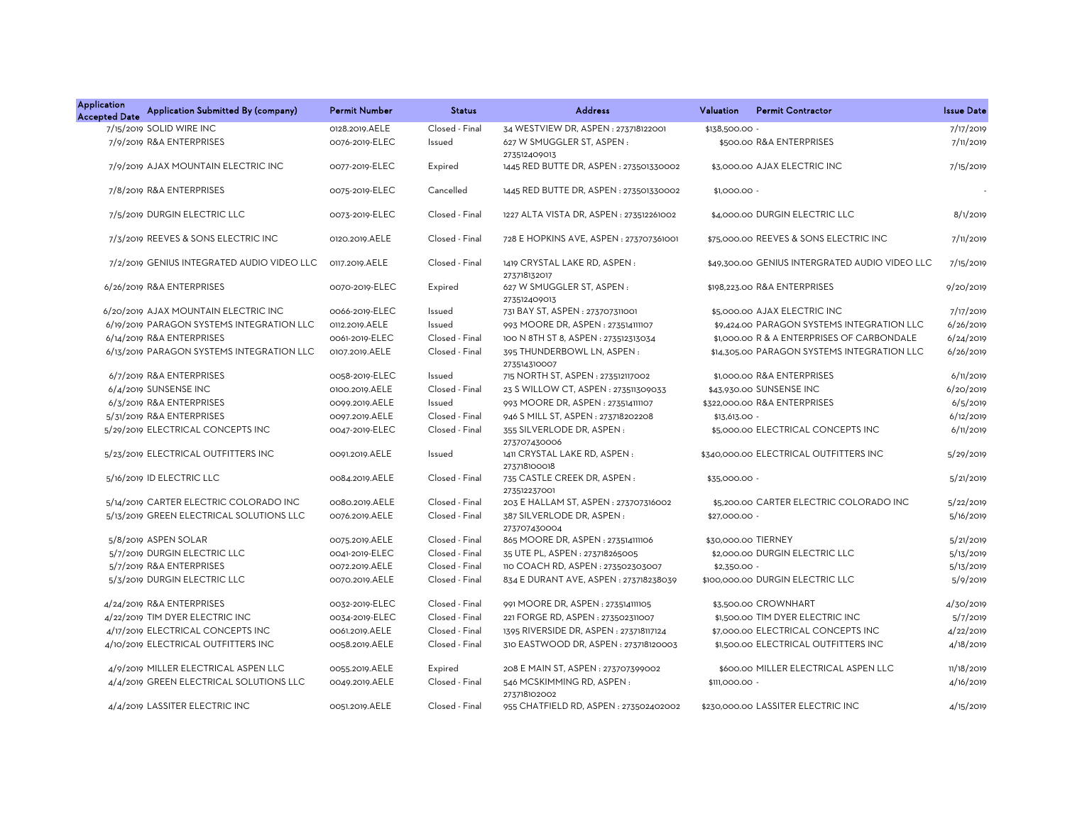| <b>Application</b><br><b>Accepted Date</b> | Application Submitted By (company)         | <b>Permit Number</b> | <b>Status</b>  | <b>Address</b>                               | Valuation      | <b>Permit Contractor</b>                       | <b>Issue Date</b> |
|--------------------------------------------|--------------------------------------------|----------------------|----------------|----------------------------------------------|----------------|------------------------------------------------|-------------------|
|                                            | 7/15/2019 SOLID WIRE INC                   | 0128.2019.AELE       | Closed - Final | 34 WESTVIEW DR, ASPEN : 273718122001         | \$138,500.00   |                                                | 7/17/2019         |
|                                            | 7/9/2019 R&A ENTERPRISES                   | 0076-2019-ELEC       | Issued         | 627 W SMUGGLER ST, ASPEN:<br>273512409013    |                | \$500.00 R&A ENTERPRISES                       | 7/11/2019         |
|                                            | 7/9/2019 AJAX MOUNTAIN ELECTRIC INC        | 0077-2019-ELEC       | Expired        | 1445 RED BUTTE DR, ASPEN : 273501330002      |                | \$3,000.00 AJAX ELECTRIC INC                   | 7/15/2019         |
|                                            | 7/8/2019 R&A ENTERPRISES                   | 0075-2019-ELEC       | Cancelled      | 1445 RED BUTTE DR, ASPEN : 273501330002      | $$1,000.00 -$  |                                                |                   |
|                                            | 7/5/2019 DURGIN ELECTRIC LLC               | 0073-2019-ELEC       | Closed - Final | 1227 ALTA VISTA DR, ASPEN : 273512261002     |                | \$4,000.00 DURGIN ELECTRIC LLC                 | 8/1/2019          |
|                                            | 7/3/2019 REEVES & SONS ELECTRIC INC        | 0120.2019.AELE       | Closed - Final | 728 E HOPKINS AVE, ASPEN: 273707361001       |                | \$75,000.00 REEVES & SONS ELECTRIC INC         | 7/11/2019         |
|                                            | 7/2/2019 GENIUS INTEGRATED AUDIO VIDEO LLC | 0117.2019.AELE       | Closed - Final | 1419 CRYSTAL LAKE RD, ASPEN:<br>273718132017 |                | \$49,300.00 GENIUS INTERGRATED AUDIO VIDEO LLC | 7/15/2019         |
|                                            | 6/26/2019 R&A ENTERPRISES                  | 0070-2019-ELEC       | Expired        | 627 W SMUGGLER ST, ASPEN:<br>273512409013    |                | \$198,223.00 R&A ENTERPRISES                   | 9/20/2019         |
|                                            | 6/20/2019 AJAX MOUNTAIN ELECTRIC INC       | 0066-2019-ELEC       | Issued         | 731 BAY ST, ASPEN : 273707311001             |                | \$5,000.00 AJAX ELECTRIC INC                   | 7/17/2019         |
|                                            | 6/19/2019 PARAGON SYSTEMS INTEGRATION LLC  | 0112.2019.AELE       | Issued         | 993 MOORE DR, ASPEN : 273514111107           |                | \$9,424.00 PARAGON SYSTEMS INTEGRATION LLC     | 6/26/2019         |
|                                            | 6/14/2019 R&A ENTERPRISES                  | 0061-2019-ELEC       | Closed - Final | 100 N 8TH ST 8, ASPEN: 273512313034          |                | \$1,000.00 R & A ENTERPRISES OF CARBONDALE     | 6/24/2019         |
|                                            | 6/13/2019 PARAGON SYSTEMS INTEGRATION LLC  | 0107.2019.AELE       | Closed - Final | 395 THUNDERBOWL LN, ASPEN:<br>273514310007   |                | \$14,305.00 PARAGON SYSTEMS INTEGRATION LLC    | 6/26/2019         |
|                                            | 6/7/2019 R&A ENTERPRISES                   | 0058-2019-ELEC       | Issued         | 715 NORTH ST, ASPEN : 273512117002           |                | \$1,000.00 R&A ENTERPRISES                     | 6/11/2019         |
|                                            | 6/4/2019 SUNSENSE INC                      | 0100.2019.AELE       | Closed - Final | 23 S WILLOW CT, ASPEN: 273511309033          |                | \$43,930.00 SUNSENSE INC                       | 6/20/2019         |
|                                            | 6/3/2019 R&A ENTERPRISES                   | 0099.2019.AELE       | Issued         | 993 MOORE DR, ASPEN : 273514111107           |                | \$322,000.00 R&A ENTERPRISES                   | 6/5/2019          |
|                                            | 5/31/2019 R&A ENTERPRISES                  | 0097.2019.AELE       | Closed - Final | 946 S MILL ST, ASPEN: 273718202208           | $$13,613.00 -$ |                                                | 6/12/2019         |
|                                            | 5/29/2019 ELECTRICAL CONCEPTS INC          | 0047-2019-ELEC       | Closed - Final | 355 SILVERLODE DR, ASPEN:<br>273707430006    |                | \$5,000.00 ELECTRICAL CONCEPTS INC             | 6/11/2019         |
|                                            | 5/23/2019 ELECTRICAL OUTFITTERS INC        | 0091.2019.AELE       | Issued         | 1411 CRYSTAL LAKE RD, ASPEN:<br>273718100018 |                | \$340,000.00 ELECTRICAL OUTFITTERS INC         | 5/29/2019         |
|                                            | 5/16/2019 ID ELECTRIC LLC                  | 0084.2019.AELE       | Closed - Final | 735 CASTLE CREEK DR, ASPEN:<br>273512237001  | \$35,000.00 -  |                                                | 5/21/2019         |
|                                            | 5/14/2019 CARTER ELECTRIC COLORADO INC     | 0080.2019.AELE       | Closed - Final | 203 E HALLAM ST, ASPEN : 273707316002        |                | \$5,200.00 CARTER ELECTRIC COLORADO INC        | 5/22/2019         |
|                                            | 5/13/2019 GREEN ELECTRICAL SOLUTIONS LLC   | 0076.2019.AELE       | Closed - Final | 387 SILVERLODE DR, ASPEN:<br>273707430004    | \$27,000.00 -  |                                                | 5/16/2019         |
|                                            | 5/8/2019 ASPEN SOLAR                       | 0075.2019.AELE       | Closed - Final | 865 MOORE DR, ASPEN : 273514111106           |                | \$30,000.00 TIERNEY                            | 5/21/2019         |
|                                            | 5/7/2019 DURGIN ELECTRIC LLC               | 0041-2019-ELEC       | Closed - Final | 35 UTE PL, ASPEN : 273718265005              |                | \$2,000.00 DURGIN ELECTRIC LLC                 | 5/13/2019         |
|                                            | 5/7/2019 R&A ENTERPRISES                   | 0072.2019.AELE       | Closed - Final | 110 COACH RD, ASPEN: 273502303007            | $$2,350.00 -$  |                                                | 5/13/2019         |
|                                            | 5/3/2019 DURGIN ELECTRIC LLC               | 0070.2019.AELE       | Closed - Final | 834 E DURANT AVE, ASPEN : 273718238039       |                | \$100,000.00 DURGIN ELECTRIC LLC               | 5/9/2019          |
|                                            | 4/24/2019 R&A ENTERPRISES                  | 0032-2019-ELEC       | Closed - Final | 991 MOORE DR, ASPEN : 273514111105           |                | \$3,500.00 CROWNHART                           | 4/30/2019         |
|                                            | 4/22/2019 TIM DYER ELECTRIC INC            | 0034-2019-ELEC       | Closed - Final | 221 FORGE RD, ASPEN : 273502311007           |                | \$1,500.00 TIM DYER ELECTRIC INC               | 5/7/2019          |
|                                            | 4/17/2019 ELECTRICAL CONCEPTS INC          | 0061.2019.AELE       | Closed - Final | 1395 RIVERSIDE DR, ASPEN : 273718117124      |                | \$7,000.00 ELECTRICAL CONCEPTS INC             | 4/22/2019         |
|                                            | 4/10/2019 ELECTRICAL OUTFITTERS INC        | 0058.2019.AELE       | Closed - Final | 310 EASTWOOD DR, ASPEN : 273718120003        |                | \$1,500.00 ELECTRICAL OUTFITTERS INC           | 4/18/2019         |
|                                            | 4/9/2019 MILLER ELECTRICAL ASPEN LLC       | 0055.2019.AELE       | Expired        | 208 E MAIN ST, ASPEN : 273707399002          |                | \$600.00 MILLER ELECTRICAL ASPEN LLC           | 11/18/2019        |
|                                            | 4/4/2019 GREEN ELECTRICAL SOLUTIONS LLC    | 0049.2019.AELE       | Closed - Final | 546 MCSKIMMING RD, ASPEN:<br>273718102002    | \$111,000.00 - |                                                | 4/16/2019         |
|                                            | 4/4/2019 LASSITER ELECTRIC INC             | 0051.2019.AELE       | Closed - Final | 955 CHATFIELD RD, ASPEN: 273502402002        |                | \$230,000,00 LASSITER ELECTRIC INC             | 4/15/2019         |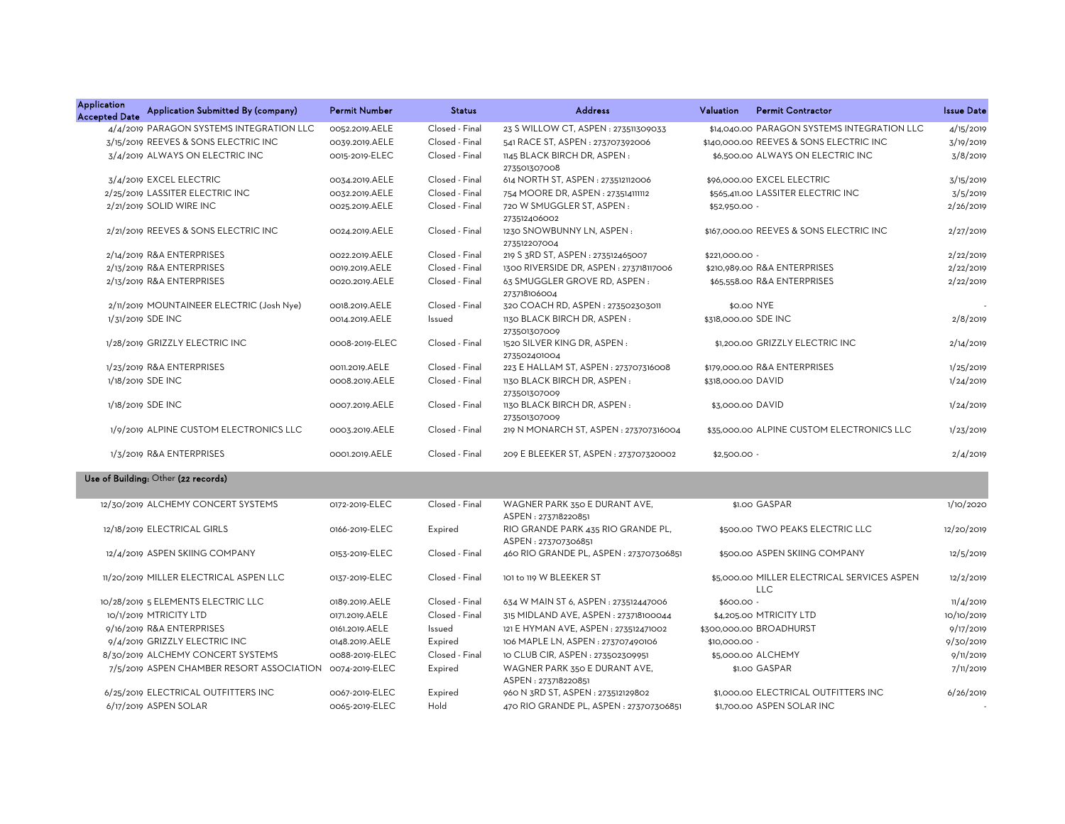| <b>Application</b><br><b>Accepted Date</b> | Application Submitted By (company)        | <b>Permit Number</b> | <b>Status</b>  | <b>Address</b>                                            | Valuation          | <b>Permit Contractor</b>                                  | <b>Issue Date</b> |
|--------------------------------------------|-------------------------------------------|----------------------|----------------|-----------------------------------------------------------|--------------------|-----------------------------------------------------------|-------------------|
|                                            | 4/4/2019 PARAGON SYSTEMS INTEGRATION LLC  | 0052.2019.AELE       | Closed - Final | 23 S WILLOW CT, ASPEN : 273511309033                      |                    | \$14,040.00 PARAGON SYSTEMS INTEGRATION LLC               | 4/15/2019         |
|                                            | 3/15/2019 REEVES & SONS ELECTRIC INC      | 0039.2019.AELE       | Closed - Final | 541 RACE ST, ASPEN: 273707392006                          |                    | \$140,000.00 REEVES & SONS ELECTRIC INC                   | 3/19/2019         |
|                                            | 3/4/2019 ALWAYS ON ELECTRIC INC           | 0015-2019-ELEC       | Closed - Final | 1145 BLACK BIRCH DR, ASPEN:<br>273501307008               |                    | \$6,500.00 ALWAYS ON ELECTRIC INC                         | 3/8/2019          |
|                                            | 3/4/2019 EXCEL ELECTRIC                   | 0034.2019.AELE       | Closed - Final | 614 NORTH ST, ASPEN: 273512112006                         |                    | \$96,000.00 EXCEL ELECTRIC                                | 3/15/2019         |
|                                            | 2/25/2019 LASSITER ELECTRIC INC           | 0032.2019.AELE       | Closed - Final | 754 MOORE DR, ASPEN: 273514111112                         |                    | \$565,411.00 LASSITER ELECTRIC INC                        | 3/5/2019          |
|                                            | 2/21/2019 SOLID WIRE INC                  | 0025.2019.AELE       | Closed - Final | 720 W SMUGGLER ST, ASPEN:<br>273512406002                 | \$52,950.00 -      |                                                           | 2/26/2019         |
|                                            | 2/21/2019 REEVES & SONS ELECTRIC INC      | 0024.2019.AELE       | Closed - Final | 1230 SNOWBUNNY LN, ASPEN:<br>273512207004                 |                    | \$167,000,00 REEVES & SONS ELECTRIC INC                   | 2/27/2019         |
|                                            | 2/14/2019 R&A ENTERPRISES                 | 0022.2019.AELE       | Closed - Final | 219 S 3RD ST, ASPEN: 273512465007                         | \$221,000.00 -     |                                                           | 2/22/2019         |
|                                            | 2/13/2019 R&A ENTERPRISES                 | 0019.2019.AELE       | Closed - Final | 1300 RIVERSIDE DR, ASPEN: 273718117006                    |                    | \$210,989.00 R&A ENTERPRISES                              | 2/22/2019         |
|                                            | 2/13/2019 R&A ENTERPRISES                 | 0020.2019.AELE       | Closed - Final | 63 SMUGGLER GROVE RD, ASPEN:<br>273718106004              |                    | \$65,558.00 R&A ENTERPRISES                               | 2/22/2019         |
|                                            | 2/11/2019 MOUNTAINEER ELECTRIC (Josh Nye) | 0018.2019.AELE       | Closed - Final | 320 COACH RD, ASPEN : 273502303011                        |                    | \$0.00 NYE                                                |                   |
|                                            | 1/31/2019 SDE INC                         | 0014.2019.AELE       | Issued         | 1130 BLACK BIRCH DR, ASPEN:<br>273501307009               |                    | \$318,000.00 SDE INC                                      | 2/8/2019          |
|                                            | 1/28/2019 GRIZZLY ELECTRIC INC            | 0008-2019-ELEC       | Closed - Final | 1520 SILVER KING DR, ASPEN:<br>273502401004               |                    | \$1,200.00 GRIZZLY ELECTRIC INC                           | 2/14/2019         |
|                                            | 1/23/2019 R&A ENTERPRISES                 | 0011.2019.AELE       | Closed - Final | 223 E HALLAM ST, ASPEN: 273707316008                      |                    | \$179,000.00 R&A ENTERPRISES                              | 1/25/2019         |
|                                            | 1/18/2019 SDE INC                         | 0008.2019.AELE       | Closed - Final | 1130 BLACK BIRCH DR, ASPEN:<br>273501307009               | \$318,000.00 DAVID |                                                           | 1/24/2019         |
|                                            | 1/18/2019 SDE INC                         | 0007.2019.AELE       | Closed - Final | 1130 BLACK BIRCH DR, ASPEN:<br>273501307009               | \$3,000.00 DAVID   |                                                           | 1/24/2019         |
|                                            | 1/9/2019 ALPINE CUSTOM ELECTRONICS LLC    | 0003.2019.AELE       | Closed - Final | 219 N MONARCH ST, ASPEN : 273707316004                    |                    | \$35,000.00 ALPINE CUSTOM ELECTRONICS LLC                 | 1/23/2019         |
|                                            | 1/3/2019 R&A ENTERPRISES                  | 0001.2019.AELE       | Closed - Final | 209 E BLEEKER ST, ASPEN : 273707320002                    | $$2,500.00 -$      |                                                           | 2/4/2019          |
|                                            | Use of Building: Other (22 records)       |                      |                |                                                           |                    |                                                           |                   |
|                                            | 12/30/2019 ALCHEMY CONCERT SYSTEMS        | 0172-2019-ELEC       | Closed - Final | WAGNER PARK 350 E DURANT AVE,<br>ASPEN: 273718220851      |                    | \$1.00 GASPAR                                             | 1/10/2020         |
|                                            | 12/18/2019 ELECTRICAL GIRLS               | 0166-2019-ELEC       | Expired        | RIO GRANDE PARK 435 RIO GRANDE PL,<br>ASPEN: 273707306851 |                    | \$500.00 TWO PEAKS ELECTRIC LLC                           | 12/20/2019        |
|                                            | 12/4/2019 ASPEN SKIING COMPANY            | 0153-2019-ELEC       | Closed - Final | 460 RIO GRANDE PL, ASPEN : 273707306851                   |                    | \$500.00 ASPEN SKIING COMPANY                             | 12/5/2019         |
|                                            | 11/20/2019 MILLER ELECTRICAL ASPEN LLC    | 0137-2019-ELEC       | Closed - Final | 101 to 119 W BLEEKER ST                                   |                    | \$5,000.00 MILLER ELECTRICAL SERVICES ASPEN<br><b>LLC</b> | 12/2/2019         |
|                                            | 10/28/2019 5 ELEMENTS ELECTRIC LLC        | 0189.2019.AELE       | Closed - Final | 634 W MAIN ST 6, ASPEN : 273512447006                     | \$600.00 -         |                                                           | 11/4/2019         |
|                                            | 10/1/2019 MTRICITY LTD                    | 0171.2019.AELE       | Closed - Final | 315 MIDLAND AVE, ASPEN: 273718100044                      |                    | \$4,205.00 MTRICITY LTD                                   | 10/10/2019        |
|                                            | 9/16/2019 R&A ENTERPRISES                 | 0161.2019.AELE       | Issued         | 121 E HYMAN AVE, ASPEN : 273512471002                     |                    | \$300,000.00 BROADHURST                                   | 9/17/2019         |
|                                            | 9/4/2019 GRIZZLY ELECTRIC INC             | 0148.2019.AELE       | Expired        | 106 MAPLE LN, ASPEN : 273707490106                        | \$10,000.00 -      |                                                           | 9/30/2019         |
|                                            | 8/30/2019 ALCHEMY CONCERT SYSTEMS         | 0088-2019-ELEC       | Closed - Final | 10 CLUB CIR, ASPEN : 273502309951                         |                    | \$5,000.00 ALCHEMY                                        | 9/11/2019         |
|                                            | 7/5/2019 ASPEN CHAMBER RESORT ASSOCIATION | 0074-2019-ELEC       | Expired        | WAGNER PARK 350 E DURANT AVE,<br>ASPEN: 273718220851      |                    | \$1.00 GASPAR                                             | 7/11/2019         |
|                                            | 6/25/2019 ELECTRICAL OUTFITTERS INC       | 0067-2019-ELEC       | Expired        | 960 N 3RD ST, ASPEN : 273512129802                        |                    | \$1,000.00 ELECTRICAL OUTFITTERS INC                      | 6/26/2019         |

6/17/2019 ASPEN SOLAR 0065-2019-ELEC Hold 470 RIO GRANDE PL, ASPEN : 273707306851 \$1,700.00 ASPEN SOLAR INC -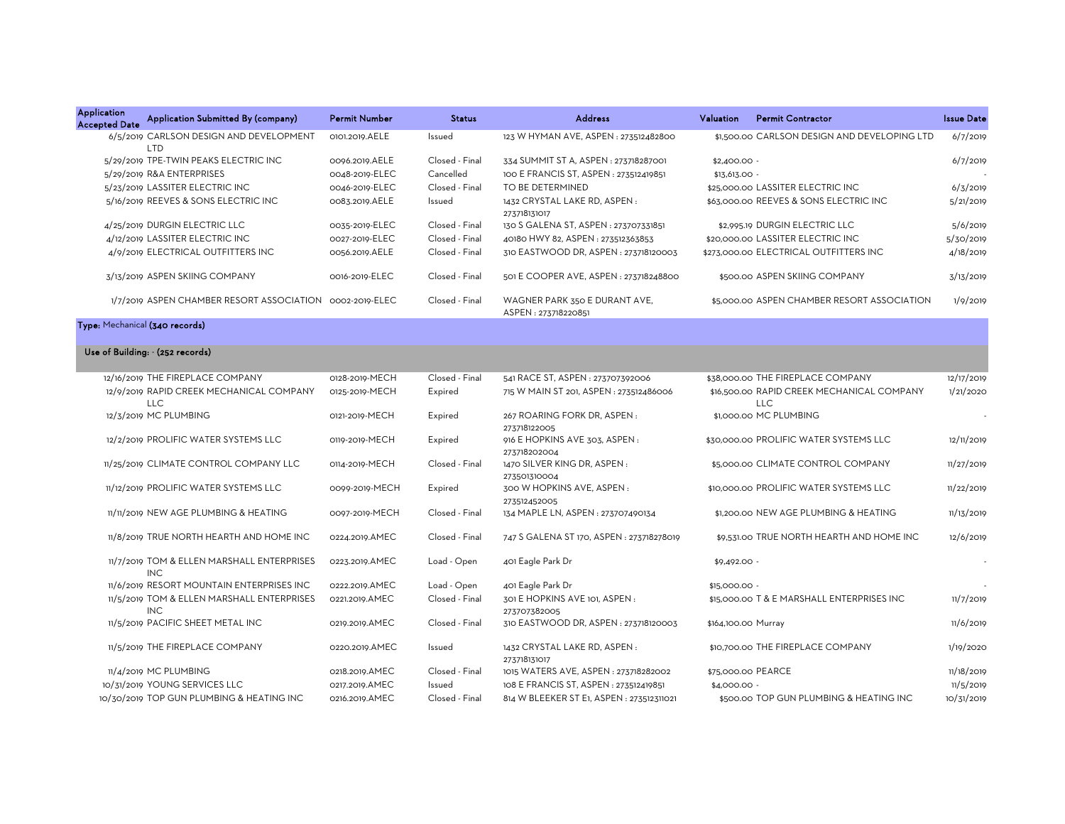| <b>Application</b><br><b>Accepted Date</b> | Application Submitted By (company)                       | <b>Permit Number</b> | <b>Status</b>  | <b>Address</b>                                       | <b>Valuation</b> | <b>Permit Contractor</b>                     | <b>Issue Date</b> |
|--------------------------------------------|----------------------------------------------------------|----------------------|----------------|------------------------------------------------------|------------------|----------------------------------------------|-------------------|
|                                            | 6/5/2019 CARLSON DESIGN AND DEVELOPMENT<br><b>LTD</b>    | 0101.2019.AELE       | Issued         | 123 W HYMAN AVE, ASPEN: 273512482800                 |                  | \$1,500.00 CARLSON DESIGN AND DEVELOPING LTD | 6/7/2019          |
|                                            | 5/29/2019 TPE-TWIN PEAKS ELECTRIC INC                    | 0096.2019.AELE       | Closed - Final | 334 SUMMIT ST A, ASPEN : 273718287001                | $$2,400.00 -$    |                                              | 6/7/2019          |
|                                            | 5/29/2019 R&A ENTERPRISES                                | 0048-2019-ELEC       | Cancelled      | 100 E FRANCIS ST, ASPEN : 273512419851               | $$13,613.00 -$   |                                              |                   |
|                                            | 5/23/2019 LASSITER ELECTRIC INC                          | 0046-2019-ELEC       | Closed - Final | TO BE DETERMINED                                     |                  | \$25,000,00 LASSITER ELECTRIC INC            | 6/3/2019          |
|                                            | 5/16/2019 REEVES & SONS ELECTRIC INC                     | 0083.2019.AELE       | Issued         | 1432 CRYSTAL LAKE RD, ASPEN:<br>273718131017         |                  | \$63,000.00 REEVES & SONS ELECTRIC INC       | 5/21/2019         |
|                                            | 4/25/2019 DURGIN ELECTRIC LLC                            | 0035-2019-ELEC       | Closed - Final | 130 S GALENA ST, ASPEN : 273707331851                |                  | \$2,995.19 DURGIN ELECTRIC LLC               | 5/6/2019          |
|                                            | 4/12/2019 LASSITER ELECTRIC INC                          | 0027-2019-ELEC       | Closed - Final | 40180 HWY 82, ASPEN: 273512363853                    |                  | \$20,000.00 LASSITER ELECTRIC INC            | 5/30/2019         |
|                                            | 4/9/2019 ELECTRICAL OUTFITTERS INC                       | 0056.2019.AELE       | Closed - Final | 310 EASTWOOD DR. ASPEN: 273718120003                 |                  | \$273,000,00 ELECTRICAL OUTFITTERS INC       | 4/18/2019         |
|                                            | 3/13/2019 ASPEN SKIING COMPANY                           | 0016-2019-ELEC       | Closed - Final | 501 E COOPER AVE. ASPEN: 273718248800                |                  | \$500.00 ASPEN SKIING COMPANY                | 3/13/2019         |
|                                            | 1/7/2019 ASPEN CHAMBER RESORT ASSOCIATION 0002-2019-ELEC |                      | Closed - Final | WAGNER PARK 350 E DURANT AVE,<br>ASPEN: 273718220851 |                  | \$5,000.00 ASPEN CHAMBER RESORT ASSOCIATION  | 1/9/2019          |
|                                            | Type: Mechanical (340 records)                           |                      |                |                                                      |                  |                                              |                   |

## Use of Building: - (252 records)

| 12/16/2019 THE FIREPLACE COMPANY                         | 0128-2019-MECH | Closed - Final | 541 RACE ST, ASPEN: 273707392006              | \$38,000.00 THE FIREPLACE COMPANY                        | 12/17/2019 |
|----------------------------------------------------------|----------------|----------------|-----------------------------------------------|----------------------------------------------------------|------------|
| 12/9/2019 RAPID CREEK MECHANICAL COMPANY<br><b>LLC</b>   | 0125-2019-MECH | Expired        | 715 W MAIN ST 201, ASPEN : 273512486006       | \$16,500.00 RAPID CREEK MECHANICAL COMPANY<br><b>LLC</b> | 1/21/2020  |
| 12/3/2019 MC PLUMBING                                    | 0121-2019-MECH | Expired        | 267 ROARING FORK DR, ASPEN:<br>273718122005   | \$1,000.00 MC PLUMBING                                   |            |
| 12/2/2019 PROLIFIC WATER SYSTEMS LLC                     | 0119-2019-MECH | Expired        | 916 E HOPKINS AVE 303, ASPEN:<br>273718202004 | \$30,000,00 PROLIFIC WATER SYSTEMS LLC                   | 12/11/2019 |
| 11/25/2019 CLIMATE CONTROL COMPANY LLC                   | 0114-2019-MECH | Closed - Final | 1470 SILVER KING DR, ASPEN:<br>273501310004   | \$5,000.00 CLIMATE CONTROL COMPANY                       | 11/27/2019 |
| 11/12/2019 PROLIFIC WATER SYSTEMS LLC                    | 0099-2019-MECH | Expired        | 300 W HOPKINS AVE. ASPEN:<br>273512452005     | \$10,000,00 PROLIFIC WATER SYSTEMS LLC                   | 11/22/2019 |
| 11/11/2019 NEW AGE PLUMBING & HEATING                    | 0097-2019-MECH | Closed - Final | 134 MAPLE LN, ASPEN: 273707490134             | \$1,200,00 NEW AGE PLUMBING & HEATING                    | 11/13/2019 |
| 11/8/2019 TRUE NORTH HEARTH AND HOME INC                 | 0224.2019.AMEC | Closed - Final | 747 S GALENA ST 170, ASPEN: 273718278019      | \$9,531.00 TRUE NORTH HEARTH AND HOME INC                | 12/6/2019  |
| 11/7/2019 TOM & ELLEN MARSHALL ENTERPRISES<br><b>INC</b> | 0223.2019.AMEC | Load - Open    | 401 Eagle Park Dr                             | $$9,492.00 -$                                            |            |
| 11/6/2019 RESORT MOUNTAIN ENTERPRISES INC                | 0222.2019.AMEC | Load - Open    | 401 Eagle Park Dr                             | \$15,000.00 -                                            |            |
| 11/5/2019 TOM & ELLEN MARSHALL ENTERPRISES<br><b>INC</b> | 0221.2019.AMEC | Closed - Final | 301 E HOPKINS AVE 101, ASPEN:<br>273707382005 | \$15,000,00 T & E MARSHALL ENTERPRISES INC               | 11/7/2019  |
| 11/5/2019 PACIFIC SHEET METAL INC                        | 0219.2019.AMEC | Closed - Final | 310 EASTWOOD DR, ASPEN: 273718120003          | \$164,100.00 Murray                                      | 11/6/2019  |
| 11/5/2019 THE FIREPLACE COMPANY                          | 0220.2019.AMEC | Issued         | 1432 CRYSTAL LAKE RD, ASPEN:<br>273718131017  | \$10,700.00 THE FIREPLACE COMPANY                        | 1/19/2020  |
| 11/4/2019 MC PLUMBING                                    | 0218.2019.AMEC | Closed - Final | 1015 WATERS AVE, ASPEN : 273718282002         | \$75,000.00 PEARCE                                       | 11/18/2019 |
| 10/31/2019 YOUNG SERVICES LLC                            | 0217.2019.AMEC | Issued         | 108 E FRANCIS ST, ASPEN : 273512419851        | $$4.000.00 -$                                            | 11/5/2019  |
| 10/30/2019 TOP GUN PLUMBING & HEATING INC                | 0216.2019.AMEC | Closed - Final | 814 W BLEEKER ST E1, ASPEN : 273512311021     | \$500.00 TOP GUN PLUMBING & HEATING INC                  | 10/31/2019 |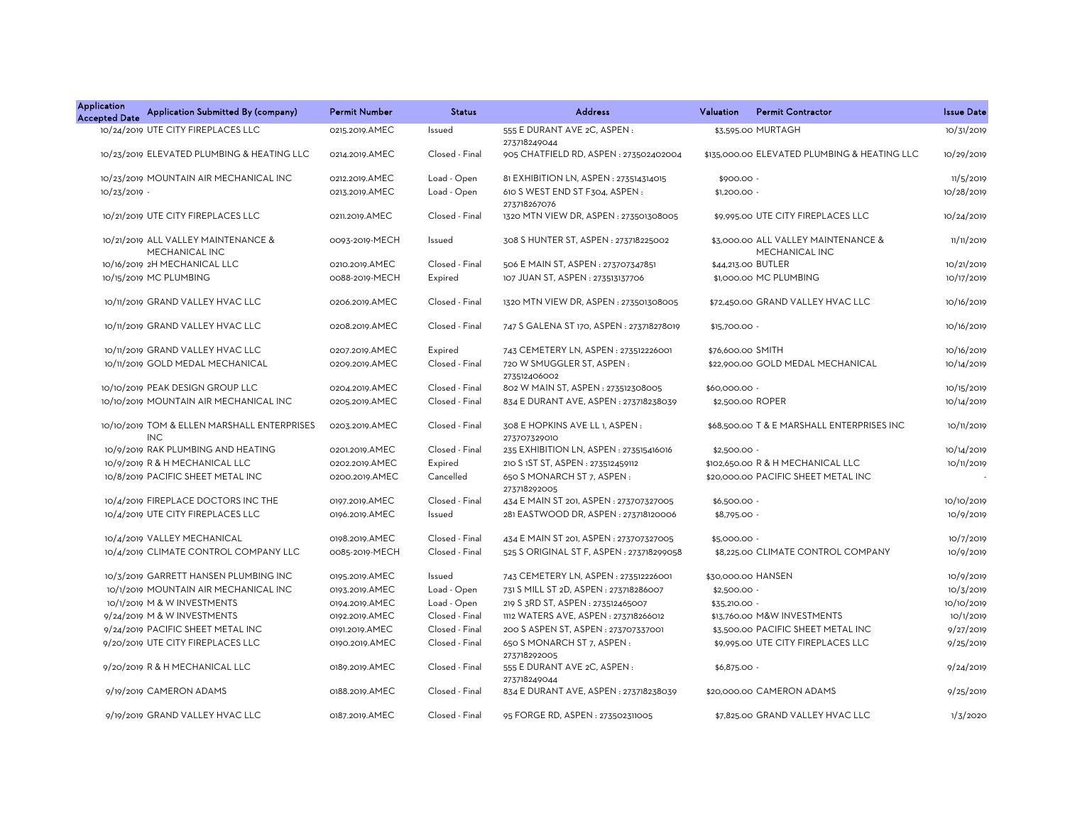| <b>Application</b><br><b>Accepted Date</b> | Application Submitted By (company)                        | <b>Permit Number</b> | <b>Status</b>  | <b>Address</b>                                 | <b>Permit Contractor</b><br><b>Valuation</b>          | <b>Issue Date</b> |
|--------------------------------------------|-----------------------------------------------------------|----------------------|----------------|------------------------------------------------|-------------------------------------------------------|-------------------|
|                                            | 10/24/2019 UTE CITY FIREPLACES LLC                        | 0215.2019.AMEC       | Issued         | 555 E DURANT AVE 2C, ASPEN:<br>273718249044    | \$3,595.00 MURTAGH                                    | 10/31/2019        |
|                                            | 10/23/2019 ELEVATED PLUMBING & HEATING LLC                | 0214.2019.AMEC       | Closed - Final | 905 CHATFIELD RD, ASPEN: 273502402004          | \$135,000.00 ELEVATED PLUMBING & HEATING LLC          | 10/29/2019        |
|                                            | 10/23/2019 MOUNTAIN AIR MECHANICAL INC                    | 0212.2019.AMEC       | Load - Open    | 81 EXHIBITION LN, ASPEN : 273514314015         | \$900.00 -                                            | 11/5/2019         |
| 10/23/2019 -                               |                                                           | 0213.2019.AMEC       | Load - Open    | 610 S WEST END ST F304, ASPEN:<br>273718267076 | $$1,200.00$ .                                         | 10/28/2019        |
|                                            | 10/21/2019 UTE CITY FIREPLACES LLC                        | 0211.2019.AMEC       | Closed - Final | 1320 MTN VIEW DR, ASPEN: 273501308005          | \$9,995.00 UTE CITY FIREPLACES LLC                    | 10/24/2019        |
|                                            | 10/21/2019 ALL VALLEY MAINTENANCE &<br>MECHANICAL INC     | 0093-2019-MECH       | Issued         | 308 S HUNTER ST, ASPEN : 273718225002          | \$3,000.00 ALL VALLEY MAINTENANCE &<br>MECHANICAL INC | 11/11/2019        |
|                                            | 10/16/2019 2H MECHANICAL LLC                              | 0210.2019.AMEC       | Closed - Final | 506 E MAIN ST, ASPEN: 273707347851             | \$44,213.00 BUTLER                                    | 10/21/2019        |
|                                            | 10/15/2019 MC PLUMBING                                    | 0088-2019-MECH       | Expired        | 107 JUAN ST, ASPEN: 273513137706               | \$1,000.00 MC PLUMBING                                | 10/17/2019        |
|                                            | 10/11/2019 GRAND VALLEY HVAC LLC                          | 0206.2019.AMEC       | Closed - Final | 1320 MTN VIEW DR, ASPEN: 273501308005          | \$72,450.00 GRAND VALLEY HVAC LLC                     | 10/16/2019        |
|                                            | 10/11/2019 GRAND VALLEY HVAC LLC                          | 0208.2019.AMEC       | Closed - Final | 747 S GALENA ST 170, ASPEN : 273718278019      | \$15,700.00 -                                         | 10/16/2019        |
|                                            | 10/11/2019 GRAND VALLEY HVAC LLC                          | 0207.2019.AMEC       | Expired        | 743 CEMETERY LN, ASPEN : 273512226001          | \$76,600.00 SMITH                                     | 10/16/2019        |
|                                            | 10/11/2019 GOLD MEDAL MECHANICAL                          | 0209.2019.AMEC       | Closed - Final | 720 W SMUGGLER ST, ASPEN:<br>273512406002      | \$22,900.00 GOLD MEDAL MECHANICAL                     | 10/14/2019        |
|                                            | 10/10/2019 PEAK DESIGN GROUP LLC                          | 0204.2019.AMEC       | Closed - Final | 802 W MAIN ST, ASPEN : 273512308005            | \$60,000.00 -                                         | 10/15/2019        |
|                                            | 10/10/2019 MOUNTAIN AIR MECHANICAL INC                    | 0205.2019.AMEC       | Closed - Final | 834 E DURANT AVE, ASPEN : 273718238039         | \$2,500.00 ROPER                                      | 10/14/2019        |
|                                            | 10/10/2019 TOM & ELLEN MARSHALL ENTERPRISES<br><b>INC</b> | 0203.2019.AMEC       | Closed - Final | 308 E HOPKINS AVE LL 1, ASPEN:<br>273707329010 | \$68,500.00 T & E MARSHALL ENTERPRISES INC            | 10/11/2019        |
|                                            | 10/9/2019 RAK PLUMBING AND HEATING                        | 0201.2019.AMEC       | Closed - Final | 235 EXHIBITION LN, ASPEN : 273515416016        | $$2,500.00 -$                                         | 10/14/2019        |
|                                            | 10/9/2019 R & H MECHANICAL LLC                            | 0202.2019.AMEC       | Expired        | 210 S 1ST ST, ASPEN : 273512459112             | \$102,650.00 R & H MECHANICAL LLC                     | 10/11/2019        |
|                                            | 10/8/2019 PACIFIC SHEET METAL INC                         | 0200.2019.AMEC       | Cancelled      | 650 S MONARCH ST 7, ASPEN:<br>273718292005     | \$20,000.00 PACIFIC SHEET METAL INC                   |                   |
|                                            | 10/4/2019 FIREPLACE DOCTORS INC THE                       | 0197.2019.AMEC       | Closed - Final | 434 E MAIN ST 201, ASPEN : 273707327005        | \$6,500.00 -                                          | 10/10/2019        |
|                                            | 10/4/2019 UTE CITY FIREPLACES LLC                         | 0196.2019.AMEC       | Issued         | 281 EASTWOOD DR, ASPEN: 273718120006           | \$8,795.00 -                                          | 10/9/2019         |
|                                            | 10/4/2019 VALLEY MECHANICAL                               | 0198.2019.AMEC       | Closed - Final | 434 E MAIN ST 201, ASPEN : 273707327005        | \$5,000.00 -                                          | 10/7/2019         |
|                                            | 10/4/2019 CLIMATE CONTROL COMPANY LLC                     | 0085-2019-MECH       | Closed - Final | 525 S ORIGINAL ST F, ASPEN : 273718299058      | \$8,225.00 CLIMATE CONTROL COMPANY                    | 10/9/2019         |
|                                            | 10/3/2019 GARRETT HANSEN PLUMBING INC                     | 0195.2019.AMEC       | Issued         | 743 CEMETERY LN, ASPEN : 273512226001          | \$30,000.00 HANSEN                                    | 10/9/2019         |
|                                            | 10/1/2019 MOUNTAIN AIR MECHANICAL INC                     | 0193.2019.AMEC       | Load - Open    | 731 S MILL ST 2D, ASPEN: 273718286007          | $$2,500.00 -$                                         | 10/3/2019         |
|                                            | 10/1/2019 M & W INVESTMENTS                               | 0194.2019.AMEC       | Load - Open    | 219 S 3RD ST, ASPEN: 273512465007              | \$35,210.00 -                                         | 10/10/2019        |
|                                            | 9/24/2019 M & W INVESTMENTS                               | 0192.2019.AMEC       | Closed - Final | 1112 WATERS AVE, ASPEN: 273718266012           | \$13,760.00 M&W INVESTMENTS                           | 10/1/2019         |
|                                            | 9/24/2019 PACIFIC SHEET METAL INC                         | 0191.2019.AMEC       | Closed - Final | 200 S ASPEN ST, ASPEN : 273707337001           | \$3,500.00 PACIFIC SHEET METAL INC                    | 9/27/2019         |
|                                            | 9/20/2019 UTE CITY FIREPLACES LLC                         | 0190.2019.AMEC       | Closed - Final | 650 S MONARCH ST 7, ASPEN:<br>273718292005     | \$9,995.00 UTE CITY FIREPLACES LLC                    | 9/25/2019         |
|                                            | 9/20/2019 R & H MECHANICAL LLC                            | 0189.2019.AMEC       | Closed - Final | 555 E DURANT AVE 2C, ASPEN :<br>273718249044   | \$6,875.00 -                                          | 9/24/2019         |
|                                            | 9/19/2019 CAMERON ADAMS                                   | 0188.2019.AMEC       | Closed - Final | 834 E DURANT AVE, ASPEN : 273718238039         | \$20,000.00 CAMERON ADAMS                             | 9/25/2019         |
|                                            | 9/19/2019 GRAND VALLEY HVAC LLC                           | 0187.2019.AMEC       | Closed - Final | 95 FORGE RD. ASPEN: 273502311005               | \$7,825.00 GRAND VALLEY HVAC LLC                      | 1/3/2020          |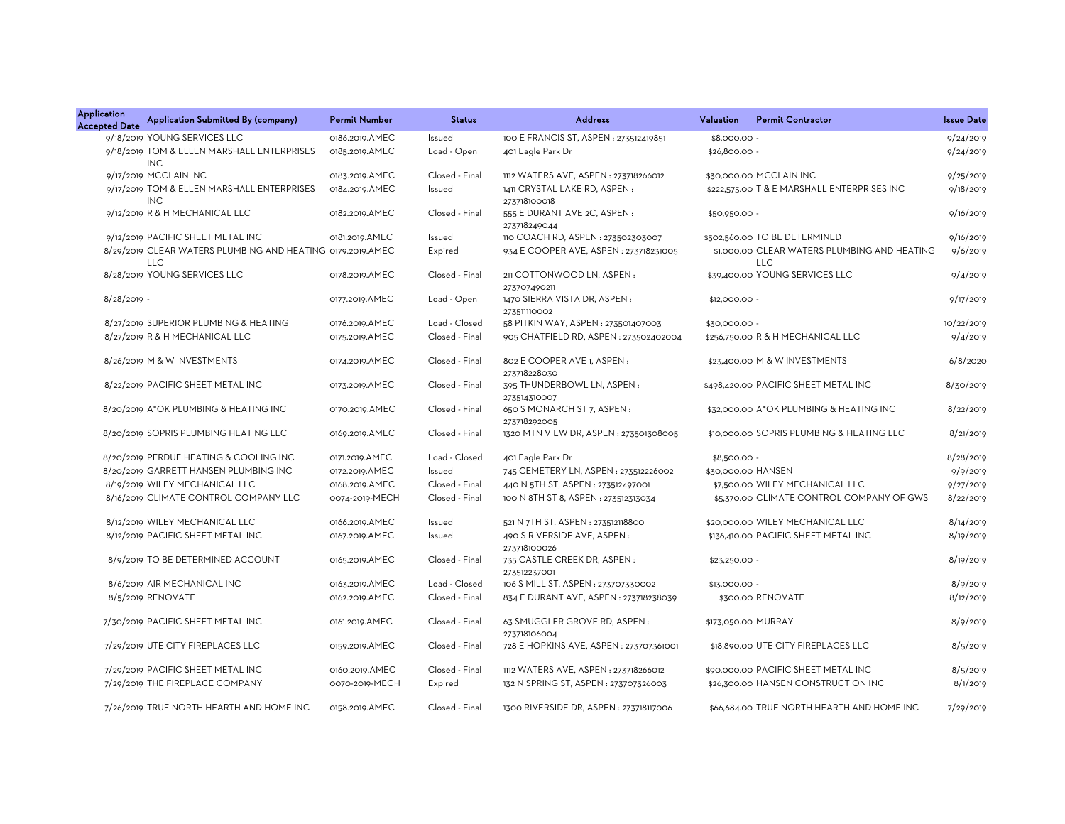| <b>Application</b><br><b>Accepted Date</b> | Application Submitted By (company)                                       | <b>Permit Number</b> | <b>Status</b>  | <b>Address</b>                               | Valuation      | <b>Permit Contractor</b>                                   | <b>Issue Date</b> |
|--------------------------------------------|--------------------------------------------------------------------------|----------------------|----------------|----------------------------------------------|----------------|------------------------------------------------------------|-------------------|
|                                            | 9/18/2019 YOUNG SERVICES LLC                                             | 0186.2019.AMEC       | Issued         | 100 E FRANCIS ST, ASPEN: 273512419851        | \$8,000.00 -   |                                                            | 9/24/2019         |
|                                            | 9/18/2019 TOM & ELLEN MARSHALL ENTERPRISES<br><b>INC</b>                 | 0185.2019.AMEC       | Load - Open    | 401 Eagle Park Dr                            | \$26,800.00 -  |                                                            | 9/24/2019         |
|                                            | 9/17/2019 MCCLAIN INC                                                    | 0183.2019.AMEC       | Closed - Final | 1112 WATERS AVE, ASPEN: 273718266012         |                | \$30,000.00 MCCLAIN INC                                    | 9/25/2019         |
|                                            | 9/17/2019 TOM & ELLEN MARSHALL ENTERPRISES<br>INC.                       | 0184.2019.AMEC       | Issued         | 1411 CRYSTAL LAKE RD, ASPEN:<br>273718100018 |                | \$222,575.00 T & E MARSHALL ENTERPRISES INC                | 9/18/2019         |
|                                            | 9/12/2019 R & H MECHANICAL LLC                                           | 0182.2019.AMEC       | Closed - Final | 555 E DURANT AVE 2C, ASPEN :<br>273718249044 | \$50,950.00 -  |                                                            | 9/16/2019         |
|                                            | 9/12/2019 PACIFIC SHEET METAL INC                                        | 0181.2019.AMEC       | Issued         | 110 COACH RD, ASPEN : 273502303007           |                | \$502,560.00 TO BE DETERMINED                              | 9/16/2019         |
|                                            | 8/29/2019 CLEAR WATERS PLUMBING AND HEATING 0179.2019.AMEC<br><b>LLC</b> |                      | Expired        | 934 E COOPER AVE, ASPEN : 273718231005       |                | \$1,000,00 CLEAR WATERS PLUMBING AND HEATING<br><b>LLC</b> | 9/6/2019          |
|                                            | 8/28/2019 YOUNG SERVICES LLC                                             | 0178.2019.AMEC       | Closed - Final | 211 COTTONWOOD LN. ASPEN:<br>273707490211    |                | \$39,400.00 YOUNG SERVICES LLC                             | 9/4/2019          |
| $8/28/2019$ -                              |                                                                          | 0177.2019.AMEC       | Load - Open    | 1470 SIERRA VISTA DR, ASPEN:<br>273511110002 | \$12,000.00 -  |                                                            | 9/17/2019         |
|                                            | 8/27/2019 SUPERIOR PLUMBING & HEATING                                    | 0176.2019.AMEC       | Load - Closed  | 58 PITKIN WAY, ASPEN: 273501407003           | \$30,000.00 -  |                                                            | 10/22/2019        |
|                                            | 8/27/2019 R & H MECHANICAL LLC                                           | 0175.2019.AMEC       | Closed - Final | 905 CHATFIELD RD, ASPEN: 273502402004        |                | \$256,750.00 R & H MECHANICAL LLC                          | 9/4/2019          |
|                                            | 8/26/2019 M & W INVESTMENTS                                              | 0174.2019.AMEC       | Closed - Final | 802 E COOPER AVE 1, ASPEN:<br>273718228030   |                | \$23,400.00 M & W INVESTMENTS                              | 6/8/2020          |
|                                            | 8/22/2019 PACIFIC SHEET METAL INC                                        | 0173.2019.AMEC       | Closed - Final | 395 THUNDERBOWL LN, ASPEN:<br>273514310007   |                | \$498,420.00 PACIFIC SHEET METAL INC                       | 8/30/2019         |
|                                            | 8/20/2019 A*OK PLUMBING & HEATING INC                                    | 0170.2019.AMEC       | Closed - Final | 650 S MONARCH ST 7, ASPEN:<br>273718292005   |                | \$32,000.00 A*OK PLUMBING & HEATING INC                    | 8/22/2019         |
|                                            | 8/20/2019 SOPRIS PLUMBING HEATING LLC                                    | 0169.2019.AMEC       | Closed - Final | 1320 MTN VIEW DR, ASPEN: 273501308005        |                | \$10,000.00 SOPRIS PLUMBING & HEATING LLC                  | 8/21/2019         |
|                                            | 8/20/2019 PERDUE HEATING & COOLING INC                                   | 0171.2019.AMEC       | Load - Closed  | 401 Eagle Park Dr                            | $$8,500.00 -$  |                                                            | 8/28/2019         |
|                                            | 8/20/2019 GARRETT HANSEN PLUMBING INC                                    | 0172.2019.AMEC       | Issued         | 745 CEMETERY LN, ASPEN: 273512226002         |                | \$30,000.00 HANSEN                                         | 9/9/2019          |
|                                            | 8/19/2019 WILEY MECHANICAL LLC                                           | 0168.2019.AMEC       | Closed - Final | 440 N 5TH ST, ASPEN : 273512497001           |                | \$7,500.00 WILEY MECHANICAL LLC                            | 9/27/2019         |
|                                            | 8/16/2019 CLIMATE CONTROL COMPANY LLC                                    | 0074-2019-MECH       | Closed - Final | 100 N 8TH ST 8, ASPEN : 273512313034         |                | \$5,370.00 CLIMATE CONTROL COMPANY OF GWS                  | 8/22/2019         |
|                                            | 8/12/2019 WILEY MECHANICAL LLC                                           | 0166.2019.AMEC       | Issued         | 521 N 7TH ST, ASPEN : 273512118800           |                | \$20,000.00 WILEY MECHANICAL LLC                           | 8/14/2019         |
|                                            | 8/12/2019 PACIFIC SHEET METAL INC                                        | 0167.2019.AMEC       | Issued         | 490 S RIVERSIDE AVE, ASPEN:<br>273718100026  |                | \$136,410.00 PACIFIC SHEET METAL INC                       | 8/19/2019         |
|                                            | 8/9/2019 TO BE DETERMINED ACCOUNT                                        | 0165.2019.AMEC       | Closed - Final | 735 CASTLE CREEK DR, ASPEN:<br>273512237001  | $$23,250.00 -$ |                                                            | 8/19/2019         |
|                                            | 8/6/2019 AIR MECHANICAL INC                                              | 0163.2019.AMEC       | Load - Closed  | 106 S MILL ST, ASPEN : 273707330002          | \$13,000.00 -  |                                                            | 8/9/2019          |
|                                            | 8/5/2019 RENOVATE                                                        | 0162.2019.AMEC       | Closed - Final | 834 E DURANT AVE, ASPEN : 273718238039       |                | \$300.00 RENOVATE                                          | 8/12/2019         |
|                                            | 7/30/2019 PACIFIC SHEET METAL INC                                        | 0161.2019.AMEC       | Closed - Final | 63 SMUGGLER GROVE RD, ASPEN:<br>273718106004 |                | \$173,050.00 MURRAY                                        | 8/9/2019          |
|                                            | 7/29/2019 UTE CITY FIREPLACES LLC                                        | 0159.2019.AMEC       | Closed - Final | 728 E HOPKINS AVE, ASPEN : 273707361001      |                | \$18,890.00 UTE CITY FIREPLACES LLC                        | 8/5/2019          |
|                                            | 7/29/2019 PACIFIC SHEET METAL INC                                        | 0160.2019.AMEC       | Closed - Final | 1112 WATERS AVE, ASPEN: 273718266012         |                | \$90,000.00 PACIFIC SHEET METAL INC                        | 8/5/2019          |
|                                            | 7/29/2019 THE FIREPLACE COMPANY                                          | 0070-2019-MECH       | Expired        | 132 N SPRING ST, ASPEN : 273707326003        |                | \$26,300.00 HANSEN CONSTRUCTION INC                        | 8/1/2019          |
|                                            | 7/26/2019 TRUE NORTH HEARTH AND HOME INC                                 | 0158.2019.AMEC       | Closed - Final | 1300 RIVERSIDE DR. ASPEN: 273718117006       |                | \$66,684,00 TRUE NORTH HEARTH AND HOME INC                 | 7/29/2019         |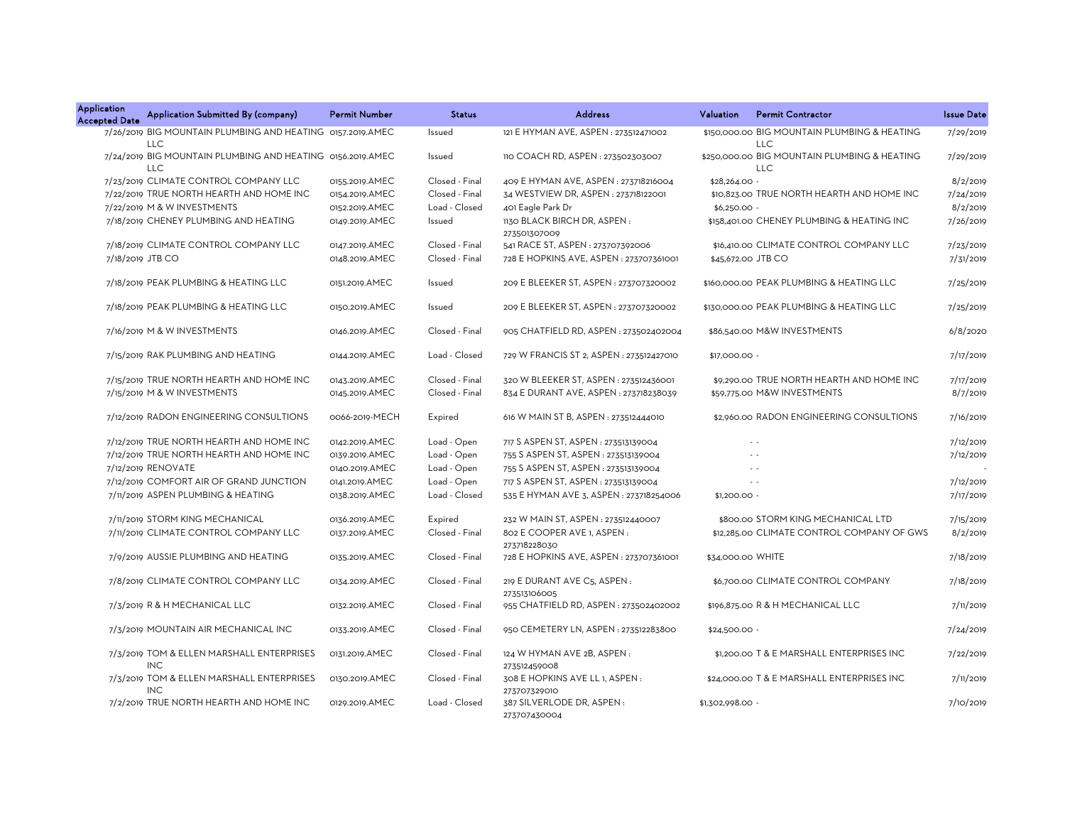| <b>Application</b><br><b>Accepted Date</b> | Application Submitted By (company)                                       | <b>Permit Number</b> | <b>Status</b>  | <b>Address</b>                                        | <b>Permit Contractor</b><br><b>Valuation</b>               | <b>Issue Date</b> |
|--------------------------------------------|--------------------------------------------------------------------------|----------------------|----------------|-------------------------------------------------------|------------------------------------------------------------|-------------------|
|                                            | 7/26/2019 BIG MOUNTAIN PLUMBING AND HEATING 0157.2019.AMEC<br><b>LLC</b> |                      | Issued         | 121 E HYMAN AVE, ASPEN : 273512471002                 | \$150,000.00 BIG MOUNTAIN PLUMBING & HEATING<br><b>LLC</b> | 7/29/2019         |
|                                            | 7/24/2019 BIG MOUNTAIN PLUMBING AND HEATING 0156.2019.AMEC<br><b>LLC</b> |                      | Issued         | 110 COACH RD, ASPEN: 273502303007                     | \$250,000.00 BIG MOUNTAIN PLUMBING & HEATING<br><b>LLC</b> | 7/29/2019         |
|                                            | 7/23/2019 CLIMATE CONTROL COMPANY LLC                                    | 0155.2019.AMEC       | Closed - Final | 409 E HYMAN AVE, ASPEN: 273718216004                  | \$28,264.00 -                                              | 8/2/2019          |
|                                            | 7/22/2019 TRUE NORTH HEARTH AND HOME INC                                 | 0154.2019.AMEC       | Closed - Final | 34 WESTVIEW DR, ASPEN: 273718122001                   | \$10,823.00 TRUE NORTH HEARTH AND HOME INC                 | 7/24/2019         |
|                                            | 7/22/2019 M & W INVESTMENTS                                              | 0152.2019.AMEC       | Load - Closed  | 401 Eagle Park Dr                                     | $$6,250.00 -$                                              | 8/2/2019          |
|                                            | 7/18/2019 CHENEY PLUMBING AND HEATING                                    | 0149.2019.AMEC       | Issued         | 1130 BLACK BIRCH DR, ASPEN:                           | \$158,401.00 CHENEY PLUMBING & HEATING INC                 | 7/26/2019         |
|                                            |                                                                          |                      |                | 273501307009                                          |                                                            |                   |
|                                            | 7/18/2019 CLIMATE CONTROL COMPANY LLC                                    | 0147.2019.AMEC       | Closed - Final | 541 RACE ST, ASPEN : 273707392006                     | \$16,410.00 CLIMATE CONTROL COMPANY LLC                    | 7/23/2019         |
| 7/18/2019 JTB CO                           |                                                                          | 0148.2019.AMEC       | Closed - Final | 728 E HOPKINS AVE, ASPEN: 273707361001                | \$45,672.00 JTB CO                                         | 7/31/2019         |
|                                            |                                                                          |                      |                |                                                       |                                                            |                   |
|                                            | 7/18/2019 PEAK PLUMBING & HEATING LLC                                    | 0151.2019.AMEC       | Issued         | 209 E BLEEKER ST, ASPEN: 273707320002                 | \$160,000.00 PEAK PLUMBING & HEATING LLC                   | 7/25/2019         |
|                                            | 7/18/2019 PEAK PLUMBING & HEATING LLC                                    | 0150.2019.AMEC       | Issued         | 209 E BLEEKER ST, ASPEN: 273707320002                 | \$130,000.00 PEAK PLUMBING & HEATING LLC                   | 7/25/2019         |
|                                            | 7/16/2019 M & W INVESTMENTS                                              | 0146.2019.AMEC       | Closed - Final | 905 CHATFIELD RD, ASPEN : 273502402004                | \$86,540.00 M&W INVESTMENTS                                | 6/8/2020          |
|                                            | 7/15/2019 RAK PLUMBING AND HEATING                                       | 0144.2019.AMEC       | Load - Closed  | 729 W FRANCIS ST 2, ASPEN : 273512427010              | \$17,000.00 -                                              | 7/17/2019         |
|                                            | 7/15/2019 TRUE NORTH HEARTH AND HOME INC                                 | 0143.2019.AMEC       | Closed - Final | 320 W BLEEKER ST, ASPEN : 273512436001                | \$9,290.00 TRUE NORTH HEARTH AND HOME INC                  | 7/17/2019         |
|                                            | 7/15/2019 M & W INVESTMENTS                                              | 0145.2019.AMEC       | Closed - Final | 834 E DURANT AVE, ASPEN: 273718238039                 | \$59,775.00 M&W INVESTMENTS                                | 8/7/2019          |
|                                            |                                                                          |                      |                |                                                       |                                                            |                   |
|                                            | 7/12/2019 RADON ENGINEERING CONSULTIONS                                  | 0066-2019-MECH       | Expired        | 616 W MAIN ST B, ASPEN : 273512444010                 | \$2,960.00 RADON ENGINEERING CONSULTIONS                   | 7/16/2019         |
|                                            | 7/12/2019 TRUE NORTH HEARTH AND HOME INC                                 | 0142.2019.AMEC       | Load - Open    | 717 S ASPEN ST, ASPEN : 273513139004                  | $\sim$ $\sim$                                              | 7/12/2019         |
|                                            | 7/12/2019 TRUE NORTH HEARTH AND HOME INC                                 | 0139.2019.AMEC       | Load - Open    | 755 S ASPEN ST, ASPEN : 273513139004                  |                                                            | 7/12/2019         |
|                                            | 7/12/2019 RENOVATE                                                       | 0140.2019.AMEC       | Load - Open    | 755 S ASPEN ST, ASPEN : 273513139004                  |                                                            |                   |
|                                            | 7/12/2019 COMFORT AIR OF GRAND JUNCTION                                  | 0141.2019.AMEC       | Load - Open    | 717 S ASPEN ST, ASPEN : 273513139004                  | $\sim$                                                     | 7/12/2019         |
|                                            | 7/11/2019 ASPEN PLUMBING & HEATING                                       | 0138.2019.AMEC       | Load - Closed  | 535 E HYMAN AVE 3, ASPEN : 273718254006               | $$1,200.00 -$                                              | 7/17/2019         |
|                                            |                                                                          |                      |                |                                                       |                                                            |                   |
|                                            | 7/11/2019 STORM KING MECHANICAL                                          | 0136.2019.AMEC       | Expired        | 232 W MAIN ST, ASPEN: 273512440007                    | \$800.00 STORM KING MECHANICAL LTD                         | 7/15/2019         |
|                                            | 7/11/2019 CLIMATE CONTROL COMPANY LLC                                    | 0137.2019.AMEC       | Closed - Final | 802 E COOPER AVE 1, ASPEN :                           | \$12,285.00 CLIMATE CONTROL COMPANY OF GWS                 | 8/2/2019          |
|                                            |                                                                          |                      |                | 273718228030                                          |                                                            |                   |
|                                            | 7/9/2019 AUSSIE PLUMBING AND HEATING                                     | 0135.2019.AMEC       | Closed - Final | 728 E HOPKINS AVE, ASPEN: 273707361001                | \$34,000.00 WHITE                                          | 7/18/2019         |
|                                            | 7/8/2019 CLIMATE CONTROL COMPANY LLC                                     | 0134.2019.AMEC       | Closed - Final | 219 E DURANT AVE C5, ASPEN:                           | \$6,700.00 CLIMATE CONTROL COMPANY                         | 7/18/2019         |
|                                            | 7/3/2019 R & H MECHANICAL LLC                                            | 0132.2019.AMEC       | Closed - Final | 273513106005<br>955 CHATFIELD RD, ASPEN: 273502402002 | \$196,875.00 R & H MECHANICAL LLC                          | 7/11/2019         |
|                                            | 7/3/2019 MOUNTAIN AIR MECHANICAL INC                                     | 0133.2019.AMEC       | Closed - Final | 950 CEMETERY LN, ASPEN: 273512283800                  | \$24,500.00 -                                              | 7/24/2019         |
|                                            | 7/3/2019 TOM & ELLEN MARSHALL ENTERPRISES                                | 0131.2019.AMEC       | Closed - Final | 124 W HYMAN AVE 2B, ASPEN:                            | \$1,200,00 T & E MARSHALL ENTERPRISES INC                  | 7/22/2019         |
|                                            | <b>INC</b>                                                               |                      |                | 273512459008                                          |                                                            |                   |
|                                            | 7/3/2019 TOM & ELLEN MARSHALL ENTERPRISES<br><b>INC</b>                  | 0130.2019.AMEC       | Closed - Final | 308 E HOPKINS AVE LL 1, ASPEN :<br>273707329010       | \$24,000.00 T & E MARSHALL ENTERPRISES INC                 | 7/11/2019         |
|                                            | 7/2/2019 TRUE NORTH HEARTH AND HOME INC                                  | 0129.2019.AMEC       | Load - Closed  | 387 SILVERLODE DR, ASPEN:<br>273707430004             | \$1,302,998.00 -                                           | 7/10/2019         |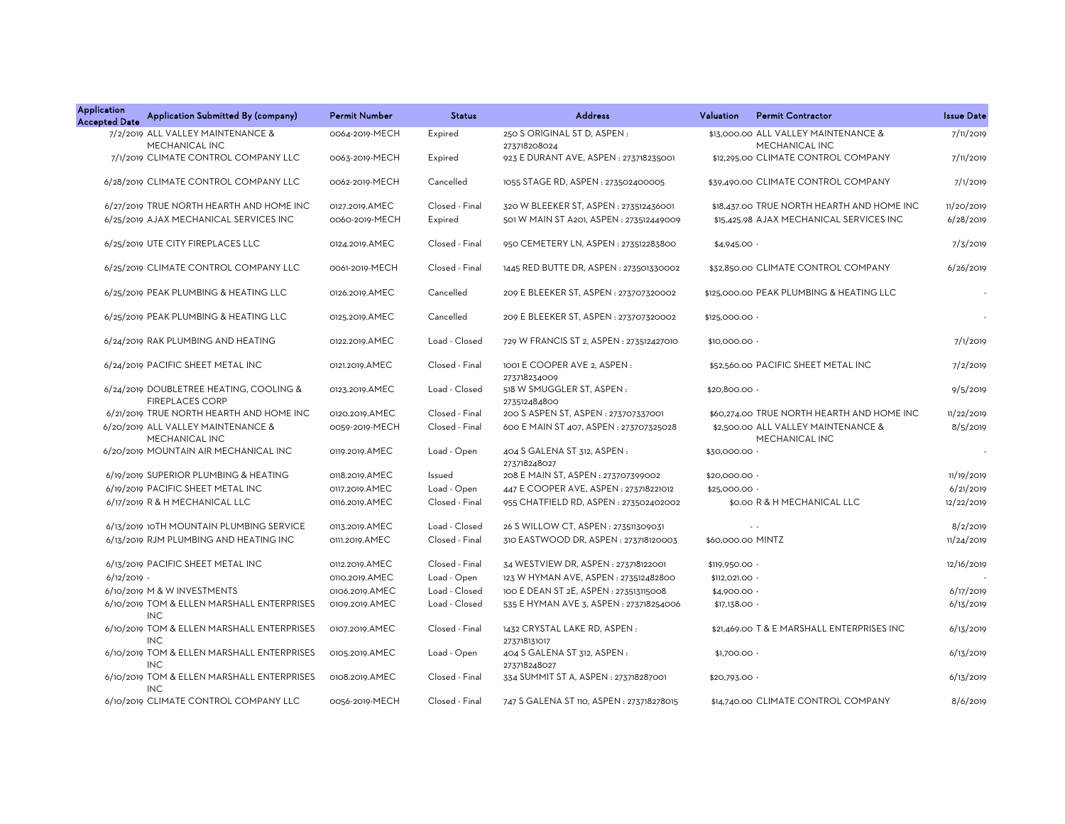| Application<br><b>Accepted Date</b> | Application Submitted By (company)                                | <b>Permit Number</b> | <b>Status</b>  | <b>Address</b>                               | <b>Permit Contractor</b><br>Valuation                  | <b>Issue Date</b>        |
|-------------------------------------|-------------------------------------------------------------------|----------------------|----------------|----------------------------------------------|--------------------------------------------------------|--------------------------|
|                                     | 7/2/2019 ALL VALLEY MAINTENANCE &<br>MECHANICAL INC               | 0064-2019-MECH       | Expired        | 250 S ORIGINAL ST D, ASPEN:<br>273718208024  | \$13,000.00 ALL VALLEY MAINTENANCE &<br>MECHANICAL INC | 7/11/2019                |
|                                     | 7/1/2019 CLIMATE CONTROL COMPANY LLC                              | 0063-2019-MECH       | Expired        | 923 E DURANT AVE, ASPEN : 273718235001       | \$12,295.00 CLIMATE CONTROL COMPANY                    | 7/11/2019                |
|                                     | 6/28/2019 CLIMATE CONTROL COMPANY LLC                             | 0062-2019-MECH       | Cancelled      | 1055 STAGE RD, ASPEN: 273502400005           | \$39,490.00 CLIMATE CONTROL COMPANY                    | 7/1/2019                 |
|                                     | 6/27/2019 TRUE NORTH HEARTH AND HOME INC                          | 0127.2019.AMEC       | Closed - Final | 320 W BLEEKER ST, ASPEN: 273512436001        | \$18,437.00 TRUE NORTH HEARTH AND HOME INC             | 11/20/2019               |
|                                     | 6/25/2019 AJAX MECHANICAL SERVICES INC                            | 0060-2019-MECH       | Expired        | 501 W MAIN ST A201, ASPEN: 273512449009      | \$15,425.98 AJAX MECHANICAL SERVICES INC               | 6/28/2019                |
|                                     | 6/25/2019 UTE CITY FIREPLACES LLC                                 | 0124.2019.AMEC       | Closed - Final | 950 CEMETERY LN, ASPEN: 273512283800         | $$4,945.00 -$                                          | 7/3/2019                 |
|                                     | 6/25/2019 CLIMATE CONTROL COMPANY LLC                             | 0061-2019-MECH       | Closed - Final | 1445 RED BUTTE DR, ASPEN : 273501330002      | \$32,850.00 CLIMATE CONTROL COMPANY                    | 6/26/2019                |
|                                     | 6/25/2019 PEAK PLUMBING & HEATING LLC                             | 0126.2019.AMEC       | Cancelled      | 209 E BLEEKER ST, ASPEN : 273707320002       | \$125,000.00 PEAK PLUMBING & HEATING LLC               | $\overline{\phantom{a}}$ |
|                                     | 6/25/2019 PEAK PLUMBING & HEATING LLC                             | 0125.2019.AMEC       | Cancelled      | 209 E BLEEKER ST, ASPEN : 273707320002       | \$125,000.00 -                                         |                          |
|                                     | 6/24/2019 RAK PLUMBING AND HEATING                                | 0122.2019.AMEC       | Load - Closed  | 729 W FRANCIS ST 2, ASPEN : 273512427010     | \$10,000.00 -                                          | 7/1/2019                 |
|                                     | 6/24/2019 PACIFIC SHEET METAL INC                                 | 0121.2019.AMEC       | Closed - Final | 1001 E COOPER AVE 2, ASPEN:<br>273718234009  | \$52,560.00 PACIFIC SHEET METAL INC                    | 7/2/2019                 |
|                                     | 6/24/2019 DOUBLETREE HEATING, COOLING &<br><b>FIREPLACES CORP</b> | 0123.2019.AMEC       | Load - Closed  | 518 W SMUGGLER ST, ASPEN:<br>273512484800    | \$20,800.00 -                                          | 9/5/2019                 |
|                                     | 6/21/2019 TRUE NORTH HEARTH AND HOME INC                          | 0120.2019.AMEC       | Closed - Final | 200 S ASPEN ST, ASPEN : 273707337001         | \$60,274.00 TRUE NORTH HEARTH AND HOME INC             | 11/22/2019               |
|                                     | 6/20/2019 ALL VALLEY MAINTENANCE &<br>MECHANICAL INC              | 0059-2019-MECH       | Closed - Final | 600 E MAIN ST 407, ASPEN: 273707325028       | \$2,500.00 ALL VALLEY MAINTENANCE &<br>MECHANICAL INC  | 8/5/2019                 |
|                                     | 6/20/2019 MOUNTAIN AIR MECHANICAL INC                             | 0119.2019.AMEC       | Load - Open    | 404 S GALENA ST 312, ASPEN :<br>273718248027 | \$30,000.00 -                                          |                          |
|                                     | 6/19/2019 SUPERIOR PLUMBING & HEATING                             | 0118.2019.AMEC       | Issued         | 208 E MAIN ST, ASPEN : 273707399002          | \$20,000.00 -                                          | 11/19/2019               |
|                                     | 6/19/2019 PACIFIC SHEET METAL INC                                 | 0117.2019.AMEC       | Load - Open    | 447 E COOPER AVE, ASPEN: 273718221012        | \$25,000.00 -                                          | 6/21/2019                |
|                                     | 6/17/2019 R & H MECHANICAL LLC                                    | 0116.2019.AMEC       | Closed - Final | 955 CHATFIELD RD, ASPEN: 273502402002        | \$0.00 R & H MECHANICAL LLC                            | 12/22/2019               |
|                                     | 6/13/2019 10TH MOUNTAIN PLUMBING SERVICE                          | 0113.2019.AMEC       | Load - Closed  | 26 S WILLOW CT, ASPEN : 273511309031         | $\sim$ $\sim$                                          | 8/2/2019                 |
|                                     | 6/13/2019 RJM PLUMBING AND HEATING INC                            | 0111.2019.AMEC       | Closed - Final | 310 EASTWOOD DR, ASPEN : 273718120003        | \$60,000.00 MINTZ                                      | 11/24/2019               |
|                                     | 6/13/2019 PACIFIC SHEET METAL INC                                 | 0112.2019.AMEC       | Closed - Final | 34 WESTVIEW DR, ASPEN: 273718122001          | \$119,950.00 -                                         | 12/16/2019               |
| $6/12/2019 -$                       |                                                                   | 0110.2019.AMEC       | Load - Open    | 123 W HYMAN AVE, ASPEN: 273512482800         | \$112,021.00 -                                         |                          |
|                                     | 6/10/2019 M & W INVESTMENTS                                       | 0106.2019.AMEC       | Load - Closed  | 100 E DEAN ST 2E, ASPEN : 273513115008       | \$4,900.00 -                                           | 6/17/2019                |
|                                     | 6/10/2019 TOM & ELLEN MARSHALL ENTERPRISES<br><b>INC</b>          | 0109.2019.AMEC       | Load - Closed  | 535 E HYMAN AVE 3, ASPEN : 273718254006      | \$17,138.00 -                                          | 6/13/2019                |
|                                     | 6/10/2019 TOM & ELLEN MARSHALL ENTERPRISES<br><b>INC</b>          | 0107.2019.AMEC       | Closed - Final | 1432 CRYSTAL LAKE RD, ASPEN:<br>273718131017 | \$21,469.00 T & E MARSHALL ENTERPRISES INC             | 6/13/2019                |
|                                     | 6/10/2019 TOM & ELLEN MARSHALL ENTERPRISES<br><b>INC</b>          | 0105.2019.AMEC       | Load - Open    | 404 S GALENA ST 312, ASPEN :<br>273718248027 | \$1,700.00 -                                           | 6/13/2019                |
|                                     | 6/10/2019 TOM & ELLEN MARSHALL ENTERPRISES<br><b>INC</b>          | 0108.2019.AMEC       | Closed - Final | 334 SUMMIT ST A, ASPEN : 273718287001        | \$20,793.00 -                                          | 6/13/2019                |
|                                     | 6/10/2019 CLIMATE CONTROL COMPANY LLC                             | 0056-2019-MECH       | Closed - Final | 747 S GALENA ST 110, ASPEN : 273718278015    | \$14,740.00 CLIMATE CONTROL COMPANY                    | 8/6/2019                 |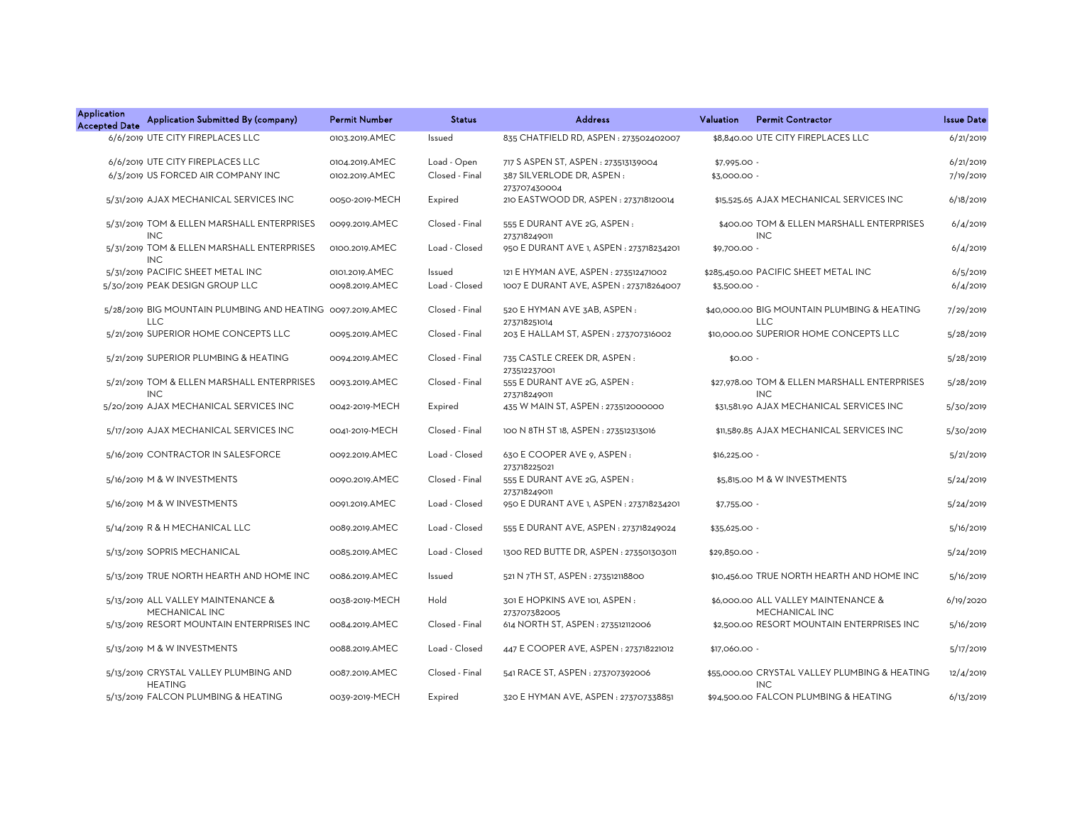| <b>Application</b><br><b>Accepted Date</b> | Application Submitted By (company)                                       | <b>Permit Number</b>             | <b>Status</b>                 | <b>Address</b>                                                    | Valuation                    | <b>Permit Contractor</b>                                    | <b>Issue Date</b>      |
|--------------------------------------------|--------------------------------------------------------------------------|----------------------------------|-------------------------------|-------------------------------------------------------------------|------------------------------|-------------------------------------------------------------|------------------------|
|                                            | 6/6/2019 UTE CITY FIREPLACES LLC                                         | 0103.2019.AMEC                   | Issued                        | 835 CHATFIELD RD, ASPEN: 273502402007                             |                              | \$8,840.00 UTE CITY FIREPLACES LLC                          | 6/21/2019              |
|                                            | 6/6/2019 UTE CITY FIREPLACES LLC<br>6/3/2019 US FORCED AIR COMPANY INC   | 0104.2019.AMEC<br>0102.2019.AMEC | Load - Open<br>Closed - Final | 717 S ASPEN ST, ASPEN : 273513139004<br>387 SILVERLODE DR, ASPEN: | \$7,995.00 -<br>\$3,000.00 - |                                                             | 6/21/2019<br>7/19/2019 |
|                                            | 5/31/2019 AJAX MECHANICAL SERVICES INC                                   | 0050-2019-MECH                   | Expired                       | 273707430004<br>210 EASTWOOD DR, ASPEN: 273718120014              |                              | \$15,525.65 AJAX MECHANICAL SERVICES INC                    | 6/18/2019              |
|                                            | 5/31/2019 TOM & ELLEN MARSHALL ENTERPRISES<br><b>INC</b>                 | 0099.2019.AMEC                   | Closed - Final                | 555 E DURANT AVE 2G, ASPEN:<br>273718249011                       |                              | \$400.00 TOM & ELLEN MARSHALL ENTERPRISES<br><b>INC</b>     | 6/4/2019               |
|                                            | 5/31/2019 TOM & ELLEN MARSHALL ENTERPRISES<br><b>INC</b>                 | 0100.2019.AMEC                   | Load - Closed                 | 950 E DURANT AVE 1, ASPEN : 273718234201                          | \$9,700.00                   |                                                             | 6/4/2019               |
|                                            | 5/31/2019 PACIFIC SHEET METAL INC                                        | 0101.2019.AMEC                   | Issued                        | 121 E HYMAN AVE, ASPEN : 273512471002                             |                              | \$285,450.00 PACIFIC SHEET METAL INC                        | 6/5/2019               |
|                                            | 5/30/2019 PEAK DESIGN GROUP LLC                                          | 0098.2019.AMEC                   | Load - Closed                 | 1007 E DURANT AVE, ASPEN: 273718264007                            | \$3,500.00 -                 |                                                             | 6/4/2019               |
|                                            | 5/28/2019 BIG MOUNTAIN PLUMBING AND HEATING 0097.2019.AMEC<br><b>LLC</b> |                                  | Closed - Final                | 520 E HYMAN AVE 3AB, ASPEN:<br>273718251014                       |                              | \$40,000.00 BIG MOUNTAIN PLUMBING & HEATING<br><b>LLC</b>   | 7/29/2019              |
|                                            | 5/21/2019 SUPERIOR HOME CONCEPTS LLC                                     | 0095.2019.AMEC                   | Closed - Final                | 203 E HALLAM ST, ASPEN : 273707316002                             |                              | \$10,000.00 SUPERIOR HOME CONCEPTS LLC                      | 5/28/2019              |
|                                            | 5/21/2019 SUPERIOR PLUMBING & HEATING                                    | 0094.2019.AMEC                   | Closed - Final                | 735 CASTLE CREEK DR, ASPEN:<br>273512237001                       | $$0.00 -$                    |                                                             | 5/28/2019              |
|                                            | 5/21/2019 TOM & ELLEN MARSHALL ENTERPRISES<br><b>INC</b>                 | 0093.2019.AMEC                   | Closed - Final                | 555 E DURANT AVE 2G, ASPEN :<br>273718249011                      |                              | \$27,978.00 TOM & ELLEN MARSHALL ENTERPRISES<br><b>INC</b>  | 5/28/2019              |
|                                            | 5/20/2019 AJAX MECHANICAL SERVICES INC                                   | 0042-2019-MECH                   | Expired                       | 435 W MAIN ST, ASPEN : 273512000000                               |                              | \$31,581.90 AJAX MECHANICAL SERVICES INC                    | 5/30/2019              |
|                                            | 5/17/2019 AJAX MECHANICAL SERVICES INC                                   | 0041-2019-MECH                   | Closed - Final                | 100 N 8TH ST 18, ASPEN: 273512313016                              |                              | \$11,589.85 AJAX MECHANICAL SERVICES INC                    | 5/30/2019              |
|                                            | 5/16/2019 CONTRACTOR IN SALESFORCE                                       | 0092.2019.AMEC                   | Load - Closed                 | 630 E COOPER AVE 9, ASPEN :<br>273718225021                       | $$16,225.00 -$               |                                                             | 5/21/2019              |
|                                            | 5/16/2019 M & W INVESTMENTS                                              | 0090.2019.AMEC                   | Closed - Final                | 555 E DURANT AVE 2G, ASPEN :<br>273718249011                      |                              | \$5,815.00 M & W INVESTMENTS                                | 5/24/2019              |
|                                            | 5/16/2019 M & W INVESTMENTS                                              | 0091.2019.AMEC                   | Load - Closed                 | 950 E DURANT AVE 1, ASPEN : 273718234201                          | \$7,755.00 -                 |                                                             | 5/24/2019              |
|                                            | 5/14/2019 R & H MECHANICAL LLC                                           | 0089.2019.AMEC                   | Load - Closed                 | 555 E DURANT AVE, ASPEN : 273718249024                            | \$35,625.00 -                |                                                             | 5/16/2019              |
|                                            | 5/13/2019 SOPRIS MECHANICAL                                              | 0085.2019.AMEC                   | Load - Closed                 | 1300 RED BUTTE DR, ASPEN: 273501303011                            | \$29,850.00 -                |                                                             | 5/24/2019              |
|                                            | 5/13/2019 TRUE NORTH HEARTH AND HOME INC                                 | 0086.2019.AMEC                   | Issued                        | 521 N 7TH ST, ASPEN : 273512118800                                |                              | \$10,456.00 TRUE NORTH HEARTH AND HOME INC                  | 5/16/2019              |
|                                            | 5/13/2019 ALL VALLEY MAINTENANCE &<br>MECHANICAL INC                     | 0038-2019-MECH                   | Hold                          | 301 E HOPKINS AVE 101, ASPEN :<br>273707382005                    |                              | \$6,000.00 ALL VALLEY MAINTENANCE &<br>MECHANICAL INC       | 6/19/2020              |
|                                            | 5/13/2019 RESORT MOUNTAIN ENTERPRISES INC                                | 0084.2019.AMEC                   | Closed - Final                | 614 NORTH ST, ASPEN : 273512112006                                |                              | \$2,500.00 RESORT MOUNTAIN ENTERPRISES INC                  | 5/16/2019              |
|                                            | 5/13/2019 M & W INVESTMENTS                                              | 0088.2019.AMEC                   | Load - Closed                 | 447 E COOPER AVE, ASPEN : 273718221012                            | \$17,060.00 -                |                                                             | 5/17/2019              |
|                                            | 5/13/2019 CRYSTAL VALLEY PLUMBING AND<br><b>HEATING</b>                  | 0087.2019.AMEC                   | Closed - Final                | 541 RACE ST, ASPEN: 273707392006                                  |                              | \$55,000.00 CRYSTAL VALLEY PLUMBING & HEATING<br><b>INC</b> | 12/4/2019              |
|                                            | 5/13/2019 FALCON PLUMBING & HEATING                                      | 0039-2019-MECH                   | Expired                       | 320 E HYMAN AVE, ASPEN : 273707338851                             |                              | \$94,500.00 FALCON PLUMBING & HEATING                       | 6/13/2019              |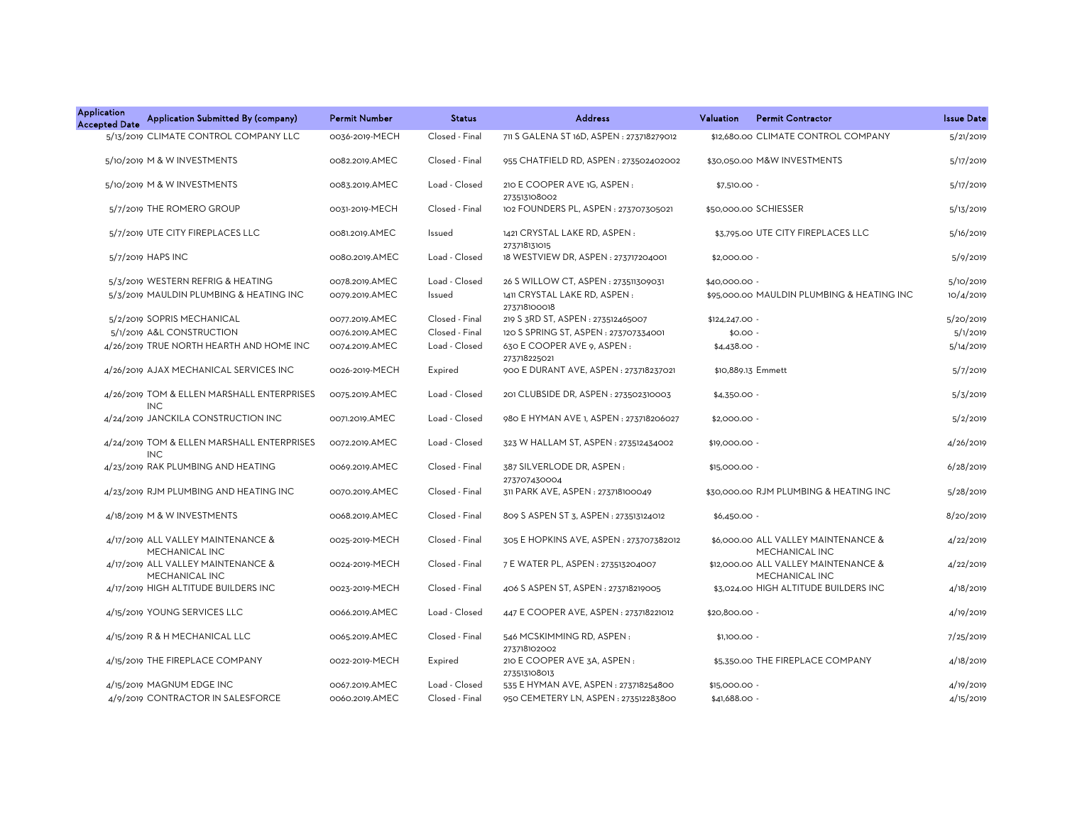| <b>Application</b><br><b>Accepted Date</b> | Application Submitted By (company)                       | <b>Permit Number</b> | <b>Status</b>  | <b>Address</b>                               | Valuation<br><b>Permit Contractor</b>                        | <b>Issue Date</b> |
|--------------------------------------------|----------------------------------------------------------|----------------------|----------------|----------------------------------------------|--------------------------------------------------------------|-------------------|
|                                            | 5/13/2019 CLIMATE CONTROL COMPANY LLC                    | 0036-2019-MECH       | Closed - Final | 711 S GALENA ST 16D, ASPEN : 273718279012    | \$12,680.00 CLIMATE CONTROL COMPANY                          | 5/21/2019         |
|                                            | 5/10/2019 M & W INVESTMENTS                              | 0082.2019.AMEC       | Closed - Final | 955 CHATFIELD RD, ASPEN: 273502402002        | \$30,050.00 M&W INVESTMENTS                                  | 5/17/2019         |
|                                            | 5/10/2019 M & W INVESTMENTS                              | 0083.2019.AMEC       | Load - Closed  | 210 E COOPER AVE 1G, ASPEN:<br>273513108002  | $$7,510.00 -$                                                | 5/17/2019         |
|                                            | 5/7/2019 THE ROMERO GROUP                                | 0031-2019-MECH       | Closed - Final | 102 FOUNDERS PL, ASPEN : 273707305021        | \$50,000.00 SCHIESSER                                        | 5/13/2019         |
|                                            | 5/7/2019 UTE CITY FIREPLACES LLC                         | 0081.2019.AMEC       | Issued         | 1421 CRYSTAL LAKE RD, ASPEN:<br>273718131015 | \$3,795.00 UTE CITY FIREPLACES LLC                           | 5/16/2019         |
|                                            | 5/7/2019 HAPS INC                                        | 0080.2019.AMEC       | Load - Closed  | 18 WESTVIEW DR, ASPEN : 273717204001         | \$2,000.00 -                                                 | 5/9/2019          |
|                                            | 5/3/2019 WESTERN REFRIG & HEATING                        | 0078.2019.AMEC       | Load - Closed  | 26 S WILLOW CT, ASPEN : 273511309031         | \$40,000.00 -                                                | 5/10/2019         |
|                                            | 5/3/2019 MAULDIN PLUMBING & HEATING INC                  | 0079.2019.AMEC       | Issued         | 1411 CRYSTAL LAKE RD, ASPEN:<br>273718100018 | \$95,000.00 MAULDIN PLUMBING & HEATING INC                   | 10/4/2019         |
|                                            | 5/2/2019 SOPRIS MECHANICAL                               | 0077.2019.AMEC       | Closed - Final | 219 S 3RD ST, ASPEN : 273512465007           | \$124,247.00 -                                               | 5/20/2019         |
|                                            | 5/1/2019 A&L CONSTRUCTION                                | 0076.2019.AMEC       | Closed - Final | 120 S SPRING ST, ASPEN : 273707334001        | $$0.00 -$                                                    | 5/1/2019          |
|                                            | 4/26/2019 TRUE NORTH HEARTH AND HOME INC                 | 0074.2019.AMEC       | Load - Closed  | 630 E COOPER AVE 9, ASPEN :<br>273718225021  | $$4,438.00 -$                                                | 5/14/2019         |
|                                            | 4/26/2019 AJAX MECHANICAL SERVICES INC                   | 0026-2019-MECH       | Expired        | 900 E DURANT AVE, ASPEN: 273718237021        | \$10,889.13 Emmett                                           | 5/7/2019          |
|                                            | 4/26/2019 TOM & ELLEN MARSHALL ENTERPRISES<br><b>INC</b> | 0075.2019.AMEC       | Load - Closed  | 201 CLUBSIDE DR, ASPEN : 273502310003        | $$4,350.00 -$                                                | 5/3/2019          |
|                                            | 4/24/2019 JANCKILA CONSTRUCTION INC                      | 0071.2019.AMEC       | Load - Closed  | 980 E HYMAN AVE 1, ASPEN : 273718206027      | \$2,000.00 -                                                 | 5/2/2019          |
|                                            | 4/24/2019 TOM & ELLEN MARSHALL ENTERPRISES<br><b>INC</b> | 0072.2019.AMEC       | Load - Closed  | 323 W HALLAM ST, ASPEN : 273512434002        | \$19,000.00 -                                                | 4/26/2019         |
|                                            | 4/23/2019 RAK PLUMBING AND HEATING                       | 0069.2019.AMEC       | Closed - Final | 387 SILVERLODE DR, ASPEN:<br>273707430004    | \$15,000.00 -                                                | 6/28/2019         |
|                                            | 4/23/2019 RJM PLUMBING AND HEATING INC                   | 0070.2019.AMEC       | Closed - Final | 311 PARK AVE, ASPEN : 273718100049           | \$30,000.00 RJM PLUMBING & HEATING INC                       | 5/28/2019         |
|                                            | 4/18/2019 M & W INVESTMENTS                              | 0068.2019.AMEC       | Closed - Final | 809 S ASPEN ST 3, ASPEN : 273513124012       | $$6,450.00 -$                                                | 8/20/2019         |
|                                            | 4/17/2019 ALL VALLEY MAINTENANCE &<br>MECHANICAL INC     | 0025-2019-MECH       | Closed - Final | 305 E HOPKINS AVE, ASPEN : 273707382012      | \$6,000.00 ALL VALLEY MAINTENANCE &<br><b>MECHANICAL INC</b> | 4/22/2019         |
|                                            | 4/17/2019 ALL VALLEY MAINTENANCE &<br>MECHANICAL INC     | 0024-2019-MECH       | Closed - Final | 7 E WATER PL, ASPEN : 273513204007           | \$12,000.00 ALL VALLEY MAINTENANCE &<br>MECHANICAL INC       | 4/22/2019         |
|                                            | 4/17/2019 HIGH ALTITUDE BUILDERS INC                     | 0023-2019-MECH       | Closed - Final | 406 S ASPEN ST, ASPEN : 273718219005         | \$3,024.00 HIGH ALTITUDE BUILDERS INC                        | 4/18/2019         |
|                                            | 4/15/2019 YOUNG SERVICES LLC                             | 0066.2019.AMEC       | Load - Closed  | 447 E COOPER AVE, ASPEN : 273718221012       | \$20,800.00 -                                                | 4/19/2019         |
|                                            | 4/15/2019 R & H MECHANICAL LLC                           | 0065.2019.AMEC       | Closed - Final | 546 MCSKIMMING RD, ASPEN:<br>273718102002    | $$1,100.00 -$                                                | 7/25/2019         |
|                                            | 4/15/2019 THE FIREPLACE COMPANY                          | 0022-2019-MECH       | Expired        | 210 E COOPER AVE 3A, ASPEN:<br>273513108013  | \$5,350.00 THE FIREPLACE COMPANY                             | 4/18/2019         |
|                                            | 4/15/2019 MAGNUM EDGE INC                                | 0067.2019.AMEC       | Load - Closed  | 535 E HYMAN AVE, ASPEN : 273718254800        | \$15,000.00 -                                                | 4/19/2019         |
|                                            | 4/9/2019 CONTRACTOR IN SALESFORCE                        | 0060.2019.AMEC       | Closed - Final | 950 CEMETERY LN, ASPEN: 273512283800         | \$41,688.00 -                                                | 4/15/2019         |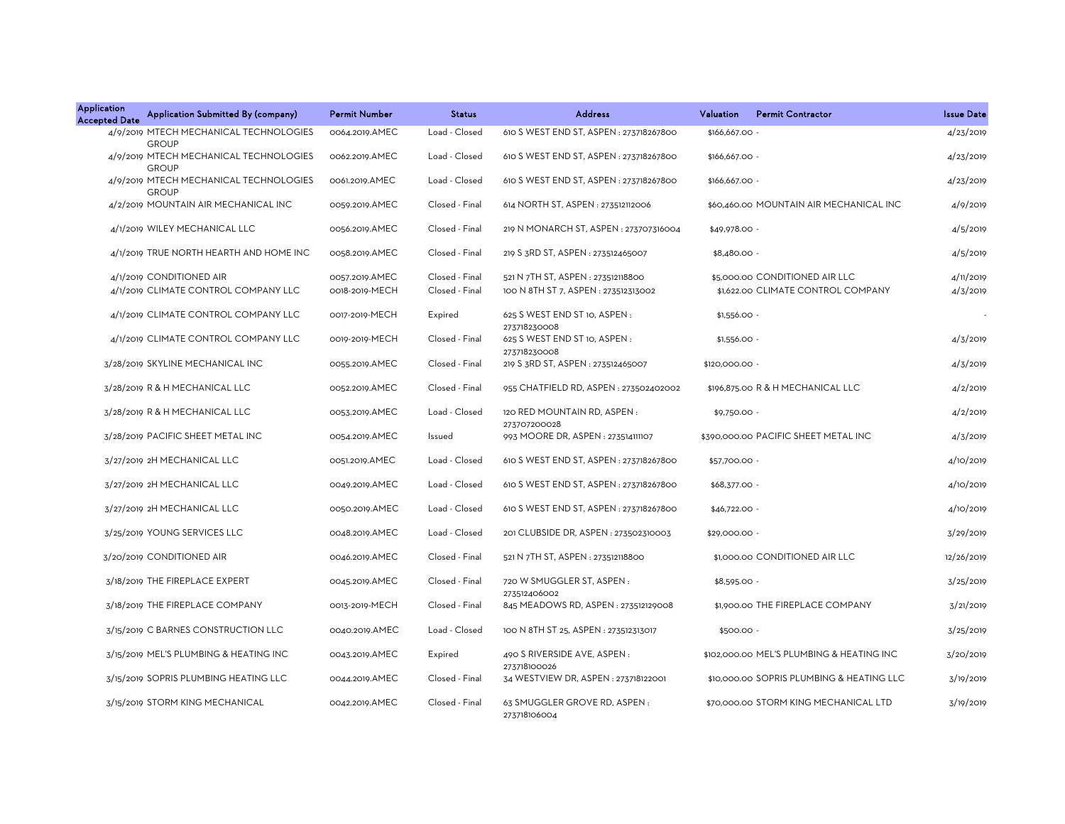| <b>Application</b><br>Application Submitted By (company)<br><b>Accepted Date</b> | <b>Permit Number</b> | <b>Status</b>  | <b>Address</b>                                      | Valuation<br><b>Permit Contractor</b>     | <b>Issue Date</b> |
|----------------------------------------------------------------------------------|----------------------|----------------|-----------------------------------------------------|-------------------------------------------|-------------------|
| 4/9/2019 MTECH MECHANICAL TECHNOLOGIES<br><b>GROUP</b>                           | 0064.2019.AMEC       | Load - Closed  | 610 S WEST END ST, ASPEN: 273718267800              | \$166,667.00 -                            | 4/23/2019         |
| 4/9/2019 MTECH MECHANICAL TECHNOLOGIES<br><b>GROUP</b>                           | 0062.2019.AMEC       | Load - Closed  | 610 S WEST END ST, ASPEN: 273718267800              | \$166,667.00 -                            | 4/23/2019         |
| 4/9/2019 MTECH MECHANICAL TECHNOLOGIES                                           | 0061.2019.AMEC       | Load - Closed  | 610 S WEST END ST, ASPEN: 273718267800              | \$166,667.00 -                            | 4/23/2019         |
| <b>GROUP</b><br>4/2/2019 MOUNTAIN AIR MECHANICAL INC                             | 0059.2019.AMEC       | Closed - Final | 614 NORTH ST, ASPEN : 273512112006                  | \$60,460.00 MOUNTAIN AIR MECHANICAL INC   | 4/9/2019          |
| 4/1/2019 WILEY MECHANICAL LLC                                                    | 0056.2019.AMEC       | Closed - Final | 219 N MONARCH ST, ASPEN : 273707316004              | \$49,978.00 -                             | 4/5/2019          |
| 4/1/2019 TRUE NORTH HEARTH AND HOME INC                                          | 0058.2019.AMEC       | Closed - Final | 219 S 3RD ST, ASPEN: 273512465007                   | \$8,480.00 -                              | 4/5/2019          |
| 4/1/2019 CONDITIONED AIR                                                         | 0057.2019.AMEC       | Closed - Final | 521 N 7TH ST, ASPEN : 273512118800                  | \$5,000.00 CONDITIONED AIR LLC            | 4/11/2019         |
| 4/1/2019 CLIMATE CONTROL COMPANY LLC                                             | 0018-2019-MECH       | Closed - Final | 100 N 8TH ST 7, ASPEN : 273512313002                | \$1,622.00 CLIMATE CONTROL COMPANY        | 4/3/2019          |
| 4/1/2019 CLIMATE CONTROL COMPANY LLC                                             | 0017-2019-MECH       | Expired        | 625 S WEST END ST 10, ASPEN :<br>273718230008       | $$1,556.00 -$                             |                   |
| 4/1/2019 CLIMATE CONTROL COMPANY LLC                                             | 0019-2019-MECH       | Closed - Final | 625 S WEST END ST 10, ASPEN :<br>273718230008       | $$1,556.00 -$                             | 4/3/2019          |
| 3/28/2019 SKYLINE MECHANICAL INC                                                 | 0055.2019.AMEC       | Closed - Final | 219 S 3RD ST, ASPEN: 273512465007                   | \$120,000.00 -                            | 4/3/2019          |
| 3/28/2019 R & H MECHANICAL LLC                                                   | 0052.2019.AMEC       | Closed - Final | 955 CHATFIELD RD, ASPEN : 273502402002              | \$196,875.00 R & H MECHANICAL LLC         | 4/2/2019          |
| 3/28/2019 R & H MECHANICAL LLC                                                   | 0053.2019.AMEC       | Load - Closed  | 120 RED MOUNTAIN RD. ASPEN:                         | $$9,750.00 -$                             | 4/2/2019          |
| 3/28/2019 PACIFIC SHEET METAL INC                                                | 0054.2019.AMEC       | Issued         | 273707200028<br>993 MOORE DR, ASPEN: 273514111107   | \$390,000.00 PACIFIC SHEET METAL INC      | 4/3/2019          |
| 3/27/2019 2H MECHANICAL LLC                                                      | 0051.2019.AMEC       | Load - Closed  | 610 S WEST END ST, ASPEN: 273718267800              | \$57,700.00 -                             | 4/10/2019         |
| 3/27/2019 2H MECHANICAL LLC                                                      | 0049.2019.AMEC       | Load - Closed  | 610 S WEST END ST, ASPEN: 273718267800              | \$68,377.00 -                             | 4/10/2019         |
| 3/27/2019 2H MECHANICAL LLC                                                      | 0050.2019.AMEC       | Load - Closed  | 610 S WEST END ST, ASPEN : 273718267800             | \$46,722.00 -                             | 4/10/2019         |
| 3/25/2019 YOUNG SERVICES LLC                                                     | 0048.2019.AMEC       | Load - Closed  | 201 CLUBSIDE DR, ASPEN : 273502310003               | \$29,000.00 -                             | 3/29/2019         |
| 3/20/2019 CONDITIONED AIR                                                        | 0046.2019.AMEC       | Closed - Final | 521 N 7TH ST, ASPEN : 273512118800                  | \$1,000.00 CONDITIONED AIR LLC            | 12/26/2019        |
| 3/18/2019 THE FIREPLACE EXPERT                                                   | 0045.2019.AMEC       | Closed - Final | 720 W SMUGGLER ST, ASPEN:                           | $$8,595.00 -$                             | 3/25/2019         |
| 3/18/2019 THE FIREPLACE COMPANY                                                  | 0013-2019-MECH       | Closed - Final | 273512406002<br>845 MEADOWS RD, ASPEN: 273512129008 | \$1,900.00 THE FIREPLACE COMPANY          | 3/21/2019         |
| 3/15/2019 C BARNES CONSTRUCTION LLC                                              | 0040.2019.AMEC       | Load - Closed  | 100 N 8TH ST 25, ASPEN : 273512313017               | \$500.00 -                                | 3/25/2019         |
| 3/15/2019 MEL'S PLUMBING & HEATING INC                                           | 0043.2019.AMEC       | Expired        | 490 S RIVERSIDE AVE, ASPEN:<br>273718100026         | \$102,000.00 MEL'S PLUMBING & HEATING INC | 3/20/2019         |
| 3/15/2019 SOPRIS PLUMBING HEATING LLC                                            | 0044.2019.AMEC       | Closed - Final | 34 WESTVIEW DR, ASPEN: 273718122001                 | \$10,000.00 SOPRIS PLUMBING & HEATING LLC | 3/19/2019         |
| 3/15/2019 STORM KING MECHANICAL                                                  | 0042.2019.AMEC       | Closed - Final | 63 SMUGGLER GROVE RD, ASPEN:<br>273718106004        | \$70,000.00 STORM KING MECHANICAL LTD     | 3/19/2019         |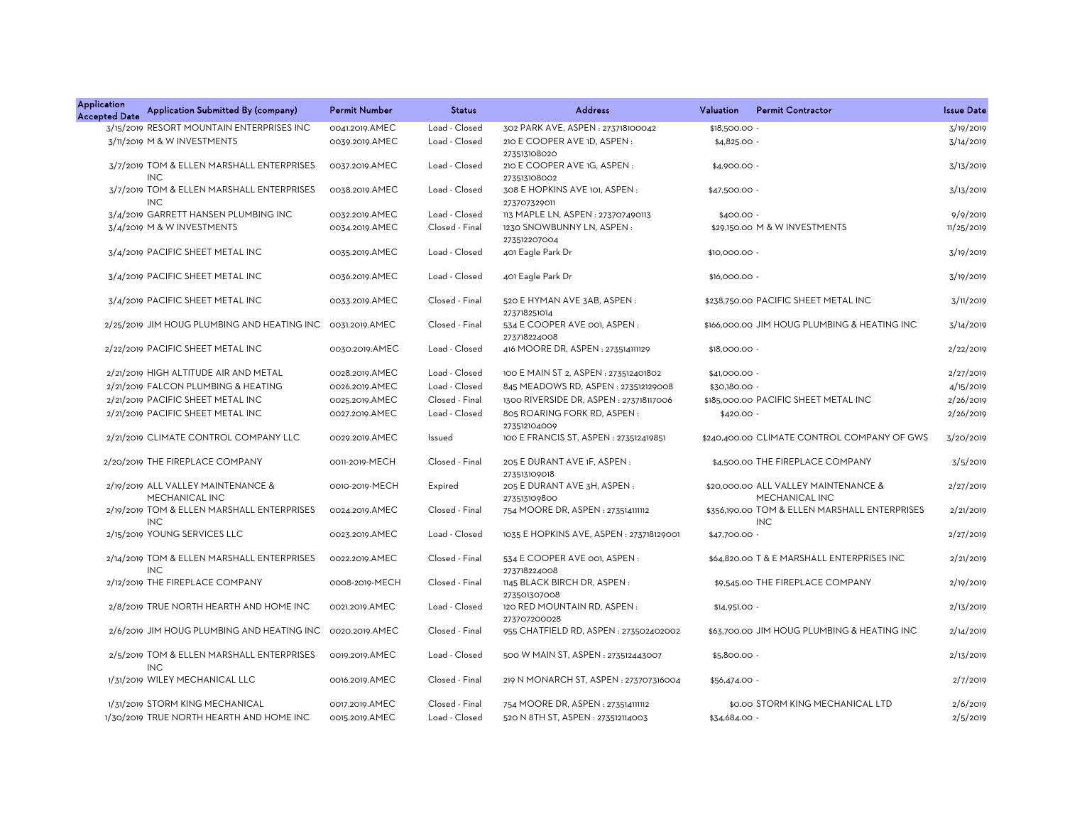| <b>Application</b><br><b>Accepted Date</b> | Application Submitted By (company)                       | <b>Permit Number</b> | <b>Status</b>  | <b>Address</b>                                     | Valuation      | <b>Permit Contractor</b>                                    | <b>Issue Date</b> |
|--------------------------------------------|----------------------------------------------------------|----------------------|----------------|----------------------------------------------------|----------------|-------------------------------------------------------------|-------------------|
|                                            | 3/15/2019 RESORT MOUNTAIN ENTERPRISES INC                | 0041.2019.AMEC       | Load - Closed  | 302 PARK AVE, ASPEN : 273718100042                 | \$18,500.00 -  |                                                             | 3/19/2019         |
|                                            | 3/11/2019 M & W INVESTMENTS                              | 0039.2019.AMEC       | Load - Closed  | 210 E COOPER AVE 1D, ASPEN :<br>273513108020       | \$4,825.00 -   |                                                             | 3/14/2019         |
|                                            | 3/7/2019 TOM & ELLEN MARSHALL ENTERPRISES<br><b>INC</b>  | 0037.2019.AMEC       | Load - Closed  | 210 E COOPER AVE 1G, ASPEN:<br>273513108002        | \$4,900.00 -   |                                                             | 3/13/2019         |
|                                            | 3/7/2019 TOM & ELLEN MARSHALL ENTERPRISES<br><b>INC</b>  | 0038.2019.AMEC       | Load - Closed  | 308 E HOPKINS AVE 101, ASPEN:                      | \$47,500.00 -  |                                                             | 3/13/2019         |
|                                            | 3/4/2019 GARRETT HANSEN PLUMBING INC                     | 0032.2019.AMEC       | Load - Closed  | 273707329011<br>113 MAPLE LN, ASPEN : 273707490113 | $$400.00 -$    |                                                             | 9/9/2019          |
|                                            | 3/4/2019 M & W INVESTMENTS                               | 0034.2019.AMEC       | Closed - Final | 1230 SNOWBUNNY LN, ASPEN:                          |                | \$29,150.00 M & W INVESTMENTS                               | 11/25/2019        |
|                                            |                                                          |                      |                | 273512207004                                       |                |                                                             |                   |
|                                            | 3/4/2019 PACIFIC SHEET METAL INC                         | 0035.2019.AMEC       | Load - Closed  | 401 Eagle Park Dr                                  | \$10,000.00 -  |                                                             | 3/19/2019         |
|                                            | 3/4/2019 PACIFIC SHEET METAL INC                         | 0036.2019.AMEC       | Load - Closed  | 401 Eagle Park Dr                                  | \$16,000.00 -  |                                                             | 3/19/2019         |
|                                            | 3/4/2019 PACIFIC SHEET METAL INC                         | 0033.2019.AMEC       | Closed - Final | 520 E HYMAN AVE 3AB, ASPEN:<br>273718251014        |                | \$238,750.00 PACIFIC SHEET METAL INC                        | 3/11/2019         |
|                                            | 2/25/2019 JIM HOUG PLUMBING AND HEATING INC              | 0031.2019.AMEC       | Closed - Final | 534 E COOPER AVE 001, ASPEN:<br>273718224008       |                | \$166,000,00 JIM HOUG PLUMBING & HEATING INC                | 3/14/2019         |
|                                            | 2/22/2019 PACIFIC SHEET METAL INC                        | 0030.2019.AMEC       | Load - Closed  | 416 MOORE DR, ASPEN : 273514111129                 | \$18,000.00 -  |                                                             | 2/22/2019         |
|                                            | 2/21/2019 HIGH ALTITUDE AIR AND METAL                    | 0028.2019.AMEC       | Load - Closed  | 100 E MAIN ST 2, ASPEN : 273512401802              | \$41,000.00 -  |                                                             | 2/27/2019         |
|                                            | 2/21/2019 FALCON PLUMBING & HEATING                      | 0026.2019.AMEC       | Load - Closed  | 845 MEADOWS RD, ASPEN: 273512129008                | \$30,180.00 -  |                                                             | 4/15/2019         |
|                                            | 2/21/2019 PACIFIC SHEET METAL INC                        | 0025.2019.AMEC       | Closed - Final | 1300 RIVERSIDE DR, ASPEN: 273718117006             |                | \$185,000.00 PACIFIC SHEET METAL INC                        | 2/26/2019         |
|                                            | 2/21/2019 PACIFIC SHEET METAL INC                        | 0027.2019.AMEC       | Load - Closed  | 805 ROARING FORK RD, ASPEN:                        | $$420.00 -$    |                                                             | 2/26/2019         |
|                                            |                                                          |                      |                | 273512104009                                       |                |                                                             |                   |
|                                            | 2/21/2019 CLIMATE CONTROL COMPANY LLC                    | 0029.2019.AMEC       | Issued         | 100 E FRANCIS ST, ASPEN: 273512419851              |                | \$240,400.00 CLIMATE CONTROL COMPANY OF GWS                 | 3/20/2019         |
|                                            | 2/20/2019 THE FIREPLACE COMPANY                          | 0011-2019-MECH       | Closed - Final | 205 E DURANT AVE 1F, ASPEN:<br>273513109018        |                | \$4,500.00 THE FIREPLACE COMPANY                            | 3/5/2019          |
|                                            | 2/19/2019 ALL VALLEY MAINTENANCE &<br>MECHANICAL INC     | 0010-2019-MECH       | Expired        | 205 E DURANT AVE 3H, ASPEN :<br>273513109800       |                | \$20,000.00 ALL VALLEY MAINTENANCE &<br>MECHANICAL INC      | 2/27/2019         |
|                                            | 2/19/2019 TOM & ELLEN MARSHALL ENTERPRISES<br><b>INC</b> | 0024.2019.AMEC       | Closed - Final | 754 MOORE DR, ASPEN : 273514111112                 |                | \$356,190.00 TOM & ELLEN MARSHALL ENTERPRISES<br><b>INC</b> | 2/21/2019         |
|                                            | 2/15/2019 YOUNG SERVICES LLC                             | 0023.2019.AMEC       | Load - Closed  | 1035 E HOPKINS AVE, ASPEN: 273718129001            | \$47,700.00 -  |                                                             | 2/27/2019         |
|                                            | 2/14/2019 TOM & ELLEN MARSHALL ENTERPRISES<br><b>INC</b> | 0022.2019.AMEC       | Closed - Final | 534 E COOPER AVE 001, ASPEN:<br>273718224008       |                | \$64,820.00 T & E MARSHALL ENTERPRISES INC                  | 2/21/2019         |
|                                            | 2/12/2019 THE FIREPLACE COMPANY                          | 0008-2019-MECH       | Closed - Final | 1145 BLACK BIRCH DR, ASPEN:<br>273501307008        |                | \$9,545.00 THE FIREPLACE COMPANY                            | 2/19/2019         |
|                                            | 2/8/2019 TRUE NORTH HEARTH AND HOME INC                  | 0021.2019.AMEC       | Load - Closed  | 120 RED MOUNTAIN RD, ASPEN:<br>273707200028        | $$14.951.00 -$ |                                                             | 2/13/2019         |
|                                            | 2/6/2019 JIM HOUG PLUMBING AND HEATING INC               | 0020.2019.AMEC       | Closed - Final | 955 CHATFIELD RD, ASPEN: 273502402002              |                | \$63,700.00 JIM HOUG PLUMBING & HEATING INC                 | 2/14/2019         |
|                                            | 2/5/2019 TOM & ELLEN MARSHALL ENTERPRISES<br><b>INC</b>  | 0019.2019.AMEC       | Load - Closed  | 500 W MAIN ST, ASPEN: 273512443007                 | \$5,800.00 -   |                                                             | 2/13/2019         |
|                                            | 1/31/2019 WILEY MECHANICAL LLC                           | 0016.2019.AMEC       | Closed - Final | 219 N MONARCH ST, ASPEN : 273707316004             | \$56,474.00 -  |                                                             | 2/7/2019          |
|                                            | 1/31/2019 STORM KING MECHANICAL                          | 0017.2019.AMEC       | Closed - Final | 754 MOORE DR, ASPEN : 273514111112                 |                | \$0.00 STORM KING MECHANICAL LTD                            | 2/6/2019          |
|                                            | 1/30/2019 TRUE NORTH HEARTH AND HOME INC                 | 0015.2019.AMEC       | Load - Closed  | 520 N 8TH ST, ASPEN: 273512114003                  | \$34,684.00 -  |                                                             | 2/5/2019          |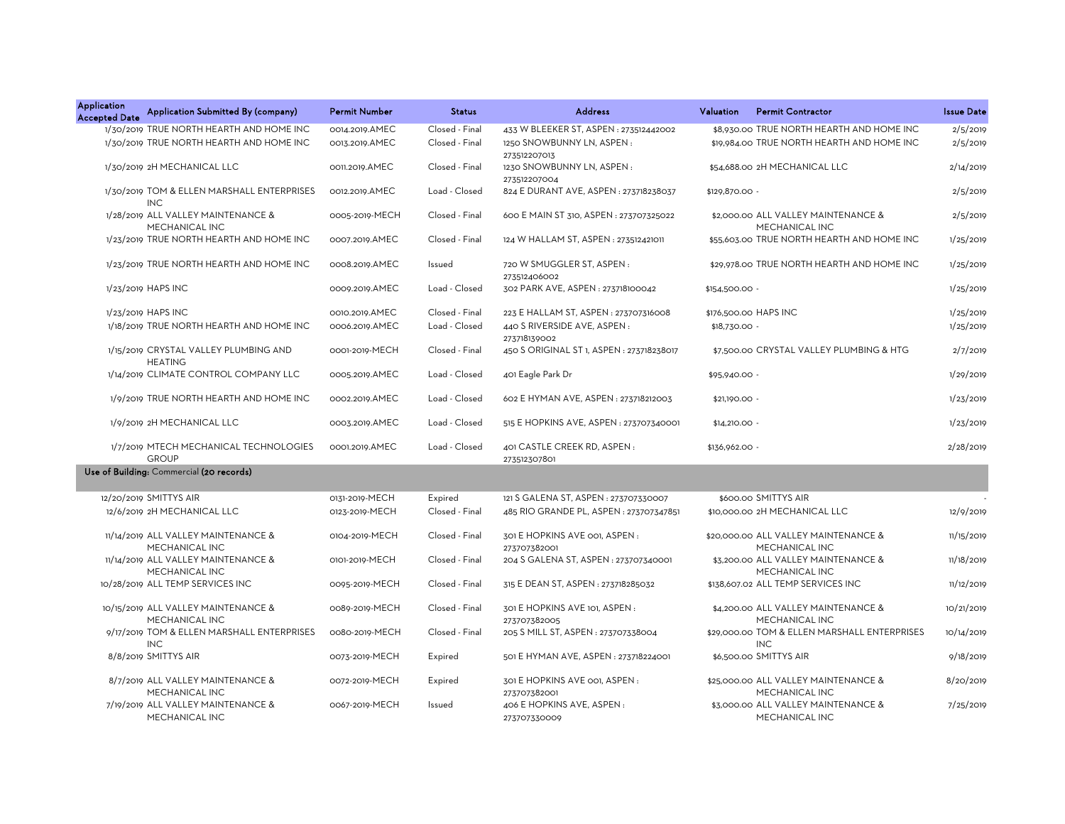| <b>Application</b><br><b>Accepted Date</b> | Application Submitted By (company)                       | <b>Permit Number</b> | <b>Status</b>  | <b>Address</b>                                | Valuation<br><b>Permit Contractor</b>                      | <b>Issue Date</b> |
|--------------------------------------------|----------------------------------------------------------|----------------------|----------------|-----------------------------------------------|------------------------------------------------------------|-------------------|
|                                            | 1/30/2019 TRUE NORTH HEARTH AND HOME INC                 | 0014.2019.AMEC       | Closed - Final | 433 W BLEEKER ST, ASPEN: 273512442002         | \$8,930.00 TRUE NORTH HEARTH AND HOME INC                  | 2/5/2019          |
|                                            | 1/30/2019 TRUE NORTH HEARTH AND HOME INC                 | 0013.2019.AMEC       | Closed - Final | 1250 SNOWBUNNY LN, ASPEN:<br>273512207013     | \$19,984.00 TRUE NORTH HEARTH AND HOME INC                 | 2/5/2019          |
|                                            | 1/30/2019 2H MECHANICAL LLC                              | 0011.2019.AMEC       | Closed - Final | 1230 SNOWBUNNY LN, ASPEN:<br>273512207004     | \$54,688.00 2H MECHANICAL LLC                              | 2/14/2019         |
|                                            | 1/30/2019 TOM & ELLEN MARSHALL ENTERPRISES<br><b>INC</b> | 0012.2019.AMEC       | Load - Closed  | 824 E DURANT AVE, ASPEN : 273718238037        | \$129,870.00 -                                             | 2/5/2019          |
|                                            | 1/28/2019 ALL VALLEY MAINTENANCE &<br>MECHANICAL INC     | 0005-2019-MECH       | Closed - Final | 600 E MAIN ST 310, ASPEN : 273707325022       | \$2,000.00 ALL VALLEY MAINTENANCE &<br>MECHANICAL INC      | 2/5/2019          |
|                                            | 1/23/2019 TRUE NORTH HEARTH AND HOME INC                 | 0007.2019.AMEC       | Closed - Final | 124 W HALLAM ST, ASPEN : 273512421011         | \$55,603.00 TRUE NORTH HEARTH AND HOME INC                 | 1/25/2019         |
|                                            | 1/23/2019 TRUE NORTH HEARTH AND HOME INC                 | 0008.2019.AMEC       | Issued         | 720 W SMUGGLER ST, ASPEN:<br>273512406002     | \$29,978.00 TRUE NORTH HEARTH AND HOME INC                 | 1/25/2019         |
|                                            | 1/23/2019 HAPS INC                                       | 0009.2019.AMEC       | Load - Closed  | 302 PARK AVE, ASPEN: 273718100042             | \$154,500.00 -                                             | 1/25/2019         |
|                                            | 1/23/2019 HAPS INC                                       | 0010.2019.AMEC       | Closed - Final | 223 E HALLAM ST, ASPEN : 273707316008         | \$176,500.00 HAPS INC                                      | 1/25/2019         |
|                                            | 1/18/2019 TRUE NORTH HEARTH AND HOME INC                 | 0006.2019.AMEC       | Load - Closed  | 440 S RIVERSIDE AVE, ASPEN:<br>273718139002   | \$18,730.00 -                                              | 1/25/2019         |
|                                            | 1/15/2019 CRYSTAL VALLEY PLUMBING AND<br><b>HEATING</b>  | 0001-2019-MECH       | Closed - Final | 450 S ORIGINAL ST 1, ASPEN : 273718238017     | \$7,500.00 CRYSTAL VALLEY PLUMBING & HTG                   | 2/7/2019          |
|                                            | 1/14/2019 CLIMATE CONTROL COMPANY LLC                    | 0005.2019.AMEC       | Load - Closed  | 401 Eagle Park Dr                             | \$95,940.00 -                                              | 1/29/2019         |
|                                            | 1/9/2019 TRUE NORTH HEARTH AND HOME INC                  | 0002.2019.AMEC       | Load - Closed  | 602 E HYMAN AVE, ASPEN : 273718212003         | \$21,190.00 -                                              | 1/23/2019         |
|                                            | 1/9/2019 2H MECHANICAL LLC                               | 0003.2019.AMEC       | Load - Closed  | 515 E HOPKINS AVE, ASPEN : 273707340001       | \$14,210.00 -                                              | 1/23/2019         |
|                                            | 1/7/2019 MTECH MECHANICAL TECHNOLOGIES<br><b>GROUP</b>   | 0001.2019.AMEC       | Load - Closed  | 401 CASTLE CREEK RD, ASPEN:<br>273512307801   | \$136,962.00 -                                             | 2/28/2019         |
|                                            | Use of Building: Commercial (20 records)                 |                      |                |                                               |                                                            |                   |
|                                            | 12/20/2019 SMITTYS AIR                                   | 0131-2019-MECH       | Expired        | 121 S GALENA ST, ASPEN : 273707330007         | \$600.00 SMITTYS AIR                                       |                   |
|                                            | 12/6/2019 2H MECHANICAL LLC                              | 0123-2019-MECH       | Closed - Final | 485 RIO GRANDE PL, ASPEN : 273707347851       | \$10,000.00 2H MECHANICAL LLC                              | 12/9/2019         |
|                                            | 11/14/2019 ALL VALLEY MAINTENANCE &<br>MECHANICAL INC    | 0104-2019-MECH       | Closed - Final | 301 E HOPKINS AVE 001, ASPEN:<br>273707382001 | \$20,000.00 ALL VALLEY MAINTENANCE &<br>MECHANICAL INC     | 11/15/2019        |
|                                            | 11/14/2019 ALL VALLEY MAINTENANCE &<br>MECHANICAL INC    | 0101-2019-MECH       | Closed - Final | 204 S GALENA ST, ASPEN : 273707340001         | \$3,200.00 ALL VALLEY MAINTENANCE &<br>MECHANICAL INC      | 11/18/2019        |
|                                            | 10/28/2019 ALL TEMP SERVICES INC                         | 0095-2019-MECH       | Closed - Final | 315 E DEAN ST, ASPEN: 273718285032            | \$138,607.02 ALL TEMP SERVICES INC                         | 11/12/2019        |
|                                            | 10/15/2019 ALL VALLEY MAINTENANCE &<br>MECHANICAL INC    | 0089-2019-MECH       | Closed - Final | 301 E HOPKINS AVE 101, ASPEN:<br>273707382005 | \$4,200.00 ALL VALLEY MAINTENANCE &<br>MECHANICAL INC      | 10/21/2019        |
|                                            | 9/17/2019 TOM & ELLEN MARSHALL ENTERPRISES<br><b>INC</b> | 0080-2019-MECH       | Closed - Final | 205 S MILL ST, ASPEN : 273707338004           | \$29,000.00 TOM & ELLEN MARSHALL ENTERPRISES<br><b>INC</b> | 10/14/2019        |
|                                            | 8/8/2019 SMITTYS AIR                                     | 0073-2019-MECH       | Expired        | 501 E HYMAN AVE, ASPEN: 273718224001          | \$6,500.00 SMITTYS AIR                                     | 9/18/2019         |
|                                            | 8/7/2019 ALL VALLEY MAINTENANCE &<br>MECHANICAL INC      | 0072-2019-MECH       | Expired        | 301 E HOPKINS AVE 001, ASPEN:<br>273707382001 | \$25,000.00 ALL VALLEY MAINTENANCE &<br>MECHANICAL INC     | 8/20/2019         |
|                                            | 7/19/2019 ALL VALLEY MAINTENANCE &<br>MECHANICAL INC     | 0067-2019-MECH       | Issued         | 406 E HOPKINS AVE, ASPEN:<br>273707330009     | \$3,000.00 ALL VALLEY MAINTENANCE &<br>MECHANICAL INC      | 7/25/2019         |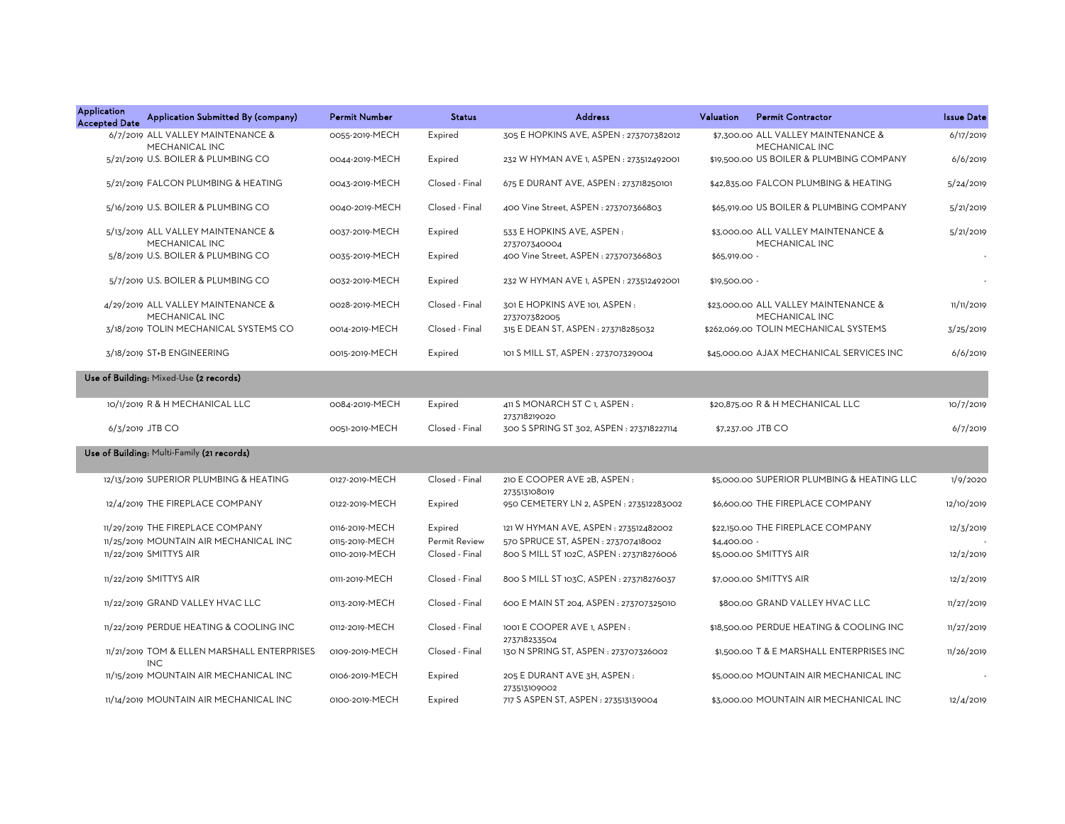| <b>Application</b><br><b>Accepted Date</b> | Application Submitted By (company)                        | <b>Permit Number</b> | <b>Status</b>        | <b>Address</b>                                        | Valuation     | <b>Permit Contractor</b>                               | <b>Issue Date</b> |
|--------------------------------------------|-----------------------------------------------------------|----------------------|----------------------|-------------------------------------------------------|---------------|--------------------------------------------------------|-------------------|
|                                            | 6/7/2019 ALL VALLEY MAINTENANCE &<br>MECHANICAL INC       | 0055-2019-MECH       | Expired              | 305 E HOPKINS AVE, ASPEN : 273707382012               |               | \$7,300.00 ALL VALLEY MAINTENANCE &<br>MECHANICAL INC  | 6/17/2019         |
|                                            | 5/21/2019 U.S. BOILER & PLUMBING CO                       | 0044-2019-MECH       | Expired              | 232 W HYMAN AVE 1, ASPEN : 273512492001               |               | \$19,500.00 US BOILER & PLUMBING COMPANY               | 6/6/2019          |
|                                            | 5/21/2019 FALCON PLUMBING & HEATING                       | 0043-2019-MECH       | Closed - Final       | 675 E DURANT AVE, ASPEN : 273718250101                |               | \$42,835.00 FALCON PLUMBING & HEATING                  | 5/24/2019         |
|                                            | 5/16/2019 U.S. BOILER & PLUMBING CO                       | 0040-2019-MECH       | Closed - Final       | 400 Vine Street, ASPEN: 273707366803                  |               | \$65,919.00 US BOILER & PLUMBING COMPANY               | 5/21/2019         |
|                                            | 5/13/2019 ALL VALLEY MAINTENANCE &<br>MECHANICAL INC      | 0037-2019-MECH       | Expired              | 533 E HOPKINS AVE, ASPEN:                             |               | \$3,000.00 ALL VALLEY MAINTENANCE &<br>MECHANICAL INC  | 5/21/2019         |
|                                            | 5/8/2019 U.S. BOILER & PLUMBING CO                        | 0035-2019-MECH       | Expired              | 273707340004<br>400 Vine Street, ASPEN: 273707366803  | \$65,919.00 - |                                                        |                   |
|                                            | 5/7/2019 U.S. BOILER & PLUMBING CO                        | 0032-2019-MECH       | Expired              | 232 W HYMAN AVE 1, ASPEN : 273512492001               | \$19,500.00 - |                                                        |                   |
|                                            | 4/29/2019 ALL VALLEY MAINTENANCE &<br>MECHANICAL INC      | 0028-2019-MECH       | Closed - Final       | 301 E HOPKINS AVE 101, ASPEN:                         |               | \$23,000.00 ALL VALLEY MAINTENANCE &<br>MECHANICAL INC | 11/11/2019        |
|                                            | 3/18/2019 TOLIN MECHANICAL SYSTEMS CO                     | 0014-2019-MECH       | Closed - Final       | 273707382005<br>315 E DEAN ST, ASPEN : 273718285032   |               | \$262,069.00 TOLIN MECHANICAL SYSTEMS                  | 3/25/2019         |
|                                            | 3/18/2019 ST+B ENGINEERING                                | 0015-2019-MECH       | Expired              | 101 S MILL ST, ASPEN : 273707329004                   |               | \$45,000.00 AJAX MECHANICAL SERVICES INC               | 6/6/2019          |
|                                            | Use of Building: Mixed-Use (2 records)                    |                      |                      |                                                       |               |                                                        |                   |
|                                            | 10/1/2019 R & H MECHANICAL LLC                            | 0084-2019-MECH       | Expired              | 411 S MONARCH ST C 1, ASPEN :<br>273718219020         |               | \$20,875.00 R & H MECHANICAL LLC                       | 10/7/2019         |
|                                            | 6/3/2019 JTB CO                                           | 0051-2019-MECH       | Closed - Final       | 300 S SPRING ST 302, ASPEN : 273718227114             |               | \$7,237.00 JTB CO                                      | 6/7/2019          |
|                                            | Use of Building: Multi-Family (21 records)                |                      |                      |                                                       |               |                                                        |                   |
|                                            | 12/13/2019 SUPERIOR PLUMBING & HEATING                    | 0127-2019-MECH       | Closed - Final       | 210 E COOPER AVE 2B, ASPEN :<br>273513108019          |               | \$5,000.00 SUPERIOR PLUMBING & HEATING LLC             | 1/9/2020          |
|                                            | 12/4/2019 THE FIREPLACE COMPANY                           | 0122-2019-MECH       | Expired              | 950 CEMETERY LN 2, ASPEN: 273512283002                |               | \$6,600.00 THE FIREPLACE COMPANY                       | 12/10/2019        |
|                                            | 11/29/2019 THE FIREPLACE COMPANY                          | 0116-2019-MECH       | Expired              | 121 W HYMAN AVE, ASPEN : 273512482002                 |               | \$22,150.00 THE FIREPLACE COMPANY                      | 12/3/2019         |
|                                            | 11/25/2019 MOUNTAIN AIR MECHANICAL INC                    | 0115-2019-MECH       | <b>Permit Review</b> | 570 SPRUCE ST, ASPEN: 273707418002                    | $$4,400.00 -$ |                                                        |                   |
|                                            | 11/22/2019 SMITTYS AIR                                    | 0110-2019-MECH       | Closed - Final       | 800 S MILL ST 102C, ASPEN : 273718276006              |               | \$5,000.00 SMITTYS AIR                                 | 12/2/2019         |
|                                            | 11/22/2019 SMITTYS AIR                                    | 0111-2019-MECH       | Closed - Final       | 800 S MILL ST 103C, ASPEN: 273718276037               |               | \$7,000.00 SMITTYS AIR                                 | 12/2/2019         |
|                                            | 11/22/2019 GRAND VALLEY HVAC LLC                          | 0113-2019-MECH       | Closed - Final       | 600 E MAIN ST 204, ASPEN: 273707325010                |               | \$800.00 GRAND VALLEY HVAC LLC                         | 11/27/2019        |
|                                            | 11/22/2019 PERDUE HEATING & COOLING INC                   | 0112-2019-MECH       | Closed - Final       | 1001 E COOPER AVE 1, ASPEN:                           |               | \$18,500.00 PERDUE HEATING & COOLING INC               | 11/27/2019        |
|                                            | 11/21/2019 TOM & ELLEN MARSHALL ENTERPRISES<br><b>INC</b> | 0109-2019-MECH       | Closed - Final       | 273718233504<br>130 N SPRING ST, ASPEN : 273707326002 |               | \$1,500.00 T & E MARSHALL ENTERPRISES INC              | 11/26/2019        |
|                                            | 11/15/2019 MOUNTAIN AIR MECHANICAL INC                    | 0106-2019-MECH       | Expired              | 205 E DURANT AVE 3H, ASPEN :<br>273513109002          |               | \$5,000.00 MOUNTAIN AIR MECHANICAL INC                 |                   |
|                                            | 11/14/2019 MOUNTAIN AIR MECHANICAL INC                    | 0100-2019-MECH       | Expired              | 717 S ASPEN ST, ASPEN : 273513139004                  |               | \$3,000.00 MOUNTAIN AIR MECHANICAL INC                 | 12/4/2019         |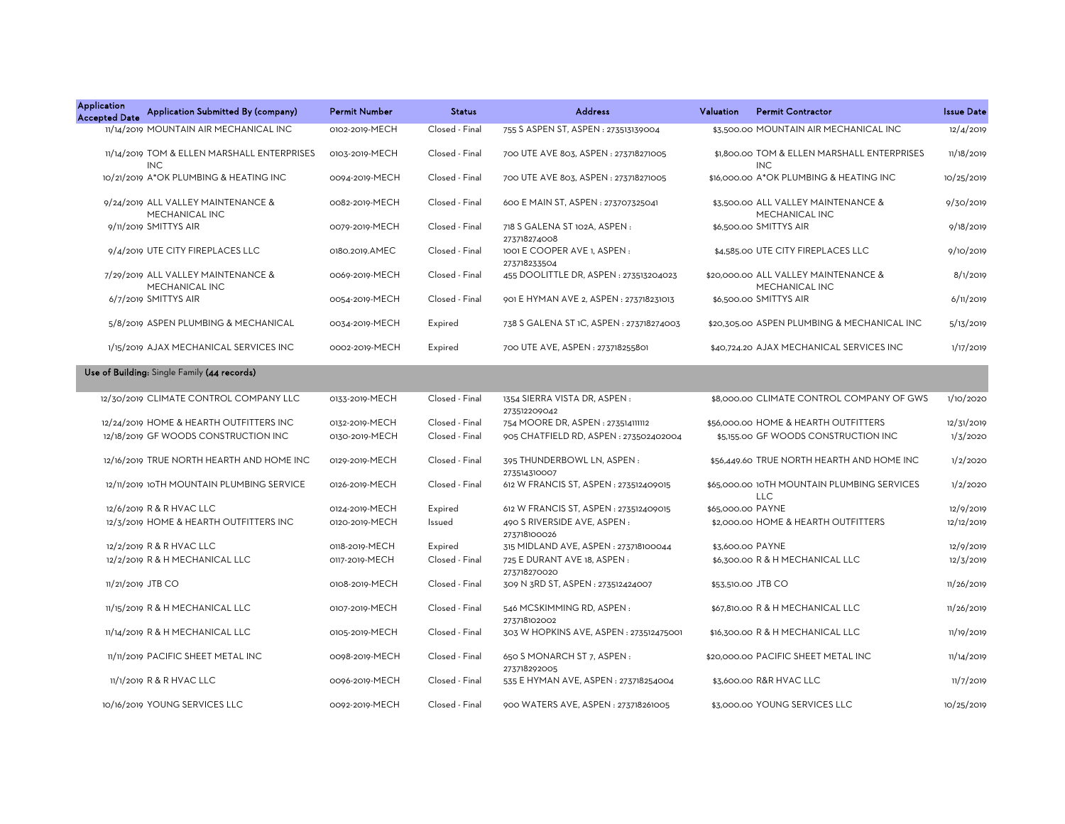| Application<br><b>Accepted Date</b> | Application Submitted By (company)                        | <b>Permit Number</b> | <b>Status</b>  | <b>Address</b>                               | Valuation         | <b>Permit Contractor</b>                                  | <b>Issue Date</b> |
|-------------------------------------|-----------------------------------------------------------|----------------------|----------------|----------------------------------------------|-------------------|-----------------------------------------------------------|-------------------|
|                                     | 11/14/2019 MOUNTAIN AIR MECHANICAL INC                    | 0102-2019-MECH       | Closed - Final | 755 S ASPEN ST, ASPEN : 273513139004         |                   | \$3,500.00 MOUNTAIN AIR MECHANICAL INC                    | 12/4/2019         |
|                                     | 11/14/2019 TOM & ELLEN MARSHALL ENTERPRISES<br><b>INC</b> | 0103-2019-MECH       | Closed - Final | 700 UTE AVE 803, ASPEN: 273718271005         |                   | \$1.800.00 TOM & ELLEN MARSHALL ENTERPRISES<br><b>INC</b> | 11/18/2019        |
|                                     | 10/21/2019 A*OK PLUMBING & HEATING INC                    | 0094-2019-MECH       | Closed - Final | 700 UTE AVE 803, ASPEN : 273718271005        |                   | \$16,000.00 A*OK PLUMBING & HEATING INC                   | 10/25/2019        |
|                                     | 9/24/2019 ALL VALLEY MAINTENANCE &<br>MECHANICAL INC      | 0082-2019-MECH       | Closed - Final | 600 E MAIN ST, ASPEN : 273707325041          |                   | \$3,500.00 ALL VALLEY MAINTENANCE &<br>MECHANICAL INC     | 9/30/2019         |
|                                     | 9/11/2019 SMITTYS AIR                                     | 0079-2019-MECH       | Closed - Final | 718 S GALENA ST 102A, ASPEN:<br>273718274008 |                   | \$6,500.00 SMITTYS AIR                                    | 9/18/2019         |
|                                     | 9/4/2019 UTE CITY FIREPLACES LLC                          | 0180.2019.AMEC       | Closed - Final | 1001 E COOPER AVE 1, ASPEN:<br>273718233504  |                   | \$4,585.00 UTE CITY FIREPLACES LLC                        | 9/10/2019         |
|                                     | 7/29/2019 ALL VALLEY MAINTENANCE &<br>MECHANICAL INC      | 0069-2019-MECH       | Closed - Final | 455 DOOLITTLE DR, ASPEN: 273513204023        |                   | \$20,000.00 ALL VALLEY MAINTENANCE &<br>MECHANICAL INC    | 8/1/2019          |
|                                     | 6/7/2019 SMITTYS AIR                                      | 0054-2019-MECH       | Closed - Final | 901 E HYMAN AVE 2, ASPEN : 273718231013      |                   | \$6,500.00 SMITTYS AIR                                    | 6/11/2019         |
|                                     | 5/8/2019 ASPEN PLUMBING & MECHANICAL                      | 0034-2019-MECH       | Expired        | 738 S GALENA ST 1C, ASPEN : 273718274003     |                   | \$20,305.00 ASPEN PLUMBING & MECHANICAL INC               | 5/13/2019         |
|                                     | 1/15/2019 AJAX MECHANICAL SERVICES INC                    | 0002-2019-MECH       | Expired        | 700 UTE AVE, ASPEN: 273718255801             |                   | \$40,724.20 AJAX MECHANICAL SERVICES INC                  | 1/17/2019         |
|                                     | Use of Building: Single Family (44 records)               |                      |                |                                              |                   |                                                           |                   |
|                                     | 12/30/2019 CLIMATE CONTROL COMPANY LLC                    | 0133-2019-MECH       | Closed - Final | 1354 SIERRA VISTA DR, ASPEN:<br>273512209042 |                   | \$8,000.00 CLIMATE CONTROL COMPANY OF GWS                 | 1/10/2020         |
|                                     | 12/24/2019 HOME & HEARTH OUTFITTERS INC                   | 0132-2019-MECH       | Closed - Final | 754 MOORE DR, ASPEN : 273514111112           |                   | \$56,000.00 HOME & HEARTH OUTFITTERS                      | 12/31/2019        |
|                                     | 12/18/2019 GF WOODS CONSTRUCTION INC                      | 0130-2019-MECH       | Closed - Final | 905 CHATFIELD RD, ASPEN: 273502402004        |                   | \$5,155.00 GF WOODS CONSTRUCTION INC                      | 1/3/2020          |
|                                     | 12/16/2019 TRUE NORTH HEARTH AND HOME INC                 | 0129-2019-MECH       | Closed - Final | 395 THUNDERBOWL LN, ASPEN:<br>273514310007   |                   | \$56,449.60 TRUE NORTH HEARTH AND HOME INC                | 1/2/2020          |
|                                     | 12/11/2019 10TH MOUNTAIN PLUMBING SERVICE                 | 0126-2019-MECH       | Closed - Final | 612 W FRANCIS ST, ASPEN : 273512409015       |                   | \$65,000.00 10TH MOUNTAIN PLUMBING SERVICES<br>LLC        | 1/2/2020          |
|                                     | 12/6/2019 R & R HVAC LLC                                  | 0124-2019-MECH       | Expired        | 612 W FRANCIS ST, ASPEN : 273512409015       | \$65,000.00 PAYNE |                                                           | 12/9/2019         |
|                                     | 12/3/2019 HOME & HEARTH OUTFITTERS INC                    | 0120-2019-MECH       | Issued         | 490 S RIVERSIDE AVE, ASPEN:<br>273718100026  |                   | \$2,000.00 HOME & HEARTH OUTFITTERS                       | 12/12/2019        |
|                                     | 12/2/2019 R & R HVAC LLC                                  | 0118-2019-MECH       | Expired        | 315 MIDLAND AVE, ASPEN: 273718100044         |                   | \$3,600.00 PAYNE                                          | 12/9/2019         |
|                                     | 12/2/2019 R & H MECHANICAL LLC                            | 0117-2019-MECH       | Closed - Final | 725 E DURANT AVE 18, ASPEN :<br>273718270020 |                   | \$6,300.00 R & H MECHANICAL LLC                           | 12/3/2019         |
|                                     | 11/21/2019 JTB CO                                         | 0108-2019-MECH       | Closed - Final | 309 N 3RD ST, ASPEN : 273512424007           |                   | \$53,510.00 JTB CO                                        | 11/26/2019        |
|                                     | 11/15/2019 R & H MECHANICAL LLC                           | 0107-2019-MECH       | Closed - Final | 546 MCSKIMMING RD, ASPEN:<br>273718102002    |                   | \$67,810.00 R & H MECHANICAL LLC                          | 11/26/2019        |
|                                     | 11/14/2019 R & H MECHANICAL LLC                           | 0105-2019-MECH       | Closed - Final | 303 W HOPKINS AVE, ASPEN : 273512475001      |                   | \$16,300.00 R & H MECHANICAL LLC                          | 11/19/2019        |
|                                     | 11/11/2019 PACIFIC SHEET METAL INC                        | 0098-2019-MECH       | Closed - Final | 650 S MONARCH ST 7, ASPEN :<br>273718292005  |                   | \$20,000.00 PACIFIC SHEET METAL INC                       | 11/14/2019        |
|                                     | 11/1/2019 R & R HVAC LLC                                  | 0096-2019-MECH       | Closed - Final | 535 E HYMAN AVE, ASPEN : 273718254004        |                   | \$3,600.00 R&R HVAC LLC                                   | 11/7/2019         |
|                                     | 10/16/2019 YOUNG SERVICES LLC                             | 0092-2019-MECH       | Closed - Final | 900 WATERS AVE, ASPEN: 273718261005          |                   | \$3,000,00 YOUNG SERVICES LLC                             | 10/25/2019        |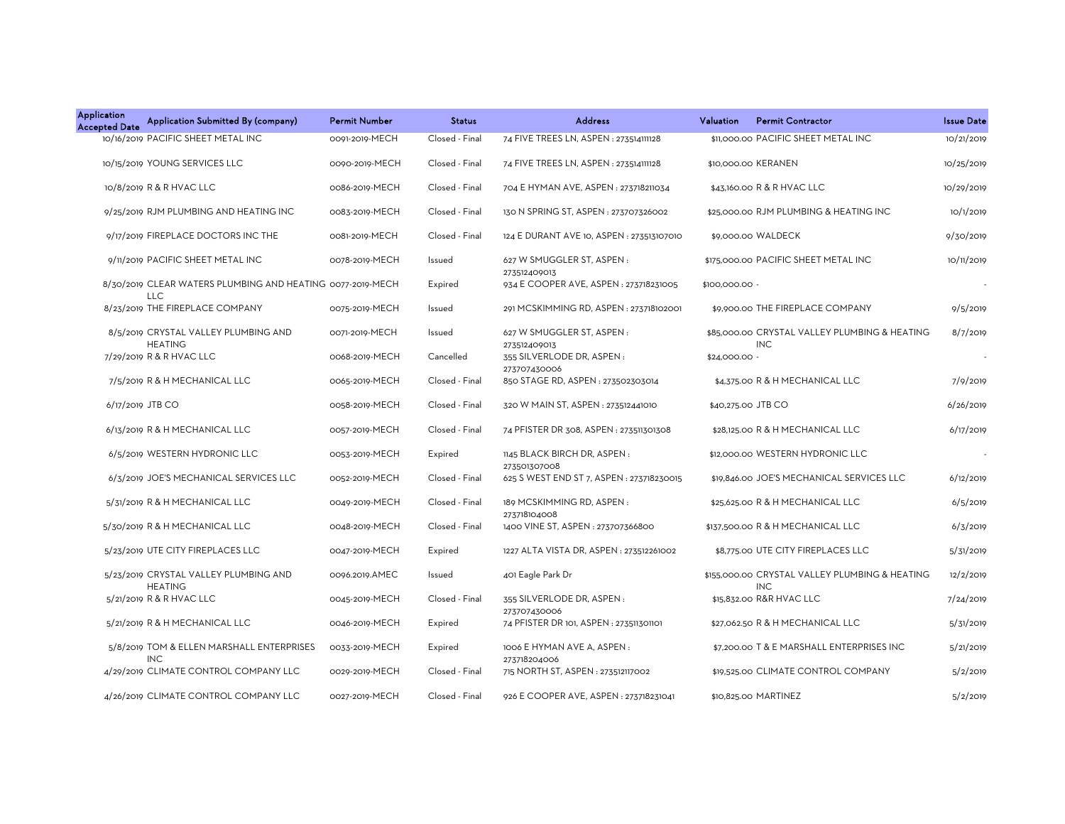| <b>Application</b><br><b>Accepted Date</b> | Application Submitted By (company)                                       | <b>Permit Number</b> | <b>Status</b>  | <b>Address</b>                              | Valuation           | <b>Permit Contractor</b>                                     | <b>Issue Date</b> |
|--------------------------------------------|--------------------------------------------------------------------------|----------------------|----------------|---------------------------------------------|---------------------|--------------------------------------------------------------|-------------------|
|                                            | 10/16/2019 PACIFIC SHEET METAL INC                                       | 0091-2019-MECH       | Closed - Final | 74 FIVE TREES LN, ASPEN: 273514111128       |                     | \$11,000,00 PACIFIC SHEET METAL INC                          | 10/21/2019        |
|                                            | 10/15/2019 YOUNG SERVICES LLC                                            | 0090-2019-MECH       | Closed - Final | 74 FIVE TREES LN, ASPEN : 273514111128      | \$10,000.00 KERANEN |                                                              | 10/25/2019        |
|                                            | 10/8/2019 R & R HVAC LLC                                                 | 0086-2019-MECH       | Closed - Final | 704 E HYMAN AVE, ASPEN : 273718211034       |                     | \$43,160.00 R & R HVAC LLC                                   | 10/29/2019        |
|                                            | 9/25/2019 RJM PLUMBING AND HEATING INC                                   | 0083-2019-MECH       | Closed - Final | 130 N SPRING ST, ASPEN : 273707326002       |                     | \$25,000.00 RJM PLUMBING & HEATING INC                       | 10/1/2019         |
|                                            | 9/17/2019 FIREPLACE DOCTORS INC THE                                      | 0081-2019-MECH       | Closed - Final | 124 E DURANT AVE 10, ASPEN : 273513107010   |                     | \$9,000.00 WALDECK                                           | 9/30/2019         |
|                                            | 9/11/2019 PACIFIC SHEET METAL INC                                        | 0078-2019-MECH       | Issued         | 627 W SMUGGLER ST, ASPEN:<br>273512409013   |                     | \$175,000.00 PACIFIC SHEET METAL INC                         | 10/11/2019        |
|                                            | 8/30/2019 CLEAR WATERS PLUMBING AND HEATING 0077-2019-MECH<br><b>LLC</b> |                      | Expired        | 934 E COOPER AVE, ASPEN: 273718231005       | \$100,000.00 -      |                                                              |                   |
|                                            | 8/23/2019 THE FIREPLACE COMPANY                                          | 0075-2019-MECH       | Issued         | 291 MCSKIMMING RD, ASPEN: 273718102001      |                     | \$9,900.00 THE FIREPLACE COMPANY                             | 9/5/2019          |
|                                            | 8/5/2019 CRYSTAL VALLEY PLUMBING AND<br><b>HEATING</b>                   | 0071-2019-MECH       | Issued         | 627 W SMUGGLER ST, ASPEN:<br>273512409013   |                     | \$85,000.00 CRYSTAL VALLEY PLUMBING & HEATING<br><b>INC</b>  | 8/7/2019          |
|                                            | 7/29/2019 R & R HVAC LLC                                                 | 0068-2019-MECH       | Cancelled      | 355 SILVERLODE DR, ASPEN:<br>273707430006   | \$24,000.00 -       |                                                              |                   |
|                                            | 7/5/2019 R & H MECHANICAL LLC                                            | 0065-2019-MECH       | Closed - Final | 850 STAGE RD, ASPEN : 273502303014          |                     | \$4,375.00 R & H MECHANICAL LLC                              | 7/9/2019          |
| 6/17/2019 JTB CO                           |                                                                          | 0058-2019-MECH       | Closed - Final | 320 W MAIN ST, ASPEN: 273512441010          | \$40,275.00 JTB CO  |                                                              | 6/26/2019         |
|                                            | 6/13/2019 R & H MECHANICAL LLC                                           | 0057-2019-MECH       | Closed - Final | 74 PFISTER DR 308, ASPEN : 273511301308     |                     | \$28,125.00 R & H MECHANICAL LLC                             | 6/17/2019         |
|                                            | 6/5/2019 WESTERN HYDRONIC LLC                                            | 0053-2019-MECH       | Expired        | 1145 BLACK BIRCH DR, ASPEN:<br>273501307008 |                     | \$12,000.00 WESTERN HYDRONIC LLC                             |                   |
|                                            | 6/3/2019 JOE'S MECHANICAL SERVICES LLC                                   | 0052-2019-MECH       | Closed - Final | 625 S WEST END ST 7, ASPEN : 273718230015   |                     | \$19,846.00 JOE'S MECHANICAL SERVICES LLC                    | 6/12/2019         |
|                                            | 5/31/2019 R & H MECHANICAL LLC                                           | 0049-2019-MECH       | Closed - Final | 189 MCSKIMMING RD, ASPEN:<br>273718104008   |                     | \$25,625.00 R & H MECHANICAL LLC                             | 6/5/2019          |
|                                            | 5/30/2019 R & H MECHANICAL LLC                                           | 0048-2019-MECH       | Closed - Final | 1400 VINE ST, ASPEN: 273707366800           |                     | \$137,500.00 R & H MECHANICAL LLC                            | 6/3/2019          |
|                                            | 5/23/2019 UTE CITY FIREPLACES LLC                                        | 0047-2019-MECH       | Expired        | 1227 ALTA VISTA DR, ASPEN: 273512261002     |                     | \$8,775.00 UTE CITY FIREPLACES LLC                           | 5/31/2019         |
|                                            | 5/23/2019 CRYSTAL VALLEY PLUMBING AND<br><b>HEATING</b>                  | 0096.2019.AMEC       | Issued         | 401 Eagle Park Dr                           |                     | \$155,000.00 CRYSTAL VALLEY PLUMBING & HEATING<br><b>INC</b> | 12/2/2019         |
|                                            | 5/21/2019 R & R HVAC LLC                                                 | 0045-2019-MECH       | Closed - Final | 355 SILVERLODE DR, ASPEN:<br>273707430006   |                     | \$15,832.00 R&R HVAC LLC                                     | 7/24/2019         |
|                                            | 5/21/2019 R & H MECHANICAL LLC                                           | 0046-2019-MECH       | Expired        | 74 PFISTER DR 101, ASPEN : 273511301101     |                     | \$27,062.50 R & H MECHANICAL LLC                             | 5/31/2019         |
|                                            | 5/8/2019 TOM & ELLEN MARSHALL ENTERPRISES<br><b>INC</b>                  | 0033-2019-MECH       | Expired        | 1006 E HYMAN AVE A, ASPEN:<br>273718204006  |                     | \$7,200.00 T & E MARSHALL ENTERPRISES INC                    | 5/21/2019         |
|                                            | 4/29/2019 CLIMATE CONTROL COMPANY LLC                                    | 0029-2019-MECH       | Closed - Final | 715 NORTH ST, ASPEN: 273512117002           |                     | \$19,525.00 CLIMATE CONTROL COMPANY                          | 5/2/2019          |
|                                            | 4/26/2019 CLIMATE CONTROL COMPANY LLC                                    | 0027-2019-MECH       | Closed - Final | 926 E COOPER AVE, ASPEN: 273718231041       |                     | \$10,825.00 MARTINEZ                                         | 5/2/2019          |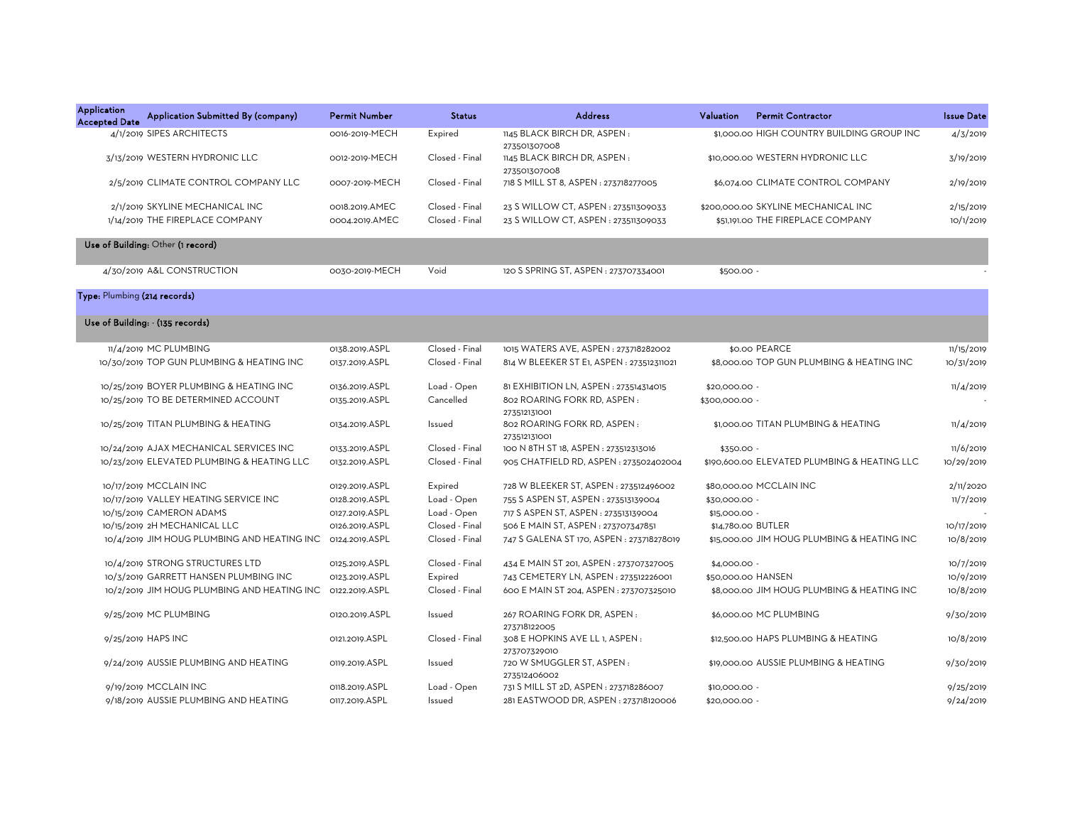| <b>Application</b><br><b>Accepted Date</b> | Application Submitted By (company)                                 | <b>Permit Number</b>             | <b>Status</b>                    | <b>Address</b>                                                             | Valuation          | <b>Permit Contractor</b>                                                 | <b>Issue Date</b>      |
|--------------------------------------------|--------------------------------------------------------------------|----------------------------------|----------------------------------|----------------------------------------------------------------------------|--------------------|--------------------------------------------------------------------------|------------------------|
|                                            | 4/1/2019 SIPES ARCHITECTS                                          | 0016-2019-MECH                   | Expired                          | 1145 BLACK BIRCH DR, ASPEN:<br>273501307008                                |                    | \$1,000.00 HIGH COUNTRY BUILDING GROUP INC                               | 4/3/2019               |
|                                            | 3/13/2019 WESTERN HYDRONIC LLC                                     | 0012-2019-MECH                   | Closed - Final                   | 1145 BLACK BIRCH DR, ASPEN:<br>273501307008                                |                    | \$10,000.00 WESTERN HYDRONIC LLC                                         | 3/19/2019              |
|                                            | 2/5/2019 CLIMATE CONTROL COMPANY LLC                               | 0007-2019-MECH                   | Closed - Final                   | 718 S MILL ST 8, ASPEN : 273718277005                                      |                    | \$6,074.00 CLIMATE CONTROL COMPANY                                       | 2/19/2019              |
|                                            | 2/1/2019 SKYLINE MECHANICAL INC<br>1/14/2019 THE FIREPLACE COMPANY | 0018.2019.AMEC<br>0004.2019.AMEC | Closed - Final<br>Closed - Final | 23 S WILLOW CT, ASPEN: 273511309033<br>23 S WILLOW CT, ASPEN: 273511309033 |                    | \$200,000,00 SKYLINE MECHANICAL INC<br>\$51,191.00 THE FIREPLACE COMPANY | 2/15/2019<br>10/1/2019 |
|                                            | Use of Building: Other (1 record)                                  |                                  |                                  |                                                                            |                    |                                                                          |                        |
|                                            | 4/30/2019 A&L CONSTRUCTION                                         | 0030-2019-MECH                   | Void                             | 120 S SPRING ST, ASPEN : 273707334001                                      | \$500.00 -         |                                                                          |                        |
| Type: Plumbing (214 records)               |                                                                    |                                  |                                  |                                                                            |                    |                                                                          |                        |
|                                            | Use of Building: - (135 records)                                   |                                  |                                  |                                                                            |                    |                                                                          |                        |
|                                            | 11/4/2019 MC PLUMBING                                              | 0138.2019.ASPL                   | Closed - Final                   | 1015 WATERS AVE, ASPEN : 273718282002                                      |                    | \$0.00 PEARCE                                                            | 11/15/2019             |
|                                            | 10/30/2019 TOP GUN PLUMBING & HEATING INC                          | 0137.2019.ASPL                   | Closed - Final                   | 814 W BLEEKER ST E1, ASPEN : 273512311021                                  |                    | \$8,000.00 TOP GUN PLUMBING & HEATING INC                                | 10/31/2019             |
|                                            | 10/25/2019 BOYER PLUMBING & HEATING INC                            | 0136.2019.ASPL                   | Load - Open                      | 81 EXHIBITION LN, ASPEN : 273514314015                                     | \$20,000.00        |                                                                          | 11/4/2019              |
|                                            | 10/25/2019 TO BE DETERMINED ACCOUNT                                | 0135.2019.ASPL                   | Cancelled                        | 802 ROARING FORK RD. ASPEN:<br>273512131001                                | \$300,000.00       |                                                                          |                        |
|                                            | 10/25/2019 TITAN PLUMBING & HEATING                                | 0134.2019.ASPL                   | Issued                           | 802 ROARING FORK RD, ASPEN:<br>273512131001                                |                    | \$1,000.00 TITAN PLUMBING & HEATING                                      | 11/4/2019              |
|                                            | 10/24/2019 AJAX MECHANICAL SERVICES INC                            | 0133.2019.ASPL                   | Closed - Final                   | 100 N 8TH ST 18, ASPEN: 273512313016                                       | $$350.00 -$        |                                                                          | 11/6/2019              |
|                                            | 10/23/2019 ELEVATED PLUMBING & HEATING LLC                         | 0132.2019.ASPL                   | Closed - Final                   | 905 CHATFIELD RD, ASPEN: 273502402004                                      |                    | \$190,600.00 ELEVATED PLUMBING & HEATING LLC                             | 10/29/2019             |
|                                            | 10/17/2019 MCCLAIN INC                                             | 0129.2019.ASPL                   | Expired                          | 728 W BLEEKER ST, ASPEN : 273512496002                                     |                    | \$80,000.00 MCCLAIN INC                                                  | 2/11/2020              |
|                                            | 10/17/2019 VALLEY HEATING SERVICE INC                              | 0128.2019.ASPL                   | Load - Open                      | 755 S ASPEN ST, ASPEN : 273513139004                                       | \$30,000.00 -      |                                                                          | 11/7/2019              |
|                                            | 10/15/2019 CAMERON ADAMS                                           | 0127.2019.ASPL                   | Load - Open                      | 717 S ASPEN ST, ASPEN : 273513139004                                       | \$15,000.00 -      |                                                                          |                        |
|                                            | 10/15/2019 2H MECHANICAL LLC                                       | 0126.2019.ASPL                   | Closed - Final                   | 506 E MAIN ST, ASPEN : 273707347851                                        | \$14,780.00 BUTLER |                                                                          | 10/17/2019             |
|                                            | 10/4/2019 JIM HOUG PLUMBING AND HEATING INC                        | 0124.2019.ASPL                   | Closed - Final                   | 747 S GALENA ST 170, ASPEN : 273718278019                                  |                    | \$15,000.00 JIM HOUG PLUMBING & HEATING INC                              | 10/8/2019              |
|                                            | 10/4/2019 STRONG STRUCTURES LTD                                    | 0125.2019.ASPL                   | Closed - Final                   | 434 E MAIN ST 201, ASPEN : 273707327005                                    | \$4,000.00 -       |                                                                          | 10/7/2019              |
|                                            | 10/3/2019 GARRETT HANSEN PLUMBING INC                              | 0123.2019.ASPL                   | Expired                          | 743 CEMETERY LN, ASPEN: 273512226001                                       | \$50,000.00 HANSEN |                                                                          | 10/9/2019              |
|                                            | 10/2/2019 JIM HOUG PLUMBING AND HEATING INC                        | 0122.2019.ASPL                   | Closed - Final                   | 600 E MAIN ST 204, ASPEN: 273707325010                                     |                    | \$8,000.00 JIM HOUG PLUMBING & HEATING INC                               | 10/8/2019              |
|                                            | 9/25/2019 MC PLUMBING                                              | 0120.2019.ASPL                   | Issued                           | 267 ROARING FORK DR, ASPEN:<br>273718122005                                |                    | \$6,000.00 MC PLUMBING                                                   | 9/30/2019              |
|                                            | 9/25/2019 HAPS INC                                                 | 0121.2019.ASPL                   | Closed - Final                   | 308 E HOPKINS AVE LL 1, ASPEN:<br>273707329010                             |                    | \$12,500.00 HAPS PLUMBING & HEATING                                      | 10/8/2019              |
|                                            | 9/24/2019 AUSSIE PLUMBING AND HEATING                              | 0119.2019.ASPL                   | Issued                           | 720 W SMUGGLER ST, ASPEN:<br>273512406002                                  |                    | \$19,000.00 AUSSIE PLUMBING & HEATING                                    | 9/30/2019              |
|                                            | 9/19/2019 MCCLAIN INC                                              | 0118.2019.ASPL                   | Load - Open                      | 731 S MILL ST 2D, ASPEN: 273718286007                                      | \$10,000.00        |                                                                          | 9/25/2019              |
|                                            | 9/18/2019 AUSSIE PLUMBING AND HEATING                              | 0117.2019.ASPL                   | Issued                           | 281 EASTWOOD DR, ASPEN : 273718120006                                      | \$20,000.00 -      |                                                                          | 9/24/2019              |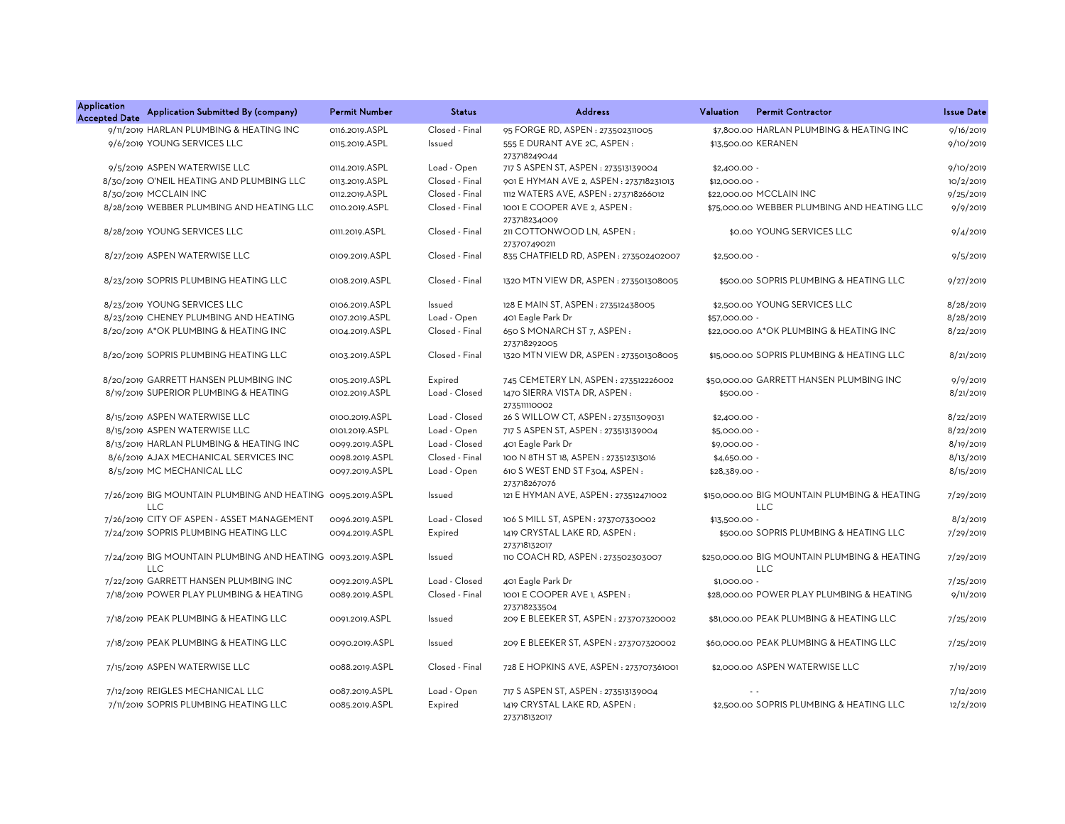| <b>Application</b><br><b>Accepted Date</b> | Application Submitted By (company)                                       | <b>Permit Number</b> | <b>Status</b>  | <b>Address</b>                                 | Valuation     | <b>Permit Contractor</b>                                   | <b>Issue Date</b> |
|--------------------------------------------|--------------------------------------------------------------------------|----------------------|----------------|------------------------------------------------|---------------|------------------------------------------------------------|-------------------|
|                                            | 9/11/2019 HARLAN PLUMBING & HEATING INC                                  | 0116.2019.ASPL       | Closed - Final | 95 FORGE RD, ASPEN : 273502311005              |               | \$7.800.00 HARLAN PLUMBING & HEATING INC                   | 9/16/2019         |
|                                            | 9/6/2019 YOUNG SERVICES LLC                                              | 0115.2019.ASPL       | Issued         | 555 E DURANT AVE 2C, ASPEN:<br>273718249044    |               | \$13,500.00 KERANEN                                        | 9/10/2019         |
|                                            | 9/5/2019 ASPEN WATERWISE LLC                                             | 0114.2019.ASPL       | Load - Open    | 717 S ASPEN ST, ASPEN : 273513139004           | $$2,400.00 -$ |                                                            | 9/10/2019         |
|                                            | 8/30/2019 O'NEIL HEATING AND PLUMBING LLC                                | 0113.2019.ASPL       | Closed - Final | 901 E HYMAN AVE 2, ASPEN : 273718231013        | \$12,000.00 - |                                                            | 10/2/2019         |
|                                            | 8/30/2019 MCCLAIN INC                                                    | 0112.2019.ASPL       | Closed - Final | 1112 WATERS AVE, ASPEN: 273718266012           |               | \$22,000.00 MCCLAIN INC                                    | 9/25/2019         |
|                                            | 8/28/2019 WEBBER PLUMBING AND HEATING LLC                                | 0110.2019.ASPL       | Closed - Final | 1001 E COOPER AVE 2, ASPEN :<br>273718234009   |               | \$75,000.00 WEBBER PLUMBING AND HEATING LLC                | 9/9/2019          |
|                                            | 8/28/2019 YOUNG SERVICES LLC                                             | 0111.2019.ASPL       | Closed - Final | 211 COTTONWOOD LN, ASPEN:<br>273707490211      |               | \$0.00 YOUNG SERVICES LLC                                  | 9/4/2019          |
|                                            | 8/27/2019 ASPEN WATERWISE LLC                                            | 0109.2019.ASPL       | Closed - Final | 835 CHATFIELD RD, ASPEN: 273502402007          | $$2,500.00 -$ |                                                            | 9/5/2019          |
|                                            | 8/23/2019 SOPRIS PLUMBING HEATING LLC                                    | 0108.2019.ASPL       | Closed - Final | 1320 MTN VIEW DR, ASPEN: 273501308005          |               | \$500.00 SOPRIS PLUMBING & HEATING LLC                     | 9/27/2019         |
|                                            | 8/23/2019 YOUNG SERVICES LLC                                             | 0106.2019.ASPL       | Issued         | 128 E MAIN ST, ASPEN : 273512438005            |               | \$2,500.00 YOUNG SERVICES LLC                              | 8/28/2019         |
|                                            | 8/23/2019 CHENEY PLUMBING AND HEATING                                    | 0107.2019.ASPL       | Load - Open    | 401 Eagle Park Dr                              | \$57,000.00 - |                                                            | 8/28/2019         |
|                                            | 8/20/2019 A*OK PLUMBING & HEATING INC                                    | 0104.2019.ASPL       | Closed - Final | 650 S MONARCH ST 7, ASPEN:<br>273718292005     |               | \$22,000.00 A*OK PLUMBING & HEATING INC                    | 8/22/2019         |
|                                            | 8/20/2019 SOPRIS PLUMBING HEATING LLC                                    | 0103.2019.ASPL       | Closed - Final | 1320 MTN VIEW DR, ASPEN: 273501308005          |               | \$15,000.00 SOPRIS PLUMBING & HEATING LLC                  | 8/21/2019         |
|                                            | 8/20/2019 GARRETT HANSEN PLUMBING INC                                    | 0105.2019.ASPL       | Expired        | 745 CEMETERY LN, ASPEN: 273512226002           |               | \$50,000,00 GARRETT HANSEN PLUMBING INC                    | 9/9/2019          |
|                                            | 8/19/2019 SUPERIOR PLUMBING & HEATING                                    | 0102.2019.ASPL       | Load - Closed  | 1470 SIERRA VISTA DR, ASPEN:<br>273511110002   | $$500.00 -$   |                                                            | 8/21/2019         |
|                                            | 8/15/2019 ASPEN WATERWISE LLC                                            | 0100.2019.ASPL       | Load - Closed  | 26 S WILLOW CT, ASPEN : 273511309031           | $$2,400.00$ - |                                                            | 8/22/2019         |
|                                            | 8/15/2019 ASPEN WATERWISE LLC                                            | 0101.2019.ASPL       | Load - Open    | 717 S ASPEN ST, ASPEN : 273513139004           | \$5,000.00 -  |                                                            | 8/22/2019         |
|                                            | 8/13/2019 HARLAN PLUMBING & HEATING INC                                  | 0099.2019.ASPL       | Load - Closed  | 401 Eagle Park Dr                              | \$9,000.00 -  |                                                            | 8/19/2019         |
|                                            | 8/6/2019 AJAX MECHANICAL SERVICES INC                                    | 0098.2019.ASPL       | Closed - Final | 100 N 8TH ST 18, ASPEN : 273512313016          | \$4,650.00 -  |                                                            | 8/13/2019         |
|                                            | 8/5/2019 MC MECHANICAL LLC                                               | 0097.2019.ASPL       | Load - Open    | 610 S WEST END ST F304, ASPEN:<br>273718267076 | \$28,389.00 - |                                                            | 8/15/2019         |
|                                            | 7/26/2019 BIG MOUNTAIN PLUMBING AND HEATING 0095.2019.ASPL<br><b>LLC</b> |                      | Issued         | 121 E HYMAN AVE, ASPEN : 273512471002          |               | \$150,000.00 BIG MOUNTAIN PLUMBING & HEATING<br><b>LLC</b> | 7/29/2019         |
|                                            | 7/26/2019 CITY OF ASPEN - ASSET MANAGEMENT                               | 0096.2019.ASPL       | Load - Closed  | 106 S MILL ST, ASPEN : 273707330002            | \$13,500.00 - |                                                            | 8/2/2019          |
|                                            | 7/24/2019 SOPRIS PLUMBING HEATING LLC                                    | 0094.2019.ASPL       | Expired        | 1419 CRYSTAL LAKE RD, ASPEN:<br>273718132017   |               | \$500.00 SOPRIS PLUMBING & HEATING LLC                     | 7/29/2019         |
|                                            | 7/24/2019 BIG MOUNTAIN PLUMBING AND HEATING 0093.2019.ASPL<br><b>LLC</b> |                      | Issued         | 110 COACH RD, ASPEN : 273502303007             |               | \$250,000.00 BIG MOUNTAIN PLUMBING & HEATING<br><b>LLC</b> | 7/29/2019         |
|                                            | 7/22/2019 GARRETT HANSEN PLUMBING INC                                    | 0092.2019.ASPL       | Load - Closed  | 401 Eagle Park Dr                              | \$1,000.00 -  |                                                            | 7/25/2019         |
|                                            | 7/18/2019 POWER PLAY PLUMBING & HEATING                                  | 0089.2019.ASPL       | Closed - Final | 1001 E COOPER AVE 1. ASPEN:<br>273718233504    |               | \$28,000,00 POWER PLAY PLUMBING & HEATING                  | 9/11/2019         |
|                                            | 7/18/2019 PEAK PLUMBING & HEATING LLC                                    | 0091.2019.ASPL       | Issued         | 209 E BLEEKER ST, ASPEN : 273707320002         |               | \$81,000.00 PEAK PLUMBING & HEATING LLC                    | 7/25/2019         |
|                                            | 7/18/2019 PEAK PLUMBING & HEATING LLC                                    | 0090.2019.ASPL       | Issued         | 209 E BLEEKER ST, ASPEN: 273707320002          |               | \$60,000.00 PEAK PLUMBING & HEATING LLC                    | 7/25/2019         |
|                                            | 7/15/2019 ASPEN WATERWISE LLC                                            | 0088.2019.ASPL       | Closed - Final | 728 E HOPKINS AVE, ASPEN : 273707361001        |               | \$2,000.00 ASPEN WATERWISE LLC                             | 7/19/2019         |
|                                            | 7/12/2019 REIGLES MECHANICAL LLC                                         | 0087.2019.ASPL       | Load - Open    | 717 S ASPEN ST, ASPEN : 273513139004           |               | $\sim$ $\sim$                                              | 7/12/2019         |
|                                            | 7/11/2019 SOPRIS PLUMBING HEATING LLC                                    | 0085.2019.ASPL       | Expired        | 1419 CRYSTAL LAKE RD, ASPEN:<br>273718132017   |               | \$2,500.00 SOPRIS PLUMBING & HEATING LLC                   | 12/2/2019         |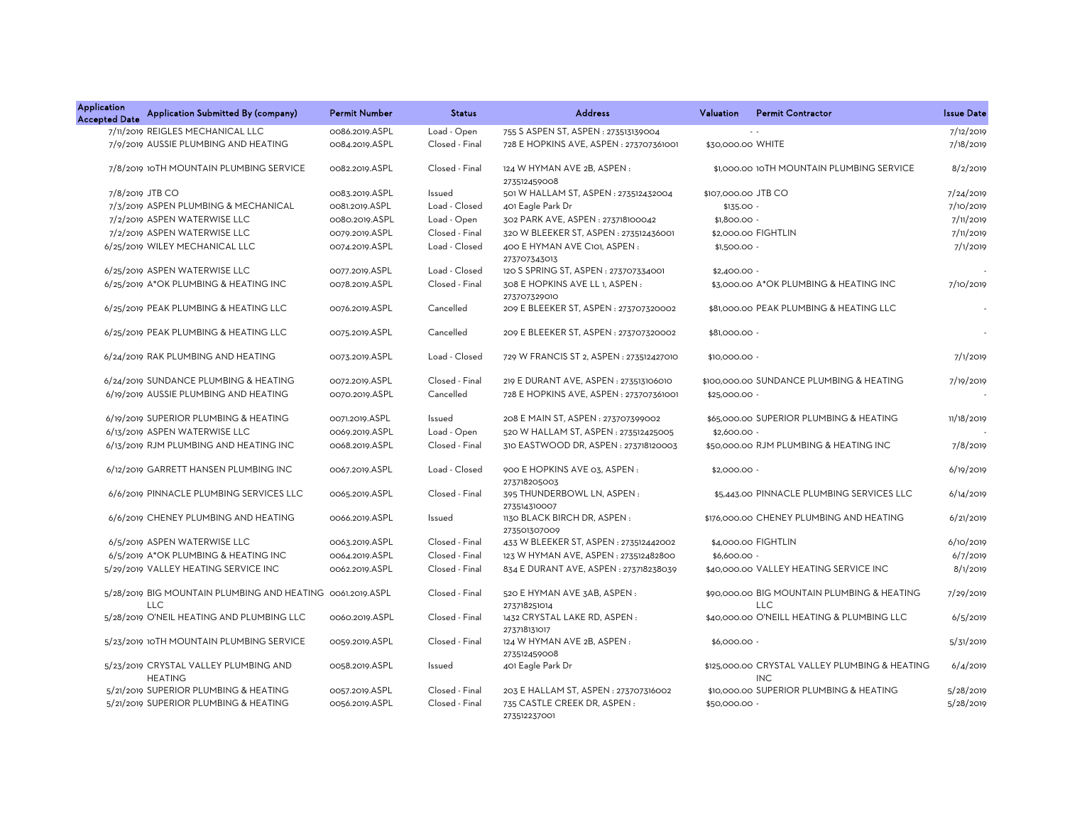| <b>Application</b><br><b>Accepted Date</b> | Application Submitted By (company)                                       | <b>Permit Number</b> | <b>Status</b>  | <b>Address</b>                                 | <b>Valuation</b>    | <b>Permit Contractor</b>                                  | <b>Issue Date</b> |
|--------------------------------------------|--------------------------------------------------------------------------|----------------------|----------------|------------------------------------------------|---------------------|-----------------------------------------------------------|-------------------|
|                                            | 7/11/2019 REIGLES MECHANICAL LLC                                         | 0086.2019.ASPL       | Load - Open    | 755 S ASPEN ST, ASPEN : 273513139004           |                     |                                                           | 7/12/2019         |
|                                            | 7/9/2019 AUSSIE PLUMBING AND HEATING                                     | 0084.2019.ASPL       | Closed - Final | 728 E HOPKINS AVE, ASPEN: 273707361001         | \$30,000.00 WHITE   |                                                           | 7/18/2019         |
|                                            | 7/8/2019 10TH MOUNTAIN PLUMBING SERVICE                                  | 0082.2019.ASPL       | Closed - Final | 124 W HYMAN AVE 2B, ASPEN:<br>273512459008     |                     | \$1,000.00 10TH MOUNTAIN PLUMBING SERVICE                 | 8/2/2019          |
|                                            | 7/8/2019 JTB CO                                                          | 0083.2019.ASPL       | Issued         | 501 W HALLAM ST, ASPEN : 273512432004          | \$107,000.00 JTB CO |                                                           | 7/24/2019         |
|                                            | 7/3/2019 ASPEN PLUMBING & MECHANICAL                                     | 0081.2019.ASPL       | Load - Closed  | 401 Eagle Park Dr                              | \$135.00 -          |                                                           | 7/10/2019         |
|                                            | 7/2/2019 ASPEN WATERWISE LLC                                             | 0080.2019.ASPL       | Load - Open    | 302 PARK AVE, ASPEN: 273718100042              | \$1,800.00 -        |                                                           | 7/11/2019         |
|                                            | 7/2/2019 ASPEN WATERWISE LLC                                             | 0079.2019.ASPL       | Closed - Final | 320 W BLEEKER ST, ASPEN: 273512436001          |                     | \$2,000.00 FIGHTLIN                                       | 7/11/2019         |
|                                            | 6/25/2019 WILEY MECHANICAL LLC                                           | 0074.2019.ASPL       | Load - Closed  | 400 E HYMAN AVE C101, ASPEN:<br>273707343013   | \$1,500.00 -        |                                                           | 7/1/2019          |
|                                            | 6/25/2019 ASPEN WATERWISE LLC                                            | 0077.2019.ASPL       | Load - Closed  | 120 S SPRING ST, ASPEN: 273707334001           | $$2,400.00 -$       |                                                           |                   |
|                                            | 6/25/2019 A*OK PLUMBING & HEATING INC                                    | 0078.2019.ASPL       | Closed - Final | 308 E HOPKINS AVE LL 1, ASPEN:<br>273707329010 |                     | \$3,000.00 A*OK PLUMBING & HEATING INC                    | 7/10/2019         |
|                                            | 6/25/2019 PEAK PLUMBING & HEATING LLC                                    | 0076.2019.ASPL       | Cancelled      | 209 E BLEEKER ST, ASPEN: 273707320002          |                     | \$81,000,00 PEAK PLUMBING & HEATING LLC                   |                   |
|                                            | 6/25/2019 PEAK PLUMBING & HEATING LLC                                    | 0075.2019.ASPL       | Cancelled      | 209 E BLEEKER ST, ASPEN: 273707320002          | \$81,000.00 -       |                                                           |                   |
|                                            | 6/24/2019 RAK PLUMBING AND HEATING                                       | 0073.2019.ASPL       | Load - Closed  | 729 W FRANCIS ST 2, ASPEN : 273512427010       | \$10,000.00 -       |                                                           | 7/1/2019          |
|                                            | 6/24/2019 SUNDANCE PLUMBING & HEATING                                    | 0072.2019.ASPL       | Closed - Final | 219 E DURANT AVE, ASPEN : 273513106010         |                     | \$100,000.00 SUNDANCE PLUMBING & HEATING                  | 7/19/2019         |
|                                            | 6/19/2019 AUSSIE PLUMBING AND HEATING                                    | 0070.2019.ASPL       | Cancelled      | 728 E HOPKINS AVE, ASPEN: 273707361001         | \$25,000.00 -       |                                                           |                   |
|                                            | 6/19/2019 SUPERIOR PLUMBING & HEATING                                    | 0071.2019.ASPL       | Issued         | 208 E MAIN ST, ASPEN : 273707399002            |                     | \$65,000.00 SUPERIOR PLUMBING & HEATING                   | 11/18/2019        |
|                                            | 6/13/2019 ASPEN WATERWISE LLC                                            | 0069.2019.ASPL       | Load - Open    | 520 W HALLAM ST, ASPEN: 273512425005           | \$2,600.00 -        |                                                           |                   |
|                                            | 6/13/2019 RJM PLUMBING AND HEATING INC                                   | 0068.2019.ASPL       | Closed - Final | 310 EASTWOOD DR, ASPEN : 273718120003          |                     | \$50,000.00 RJM PLUMBING & HEATING INC                    | 7/8/2019          |
|                                            | 6/12/2019 GARRETT HANSEN PLUMBING INC                                    | 0067.2019.ASPL       | Load - Closed  | 900 E HOPKINS AVE 03, ASPEN:<br>273718205003   | \$2,000.00 -        |                                                           | 6/19/2019         |
|                                            | 6/6/2019 PINNACLE PLUMBING SERVICES LLC                                  | 0065.2019.ASPL       | Closed - Final | 395 THUNDERBOWL LN, ASPEN:<br>273514310007     |                     | \$5,443.00 PINNACLE PLUMBING SERVICES LLC                 | 6/14/2019         |
|                                            | 6/6/2019 CHENEY PLUMBING AND HEATING                                     | 0066.2019.ASPL       | Issued         | 1130 BLACK BIRCH DR, ASPEN:<br>273501307009    |                     | \$176,000.00 CHENEY PLUMBING AND HEATING                  | 6/21/2019         |
|                                            | 6/5/2019 ASPEN WATERWISE LLC                                             | 0063.2019.ASPL       | Closed - Final | 433 W BLEEKER ST, ASPEN: 273512442002          |                     | \$4,000.00 FIGHTLIN                                       | 6/10/2019         |
|                                            | 6/5/2019 A*OK PLUMBING & HEATING INC                                     | 0064.2019.ASPL       | Closed - Final | 123 W HYMAN AVE, ASPEN: 273512482800           | \$6,600.00 -        |                                                           | 6/7/2019          |
|                                            | 5/29/2019 VALLEY HEATING SERVICE INC                                     | 0062.2019.ASPL       | Closed - Final | 834 E DURANT AVE, ASPEN : 273718238039         |                     | \$40,000.00 VALLEY HEATING SERVICE INC                    | 8/1/2019          |
|                                            | 5/28/2019 BIG MOUNTAIN PLUMBING AND HEATING 0061.2019.ASPL<br><b>LLC</b> |                      | Closed - Final | 520 E HYMAN AVE 3AB, ASPEN:<br>273718251014    |                     | \$90,000.00 BIG MOUNTAIN PLUMBING & HEATING<br><b>LLC</b> | 7/29/2019         |
|                                            | 5/28/2019 O'NEIL HEATING AND PLUMBING LLC                                | 0060.2019.ASPL       | Closed - Final | 1432 CRYSTAL LAKE RD, ASPEN:<br>273718131017   |                     | \$40,000.00 O'NEILL HEATING & PLUMBING LLC                | 6/5/2019          |
|                                            | 5/23/2019 10TH MOUNTAIN PLUMBING SERVICE                                 | 0059.2019.ASPL       | Closed - Final | 124 W HYMAN AVE 2B, ASPEN:<br>273512459008     | \$6,000.00 -        |                                                           | 5/31/2019         |
|                                            | 5/23/2019 CRYSTAL VALLEY PLUMBING AND<br><b>HEATING</b>                  | 0058.2019.ASPL       | Issued         | 401 Eagle Park Dr                              |                     | \$125,000.00 CRYSTAL VALLEY PLUMBING & HEATING<br>INC.    | 6/4/2019          |
|                                            | 5/21/2019 SUPERIOR PLUMBING & HEATING                                    | 0057.2019.ASPL       | Closed - Final | 203 E HALLAM ST, ASPEN : 273707316002          |                     | \$10,000.00 SUPERIOR PLUMBING & HEATING                   | 5/28/2019         |
|                                            | 5/21/2019 SUPERIOR PLUMBING & HEATING                                    | 0056.2019.ASPL       | Closed - Final | 735 CASTLE CREEK DR, ASPEN:<br>273512237001    | \$50,000.00 -       |                                                           | 5/28/2019         |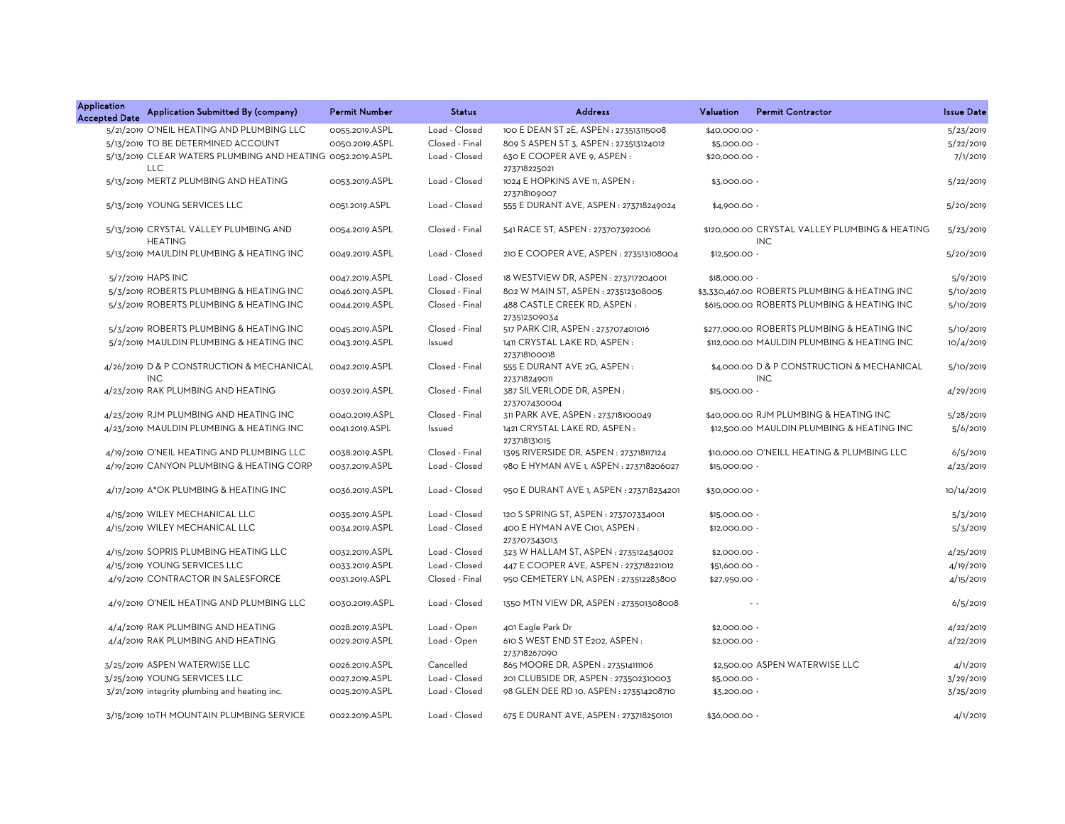| Application<br><b>Accepted Date</b> | Application Submitted By (company)                                       | <b>Permit Number</b> | <b>Status</b>  | <b>Address</b>                                 | Valuation     | <b>Permit Contractor</b>                                     | <b>Issue Date</b> |
|-------------------------------------|--------------------------------------------------------------------------|----------------------|----------------|------------------------------------------------|---------------|--------------------------------------------------------------|-------------------|
|                                     | 5/21/2019 O'NEIL HEATING AND PLUMBING LLC                                | 0055.2019.ASPL       | Load - Closed  | 100 E DEAN ST 2E, ASPEN : 273513115008         | \$40,000.00 - |                                                              | 5/23/2019         |
|                                     | 5/13/2019 TO BE DETERMINED ACCOUNT                                       | 0050.2019.ASPL       | Closed - Final | 809 S ASPEN ST 3, ASPEN : 273513124012         | \$5,000.00 -  |                                                              | 5/22/2019         |
|                                     | 5/13/2019 CLEAR WATERS PLUMBING AND HEATING 0052.2019.ASPL<br><b>LLC</b> |                      | Load - Closed  | 630 E COOPER AVE 9, ASPEN:<br>273718225021     | \$20,000.00 - |                                                              | 7/1/2019          |
|                                     | 5/13/2019 MERTZ PLUMBING AND HEATING                                     | 0053.2019.ASPL       | Load - Closed  | 1024 E HOPKINS AVE 11, ASPEN:<br>273718109007  | \$3,000.00 -  |                                                              | 5/22/2019         |
|                                     | 5/13/2019 YOUNG SERVICES LLC                                             | 0051.2019.ASPL       | Load - Closed  | 555 E DURANT AVE, ASPEN : 273718249024         | \$4,900.00 -  |                                                              | 5/20/2019         |
|                                     | 5/13/2019 CRYSTAL VALLEY PLUMBING AND<br><b>HEATING</b>                  | 0054.2019.ASPL       | Closed - Final | 541 RACE ST, ASPEN: 273707392006               |               | \$120,000,00 CRYSTAL VALLEY PLUMBING & HEATING<br><b>INC</b> | 5/23/2019         |
|                                     | 5/13/2019 MAULDIN PLUMBING & HEATING INC                                 | 0049.2019.ASPL       | Load - Closed  | 210 E COOPER AVE, ASPEN : 273513108004         | \$12,500.00 - |                                                              | 5/20/2019         |
|                                     | 5/7/2019 HAPS INC                                                        | 0047.2019.ASPL       | Load - Closed  | 18 WESTVIEW DR, ASPEN : 273717204001           | \$18,000.00 - |                                                              | 5/9/2019          |
|                                     | 5/3/2019 ROBERTS PLUMBING & HEATING INC                                  | 0046.2019.ASPL       | Closed - Final | 802 W MAIN ST, ASPEN : 273512308005            |               | \$3,330,467.00 ROBERTS PLUMBING & HEATING INC                | 5/10/2019         |
|                                     | 5/3/2019 ROBERTS PLUMBING & HEATING INC                                  | 0044.2019.ASPL       | Closed - Final | 488 CASTLE CREEK RD, ASPEN:<br>273512309034    |               | \$615,000.00 ROBERTS PLUMBING & HEATING INC                  | 5/10/2019         |
|                                     | 5/3/2019 ROBERTS PLUMBING & HEATING INC                                  | 0045.2019.ASPL       | Closed - Final | 517 PARK CIR, ASPEN : 273707401016             |               | \$277,000.00 ROBERTS PLUMBING & HEATING INC                  | 5/10/2019         |
|                                     | 5/2/2019 MAULDIN PLUMBING & HEATING INC                                  | 0043.2019.ASPL       | Issued         | 1411 CRYSTAL LAKE RD, ASPEN:<br>273718100018   |               | \$112,000.00 MAULDIN PLUMBING & HEATING INC                  | 10/4/2019         |
|                                     | 4/26/2019 D & P CONSTRUCTION & MECHANICAL<br><b>INC</b>                  | 0042.2019.ASPL       | Closed - Final | 555 E DURANT AVE 2G, ASPEN :<br>273718249011   |               | \$4,000.00 D & P CONSTRUCTION & MECHANICAL<br><b>INC</b>     | 5/10/2019         |
|                                     | 4/23/2019 RAK PLUMBING AND HEATING                                       | 0039.2019.ASPL       | Closed - Final | 387 SILVERLODE DR, ASPEN:<br>273707430004      | \$15,000.00 - |                                                              | 4/29/2019         |
|                                     | 4/23/2019 RJM PLUMBING AND HEATING INC                                   | 0040.2019.ASPL       | Closed - Final | 311 PARK AVE, ASPEN : 273718100049             |               | \$40,000.00 RJM PLUMBING & HEATING INC                       | 5/28/2019         |
|                                     | 4/23/2019 MAULDIN PLUMBING & HEATING INC                                 | 0041.2019.ASPL       | Issued         | 1421 CRYSTAL LAKE RD, ASPEN:<br>273718131015   |               | \$12,500.00 MAULDIN PLUMBING & HEATING INC                   | 5/6/2019          |
|                                     | 4/19/2019 O'NEIL HEATING AND PLUMBING LLC                                | 0038.2019.ASPL       | Closed - Final | 1395 RIVERSIDE DR, ASPEN : 273718117124        |               | \$10,000.00 O'NEILL HEATING & PLUMBING LLC                   | 6/5/2019          |
|                                     | 4/19/2019 CANYON PLUMBING & HEATING CORP                                 | 0037.2019.ASPL       | Load - Closed  | 980 E HYMAN AVE 1, ASPEN : 273718206027        | \$15,000.00 - |                                                              | 4/23/2019         |
|                                     | 4/17/2019 A*OK PLUMBING & HEATING INC                                    | 0036.2019.ASPL       | Load - Closed  | 950 E DURANT AVE 1, ASPEN : 273718234201       | \$30,000.00 - |                                                              | 10/14/2019        |
|                                     | 4/15/2019 WILEY MECHANICAL LLC                                           | 0035.2019.ASPL       | Load - Closed  | 120 S SPRING ST, ASPEN : 273707334001          | \$15,000.00 - |                                                              | 5/3/2019          |
|                                     | 4/15/2019 WILEY MECHANICAL LLC                                           | 0034.2019.ASPL       | Load - Closed  | 400 E HYMAN AVE C101, ASPEN:<br>273707343013   | \$12,000.00 - |                                                              | 5/3/2019          |
|                                     | 4/15/2019 SOPRIS PLUMBING HEATING LLC                                    | 0032.2019.ASPL       | Load - Closed  | 323 W HALLAM ST, ASPEN : 273512434002          | \$2,000.00 -  |                                                              | 4/25/2019         |
|                                     | 4/15/2019 YOUNG SERVICES LLC                                             | 0033.2019.ASPL       | Load - Closed  | 447 E COOPER AVE, ASPEN : 273718221012         | \$51,600.00 - |                                                              | 4/19/2019         |
|                                     | 4/9/2019 CONTRACTOR IN SALESFORCE                                        | 0031.2019.ASPL       | Closed - Final | 950 CEMETERY LN, ASPEN: 273512283800           | \$27,950.00 - |                                                              | 4/15/2019         |
|                                     | 4/9/2019 O'NEIL HEATING AND PLUMBING LLC                                 | 0030.2019.ASPL       | Load - Closed  | 1350 MTN VIEW DR, ASPEN: 273501308008          |               | $\sim$ $\sim$                                                | 6/5/2019          |
|                                     | 4/4/2019 RAK PLUMBING AND HEATING                                        | 0028.2019.ASPL       | Load - Open    | 401 Eagle Park Dr                              | \$2,000.00 -  |                                                              | 4/22/2019         |
|                                     | 4/4/2019 RAK PLUMBING AND HEATING                                        | 0029.2019.ASPL       | Load - Open    | 610 S WEST END ST E202, ASPEN:<br>273718267090 | \$2,000.00 -  |                                                              | 4/22/2019         |
|                                     | 3/25/2019 ASPEN WATERWISE LLC                                            | 0026.2019.ASPL       | Cancelled      | 865 MOORE DR, ASPEN: 273514111106              |               | \$2,500.00 ASPEN WATERWISE LLC                               | 4/1/2019          |
|                                     | 3/25/2019 YOUNG SERVICES LLC                                             | 0027.2019.ASPL       | Load - Closed  | 201 CLUBSIDE DR, ASPEN : 273502310003          | \$5,000.00 -  |                                                              | 3/29/2019         |
|                                     | 3/21/2019 integrity plumbing and heating inc.                            | 0025.2019.ASPL       | Load - Closed  | 98 GLEN DEE RD 10, ASPEN: 273514208710         | \$3,200.00 -  |                                                              | 3/25/2019         |
|                                     | 3/15/2019 10TH MOUNTAIN PLUMBING SERVICE                                 | 0022.2019.ASPL       | Load - Closed  | 675 E DURANT AVE, ASPEN : 273718250101         | \$36,000.00 - |                                                              | 4/1/2019          |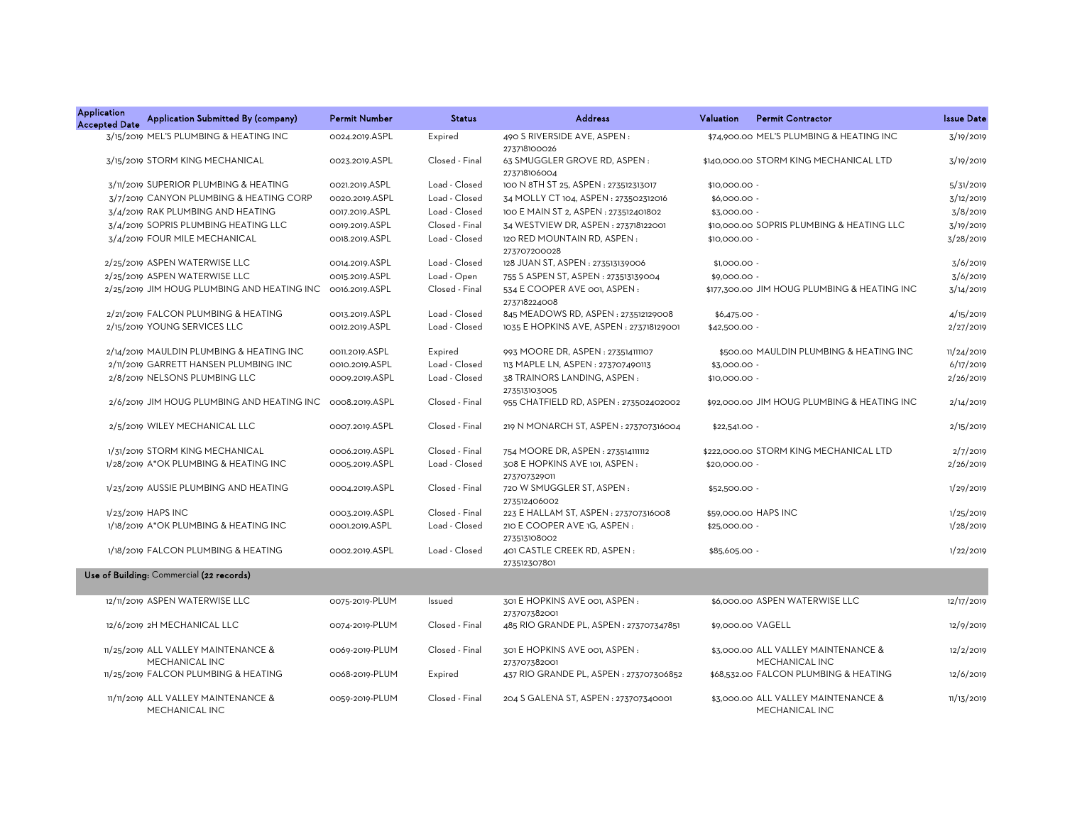| <b>Application</b><br><b>Accepted Date</b> | Application Submitted By (company)                    | <b>Permit Number</b> | <b>Status</b>  | <b>Address</b>                                | Valuation      | <b>Permit Contractor</b>                              | <b>Issue Date</b> |
|--------------------------------------------|-------------------------------------------------------|----------------------|----------------|-----------------------------------------------|----------------|-------------------------------------------------------|-------------------|
|                                            | 3/15/2019 MEL'S PLUMBING & HEATING INC                | 0024.2019.ASPL       | Expired        | 490 S RIVERSIDE AVE, ASPEN:<br>273718100026   |                | \$74,900.00 MEL'S PLUMBING & HEATING INC              | 3/19/2019         |
|                                            | 3/15/2019 STORM KING MECHANICAL                       | 0023.2019.ASPL       | Closed - Final | 63 SMUGGLER GROVE RD, ASPEN:<br>273718106004  |                | \$140,000,00 STORM KING MECHANICAL LTD                | 3/19/2019         |
|                                            | 3/11/2019 SUPERIOR PLUMBING & HEATING                 | 0021.2019.ASPL       | Load - Closed  | 100 N 8TH ST 25, ASPEN : 273512313017         | \$10,000.00 -  |                                                       | 5/31/2019         |
|                                            | 3/7/2019 CANYON PLUMBING & HEATING CORP               | 0020.2019.ASPL       | Load - Closed  | 34 MOLLY CT 104, ASPEN : 273502312016         | \$6,000.00 -   |                                                       | 3/12/2019         |
|                                            | 3/4/2019 RAK PLUMBING AND HEATING                     | 0017.2019.ASPL       | Load - Closed  | 100 E MAIN ST 2, ASPEN : 273512401802         | \$3,000.00     |                                                       | 3/8/2019          |
|                                            | 3/4/2019 SOPRIS PLUMBING HEATING LLC                  | 0019.2019.ASPL       | Closed - Final | 34 WESTVIEW DR, ASPEN: 273718122001           |                | \$10,000,00 SOPRIS PLUMBING & HEATING LLC             | 3/19/2019         |
|                                            | 3/4/2019 FOUR MILE MECHANICAL                         | 0018.2019.ASPL       | Load - Closed  | 120 RED MOUNTAIN RD, ASPEN:<br>273707200028   | \$10,000.00 -  |                                                       | 3/28/2019         |
|                                            | 2/25/2019 ASPEN WATERWISE LLC                         | 0014.2019.ASPL       | Load - Closed  | 128 JUAN ST, ASPEN : 273513139006             | \$1,000.00 -   |                                                       | 3/6/2019          |
|                                            | 2/25/2019 ASPEN WATERWISE LLC                         | 0015.2019.ASPL       | Load - Open    | 755 S ASPEN ST, ASPEN : 273513139004          | \$9,000.00     |                                                       | 3/6/2019          |
|                                            | 2/25/2019 JIM HOUG PLUMBING AND HEATING INC           | 0016.2019.ASPL       | Closed - Final | 534 E COOPER AVE 001, ASPEN:<br>273718224008  |                | \$177,300.00 JIM HOUG PLUMBING & HEATING INC          | 3/14/2019         |
|                                            | 2/21/2019 FALCON PLUMBING & HEATING                   | 0013.2019.ASPL       | Load - Closed  | 845 MEADOWS RD, ASPEN: 273512129008           | $$6,475.00 -$  |                                                       | 4/15/2019         |
|                                            | 2/15/2019 YOUNG SERVICES LLC                          | 0012.2019.ASPL       | Load - Closed  | 1035 E HOPKINS AVE, ASPEN: 273718129001       | \$42,500.00 -  |                                                       | 2/27/2019         |
|                                            | 2/14/2019 MAULDIN PLUMBING & HEATING INC              | OO11.2019.ASPL       | Expired        | 993 MOORE DR, ASPEN : 273514111107            |                | \$500.00 MAULDIN PLUMBING & HEATING INC               | 11/24/2019        |
|                                            | 2/11/2019 GARRETT HANSEN PLUMBING INC                 | 0010.2019.ASPL       | Load - Closed  | 113 MAPLE LN, ASPEN : 273707490113            | \$3,000.00 -   |                                                       | 6/17/2019         |
|                                            | 2/8/2019 NELSONS PLUMBING LLC                         | 0009.2019.ASPL       | Load - Closed  | 38 TRAINORS LANDING, ASPEN:<br>273513103005   | \$10,000.00 -  |                                                       | 2/26/2019         |
|                                            | 2/6/2019 JIM HOUG PLUMBING AND HEATING INC            | 0008.2019.ASPL       | Closed - Final | 955 CHATFIELD RD, ASPEN: 273502402002         |                | \$92,000,00 JIM HOUG PLUMBING & HEATING INC           | 2/14/2019         |
|                                            | 2/5/2019 WILEY MECHANICAL LLC                         | 0007.2019.ASPL       | Closed - Final | 219 N MONARCH ST, ASPEN : 273707316004        | $$22,541.00 -$ |                                                       | 2/15/2019         |
|                                            | 1/31/2019 STORM KING MECHANICAL                       | 0006.2019.ASPL       | Closed - Final | 754 MOORE DR, ASPEN: 273514111112             |                | \$222,000.00 STORM KING MECHANICAL LTD                | 2/7/2019          |
|                                            | 1/28/2019 A*OK PLUMBING & HEATING INC                 | 0005.2019.ASPL       | Load - Closed  | 308 E HOPKINS AVE 101, ASPEN:<br>273707329011 | \$20,000.00 -  |                                                       | 2/26/2019         |
|                                            | 1/23/2019 AUSSIE PLUMBING AND HEATING                 | 0004.2019.ASPL       | Closed - Final | 720 W SMUGGLER ST, ASPEN:<br>273512406002     | \$52,500.00 -  |                                                       | 1/29/2019         |
|                                            | 1/23/2019 HAPS INC                                    | 0003.2019.ASPL       | Closed - Final | 223 E HALLAM ST, ASPEN : 273707316008         |                | \$59,000.00 HAPS INC                                  | 1/25/2019         |
|                                            | 1/18/2019 A*OK PLUMBING & HEATING INC                 | 0001.2019.ASPL       | Load - Closed  | 210 E COOPER AVE 1G, ASPEN :<br>273513108002  | \$25,000.00 -  |                                                       | 1/28/2019         |
|                                            | 1/18/2019 FALCON PLUMBING & HEATING                   | 0002.2019.ASPL       | Load - Closed  | 401 CASTLE CREEK RD, ASPEN:<br>273512307801   | \$85,605.00 -  |                                                       | 1/22/2019         |
|                                            | Use of Building: Commercial (22 records)              |                      |                |                                               |                |                                                       |                   |
|                                            | 12/11/2019 ASPEN WATERWISE LLC                        | 0075-2019-PLUM       | Issued         | 301 E HOPKINS AVE 001, ASPEN:<br>273707382001 |                | \$6,000,00 ASPEN WATERWISE LLC                        | 12/17/2019        |
|                                            | 12/6/2019 2H MECHANICAL LLC                           | 0074-2019-PLUM       | Closed - Final | 485 RIO GRANDE PL, ASPEN : 273707347851       |                | \$9,000.00 VAGELL                                     | 12/9/2019         |
|                                            | 11/25/2019 ALL VALLEY MAINTENANCE &<br>MECHANICAL INC | 0069-2019-PLUM       | Closed - Final | 301 E HOPKINS AVE 001, ASPEN:<br>273707382001 |                | \$3,000.00 ALL VALLEY MAINTENANCE &<br>MECHANICAL INC | 12/2/2019         |
|                                            | 11/25/2019 FALCON PLUMBING & HEATING                  | 0068-2019-PLUM       | Expired        | 437 RIO GRANDE PL, ASPEN : 273707306852       |                | \$68,532.00 FALCON PLUMBING & HEATING                 | 12/6/2019         |
|                                            | 11/11/2019 ALL VALLEY MAINTENANCE &<br>MECHANICAL INC | 0059-2019-PLUM       | Closed - Final | 204 S GALENA ST, ASPEN : 273707340001         |                | \$3,000.00 ALL VALLEY MAINTENANCE &<br>MECHANICAL INC | 11/13/2019        |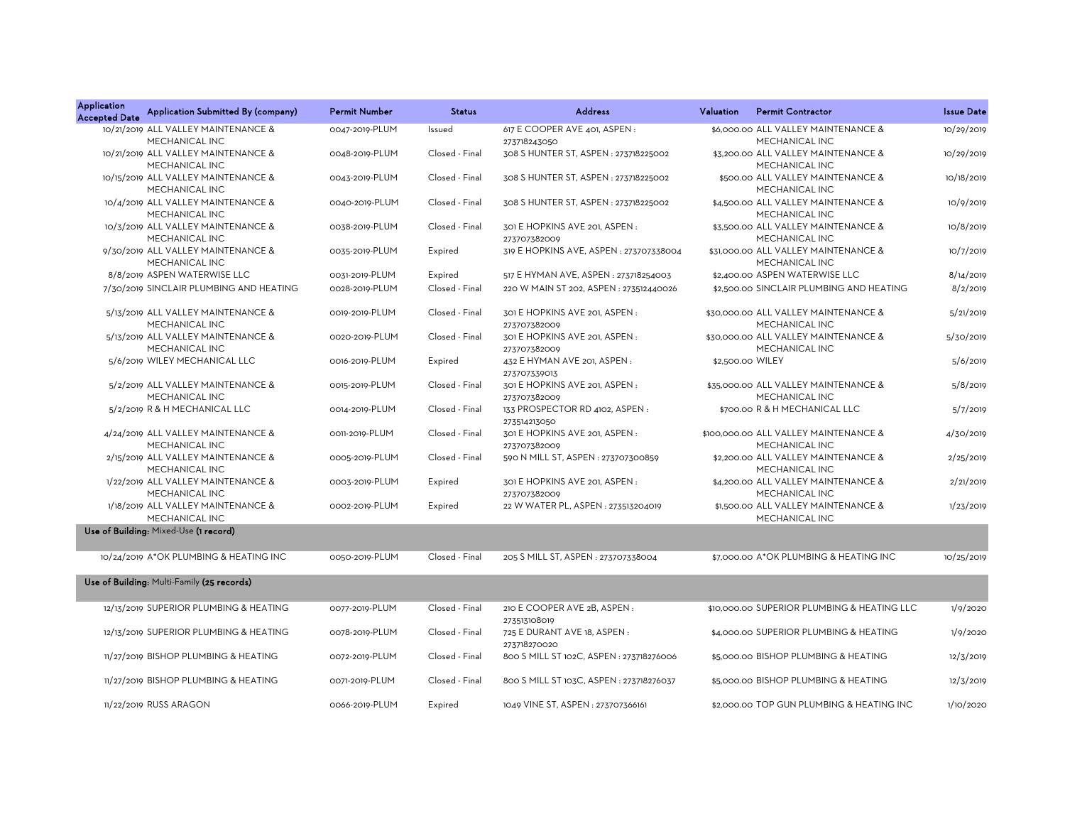| <b>Application</b><br><b>Accepted Date</b> | Application Submitted By (company)                    | <b>Permit Number</b> | <b>Status</b>  | <b>Address</b>                                 | Valuation        | <b>Permit Contractor</b>                                | <b>Issue Date</b> |
|--------------------------------------------|-------------------------------------------------------|----------------------|----------------|------------------------------------------------|------------------|---------------------------------------------------------|-------------------|
|                                            | 10/21/2019 ALL VALLEY MAINTENANCE &<br>MECHANICAL INC | 0047-2019-PLUM       | Issued         | 617 E COOPER AVE 401, ASPEN:<br>273718243050   |                  | \$6,000,00 ALL VALLEY MAINTENANCE &<br>MECHANICAL INC   | 10/29/2019        |
|                                            | 10/21/2019 ALL VALLEY MAINTENANCE &<br>MECHANICAL INC | 0048-2019-PLUM       | Closed - Final | 308 S HUNTER ST, ASPEN : 273718225002          |                  | \$3,200.00 ALL VALLEY MAINTENANCE &<br>MECHANICAL INC   | 10/29/2019        |
|                                            | 10/15/2019 ALL VALLEY MAINTENANCE &<br>MECHANICAL INC | 0043-2019-PLUM       | Closed - Final | 308 S HUNTER ST, ASPEN: 273718225002           |                  | \$500.00 ALL VALLEY MAINTENANCE &<br>MECHANICAL INC     | 10/18/2019        |
|                                            | 10/4/2019 ALL VALLEY MAINTENANCE &<br>MECHANICAL INC  | 0040-2019-PLUM       | Closed - Final | 308 S HUNTER ST, ASPEN : 273718225002          |                  | \$4,500.00 ALL VALLEY MAINTENANCE &<br>MECHANICAL INC   | 10/9/2019         |
|                                            | 10/3/2019 ALL VALLEY MAINTENANCE &<br>MECHANICAL INC  | 0038-2019-PLUM       | Closed - Final | 301 E HOPKINS AVE 201, ASPEN:<br>273707382009  |                  | \$3,500.00 ALL VALLEY MAINTENANCE &<br>MECHANICAL INC   | 10/8/2019         |
|                                            | 9/30/2019 ALL VALLEY MAINTENANCE &<br>MECHANICAL INC  | 0035-2019-PLUM       | Expired        | 319 E HOPKINS AVE, ASPEN : 273707338004        |                  | \$31,000.00 ALL VALLEY MAINTENANCE &<br>MECHANICAL INC  | 10/7/2019         |
|                                            | 8/8/2019 ASPEN WATERWISE LLC                          | 0031-2019-PLUM       | Expired        | 517 E HYMAN AVE, ASPEN: 273718254003           |                  | \$2,400.00 ASPEN WATERWISE LLC                          | 8/14/2019         |
|                                            | 7/30/2019 SINCLAIR PLUMBING AND HEATING               | 0028-2019-PLUM       | Closed - Final | 220 W MAIN ST 202, ASPEN: 273512440026         |                  | \$2,500.00 SINCLAIR PLUMBING AND HEATING                | 8/2/2019          |
|                                            | 5/13/2019 ALL VALLEY MAINTENANCE &<br>MECHANICAL INC  | 0019-2019-PLUM       | Closed - Final | 301 E HOPKINS AVE 201, ASPEN:<br>273707382009  |                  | \$30,000.00 ALL VALLEY MAINTENANCE &<br>MECHANICAL INC  | 5/21/2019         |
|                                            | 5/13/2019 ALL VALLEY MAINTENANCE &<br>MECHANICAL INC  | 0020-2019-PLUM       | Closed - Final | 301 E HOPKINS AVE 201, ASPEN :<br>273707382009 |                  | \$30,000.00 ALL VALLEY MAINTENANCE &<br>MECHANICAL INC  | 5/30/2019         |
|                                            | 5/6/2019 WILEY MECHANICAL LLC                         | 0016-2019-PLUM       | Expired        | 432 E HYMAN AVE 201, ASPEN:<br>273707339013    | \$2,500.00 WILEY |                                                         | 5/6/2019          |
|                                            | 5/2/2019 ALL VALLEY MAINTENANCE &<br>MECHANICAL INC   | 0015-2019-PLUM       | Closed - Final | 301 E HOPKINS AVE 201, ASPEN :<br>273707382009 |                  | \$35,000.00 ALL VALLEY MAINTENANCE &<br>MECHANICAL INC  | 5/8/2019          |
|                                            | 5/2/2019 R & H MECHANICAL LLC                         | 0014-2019-PLUM       | Closed - Final | 133 PROSPECTOR RD 4102, ASPEN:<br>273514213050 |                  | \$700.00 R & H MECHANICAL LLC                           | 5/7/2019          |
|                                            | 4/24/2019 ALL VALLEY MAINTENANCE &<br>MECHANICAL INC  | 0011-2019-PLUM       | Closed - Final | 301 E HOPKINS AVE 201, ASPEN:<br>273707382009  |                  | \$100,000.00 ALL VALLEY MAINTENANCE &<br>MECHANICAL INC | 4/30/2019         |
|                                            | 2/15/2019 ALL VALLEY MAINTENANCE &<br>MECHANICAL INC  | 0005-2019-PLUM       | Closed - Final | 590 N MILL ST, ASPEN : 273707300859            |                  | \$2,200.00 ALL VALLEY MAINTENANCE &<br>MECHANICAL INC   | 2/25/2019         |
|                                            | 1/22/2019 ALL VALLEY MAINTENANCE &<br>MECHANICAL INC  | 0003-2019-PLUM       | Expired        | 301 E HOPKINS AVE 201, ASPEN :<br>273707382009 |                  | \$4,200.00 ALL VALLEY MAINTENANCE &<br>MECHANICAL INC   | 2/21/2019         |
|                                            | 1/18/2019 ALL VALLEY MAINTENANCE &<br>MECHANICAL INC  | 0002-2019-PLUM       | Expired        | 22 W WATER PL, ASPEN : 273513204019            |                  | \$1,500.00 ALL VALLEY MAINTENANCE &<br>MECHANICAL INC   | 1/23/2019         |
|                                            | Use of Building: Mixed-Use (1 record)                 |                      |                |                                                |                  |                                                         |                   |
|                                            | 10/24/2019 A*OK PLUMBING & HEATING INC                | 0050-2019-PLUM       | Closed - Final | 205 S MILL ST, ASPEN : 273707338004            |                  | \$7,000.00 A*OK PLUMBING & HEATING INC                  | 10/25/2019        |
|                                            | Use of Building: Multi-Family (25 records)            |                      |                |                                                |                  |                                                         |                   |
|                                            | 12/13/2019 SUPERIOR PLUMBING & HEATING                | 0077-2019-PLUM       | Closed - Final | 210 E COOPER AVE 2B, ASPEN :<br>273513108019   |                  | \$10,000.00 SUPERIOR PLUMBING & HEATING LLC             | 1/9/2020          |
|                                            | 12/13/2019 SUPERIOR PLUMBING & HEATING                | 0078-2019-PLUM       | Closed - Final | 725 E DURANT AVE 18, ASPEN :<br>273718270020   |                  | \$4,000.00 SUPERIOR PLUMBING & HEATING                  | 1/9/2020          |
|                                            | 11/27/2019 BISHOP PLUMBING & HEATING                  | 0072-2019-PLUM       | Closed - Final | 800 S MILL ST 102C, ASPEN : 273718276006       |                  | \$5,000.00 BISHOP PLUMBING & HEATING                    | 12/3/2019         |
|                                            | 11/27/2019 BISHOP PLUMBING & HEATING                  | 0071-2019-PLUM       | Closed - Final | 800 S MILL ST 103C, ASPEN : 273718276037       |                  | \$5,000.00 BISHOP PLUMBING & HEATING                    | 12/3/2019         |
|                                            | 11/22/2019 RUSS ARAGON                                | 0066-2019-PLUM       | Expired        | 1049 VINE ST, ASPEN: 273707366161              |                  | \$2,000,00 TOP GUN PLUMBING & HEATING INC               | 1/10/2020         |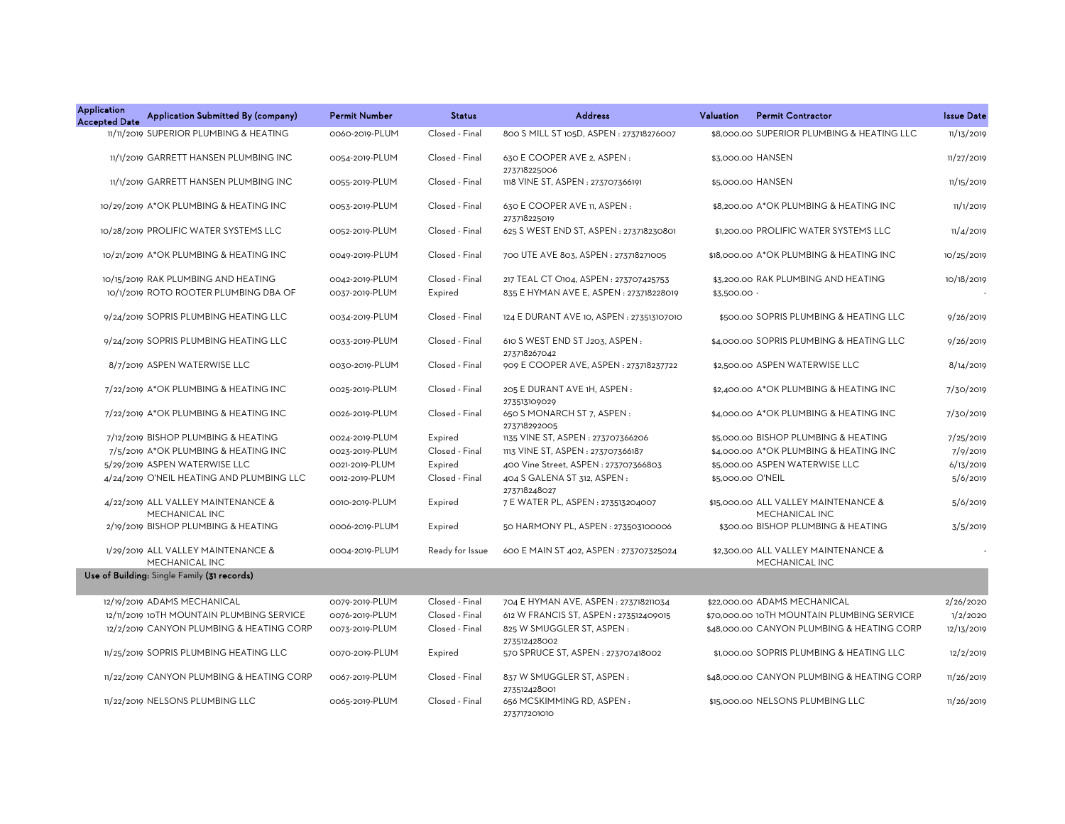| <b>Application</b><br><b>Accepted Date</b> | Application Submitted By (company)                   | <b>Permit Number</b> | <b>Status</b>   | <b>Address</b>                                 | Valuation         | <b>Permit Contractor</b>                               | <b>Issue Date</b> |
|--------------------------------------------|------------------------------------------------------|----------------------|-----------------|------------------------------------------------|-------------------|--------------------------------------------------------|-------------------|
|                                            | 11/11/2019 SUPERIOR PLUMBING & HEATING               | 0060-2019-PLUM       | Closed - Final  | 800 S MILL ST 105D, ASPEN: 273718276007        |                   | \$8,000,00 SUPERIOR PLUMBING & HEATING LLC             | 11/13/2019        |
|                                            | 11/1/2019 GARRETT HANSEN PLUMBING INC                | 0054-2019-PLUM       | Closed - Final  | 630 E COOPER AVE 2, ASPEN:<br>273718225006     |                   | \$3,000.00 HANSEN                                      | 11/27/2019        |
|                                            | 11/1/2019 GARRETT HANSEN PLUMBING INC                | 0055-2019-PLUM       | Closed - Final  | 1118 VINE ST, ASPEN : 273707366191             |                   | \$5,000.00 HANSEN                                      | 11/15/2019        |
|                                            | 10/29/2019 A*OK PLUMBING & HEATING INC               | 0053-2019-PLUM       | Closed - Final  | 630 E COOPER AVE 11, ASPEN :<br>273718225019   |                   | \$8,200.00 A*OK PLUMBING & HEATING INC                 | 11/1/2019         |
|                                            | 10/28/2019 PROLIFIC WATER SYSTEMS LLC                | 0052-2019-PLUM       | Closed - Final  | 625 S WEST END ST, ASPEN : 273718230801        |                   | \$1,200.00 PROLIFIC WATER SYSTEMS LLC                  | 11/4/2019         |
|                                            | 10/21/2019 A*OK PLUMBING & HEATING INC               | 0049-2019-PLUM       | Closed - Final  | 700 UTE AVE 803, ASPEN : 273718271005          |                   | \$18,000.00 A*OK PLUMBING & HEATING INC                | 10/25/2019        |
|                                            | 10/15/2019 RAK PLUMBING AND HEATING                  | 0042-2019-PLUM       | Closed - Final  | 217 TEAL CT O104, ASPEN: 273707425753          |                   | \$3,200.00 RAK PLUMBING AND HEATING                    | 10/18/2019        |
|                                            | 10/1/2019 ROTO ROOTER PLUMBING DBA OF                | 0037-2019-PLUM       | Expired         | 835 E HYMAN AVE E, ASPEN : 273718228019        | \$3,500.00 -      |                                                        |                   |
|                                            | 9/24/2019 SOPRIS PLUMBING HEATING LLC                | 0034-2019-PLUM       | Closed - Final  | 124 E DURANT AVE 10, ASPEN : 273513107010      |                   | \$500.00 SOPRIS PLUMBING & HEATING LLC                 | 9/26/2019         |
|                                            | 9/24/2019 SOPRIS PLUMBING HEATING LLC                | 0033-2019-PLUM       | Closed - Final  | 610 S WEST END ST J203, ASPEN:<br>273718267042 |                   | \$4,000.00 SOPRIS PLUMBING & HEATING LLC               | 9/26/2019         |
|                                            | 8/7/2019 ASPEN WATERWISE LLC                         | 0030-2019-PLUM       | Closed - Final  | 909 E COOPER AVE, ASPEN : 273718237722         |                   | \$2,500.00 ASPEN WATERWISE LLC                         | 8/14/2019         |
|                                            | 7/22/2019 A*OK PLUMBING & HEATING INC                | 0025-2019-PLUM       | Closed - Final  | 205 E DURANT AVE 1H, ASPEN :<br>273513109029   |                   | \$2,400.00 A*OK PLUMBING & HEATING INC                 | 7/30/2019         |
|                                            | 7/22/2019 A*OK PLUMBING & HEATING INC                | 0026-2019-PLUM       | Closed - Final  | 650 S MONARCH ST 7, ASPEN:<br>273718292005     |                   | \$4,000.00 A*OK PLUMBING & HEATING INC                 | 7/30/2019         |
|                                            | 7/12/2019 BISHOP PLUMBING & HEATING                  | 0024-2019-PLUM       | Expired         | 1135 VINE ST, ASPEN : 273707366206             |                   | \$5,000.00 BISHOP PLUMBING & HEATING                   | 7/25/2019         |
|                                            | 7/5/2019 A*OK PLUMBING & HEATING INC                 | 0023-2019-PLUM       | Closed - Final  | 1113 VINE ST, ASPEN : 273707366187             |                   | \$4,000.00 A*OK PLUMBING & HEATING INC                 | 7/9/2019          |
|                                            | 5/29/2019 ASPEN WATERWISE LLC                        | 0021-2019-PLUM       | Expired         | 400 Vine Street, ASPEN: 273707366803           |                   | \$5,000.00 ASPEN WATERWISE LLC                         | 6/13/2019         |
|                                            | 4/24/2019 O'NEIL HEATING AND PLUMBING LLC            | 0012-2019-PLUM       | Closed - Final  | 404 S GALENA ST 312, ASPEN :<br>273718248027   | \$5,000.00 O'NEIL |                                                        | 5/6/2019          |
|                                            | 4/22/2019 ALL VALLEY MAINTENANCE &<br>MECHANICAL INC | 0010-2019-PLUM       | Expired         | 7 E WATER PL, ASPEN : 273513204007             |                   | \$15,000.00 ALL VALLEY MAINTENANCE &<br>MECHANICAL INC | 5/6/2019          |
|                                            | 2/19/2019 BISHOP PLUMBING & HEATING                  | 0006-2019-PLUM       | Expired         | 50 HARMONY PL, ASPEN: 273503100006             |                   | \$300.00 BISHOP PLUMBING & HEATING                     | 3/5/2019          |
|                                            | 1/29/2019 ALL VALLEY MAINTENANCE &<br>MECHANICAL INC | 0004-2019-PLUM       | Ready for Issue | 600 E MAIN ST 402, ASPEN: 273707325024         |                   | \$2,300.00 ALL VALLEY MAINTENANCE &<br>MECHANICAL INC  |                   |
|                                            | Use of Building: Single Family (31 records)          |                      |                 |                                                |                   |                                                        |                   |
|                                            | 12/19/2019 ADAMS MECHANICAL                          | 0079-2019-PLUM       | Closed - Final  | 704 E HYMAN AVE, ASPEN : 273718211034          |                   | \$22,000.00 ADAMS MECHANICAL                           | 2/26/2020         |
|                                            | 12/11/2019 10TH MOUNTAIN PLUMBING SERVICE            | 0076-2019-PLUM       | Closed - Final  | 612 W FRANCIS ST, ASPEN : 273512409015         |                   | \$70,000.00 10TH MOUNTAIN PLUMBING SERVICE             | 1/2/2020          |
|                                            | 12/2/2019 CANYON PLUMBING & HEATING CORP             | 0073-2019-PLUM       | Closed - Final  | 825 W SMUGGLER ST, ASPEN:<br>273512428002      |                   | \$48,000.00 CANYON PLUMBING & HEATING CORP             | 12/13/2019        |
|                                            | 11/25/2019 SOPRIS PLUMBING HEATING LLC               | 0070-2019-PLUM       | Expired         | 570 SPRUCE ST, ASPEN : 273707418002            |                   | \$1,000.00 SOPRIS PLUMBING & HEATING LLC               | 12/2/2019         |
|                                            | 11/22/2019 CANYON PLUMBING & HEATING CORP            | 0067-2019-PLUM       | Closed - Final  | 837 W SMUGGLER ST, ASPEN:<br>273512428001      |                   | \$48,000.00 CANYON PLUMBING & HEATING CORP             | 11/26/2019        |
|                                            | 11/22/2019 NELSONS PLUMBING LLC                      | 0065-2019-PLUM       | Closed - Final  | 656 MCSKIMMING RD, ASPEN:<br>273717201010      |                   | \$15,000.00 NELSONS PLUMBING LLC                       | 11/26/2019        |